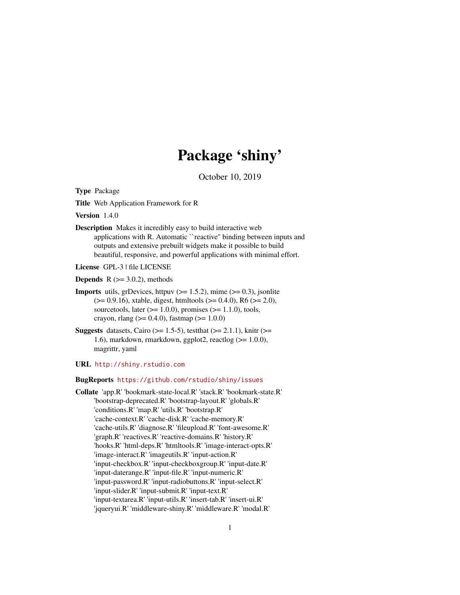# Package 'shiny'

October 10, 2019

<span id="page-0-0"></span>Type Package

Title Web Application Framework for R

Version 1.4.0

Description Makes it incredibly easy to build interactive web applications with R. Automatic ``reactive'' binding between inputs and outputs and extensive prebuilt widgets make it possible to build beautiful, responsive, and powerful applications with minimal effort.

License GPL-3 | file LICENSE

**Depends**  $R$  ( $>= 3.0.2$ ), methods

- **Imports** utils, grDevices, httpuv ( $> = 1.5.2$ ), mime ( $> = 0.3$ ), jsonlite (>= 0.9.16), xtable, digest, htmltools (>= 0.4.0), R6 (>= 2.0), sourcetools, later  $(>= 1.0.0)$ , promises  $(>= 1.1.0)$ , tools, crayon, rlang ( $> = 0.4.0$ ), fastmap ( $> = 1.0.0$ )
- **Suggests** datasets, Cairo ( $>= 1.5-5$ ), test that ( $>= 2.1.1$ ), knitr ( $>= 1.5-5$ ) 1.6), markdown, rmarkdown, ggplot2, reactlog (>= 1.0.0), magrittr, yaml

## URL <http://shiny.rstudio.com>

BugReports <https://github.com/rstudio/shiny/issues>

Collate 'app.R' 'bookmark-state-local.R' 'stack.R' 'bookmark-state.R' 'bootstrap-deprecated.R' 'bootstrap-layout.R' 'globals.R' 'conditions.R' 'map.R' 'utils.R' 'bootstrap.R' 'cache-context.R' 'cache-disk.R' 'cache-memory.R' 'cache-utils.R' 'diagnose.R' 'fileupload.R' 'font-awesome.R' 'graph.R' 'reactives.R' 'reactive-domains.R' 'history.R' 'hooks.R' 'html-deps.R' 'htmltools.R' 'image-interact-opts.R' 'image-interact.R' 'imageutils.R' 'input-action.R' 'input-checkbox.R' 'input-checkboxgroup.R' 'input-date.R' 'input-daterange.R' 'input-file.R' 'input-numeric.R' 'input-password.R' 'input-radiobuttons.R' 'input-select.R' 'input-slider.R' 'input-submit.R' 'input-text.R' 'input-textarea.R' 'input-utils.R' 'insert-tab.R' 'insert-ui.R' 'jqueryui.R' 'middleware-shiny.R' 'middleware.R' 'modal.R'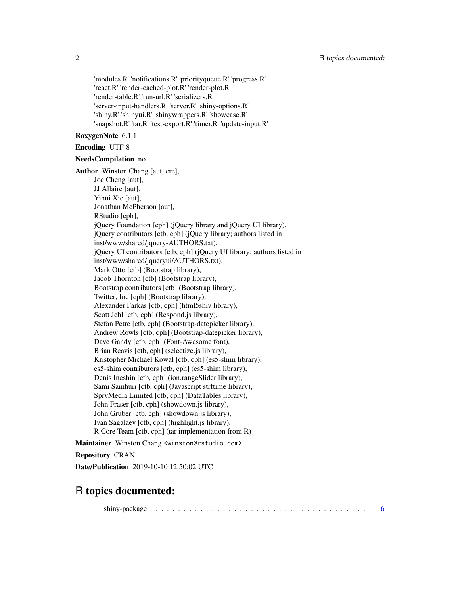'modules.R' 'notifications.R' 'priorityqueue.R' 'progress.R' 'react.R' 'render-cached-plot.R' 'render-plot.R' 'render-table.R' 'run-url.R' 'serializers.R' 'server-input-handlers.R' 'server.R' 'shiny-options.R' 'shiny.R' 'shinyui.R' 'shinywrappers.R' 'showcase.R' 'snapshot.R' 'tar.R' 'test-export.R' 'timer.R' 'update-input.R'

## RoxygenNote 6.1.1

NeedsCompilation no

## Encoding UTF-8

Author Winston Chang [aut, cre], Joe Cheng [aut], JJ Allaire [aut], Yihui Xie [aut], Jonathan McPherson [aut], RStudio [cph], jQuery Foundation [cph] (jQuery library and jQuery UI library), jQuery contributors [ctb, cph] (jQuery library; authors listed in inst/www/shared/jquery-AUTHORS.txt), jQuery UI contributors [ctb, cph] (jQuery UI library; authors listed in inst/www/shared/jqueryui/AUTHORS.txt), Mark Otto [ctb] (Bootstrap library), Jacob Thornton [ctb] (Bootstrap library), Bootstrap contributors [ctb] (Bootstrap library), Twitter, Inc [cph] (Bootstrap library), Alexander Farkas [ctb, cph] (html5shiv library), Scott Jehl [ctb, cph] (Respond.js library), Stefan Petre [ctb, cph] (Bootstrap-datepicker library), Andrew Rowls [ctb, cph] (Bootstrap-datepicker library), Dave Gandy [ctb, cph] (Font-Awesome font), Brian Reavis [ctb, cph] (selectize.js library), Kristopher Michael Kowal [ctb, cph] (es5-shim library), es5-shim contributors [ctb, cph] (es5-shim library), Denis Ineshin [ctb, cph] (ion.rangeSlider library), Sami Samhuri [ctb, cph] (Javascript strftime library), SpryMedia Limited [ctb, cph] (DataTables library), John Fraser [ctb, cph] (showdown.js library), John Gruber [ctb, cph] (showdown.js library), Ivan Sagalaev [ctb, cph] (highlight.js library), R Core Team [ctb, cph] (tar implementation from R)

Maintainer Winston Chang <winston@rstudio.com>

Repository CRAN

Date/Publication 2019-10-10 12:50:02 UTC

## R topics documented:

shiny-package . . . . . . . . . . . . . . . . . . . . . . . . . . . . . . . . . . . . . . . . [6](#page-5-0)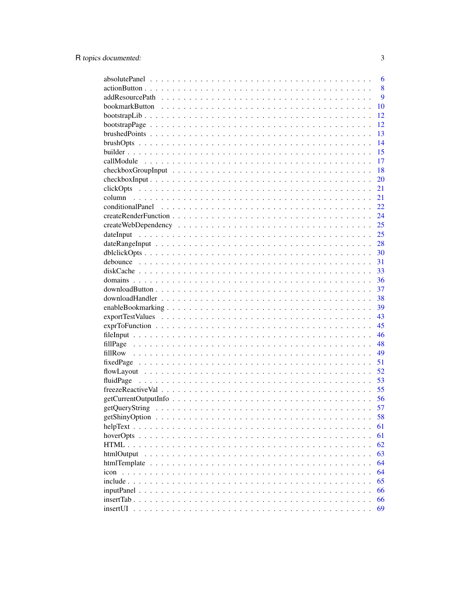|                                    | 6  |
|------------------------------------|----|
|                                    | 8  |
|                                    | 9  |
|                                    | 10 |
|                                    | 12 |
|                                    | 12 |
|                                    | 13 |
|                                    | 14 |
|                                    | 15 |
|                                    | 17 |
|                                    | 18 |
|                                    | 20 |
|                                    | 21 |
|                                    | 21 |
|                                    | 22 |
|                                    | 24 |
|                                    | 25 |
|                                    | 25 |
|                                    | 28 |
|                                    | 30 |
|                                    |    |
|                                    | 31 |
|                                    | 33 |
|                                    | 36 |
|                                    | 37 |
|                                    | 38 |
|                                    | 39 |
|                                    | 43 |
|                                    | 45 |
|                                    | 46 |
|                                    | 48 |
|                                    | 49 |
|                                    | 51 |
|                                    | 52 |
|                                    | 53 |
|                                    | 55 |
|                                    | 56 |
|                                    | 57 |
|                                    | 58 |
| $helpText \ldots \ldots$<br>$\sim$ | 61 |
|                                    | 61 |
|                                    | 62 |
| htmlOutput                         | 63 |
| htmlTemplate<br>$\ddots$           | 64 |
| $i$ con $\ldots$ $\ldots$ $\ldots$ | 64 |
|                                    | 65 |
| inputPanel                         | 66 |
| insertTab                          | 66 |
| insertUI                           | 69 |
|                                    |    |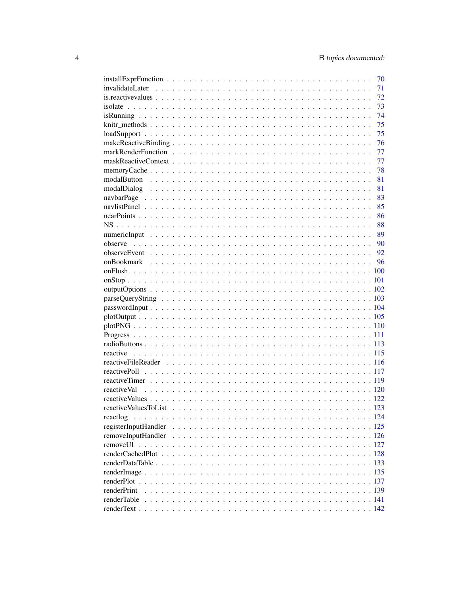|                      |  |  |  |  |  |  |  |  |  |  |  |  |  | 70 |
|----------------------|--|--|--|--|--|--|--|--|--|--|--|--|--|----|
|                      |  |  |  |  |  |  |  |  |  |  |  |  |  | 71 |
|                      |  |  |  |  |  |  |  |  |  |  |  |  |  | 72 |
|                      |  |  |  |  |  |  |  |  |  |  |  |  |  | 73 |
|                      |  |  |  |  |  |  |  |  |  |  |  |  |  | 74 |
|                      |  |  |  |  |  |  |  |  |  |  |  |  |  | 75 |
|                      |  |  |  |  |  |  |  |  |  |  |  |  |  | 75 |
|                      |  |  |  |  |  |  |  |  |  |  |  |  |  | 76 |
|                      |  |  |  |  |  |  |  |  |  |  |  |  |  | 77 |
|                      |  |  |  |  |  |  |  |  |  |  |  |  |  | 77 |
|                      |  |  |  |  |  |  |  |  |  |  |  |  |  | 78 |
|                      |  |  |  |  |  |  |  |  |  |  |  |  |  | 81 |
|                      |  |  |  |  |  |  |  |  |  |  |  |  |  | 81 |
|                      |  |  |  |  |  |  |  |  |  |  |  |  |  | 83 |
|                      |  |  |  |  |  |  |  |  |  |  |  |  |  | 85 |
|                      |  |  |  |  |  |  |  |  |  |  |  |  |  | 86 |
|                      |  |  |  |  |  |  |  |  |  |  |  |  |  | 88 |
|                      |  |  |  |  |  |  |  |  |  |  |  |  |  | 89 |
|                      |  |  |  |  |  |  |  |  |  |  |  |  |  |    |
|                      |  |  |  |  |  |  |  |  |  |  |  |  |  |    |
|                      |  |  |  |  |  |  |  |  |  |  |  |  |  |    |
|                      |  |  |  |  |  |  |  |  |  |  |  |  |  |    |
|                      |  |  |  |  |  |  |  |  |  |  |  |  |  |    |
|                      |  |  |  |  |  |  |  |  |  |  |  |  |  |    |
|                      |  |  |  |  |  |  |  |  |  |  |  |  |  |    |
|                      |  |  |  |  |  |  |  |  |  |  |  |  |  |    |
|                      |  |  |  |  |  |  |  |  |  |  |  |  |  |    |
|                      |  |  |  |  |  |  |  |  |  |  |  |  |  |    |
|                      |  |  |  |  |  |  |  |  |  |  |  |  |  |    |
|                      |  |  |  |  |  |  |  |  |  |  |  |  |  |    |
|                      |  |  |  |  |  |  |  |  |  |  |  |  |  |    |
|                      |  |  |  |  |  |  |  |  |  |  |  |  |  |    |
|                      |  |  |  |  |  |  |  |  |  |  |  |  |  |    |
|                      |  |  |  |  |  |  |  |  |  |  |  |  |  |    |
| reactiveVal          |  |  |  |  |  |  |  |  |  |  |  |  |  |    |
|                      |  |  |  |  |  |  |  |  |  |  |  |  |  |    |
|                      |  |  |  |  |  |  |  |  |  |  |  |  |  |    |
| reactlog             |  |  |  |  |  |  |  |  |  |  |  |  |  |    |
| registerInputHandler |  |  |  |  |  |  |  |  |  |  |  |  |  |    |
| removeInputHandler   |  |  |  |  |  |  |  |  |  |  |  |  |  |    |
|                      |  |  |  |  |  |  |  |  |  |  |  |  |  |    |
|                      |  |  |  |  |  |  |  |  |  |  |  |  |  |    |
|                      |  |  |  |  |  |  |  |  |  |  |  |  |  |    |
|                      |  |  |  |  |  |  |  |  |  |  |  |  |  |    |
|                      |  |  |  |  |  |  |  |  |  |  |  |  |  |    |
| renderPrint          |  |  |  |  |  |  |  |  |  |  |  |  |  |    |
| renderTable          |  |  |  |  |  |  |  |  |  |  |  |  |  |    |
|                      |  |  |  |  |  |  |  |  |  |  |  |  |  |    |
|                      |  |  |  |  |  |  |  |  |  |  |  |  |  |    |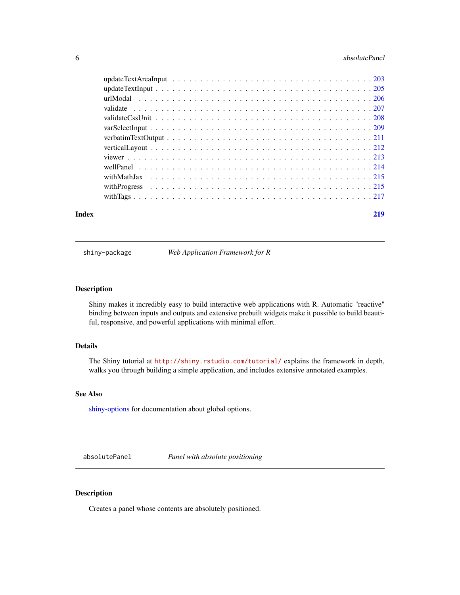#### <span id="page-5-0"></span>6 absolutePanel

#### **Index** [219](#page-218-0)

shiny-package *Web Application Framework for R*

## Description

Shiny makes it incredibly easy to build interactive web applications with R. Automatic "reactive" binding between inputs and outputs and extensive prebuilt widgets make it possible to build beautiful, responsive, and powerful applications with minimal effort.

## Details

The Shiny tutorial at <http://shiny.rstudio.com/tutorial/> explains the framework in depth, walks you through building a simple application, and includes extensive annotated examples.

## See Also

[shiny-options](#page-57-1) for documentation about global options.

absolutePanel *Panel with absolute positioning*

## Description

Creates a panel whose contents are absolutely positioned.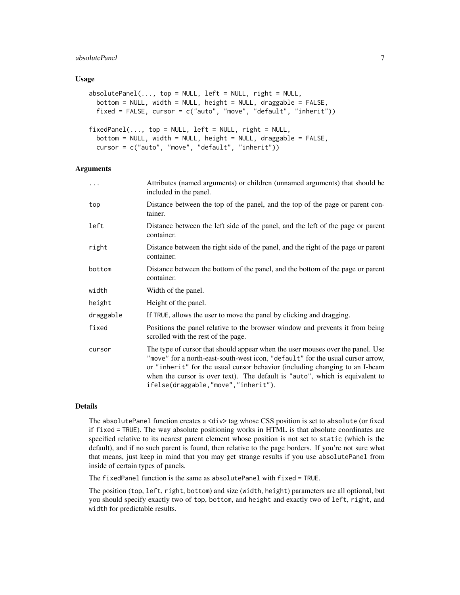## absolutePanel 7

#### Usage

```
absolutePanel(..., top = NULL, left = NULL, right = NULL,bottom = NULL, width = NULL, height = NULL, draggable = FALSE,
 fixed = FALSE, cursor = c("auto", "move", "default", "inherit"))
fixedPanel(..., top = NULL, left = NULL, right = NULL,bottom = NULL, width = NULL, height = NULL, draggable = FALSE,
  cursor = c("auto", "move", "default", "inherit"))
```
## Arguments

| .         | Attributes (named arguments) or children (unnamed arguments) that should be<br>included in the panel.                                                                                                                                                                                                                                                                  |
|-----------|------------------------------------------------------------------------------------------------------------------------------------------------------------------------------------------------------------------------------------------------------------------------------------------------------------------------------------------------------------------------|
| top       | Distance between the top of the panel, and the top of the page or parent con-<br>tainer.                                                                                                                                                                                                                                                                               |
| left      | Distance between the left side of the panel, and the left of the page or parent<br>container.                                                                                                                                                                                                                                                                          |
| right     | Distance between the right side of the panel, and the right of the page or parent<br>container.                                                                                                                                                                                                                                                                        |
| bottom    | Distance between the bottom of the panel, and the bottom of the page or parent<br>container.                                                                                                                                                                                                                                                                           |
| width     | Width of the panel.                                                                                                                                                                                                                                                                                                                                                    |
| height    | Height of the panel.                                                                                                                                                                                                                                                                                                                                                   |
| draggable | If TRUE, allows the user to move the panel by clicking and dragging.                                                                                                                                                                                                                                                                                                   |
| fixed     | Positions the panel relative to the browser window and prevents it from being<br>scrolled with the rest of the page.                                                                                                                                                                                                                                                   |
| cursor    | The type of cursor that should appear when the user mouses over the panel. Use<br>"move" for a north-east-south-west icon, "default" for the usual cursor arrow,<br>or "inherit" for the usual cursor behavior (including changing to an I-beam<br>when the cursor is over text). The default is "auto", which is equivalent to<br>ifelse(draggable,"move","inherit"). |

#### Details

The absolutePanel function creates a <div> tag whose CSS position is set to absolute (or fixed if fixed = TRUE). The way absolute positioning works in HTML is that absolute coordinates are specified relative to its nearest parent element whose position is not set to static (which is the default), and if no such parent is found, then relative to the page borders. If you're not sure what that means, just keep in mind that you may get strange results if you use absolutePanel from inside of certain types of panels.

The fixedPanel function is the same as absolutePanel with fixed = TRUE.

The position (top, left, right, bottom) and size (width, height) parameters are all optional, but you should specify exactly two of top, bottom, and height and exactly two of left, right, and width for predictable results.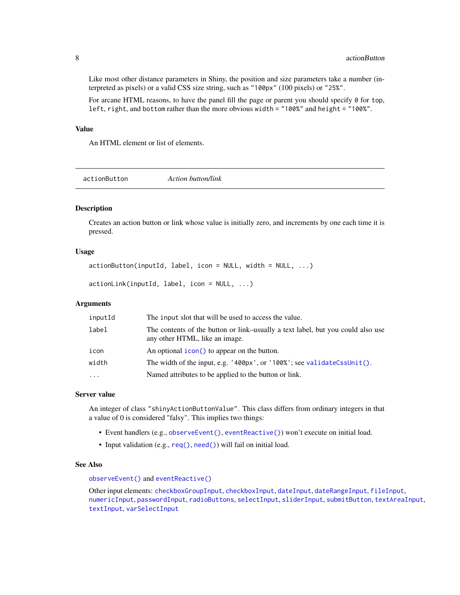Like most other distance parameters in Shiny, the position and size parameters take a number (interpreted as pixels) or a valid CSS size string, such as "100px" (100 pixels) or "25%".

For arcane HTML reasons, to have the panel fill the page or parent you should specify  $\theta$  for top, left, right, and bottom rather than the more obvious width = "100%" and height = "100%".

#### Value

An HTML element or list of elements.

<span id="page-7-1"></span>actionButton *Action button/link*

#### Description

Creates an action button or link whose value is initially zero, and increments by one each time it is pressed.

#### Usage

```
actionButton(inputId, label, icon = NULL, width = NULL, ...)
```
actionLink(inputId, label, icon = NULL, ...)

## Arguments

| inputId  | The input slot that will be used to access the value.                                                             |
|----------|-------------------------------------------------------------------------------------------------------------------|
| label    | The contents of the button or link-usually a text label, but you could also use<br>any other HTML, like an image. |
| icon     | An optional icon() to appear on the button.                                                                       |
| width    | The width of the input, e.g. '400px', or '100%'; see validateCssUnit().                                           |
| $\cdots$ | Named attributes to be applied to the button or link.                                                             |

#### Server value

An integer of class "shinyActionButtonValue". This class differs from ordinary integers in that a value of 0 is considered "falsy". This implies two things:

- Event handlers (e.g., [observeEvent\(\)](#page-91-1), [eventReactive\(\)](#page-91-2)) won't execute on initial load.
- Input validation (e.g., [req\(\)](#page-145-1), [need\(\)](#page-206-1)) will fail on initial load.

## See Also

[observeEvent\(\)](#page-91-1) and [eventReactive\(\)](#page-91-2)

Other input elements: [checkboxGroupInput](#page-17-1), [checkboxInput](#page-19-1), [dateInput](#page-24-1), [dateRangeInput](#page-27-1), [fileInput](#page-45-1), [numericInput](#page-88-1), [passwordInput](#page-103-1), [radioButtons](#page-112-1), [selectInput](#page-154-1), [sliderInput](#page-170-1), [submitButton](#page-175-1), [textAreaInput](#page-181-1), [textInput](#page-182-1), [varSelectInput](#page-208-1)

<span id="page-7-0"></span>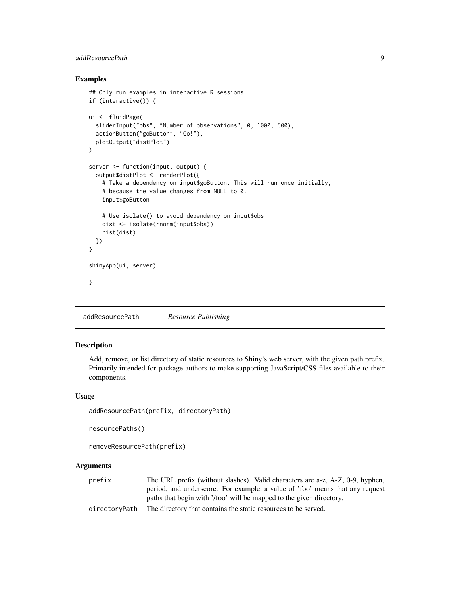## <span id="page-8-0"></span>addResourcePath 9

## Examples

```
## Only run examples in interactive R sessions
if (interactive()) {
ui <- fluidPage(
  sliderInput("obs", "Number of observations", 0, 1000, 500),
  actionButton("goButton", "Go!"),
  plotOutput("distPlot")
\overline{)}server <- function(input, output) {
  output$distPlot <- renderPlot({
    # Take a dependency on input$goButton. This will run once initially,
    # because the value changes from NULL to 0.
    input$goButton
    # Use isolate() to avoid dependency on input$obs
   dist <- isolate(rnorm(input$obs))
   hist(dist)
  })
}
shinyApp(ui, server)
}
```
<span id="page-8-1"></span>addResourcePath *Resource Publishing*

#### Description

Add, remove, or list directory of static resources to Shiny's web server, with the given path prefix. Primarily intended for package authors to make supporting JavaScript/CSS files available to their components.

#### Usage

```
addResourcePath(prefix, directoryPath)
```

```
resourcePaths()
```

```
removeResourcePath(prefix)
```
## Arguments

| The URL prefix (without slashes). Valid characters are a-z, A-Z, 0-9, hyphen, |
|-------------------------------------------------------------------------------|
| period, and underscore. For example, a value of 'foo' means that any request  |
| paths that begin with '/foo' will be mapped to the given directory.           |
|                                                                               |

directoryPath The directory that contains the static resources to be served.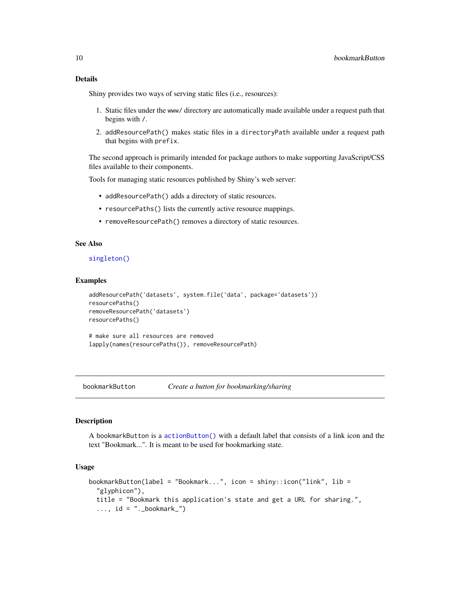## <span id="page-9-0"></span>Details

Shiny provides two ways of serving static files (i.e., resources):

- 1. Static files under the www/ directory are automatically made available under a request path that begins with /.
- 2. addResourcePath() makes static files in a directoryPath available under a request path that begins with prefix.

The second approach is primarily intended for package authors to make supporting JavaScript/CSS files available to their components.

Tools for managing static resources published by Shiny's web server:

- addResourcePath() adds a directory of static resources.
- resourcePaths() lists the currently active resource mappings.
- removeResourcePath() removes a directory of static resources.

## See Also

## [singleton\(\)](#page-168-1)

## Examples

```
addResourcePath('datasets', system.file('data', package='datasets'))
resourcePaths()
removeResourcePath('datasets')
resourcePaths()
```
# make sure all resources are removed lapply(names(resourcePaths()), removeResourcePath)

bookmarkButton *Create a button for bookmarking/sharing*

## Description

A bookmarkButton is a [actionButton\(\)](#page-7-1) with a default label that consists of a link icon and the text "Bookmark...". It is meant to be used for bookmarking state.

## Usage

```
bookmarkButton(label = "Bookmark...", icon = shiny::icon("link", lib =
  "glyphicon"),
  title = "Bookmark this application's state and get a URL for sharing.",
  \ldots, id = "._bookmark_")
```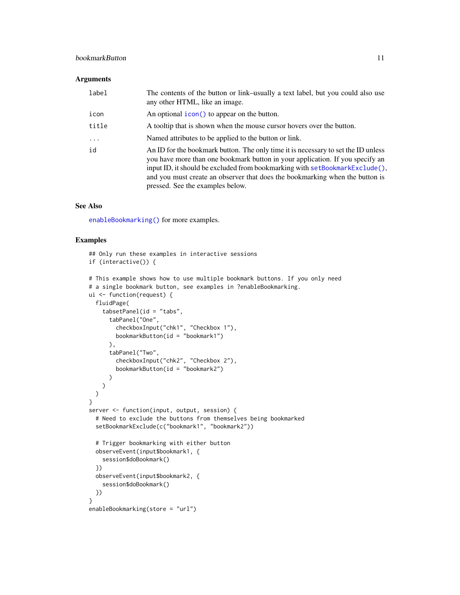## bookmarkButton 11 and 12 and 12 and 12 and 13 and 13 and 13 and 13 and 14 and 14 and 14 and 14 and 14 and 14 and 14 and 14 and 14 and 14 and 14 and 14 and 14 and 14 and 14 and 14 and 14 and 14 and 15 and 16 and 16 and 16 a

## Arguments

| label      | The contents of the button or link–usually a text label, but you could also use<br>any other HTML, like an image.                                                                                                                                                                                                                                                     |
|------------|-----------------------------------------------------------------------------------------------------------------------------------------------------------------------------------------------------------------------------------------------------------------------------------------------------------------------------------------------------------------------|
| icon       | An optional icon() to appear on the button.                                                                                                                                                                                                                                                                                                                           |
| title      | A tooltip that is shown when the mouse cursor hovers over the button.                                                                                                                                                                                                                                                                                                 |
| $\ddots$ . | Named attributes to be applied to the button or link.                                                                                                                                                                                                                                                                                                                 |
| id         | An ID for the bookmark button. The only time it is necessary to set the ID unless<br>you have more than one bookmark button in your application. If you specify an<br>input ID, it should be excluded from bookmarking with setBookmarkExclude(),<br>and you must create an observer that does the bookmarking when the button is<br>pressed. See the examples below. |

## See Also

[enableBookmarking\(\)](#page-38-1) for more examples.

```
## Only run these examples in interactive sessions
if (interactive()) {
# This example shows how to use multiple bookmark buttons. If you only need
# a single bookmark button, see examples in ?enableBookmarking.
ui <- function(request) {
  fluidPage(
    tabsetPanel(id = "tabs",tabPanel("One",
       checkboxInput("chk1", "Checkbox 1"),
       bookmarkButton(id = "bookmark1")
      ),
      tabPanel("Two",
        checkboxInput("chk2", "Checkbox 2"),
        bookmarkButton(id = "bookmark2")
      )
   )
 )
}
server <- function(input, output, session) {
  # Need to exclude the buttons from themselves being bookmarked
  setBookmarkExclude(c("bookmark1", "bookmark2"))
  # Trigger bookmarking with either button
  observeEvent(input$bookmark1, {
   session$doBookmark()
  })
  observeEvent(input$bookmark2, {
    session$doBookmark()
  })
}
enableBookmarking(store = "url")
```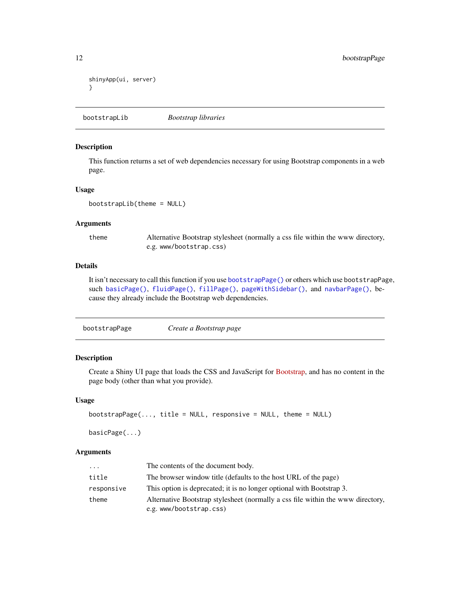```
shinyApp(ui, server)
}
```
bootstrapLib *Bootstrap libraries*

#### Description

This function returns a set of web dependencies necessary for using Bootstrap components in a web page.

## Usage

bootstrapLib(theme = NULL)

#### Arguments

theme Alternative Bootstrap stylesheet (normally a css file within the www directory, e.g. www/bootstrap.css)

## Details

It isn't necessary to call this function if you use [bootstrapPage\(\)](#page-11-1) or others which use bootstrapPage, such [basicPage\(\)](#page-11-2), [fluidPage\(\)](#page-52-1), [fillPage\(\)](#page-47-1), [pageWithSidebar\(\)](#page-0-0), and [navbarPage\(\)](#page-82-1), because they already include the Bootstrap web dependencies.

<span id="page-11-1"></span>

| bootstrapPage | Create a Bootstrap page |
|---------------|-------------------------|
|               |                         |

## <span id="page-11-2"></span>Description

Create a Shiny UI page that loads the CSS and JavaScript for [Bootstrap,](http://getbootstrap.com/) and has no content in the page body (other than what you provide).

#### Usage

```
bootstrapPage(..., title = NULL, responsive = NULL, theme = NULL)
```
basicPage(...)

| $\cdots$   | The contents of the document body.                                                                         |
|------------|------------------------------------------------------------------------------------------------------------|
| title      | The browser window title (defaults to the host URL of the page)                                            |
| responsive | This option is deprecated; it is no longer optional with Bootstrap 3.                                      |
| theme      | Alternative Bootstrap stylesheet (normally a css file within the www directory,<br>e.g. www/bootstrap.css) |

<span id="page-11-0"></span>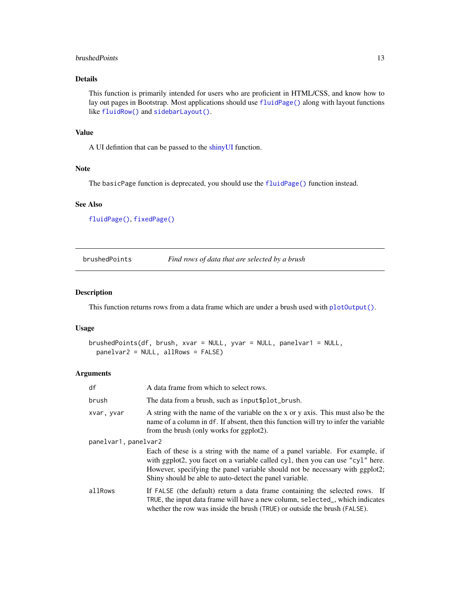## <span id="page-12-0"></span>brushedPoints 13

## Details

This function is primarily intended for users who are proficient in HTML/CSS, and know how to lay out pages in Bootstrap. Most applications should use [fluidPage\(\)](#page-52-1) along with layout functions like [fluidRow\(\)](#page-52-2) and [sidebarLayout\(\)](#page-167-1).

## Value

A UI defintion that can be passed to the [shinyUI](#page-0-0) function.

## Note

The basicPage function is deprecated, you should use the [fluidPage\(\)](#page-52-1) function instead.

## See Also

[fluidPage\(\)](#page-52-1), [fixedPage\(\)](#page-50-1)

brushedPoints *Find rows of data that are selected by a brush*

#### Description

This function returns rows from a data frame which are under a brush used with  $plotOutput()$ .

#### Usage

```
brushedPoints(df, brush, xvar = NULL, yvar = NULL, panelvar1 = NULL,
 panelvar2 = NULL, allRows = FALSE)
```

| df                   | A data frame from which to select rows.                                                                                                                                                                                                                                                                   |
|----------------------|-----------------------------------------------------------------------------------------------------------------------------------------------------------------------------------------------------------------------------------------------------------------------------------------------------------|
| brush                | The data from a brush, such as input \$plot_brush.                                                                                                                                                                                                                                                        |
| xvar, yvar           | A string with the name of the variable on the x or y axis. This must also be the<br>name of a column in df. If absent, then this function will try to infer the variable<br>from the brush (only works for ggplot2).                                                                                      |
| panelvar1, panelvar2 |                                                                                                                                                                                                                                                                                                           |
|                      | Each of these is a string with the name of a panel variable. For example, if<br>with ggplot2, you facet on a variable called cyl, then you can use "cyl" here.<br>However, specifying the panel variable should not be necessary with ggplot2;<br>Shiny should be able to auto-detect the panel variable. |
| allRows              | If FALSE (the default) return a data frame containing the selected rows. If<br>TRUE, the input data frame will have a new column, selected_, which indicates<br>whether the row was inside the brush (TRUE) or outside the brush (FALSE).                                                                 |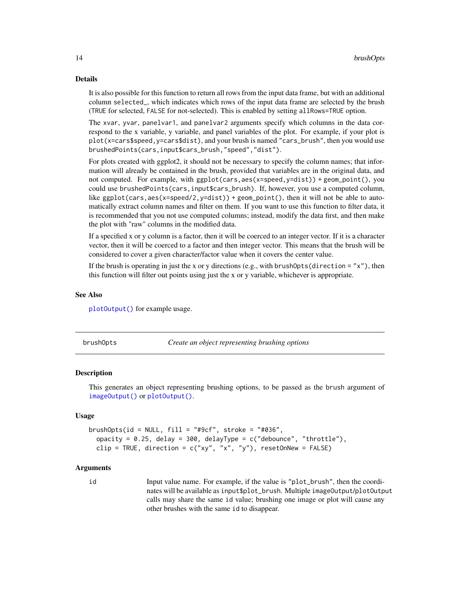#### <span id="page-13-0"></span>Details

It is also possible for this function to return all rows from the input data frame, but with an additional column selected\_, which indicates which rows of the input data frame are selected by the brush (TRUE for selected, FALSE for not-selected). This is enabled by setting allRows=TRUE option.

The xvar, yvar, panelvar1, and panelvar2 arguments specify which columns in the data correspond to the x variable, y variable, and panel variables of the plot. For example, if your plot is plot(x=cars\$speed,y=cars\$dist), and your brush is named "cars\_brush", then you would use brushedPoints(cars,input\$cars\_brush,"speed","dist").

For plots created with ggplot2, it should not be necessary to specify the column names; that information will already be contained in the brush, provided that variables are in the original data, and not computed. For example, with ggplot(cars,aes(x=speed,y=dist)) + geom\_point(), you could use brushedPoints(cars,input\$cars\_brush). If, however, you use a computed column, like  $ggplot(cars,aes(x=speed/2,y=dist)) + geom-point(), then it will not be able to auto$ matically extract column names and filter on them. If you want to use this function to filter data, it is recommended that you not use computed columns; instead, modify the data first, and then make the plot with "raw" columns in the modified data.

If a specified x or y column is a factor, then it will be coerced to an integer vector. If it is a character vector, then it will be coerced to a factor and then integer vector. This means that the brush will be considered to cover a given character/factor value when it covers the center value.

If the brush is operating in just the x or y directions (e.g., with brushOpts(direction = "x"), then this function will filter out points using just the x or y variable, whichever is appropriate.

#### See Also

[plotOutput\(\)](#page-104-1) for example usage.

brushOpts *Create an object representing brushing options*

#### **Description**

This generates an object representing brushing options, to be passed as the brush argument of [imageOutput\(\)](#page-104-2) or [plotOutput\(\)](#page-104-1).

#### Usage

```
brushOpts(id = NULL, fill = "#9cf", stroke = "#036",
  opacity = 0.25, delay = 300, delayType = c("debounce", "throttle"),
 clip = TRUE, direction = c("xy", "x", "y"), resetOnNew = FALSE)
```
#### Arguments

id Input value name. For example, if the value is "plot\_brush", then the coordinates will be available as input\$plot\_brush. Multiple imageOutput/plotOutput calls may share the same id value; brushing one image or plot will cause any other brushes with the same id to disappear.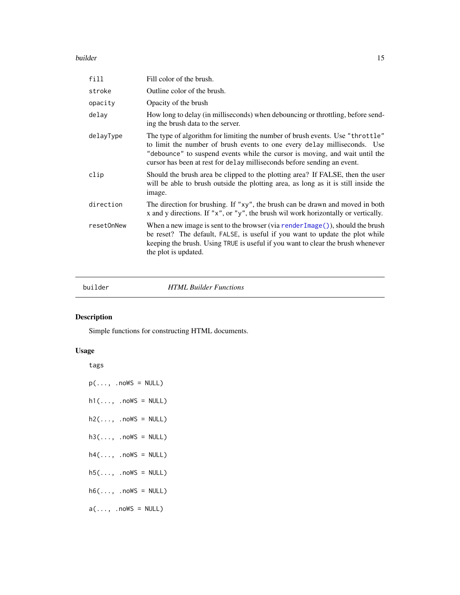#### <span id="page-14-0"></span>builder and the state of the state of the state of the state of the state of the state of the state of the state of the state of the state of the state of the state of the state of the state of the state of the state of th

| fill       | Fill color of the brush.                                                                                                                                                                                                                                                                                            |
|------------|---------------------------------------------------------------------------------------------------------------------------------------------------------------------------------------------------------------------------------------------------------------------------------------------------------------------|
| stroke     | Outline color of the brush.                                                                                                                                                                                                                                                                                         |
| opacity    | Opacity of the brush                                                                                                                                                                                                                                                                                                |
| delay      | How long to delay (in milliseconds) when debouncing or throttling, before send-<br>ing the brush data to the server.                                                                                                                                                                                                |
| delayType  | The type of algorithm for limiting the number of brush events. Use "throttle"<br>to limit the number of brush events to one every delay milliseconds. Use<br>"debounce" to suspend events while the cursor is moving, and wait until the<br>cursor has been at rest for delay milliseconds before sending an event. |
| clip       | Should the brush area be clipped to the plotting area? If FALSE, then the user<br>will be able to brush outside the plotting area, as long as it is still inside the<br>image.                                                                                                                                      |
| direction  | The direction for brushing. If "xy", the brush can be drawn and moved in both<br>x and y directions. If " $x$ ", or " $y$ ", the brush wil work horizontally or vertically.                                                                                                                                         |
| resetOnNew | When a new image is sent to the browser (via render $Image()$ ), should the brush<br>be reset? The default, FALSE, is useful if you want to update the plot while<br>keeping the brush. Using TRUE is useful if you want to clear the brush whenever<br>the plot is updated.                                        |

builder *HTML Builder Functions*

## Description

Simple functions for constructing HTML documents.

## Usage

tags

| $p(\ldots, \text{nowS} = NULL)$ |  |
|---------------------------------|--|
| $h1(, .nowS = NULL)$            |  |
| $h2(\ldots, nows = NULL)$       |  |
| $h3(\ldots, nows = NULL)$       |  |

- $h4(\ldots, \ldots, \ldots)$
- $h5(\ldots, \ldots, \ldots)$
- $h6(\ldots, nows = NULL)$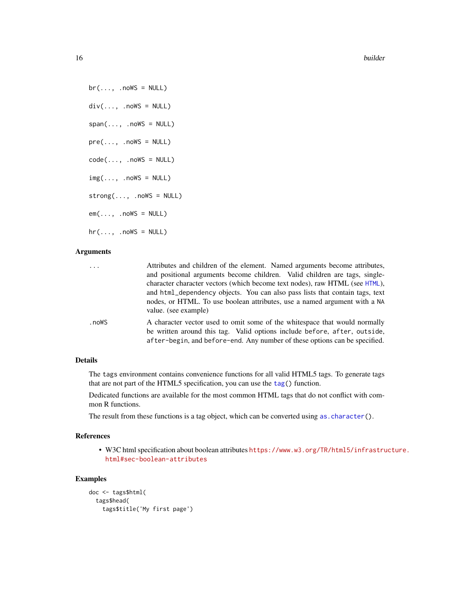16 builder

 $br(\ldots, .noWS = NULL)$  $div(\ldots, \ldots, \ldots)$ span(..., .noWS = NULL)  $pre(..., .nowS = NULL)$  $code(\ldots, .noWS = NULL)$  $img(\ldots, ...)$  $strong(\ldots, ..]$  .noWS =  $NULL)$  $em(..., .nows = NULL)$  $hr(..., .nows = NULL)$ 

## Arguments

| $\cdots$ | Attributes and children of the element. Named arguments become attributes,<br>and positional arguments become children. Valid children are tags, single-<br>character character vectors (which become text nodes), raw HTML (see HTML),<br>and html_dependency objects. You can also pass lists that contain tags, text<br>nodes, or HTML. To use boolean attributes, use a named argument with a NA<br>value. (see example) |
|----------|------------------------------------------------------------------------------------------------------------------------------------------------------------------------------------------------------------------------------------------------------------------------------------------------------------------------------------------------------------------------------------------------------------------------------|
| .noWS    | A character vector used to omit some of the whitespace that would normally<br>be written around this tag. Valid options include before, after, outside,<br>after-begin, and before-end. Any number of these options can be specified.                                                                                                                                                                                        |

## Details

The tags environment contains convenience functions for all valid HTML5 tags. To generate tags that are not part of the HTML5 specification, you can use the [tag\(](#page-180-1)) function.

Dedicated functions are available for the most common HTML tags that do not conflict with common R functions.

The result from these functions is a tag object, which can be converted using as character().

#### References

• W3C html specification about boolean attributes [https://www.w3.org/TR/html5/infrastru](https://www.w3.org/TR/html5/infrastructure.html#sec-boolean-attributes)cture. [html#sec-boolean-attributes](https://www.w3.org/TR/html5/infrastructure.html#sec-boolean-attributes)

```
doc <- tags$html(
 tags$head(
   tags$title('My first page')
```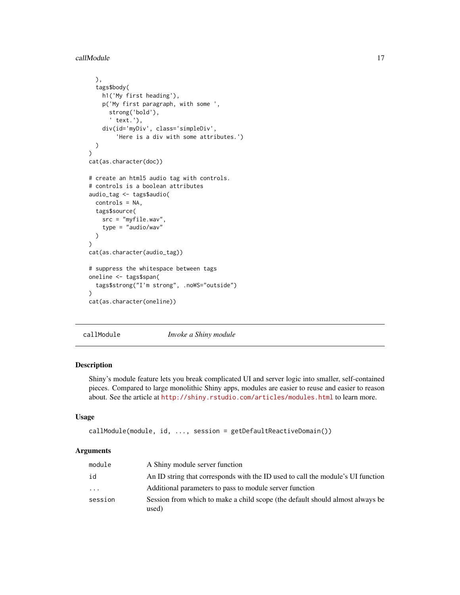<span id="page-16-0"></span>callModule 17

```
),
  tags$body(
    h1('My first heading'),
    p('My first paragraph, with some ',
      strong('bold'),
       ' text.'),
    div(id='myDiv', class='simpleDiv',
        'Here is a div with some attributes.')
  )
\mathcal{L}cat(as.character(doc))
# create an html5 audio tag with controls.
# controls is a boolean attributes
audio_tag <- tags$audio(
  controls = NA,
 tags$source(
    src = "myfile.wav",
    type = "audio/wav"
  )
)
cat(as.character(audio_tag))
# suppress the whitespace between tags
oneline <- tags$span(
  tags$strong("I'm strong", .noWS="outside")
\lambdacat(as.character(oneline))
```
callModule *Invoke a Shiny module*

#### Description

Shiny's module feature lets you break complicated UI and server logic into smaller, self-contained pieces. Compared to large monolithic Shiny apps, modules are easier to reuse and easier to reason about. See the article at <http://shiny.rstudio.com/articles/modules.html> to learn more.

## Usage

```
callModule(module, id, ..., session = getDefaultReactiveDomain())
```

| module   | A Shiny module server function                                                         |
|----------|----------------------------------------------------------------------------------------|
| id       | An ID string that corresponds with the ID used to call the module's UI function        |
| $\ddots$ | Additional parameters to pass to module server function                                |
| session  | Session from which to make a child scope (the default should almost always be<br>used) |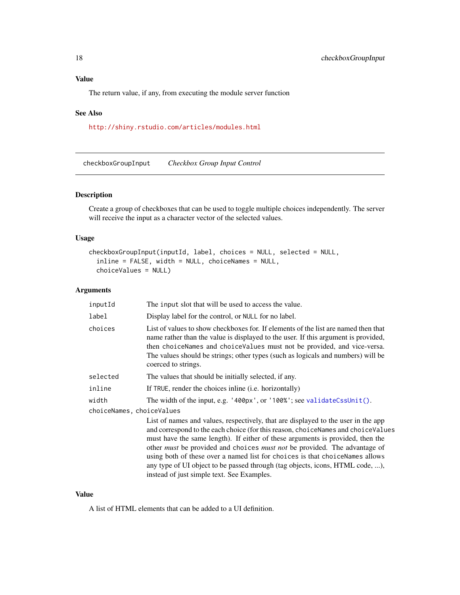## <span id="page-17-0"></span>Value

The return value, if any, from executing the module server function

## See Also

<http://shiny.rstudio.com/articles/modules.html>

<span id="page-17-1"></span>checkboxGroupInput *Checkbox Group Input Control*

## Description

Create a group of checkboxes that can be used to toggle multiple choices independently. The server will receive the input as a character vector of the selected values.

## Usage

```
checkboxGroupInput(inputId, label, choices = NULL, selected = NULL,
  inline = FALSE, width = NULL, choiceNames = NULL,
  choiceValues = NULL)
```
## Arguments

| inputId                   | The input slot that will be used to access the value.                                                                                                                                                                                                                                                                                                                                                                                                                                                                                                              |  |
|---------------------------|--------------------------------------------------------------------------------------------------------------------------------------------------------------------------------------------------------------------------------------------------------------------------------------------------------------------------------------------------------------------------------------------------------------------------------------------------------------------------------------------------------------------------------------------------------------------|--|
| label                     | Display label for the control, or NULL for no label.                                                                                                                                                                                                                                                                                                                                                                                                                                                                                                               |  |
| choices                   | List of values to show checkboxes for. If elements of the list are named then that<br>name rather than the value is displayed to the user. If this argument is provided,<br>then choiceNames and choiceValues must not be provided, and vice-versa.<br>The values should be strings; other types (such as logicals and numbers) will be<br>coerced to strings.                                                                                                                                                                                                     |  |
| selected                  | The values that should be initially selected, if any.                                                                                                                                                                                                                                                                                                                                                                                                                                                                                                              |  |
| inline                    | If TRUE, render the choices in line ( <i>i.e.</i> horizontally)                                                                                                                                                                                                                                                                                                                                                                                                                                                                                                    |  |
| width                     | The width of the input, e.g. '400px', or '100%'; see validateCssUnit().                                                                                                                                                                                                                                                                                                                                                                                                                                                                                            |  |
| choiceNames, choiceValues |                                                                                                                                                                                                                                                                                                                                                                                                                                                                                                                                                                    |  |
|                           | List of names and values, respectively, that are displayed to the user in the app<br>and correspond to the each choice (for this reason, choiceNames and choiceValues<br>must have the same length). If either of these arguments is provided, then the<br>other <i>must</i> be provided and choices <i>must not</i> be provided. The advantage of<br>using both of these over a named list for choices is that choice Names allows<br>any type of UI object to be passed through (tag objects, icons, HTML code, ),<br>instead of just simple text. See Examples. |  |

#### Value

A list of HTML elements that can be added to a UI definition.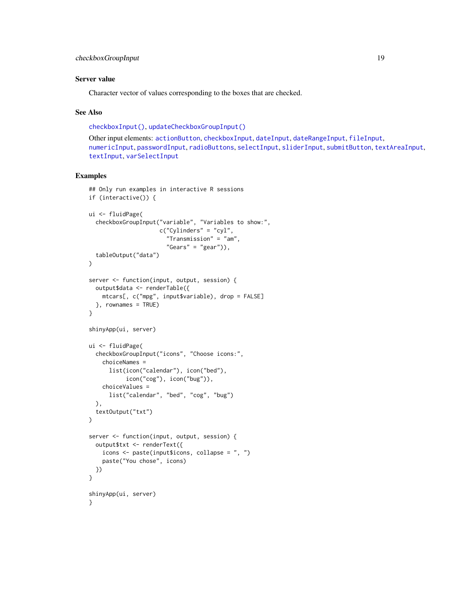#### Server value

Character vector of values corresponding to the boxes that are checked.

#### See Also

[checkboxInput\(\)](#page-19-1), [updateCheckboxGroupInput\(\)](#page-187-1)

Other input elements: [actionButton](#page-7-1), [checkboxInput](#page-19-1), [dateInput](#page-24-1), [dateRangeInput](#page-27-1), [fileInput](#page-45-1), [numericInput](#page-88-1), [passwordInput](#page-103-1), [radioButtons](#page-112-1), [selectInput](#page-154-1), [sliderInput](#page-170-1), [submitButton](#page-175-1), [textAreaInput](#page-181-1), [textInput](#page-182-1), [varSelectInput](#page-208-1)

```
## Only run examples in interactive R sessions
if (interactive()) {
ui <- fluidPage(
  checkboxGroupInput("variable", "Variables to show:",
                     c("Cylinders" = "cyl",
                       "Transmission" = "am",
                       "Gears" = "gear"),
  tableOutput("data")
)
server <- function(input, output, session) {
  output$data <- renderTable({
   mtcars[, c("mpg", input$variable), drop = FALSE]
  }, rownames = TRUE)
}
shinyApp(ui, server)
ui <- fluidPage(
  checkboxGroupInput("icons", "Choose icons:",
    choiceNames =
      list(icon("calendar"), icon("bed"),
           icon("cog"), icon("bug")),
   choiceValues =
      list("calendar", "bed", "cog", "bug")
  ),
  textOutput("txt")
)
server <- function(input, output, session) {
  output$txt <- renderText({
   icons <- paste(input$icons, collapse = ", ")
    paste("You chose", icons)
 })
}
shinyApp(ui, server)
}
```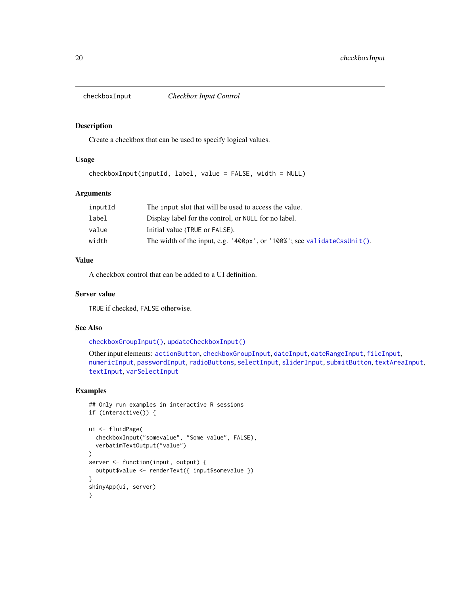<span id="page-19-1"></span><span id="page-19-0"></span>

#### Description

Create a checkbox that can be used to specify logical values.

#### Usage

```
checkboxInput(inputId, label, value = FALSE, width = NULL)
```
#### Arguments

| inputId | The input slot that will be used to access the value.                   |
|---------|-------------------------------------------------------------------------|
| label   | Display label for the control, or NULL for no label.                    |
| value   | Initial value (TRUE or FALSE).                                          |
| width   | The width of the input, e.g. '400px', or '100%'; see validateCssUnit(). |

## Value

A checkbox control that can be added to a UI definition.

## Server value

TRUE if checked, FALSE otherwise.

## See Also

[checkboxGroupInput\(\)](#page-17-1), [updateCheckboxInput\(\)](#page-189-1)

```
Other input elements: actionButton, checkboxGroupInput, dateInput, dateRangeInput, fileInput,
numericInput, passwordInput, radioButtons, selectInput, sliderInput, submitButton, textAreaInput,
textInput, varSelectInput
```

```
## Only run examples in interactive R sessions
if (interactive()) {
ui <- fluidPage(
  checkboxInput("somevalue", "Some value", FALSE),
  verbatimTextOutput("value")
\lambdaserver <- function(input, output) {
  output$value <- renderText({ input$somevalue })
}
shinyApp(ui, server)
}
```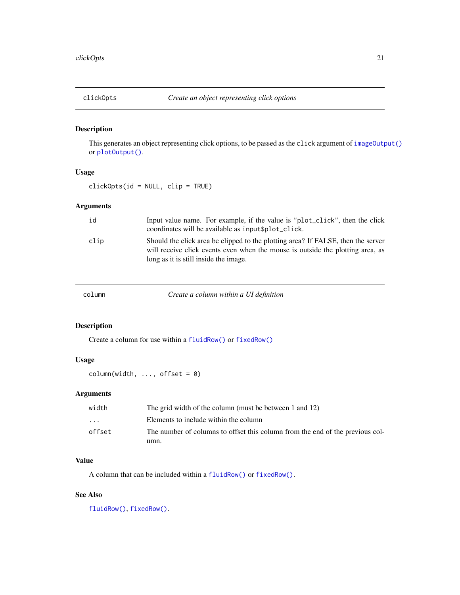## <span id="page-20-0"></span>Description

This generates an object representing click options, to be passed as the click argument of [imageOutput\(\)](#page-104-2) or [plotOutput\(\)](#page-104-1).

#### Usage

clickOpts(id = NULL, clip = TRUE)

## Arguments

| id   | Input value name. For example, if the value is "plot_click", then the click<br>coordinates will be available as input \$plot_click.                                                                         |
|------|-------------------------------------------------------------------------------------------------------------------------------------------------------------------------------------------------------------|
| clip | Should the click area be clipped to the plotting area? If FALSE, then the server<br>will receive click events even when the mouse is outside the plotting area, as<br>long as it is still inside the image. |

column *Create a column within a UI definition*

## Description

Create a column for use within a [fluidRow\(\)](#page-52-2) or [fixedRow\(\)](#page-50-2)

## Usage

 $column(width, ..., offset = 0)$ 

## Arguments

| width                   | The grid width of the column (must be between 1 and 12)                       |
|-------------------------|-------------------------------------------------------------------------------|
| $\cdot$ $\cdot$ $\cdot$ | Elements to include within the column                                         |
| offset                  | The number of columns to offset this column from the end of the previous col- |
|                         | umn.                                                                          |

## Value

A column that can be included within a [fluidRow\(\)](#page-52-2) or [fixedRow\(\)](#page-50-2).

## See Also

[fluidRow\(\)](#page-52-2), [fixedRow\(\)](#page-50-2).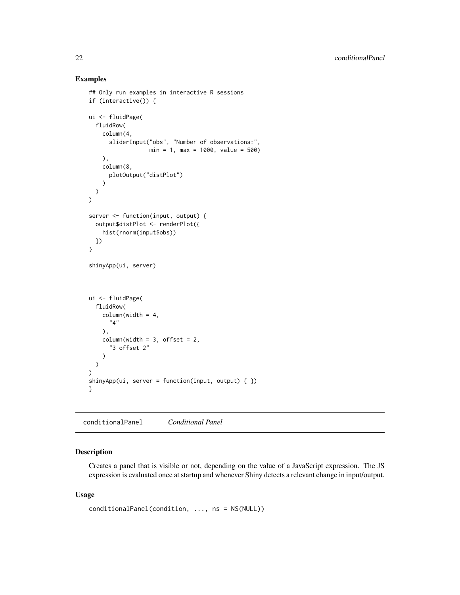#### Examples

```
## Only run examples in interactive R sessions
if (interactive()) {
ui <- fluidPage(
  fluidRow(
    column(4,
      sliderInput("obs", "Number of observations:",
                  min = 1, max = 1000, value = 500)
    ),
    column(8,
      plotOutput("distPlot")
    )
 )
\lambdaserver <- function(input, output) {
  output$distPlot <- renderPlot({
    hist(rnorm(input$obs))
  })
}
shinyApp(ui, server)
ui <- fluidPage(
  fluidRow(
    column(width = 4,
      "4"
    ),
    columnwidth = 3, offset = 2,"3 offset 2"
    )
  )
\mathcal{L}shinyApp(ui, server = function(input, output) \{ \})
}
```
conditionalPanel *Conditional Panel*

## Description

Creates a panel that is visible or not, depending on the value of a JavaScript expression. The JS expression is evaluated once at startup and whenever Shiny detects a relevant change in input/output.

#### Usage

```
conditionalPanel(condition, ..., ns = NS(NULL))
```
<span id="page-21-0"></span>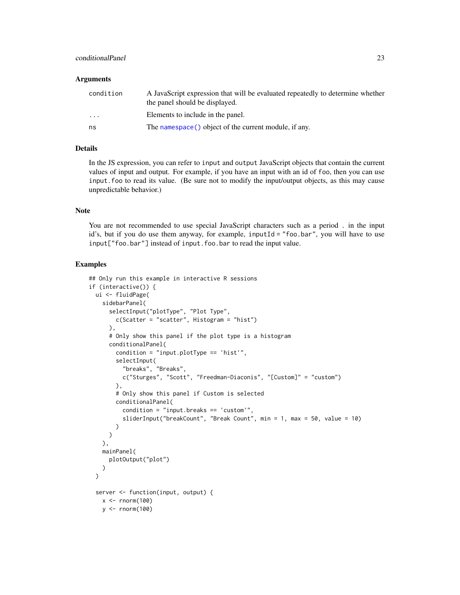## conditionalPanel 23

#### **Arguments**

| condition               | A JavaScript expression that will be evaluated repeatedly to determine whether<br>the panel should be displayed. |
|-------------------------|------------------------------------------------------------------------------------------------------------------|
| $\cdot$ $\cdot$ $\cdot$ | Elements to include in the panel.                                                                                |
| ns                      | The namespace() object of the current module, if any.                                                            |

## Details

In the JS expression, you can refer to input and output JavaScript objects that contain the current values of input and output. For example, if you have an input with an id of foo, then you can use input.foo to read its value. (Be sure not to modify the input/output objects, as this may cause unpredictable behavior.)

## Note

You are not recommended to use special JavaScript characters such as a period . in the input id's, but if you do use them anyway, for example, inputId = "foo.bar", you will have to use input["foo.bar"] instead of input.foo.bar to read the input value.

```
## Only run this example in interactive R sessions
if (interactive()) {
 ui <- fluidPage(
   sidebarPanel(
     selectInput("plotType", "Plot Type",
       c(Scatter = "scatter", Histogram = "hist")
     ),
     # Only show this panel if the plot type is a histogram
     conditionalPanel(
       condition = "input.plotType == 'hist'",
        selectInput(
          "breaks", "Breaks",
         c("Sturges", "Scott", "Freedman-Diaconis", "[Custom]" = "custom")
        ),
        # Only show this panel if Custom is selected
        conditionalPanel(
          condition = "input.breaks == 'custom'",
          sliderInput("breakCount", "Break Count", min = 1, max = 50, value = 10)
        )
     )
   ),
   mainPanel(
     plotOutput("plot")
   )
 )
 server <- function(input, output) {
   x < - rnorm(100)
   y <- rnorm(100)
```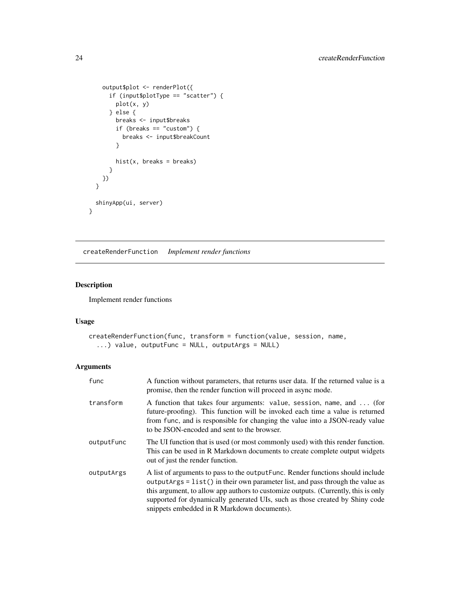```
output$plot <- renderPlot({
     if (input$plotType == "scatter") {
       plot(x, y)
     } else {
       breaks <- input$breaks
       if (breaks == "custom") {
         breaks <- input$breakCount
       }
       hist(x, breaks = breaks)}
   })
 }
 shinyApp(ui, server)
}
```
createRenderFunction *Implement render functions*

## Description

Implement render functions

## Usage

```
createRenderFunction(func, transform = function(value, session, name,
  ...) value, outputFunc = NULL, outputArgs = NULL)
```

| func       | A function without parameters, that returns user data. If the returned value is a<br>promise, then the render function will proceed in async mode.                                                                                                                                                                                                                                       |
|------------|------------------------------------------------------------------------------------------------------------------------------------------------------------------------------------------------------------------------------------------------------------------------------------------------------------------------------------------------------------------------------------------|
| transform  | A function that takes four arguments: value, session, name, and  (for<br>future-proofing). This function will be invoked each time a value is returned<br>from func, and is responsible for changing the value into a JSON-ready value<br>to be JSON-encoded and sent to the browser.                                                                                                    |
| outputFunc | The UI function that is used (or most commonly used) with this render function.<br>This can be used in R Markdown documents to create complete output widgets<br>out of just the render function.                                                                                                                                                                                        |
| outputArgs | A list of arguments to pass to the output Func. Render functions should include<br>$outputArgs = list()$ in their own parameter list, and pass through the value as<br>this argument, to allow app authors to customize outputs. (Currently, this is only<br>supported for dynamically generated UIs, such as those created by Shiny code<br>snippets embedded in R Markdown documents). |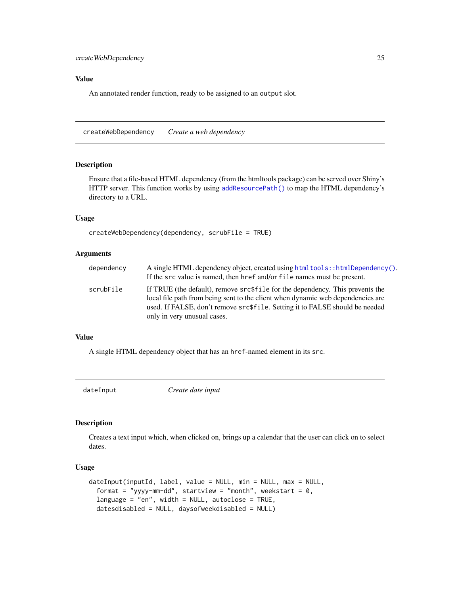## <span id="page-24-0"></span>Value

An annotated render function, ready to be assigned to an output slot.

createWebDependency *Create a web dependency*

## Description

Ensure that a file-based HTML dependency (from the htmltools package) can be served over Shiny's HTTP server. This function works by using [addResourcePath\(\)](#page-8-1) to map the HTML dependency's directory to a URL.

## Usage

```
createWebDependency(dependency, scrubFile = TRUE)
```
#### Arguments

| dependency | A single HTML dependency object, created using $htmltools$ : $htmlDependency()$ .<br>If the src value is named, then href and/or file names must be present.                                                                                                                    |
|------------|---------------------------------------------------------------------------------------------------------------------------------------------------------------------------------------------------------------------------------------------------------------------------------|
| scrubFile  | If TRUE (the default), remove src\$file for the dependency. This prevents the<br>local file path from being sent to the client when dynamic web dependencies are<br>used. If FALSE, don't remove src\$file. Setting it to FALSE should be needed<br>only in very unusual cases. |

#### Value

A single HTML dependency object that has an href-named element in its src.

<span id="page-24-1"></span>

dateInput *Create date input*

#### Description

Creates a text input which, when clicked on, brings up a calendar that the user can click on to select dates.

#### Usage

```
dateInput(inputId, label, value = NULL, min = NULL, max = NULL,
  format = "yyyy-mm-dd", startview = "month", weekstart = 0,
  language = "en", width = NULL, autoclose = TRUE,
 datesdisabled = NULL, daysofweekdisabled = NULL)
```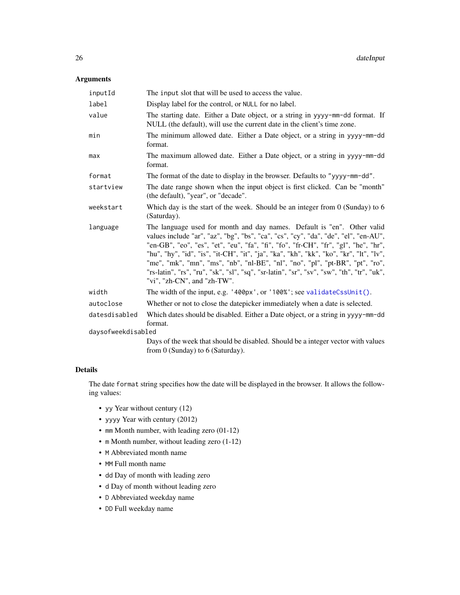## Arguments

| inputId            | The input slot that will be used to access the value.                                                                                                                                                                                                                                                                                                                                                                                                                                                                                                        |
|--------------------|--------------------------------------------------------------------------------------------------------------------------------------------------------------------------------------------------------------------------------------------------------------------------------------------------------------------------------------------------------------------------------------------------------------------------------------------------------------------------------------------------------------------------------------------------------------|
| label              | Display label for the control, or NULL for no label.                                                                                                                                                                                                                                                                                                                                                                                                                                                                                                         |
| value              | The starting date. Either a Date object, or a string in yyyy-mm-dd format. If<br>NULL (the default), will use the current date in the client's time zone.                                                                                                                                                                                                                                                                                                                                                                                                    |
| min                | The minimum allowed date. Either a Date object, or a string in yyyy-mm-dd<br>format.                                                                                                                                                                                                                                                                                                                                                                                                                                                                         |
| max                | The maximum allowed date. Either a Date object, or a string in yyyy-mm-dd<br>format.                                                                                                                                                                                                                                                                                                                                                                                                                                                                         |
| format             | The format of the date to display in the browser. Defaults to "yyyy-mm-dd".                                                                                                                                                                                                                                                                                                                                                                                                                                                                                  |
| startview          | The date range shown when the input object is first clicked. Can be "month"<br>(the default), "year", or "decade".                                                                                                                                                                                                                                                                                                                                                                                                                                           |
| weekstart          | Which day is the start of the week. Should be an integer from $0$ (Sunday) to 6<br>(Saturday).                                                                                                                                                                                                                                                                                                                                                                                                                                                               |
| language           | The language used for month and day names. Default is "en". Other valid<br>values include "ar", "az", "bg", "bs", "ca", "cs", "cy", "da", "de", "el", "en-AU",<br>"en-GB", "eo", "es", "et", "eu", "fa", "fi", "fo", "fr-CH", "fr", "gl", "he", "hr",<br>"hu", "hy", "id", "is", "it-CH", "it", "ja", "ka", "kh", "kk", "ko", "kr", "lt", "lv",<br>"me", "mk", "mn", "ms", "nb", "nl-BE", "nl", "no", "pl", "pt-BR", "pt", "ro",<br>"rs-latin", "rs", "ru", "sk", "sl", "sq", "sr-latin", "sr", "sv", "sw", "th", "tr", "uk",<br>"vi", "zh-CN", and "zh-TW". |
| width              | The width of the input, e.g. '400px', or '100%'; see validateCssUnit().                                                                                                                                                                                                                                                                                                                                                                                                                                                                                      |
| autoclose          | Whether or not to close the datepicker immediately when a date is selected.                                                                                                                                                                                                                                                                                                                                                                                                                                                                                  |
| datesdisabled      | Which dates should be disabled. Either a Date object, or a string in yyyy-mm-dd<br>format.                                                                                                                                                                                                                                                                                                                                                                                                                                                                   |
| daysofweekdisabled |                                                                                                                                                                                                                                                                                                                                                                                                                                                                                                                                                              |
|                    | Days of the week that should be disabled. Should be a integer vector with values<br>from $0$ (Sunday) to $6$ (Saturday).                                                                                                                                                                                                                                                                                                                                                                                                                                     |

## Details

The date format string specifies how the date will be displayed in the browser. It allows the following values:

- yy Year without century (12)
- yyyy Year with century (2012)
- mm Month number, with leading zero (01-12)
- m Month number, without leading zero (1-12)
- M Abbreviated month name
- MM Full month name
- dd Day of month with leading zero
- d Day of month without leading zero
- D Abbreviated weekday name
- DD Full weekday name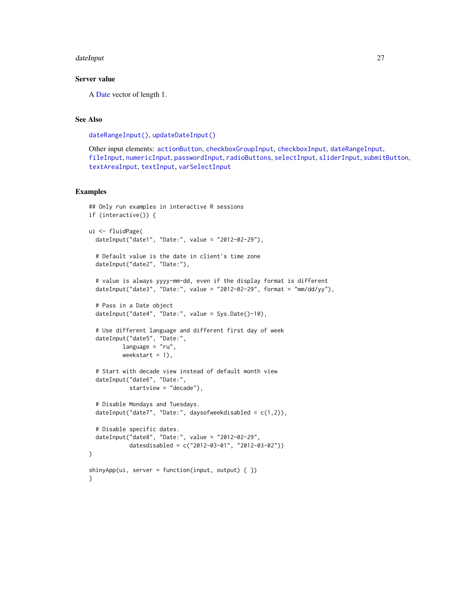#### dateInput 27

#### Server value

A [Date](#page-0-0) vector of length 1.

## See Also

[dateRangeInput\(\)](#page-27-1), [updateDateInput\(\)](#page-190-1)

Other input elements: [actionButton](#page-7-1), [checkboxGroupInput](#page-17-1), [checkboxInput](#page-19-1), [dateRangeInput](#page-27-1), [fileInput](#page-45-1), [numericInput](#page-88-1), [passwordInput](#page-103-1), [radioButtons](#page-112-1), [selectInput](#page-154-1), [sliderInput](#page-170-1), [submitButton](#page-175-1), [textAreaInput](#page-181-1), [textInput](#page-182-1), [varSelectInput](#page-208-1)

```
## Only run examples in interactive R sessions
if (interactive()) {
ui <- fluidPage(
 dateInput("date1", "Date:", value = "2012-02-29"),
 # Default value is the date in client's time zone
 dateInput("date2", "Date:"),
 # value is always yyyy-mm-dd, even if the display format is different
 dateInput("date3", "Date:", value = "2012-02-29", format = "mm/dd/yy"),
 # Pass in a Date object
 dateInput("date4", "Date:", value = Sys.Date()-10),
 # Use different language and different first day of week
 dateInput("date5", "Date:",
          language = "ru",weekstart = 1),
 # Start with decade view instead of default month view
 dateInput("date6", "Date:",
            startview = "decade"),
 # Disable Mondays and Tuesdays.
 dateInput("date7", "Date:", daysofweekdisabled = c(1,2)),
 # Disable specific dates.
 dateInput("date8", "Date:", value = "2012-02-29",
            datesdisabled = c("2012-03-01", "2012-03-02"))
)
shinyApp(ui, server = function(input, output) \{ \})
}
```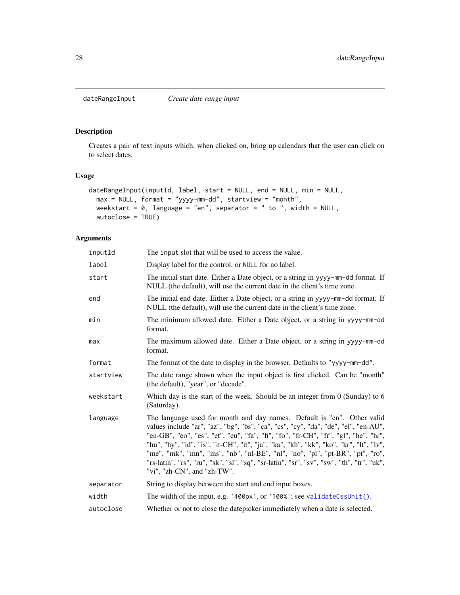<span id="page-27-1"></span><span id="page-27-0"></span>

## Description

Creates a pair of text inputs which, when clicked on, bring up calendars that the user can click on to select dates.

## Usage

```
dateRangeInput(inputId, label, start = NULL, end = NULL, min = NULL,
 max = NULL, format = "yyyy-mm-dd", startview = "month",
 weekstart = 0, language = "en", separator = " to ", width = NULL,
 autoclose = TRUE)
```

| inputId   | The input slot that will be used to access the value.                                                                                                                                                                                                                                                                                                                                                                                                                                                                                                        |
|-----------|--------------------------------------------------------------------------------------------------------------------------------------------------------------------------------------------------------------------------------------------------------------------------------------------------------------------------------------------------------------------------------------------------------------------------------------------------------------------------------------------------------------------------------------------------------------|
| label     | Display label for the control, or NULL for no label.                                                                                                                                                                                                                                                                                                                                                                                                                                                                                                         |
| start     | The initial start date. Either a Date object, or a string in yyyy-mm-dd format. If<br>NULL (the default), will use the current date in the client's time zone.                                                                                                                                                                                                                                                                                                                                                                                               |
| end       | The initial end date. Either a Date object, or a string in yyyy-mm-dd format. If<br>NULL (the default), will use the current date in the client's time zone.                                                                                                                                                                                                                                                                                                                                                                                                 |
| min       | The minimum allowed date. Either a Date object, or a string in yyyy-mm-dd<br>format.                                                                                                                                                                                                                                                                                                                                                                                                                                                                         |
| max       | The maximum allowed date. Either a Date object, or a string in yyyy-mm-dd<br>format.                                                                                                                                                                                                                                                                                                                                                                                                                                                                         |
| format    | The format of the date to display in the browser. Defaults to "yyyy-mm-dd".                                                                                                                                                                                                                                                                                                                                                                                                                                                                                  |
| startview | The date range shown when the input object is first clicked. Can be "month"<br>(the default), "year", or "decade".                                                                                                                                                                                                                                                                                                                                                                                                                                           |
| weekstart | Which day is the start of the week. Should be an integer from $0$ (Sunday) to 6<br>(Saturday).                                                                                                                                                                                                                                                                                                                                                                                                                                                               |
| language  | The language used for month and day names. Default is "en". Other valid<br>values include "ar", "az", "bg", "bs", "ca", "cs", "cy", "da", "de", "el", "en-AU",<br>"en-GB", "eo", "es", "et", "eu", "fa", "fi", "fo", "fr-CH", "fr", "gl", "he", "hr",<br>"hu", "hy", "id", "is", "it-CH", "it", "ja", "ka", "kh", "kk", "ko", "kr", "lt", "lv",<br>"me", "mk", "mn", "ms", "nb", "nl-BE", "nl", "no", "pl", "pt-BR", "pt", "ro",<br>"rs-latin", "rs", "ru", "sk", "sl", "sq", "sr-latin", "sr", "sv", "sw", "th", "tr", "uk",<br>"vi", "zh-CN", and "zh-TW". |
| separator | String to display between the start and end input boxes.                                                                                                                                                                                                                                                                                                                                                                                                                                                                                                     |
| width     | The width of the input, e.g. '400px', or '100%'; see validateCssUnit().                                                                                                                                                                                                                                                                                                                                                                                                                                                                                      |
| autoclose | Whether or not to close the datepicker immediately when a date is selected.                                                                                                                                                                                                                                                                                                                                                                                                                                                                                  |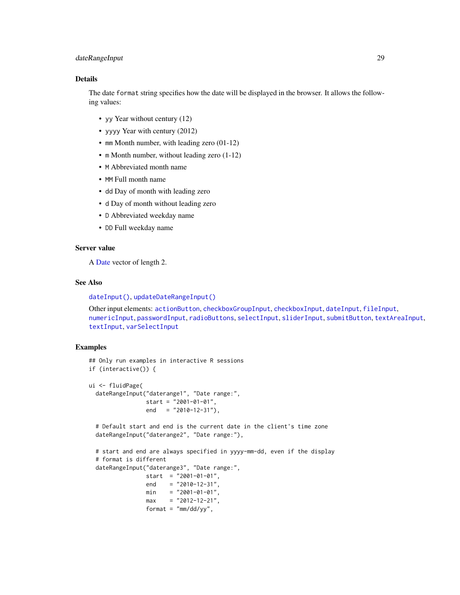## dateRangeInput 29

## Details

The date format string specifies how the date will be displayed in the browser. It allows the following values:

- yy Year without century (12)
- yyyy Year with century (2012)
- mm Month number, with leading zero (01-12)
- m Month number, without leading zero  $(1-12)$
- M Abbreviated month name
- MM Full month name
- dd Day of month with leading zero
- d Day of month without leading zero
- D Abbreviated weekday name
- DD Full weekday name

## Server value

A [Date](#page-0-0) vector of length 2.

## See Also

[dateInput\(\)](#page-24-1), [updateDateRangeInput\(\)](#page-191-1)

Other input elements: [actionButton](#page-7-1), [checkboxGroupInput](#page-17-1), [checkboxInput](#page-19-1), [dateInput](#page-24-1), [fileInput](#page-45-1), [numericInput](#page-88-1), [passwordInput](#page-103-1), [radioButtons](#page-112-1), [selectInput](#page-154-1), [sliderInput](#page-170-1), [submitButton](#page-175-1), [textAreaInput](#page-181-1), [textInput](#page-182-1), [varSelectInput](#page-208-1)

```
## Only run examples in interactive R sessions
if (interactive()) {
ui <- fluidPage(
 dateRangeInput("daterange1", "Date range:",
                start = "2001-01-01",
                end = "2010-12-31"),
 # Default start and end is the current date in the client's time zone
 dateRangeInput("daterange2", "Date range:"),
 # start and end are always specified in yyyy-mm-dd, even if the display
 # format is different
 dateRangeInput("daterange3", "Date range:",
                start = "2001-01-01",end = "2010-12-31",
                min = "2001-01-01",max = "2012-12-21",format = "mm/dd/yy",
```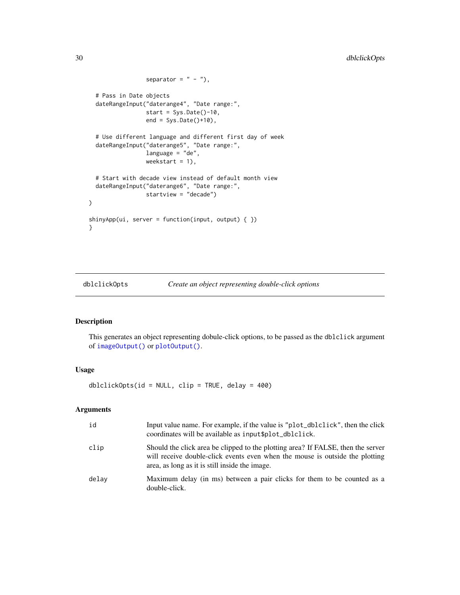```
separator = " - "),
 # Pass in Date objects
 dateRangeInput("daterange4", "Date range:",
                 start = Sys.Date() - 10,
                 end = Sys.Date()+10),
 # Use different language and different first day of week
 dateRangeInput("daterange5", "Date range:",
                 language = "de",
                 weekstart = 1),
 # Start with decade view instead of default month view
 dateRangeInput("daterange6", "Date range:",
                 startview = "decade")
\mathcal{L}shinyApp(ui, server = function(input, output) { })
}
```
dblclickOpts *Create an object representing double-click options*

## Description

This generates an object representing dobule-click options, to be passed as the dblclick argument of [imageOutput\(\)](#page-104-2) or [plotOutput\(\)](#page-104-1).

## Usage

 $dblclickOpts(id = NULL, clip = TRUE, delay = 400)$ 

| id    | Input value name. For example, if the value is "plot_dblclick", then the click<br>coordinates will be available as input \$plot_dblclick.                                                                          |
|-------|--------------------------------------------------------------------------------------------------------------------------------------------------------------------------------------------------------------------|
| clip  | Should the click area be clipped to the plotting area? If FALSE, then the server<br>will receive double-click events even when the mouse is outside the plotting<br>area, as long as it is still inside the image. |
| delay | Maximum delay (in ms) between a pair clicks for them to be counted as a<br>double-click.                                                                                                                           |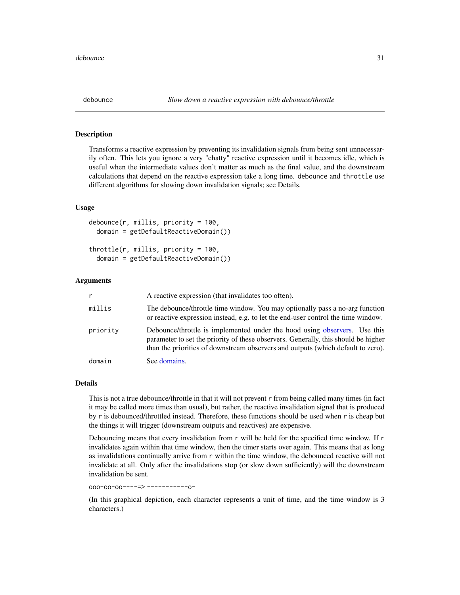<span id="page-30-0"></span>

## Description

Transforms a reactive expression by preventing its invalidation signals from being sent unnecessarily often. This lets you ignore a very "chatty" reactive expression until it becomes idle, which is useful when the intermediate values don't matter as much as the final value, and the downstream calculations that depend on the reactive expression take a long time. debounce and throttle use different algorithms for slowing down invalidation signals; see Details.

#### Usage

```
debounce(r, millis, priority = 100,domain = getDefaultReactiveDomain())
```
throttle(r, millis, priority = 100, domain = getDefaultReactiveDomain())

#### Arguments

| r        | A reactive expression (that invalidates too often).                                                                                                                                                                                                 |
|----------|-----------------------------------------------------------------------------------------------------------------------------------------------------------------------------------------------------------------------------------------------------|
| millis   | The debounce/throttle time window. You may optionally pass a no-arg function<br>or reactive expression instead, e.g. to let the end-user control the time window.                                                                                   |
| priority | Debounce/throttle is implemented under the hood using observers. Use this<br>parameter to set the priority of these observers. Generally, this should be higher<br>than the priorities of downstream observers and outputs (which default to zero). |
| domain   | See domains.                                                                                                                                                                                                                                        |

## Details

This is not a true debounce/throttle in that it will not prevent r from being called many times (in fact it may be called more times than usual), but rather, the reactive invalidation signal that is produced by r is debounced/throttled instead. Therefore, these functions should be used when r is cheap but the things it will trigger (downstream outputs and reactives) are expensive.

Debouncing means that every invalidation from  $r$  will be held for the specified time window. If  $r$ invalidates again within that time window, then the timer starts over again. This means that as long as invalidations continually arrive from r within the time window, the debounced reactive will not invalidate at all. Only after the invalidations stop (or slow down sufficiently) will the downstream invalidation be sent.

ooo-oo-oo----=> -----------o-

(In this graphical depiction, each character represents a unit of time, and the time window is 3 characters.)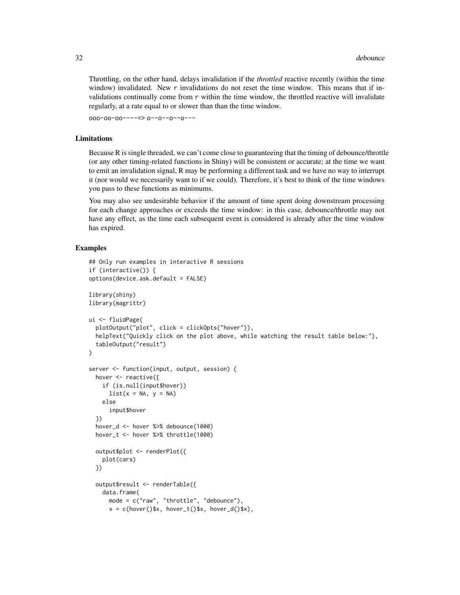Throttling, on the other hand, delays invalidation if the *throttled* reactive recently (within the time window) invalidated. New r invalidations do not reset the time window. This means that if invalidations continually come from r within the time window, the throttled reactive will invalidate regularly, at a rate equal to or slower than than the time window.

ooo-oo-oo----=> o--o--o--o---

#### Limitations

Because R is single threaded, we can't come close to guaranteeing that the timing of debounce/throttle (or any other timing-related functions in Shiny) will be consistent or accurate; at the time we want to emit an invalidation signal, R may be performing a different task and we have no way to interrupt it (nor would we necessarily want to if we could). Therefore, it's best to think of the time windows you pass to these functions as minimums.

You may also see undesirable behavior if the amount of time spent doing downstream processing for each change approaches or exceeds the time window: in this case, debounce/throttle may not have any effect, as the time each subsequent event is considered is already after the time window has expired.

```
## Only run examples in interactive R sessions
if (interactive()) {
options(device.ask.default = FALSE)
library(shiny)
library(magrittr)
ui <- fluidPage(
 plotOutput("plot", click = clickOpts("hover")),
 helpText("Quickly click on the plot above, while watching the result table below:"),
 tableOutput("result")
\lambdaserver <- function(input, output, session) {
 hover <- reactive({
   if (is.null(input$hover))
      list(x = NA, y = NA)else
      input$hover
 })
 hover_d <- hover %>% debounce(1000)
 hover_t <- hover %>% throttle(1000)
 output$plot <- renderPlot({
   plot(cars)
 })
 output$result <- renderTable({
   data.frame(
     mode = c("raw", "throttle", "debounce"),
      x = c(hover()$x, hover_t()$x, hover_d()$x),
```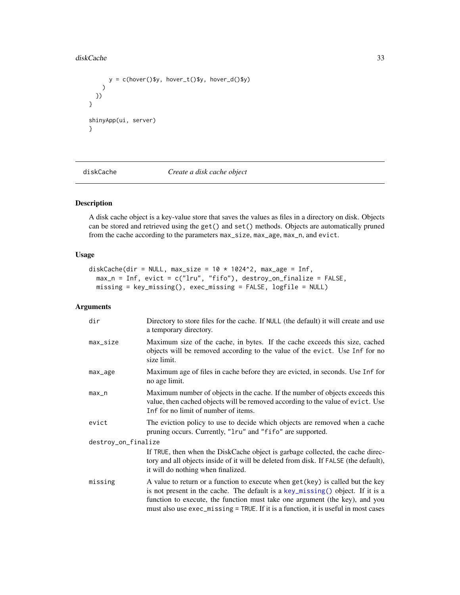#### <span id="page-32-0"></span>diskCache 33

```
y = c(hover()$y, hover_t()$y, hover_d()$y)
   )
 })
}
shinyApp(ui, server)
}
```
diskCache *Create a disk cache object*

## Description

A disk cache object is a key-value store that saves the values as files in a directory on disk. Objects can be stored and retrieved using the get() and set() methods. Objects are automatically pruned from the cache according to the parameters max\_size, max\_age, max\_n, and evict.

#### Usage

```
diskCache(dir = NULL, max_size = 10 \times 1024^2, max_age = Inf,
 max_n = Inf, evict = c("lru", "fifo"), destroy_on_finalize = FALSE,
 missing = key_missing(), exec_missing = FALSE, logfile = NULL)
```

| dir                 | Directory to store files for the cache. If NULL (the default) it will create and use<br>a temporary directory.                                                                                                                                                                                                                         |
|---------------------|----------------------------------------------------------------------------------------------------------------------------------------------------------------------------------------------------------------------------------------------------------------------------------------------------------------------------------------|
| max_size            | Maximum size of the cache, in bytes. If the cache exceeds this size, cached<br>objects will be removed according to the value of the evict. Use Inf for no<br>size limit.                                                                                                                                                              |
| max_age             | Maximum age of files in cache before they are evicted, in seconds. Use Inf for<br>no age limit.                                                                                                                                                                                                                                        |
| $max_n$             | Maximum number of objects in the cache. If the number of objects exceeds this<br>value, then cached objects will be removed according to the value of evict. Use<br>Inf for no limit of number of items.                                                                                                                               |
| evict               | The eviction policy to use to decide which objects are removed when a cache<br>pruning occurs. Currently, "1ru" and "fifo" are supported.                                                                                                                                                                                              |
| destroy_on_finalize |                                                                                                                                                                                                                                                                                                                                        |
|                     | If TRUE, then when the DiskCache object is garbage collected, the cache direc-<br>tory and all objects inside of it will be deleted from disk. If FALSE (the default),<br>it will do nothing when finalized.                                                                                                                           |
| missing             | A value to return or a function to execute when get (key) is called but the key<br>is not present in the cache. The default is a key_missing() object. If it is a<br>function to execute, the function must take one argument (the key), and you<br>must also use exec_missing = TRUE. If it is a function, it is useful in most cases |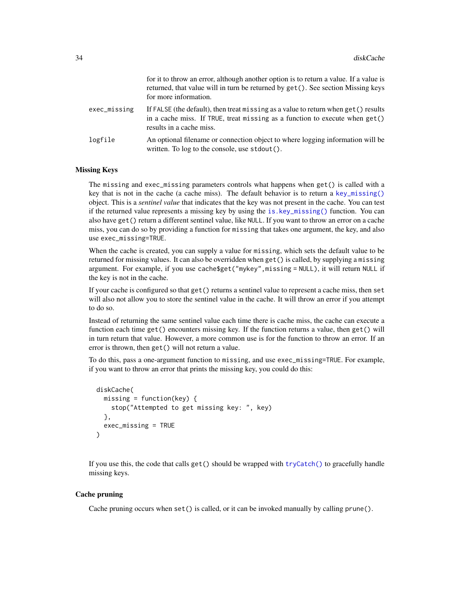|              | for it to throw an error, although another option is to return a value. If a value is<br>returned, that value will in turn be returned by get (). See section Missing keys<br>for more information. |
|--------------|-----------------------------------------------------------------------------------------------------------------------------------------------------------------------------------------------------|
| exec_missing | If FALSE (the default), then treat missing as a value to return when get () results<br>in a cache miss. If TRUE, treat missing as a function to execute when $get()$<br>results in a cache miss.    |
| logfile      | An optional filename or connection object to where logging information will be<br>written. To $log$ to the console, use $stdout()$ .                                                                |

#### Missing Keys

The missing and exec\_missing parameters controls what happens when get() is called with a key that is not in the cache (a cache miss). The default behavior is to return a [key\\_missing\(\)](#page-0-0) object. This is a *sentinel value* that indicates that the key was not present in the cache. You can test if the returned value represents a missing key by using the [is.key\\_missing\(\)](#page-0-0) function. You can also have get() return a different sentinel value, like NULL. If you want to throw an error on a cache miss, you can do so by providing a function for missing that takes one argument, the key, and also use exec\_missing=TRUE.

When the cache is created, you can supply a value for missing, which sets the default value to be returned for missing values. It can also be overridden when get() is called, by supplying a missing argument. For example, if you use cache\$get("mykey", missing = NULL), it will return NULL if the key is not in the cache.

If your cache is configured so that get() returns a sentinel value to represent a cache miss, then set will also not allow you to store the sentinel value in the cache. It will throw an error if you attempt to do so.

Instead of returning the same sentinel value each time there is cache miss, the cache can execute a function each time get() encounters missing key. If the function returns a value, then get() will in turn return that value. However, a more common use is for the function to throw an error. If an error is thrown, then get() will not return a value.

To do this, pass a one-argument function to missing, and use exec\_missing=TRUE. For example, if you want to throw an error that prints the missing key, you could do this:

```
diskCache(
  missing = function(key) {
    stop("Attempted to get missing key: ", key)
  },
  exec_missing = TRUE
)
```
If you use this, the code that calls  $get()$  should be wrapped with  $tryCatch()$  to gracefully handle missing keys.

#### Cache pruning

Cache pruning occurs when set() is called, or it can be invoked manually by calling prune().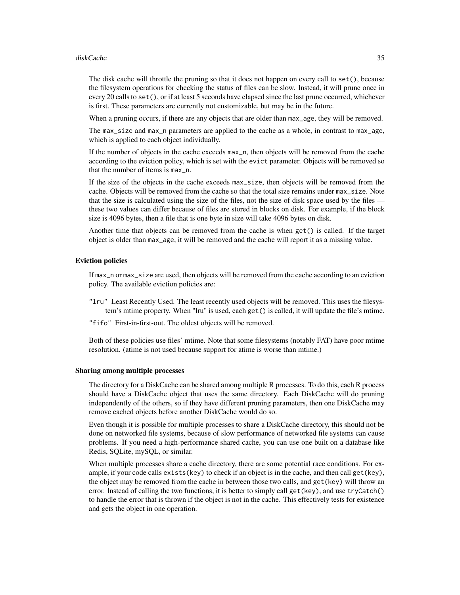#### diskCache 35

The disk cache will throttle the pruning so that it does not happen on every call to set (), because the filesystem operations for checking the status of files can be slow. Instead, it will prune once in every 20 calls to set(), or if at least 5 seconds have elapsed since the last prune occurred, whichever is first. These parameters are currently not customizable, but may be in the future.

When a pruning occurs, if there are any objects that are older than max age, they will be removed.

The max\_size and max\_n parameters are applied to the cache as a whole, in contrast to max\_age, which is applied to each object individually.

If the number of objects in the cache exceeds max\_n, then objects will be removed from the cache according to the eviction policy, which is set with the evict parameter. Objects will be removed so that the number of items is max\_n.

If the size of the objects in the cache exceeds max\_size, then objects will be removed from the cache. Objects will be removed from the cache so that the total size remains under max\_size. Note that the size is calculated using the size of the files, not the size of disk space used by the files these two values can differ because of files are stored in blocks on disk. For example, if the block size is 4096 bytes, then a file that is one byte in size will take 4096 bytes on disk.

Another time that objects can be removed from the cache is when get() is called. If the target object is older than max\_age, it will be removed and the cache will report it as a missing value.

## Eviction policies

If max\_n or max\_size are used, then objects will be removed from the cache according to an eviction policy. The available eviction policies are:

- "lru" Least Recently Used. The least recently used objects will be removed. This uses the filesystem's mtime property. When "lru" is used, each get() is called, it will update the file's mtime.
- "fifo" First-in-first-out. The oldest objects will be removed.

Both of these policies use files' mtime. Note that some filesystems (notably FAT) have poor mtime resolution. (atime is not used because support for atime is worse than mtime.)

#### Sharing among multiple processes

The directory for a DiskCache can be shared among multiple R processes. To do this, each R process should have a DiskCache object that uses the same directory. Each DiskCache will do pruning independently of the others, so if they have different pruning parameters, then one DiskCache may remove cached objects before another DiskCache would do so.

Even though it is possible for multiple processes to share a DiskCache directory, this should not be done on networked file systems, because of slow performance of networked file systems can cause problems. If you need a high-performance shared cache, you can use one built on a database like Redis, SQLite, mySQL, or similar.

When multiple processes share a cache directory, there are some potential race conditions. For example, if your code calls exists(key) to check if an object is in the cache, and then call get(key), the object may be removed from the cache in between those two calls, and get(key) will throw an error. Instead of calling the two functions, it is better to simply call get(key), and use tryCatch() to handle the error that is thrown if the object is not in the cache. This effectively tests for existence and gets the object in one operation.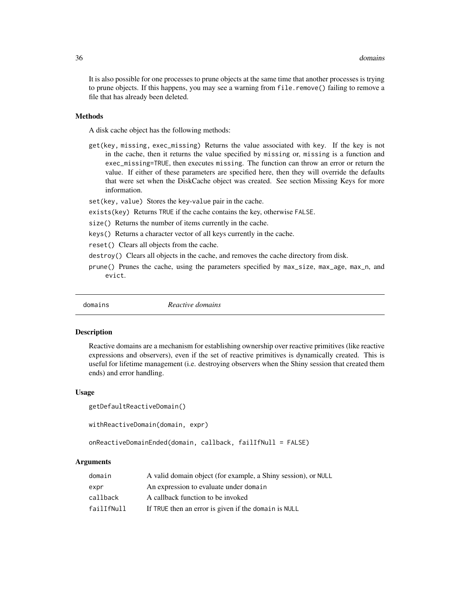<span id="page-35-0"></span>It is also possible for one processes to prune objects at the same time that another processes is trying to prune objects. If this happens, you may see a warning from file.remove() failing to remove a file that has already been deleted.

## Methods

A disk cache object has the following methods:

- get(key, missing, exec\_missing) Returns the value associated with key. If the key is not in the cache, then it returns the value specified by missing or, missing is a function and exec\_missing=TRUE, then executes missing. The function can throw an error or return the value. If either of these parameters are specified here, then they will override the defaults that were set when the DiskCache object was created. See section Missing Keys for more information.
- set(key, value) Stores the key-value pair in the cache.
- exists(key) Returns TRUE if the cache contains the key, otherwise FALSE.
- size() Returns the number of items currently in the cache.
- keys() Returns a character vector of all keys currently in the cache.
- reset() Clears all objects from the cache.
- destroy() Clears all objects in the cache, and removes the cache directory from disk.
- prune() Prunes the cache, using the parameters specified by max\_size, max\_age, max\_n, and evict.

<span id="page-35-1"></span>

domains *Reactive domains*

#### Description

Reactive domains are a mechanism for establishing ownership over reactive primitives (like reactive expressions and observers), even if the set of reactive primitives is dynamically created. This is useful for lifetime management (i.e. destroying observers when the Shiny session that created them ends) and error handling.

#### Usage

```
getDefaultReactiveDomain()
```

```
withReactiveDomain(domain, expr)
```
onReactiveDomainEnded(domain, callback, failIfNull = FALSE)

| domain     | A valid domain object (for example, a Shiny session), or NULL |
|------------|---------------------------------------------------------------|
| expr       | An expression to evaluate under domain                        |
| callback   | A callback function to be invoked                             |
| failIfNull | If TRUE then an error is given if the domain is NULL          |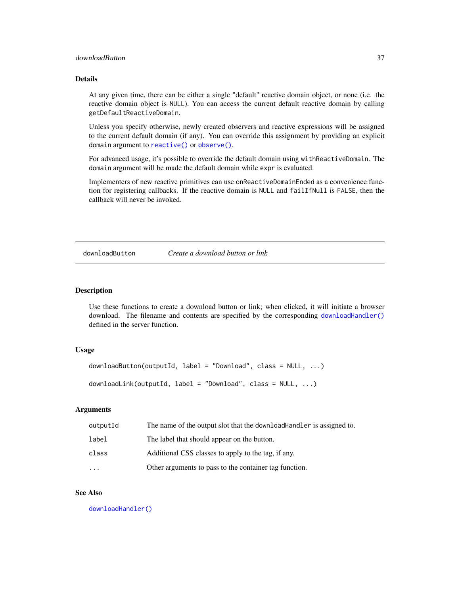## downloadButton 37

## Details

At any given time, there can be either a single "default" reactive domain object, or none (i.e. the reactive domain object is NULL). You can access the current default reactive domain by calling getDefaultReactiveDomain.

Unless you specify otherwise, newly created observers and reactive expressions will be assigned to the current default domain (if any). You can override this assignment by providing an explicit domain argument to [reactive\(\)](#page-114-0) or [observe\(\)](#page-89-0).

For advanced usage, it's possible to override the default domain using withReactiveDomain. The domain argument will be made the default domain while expr is evaluated.

Implementers of new reactive primitives can use onReactiveDomainEnded as a convenience function for registering callbacks. If the reactive domain is NULL and failIfNull is FALSE, then the callback will never be invoked.

#### <span id="page-36-0"></span>downloadButton *Create a download button or link*

# <span id="page-36-1"></span>**Description**

Use these functions to create a download button or link; when clicked, it will initiate a browser download. The filename and contents are specified by the corresponding [downloadHandler\(\)](#page-37-0) defined in the server function.

## Usage

```
downloadButton(outputId, label = "Download", class = NULL, ...)
downloadLink(outputId, label = "Download", class = NULL, ...)
```
# Arguments

| outputId | The name of the output slot that the download Handler is assigned to. |
|----------|-----------------------------------------------------------------------|
| label    | The label that should appear on the button.                           |
| class    | Additional CSS classes to apply to the tag, if any.                   |
| $\cdot$  | Other arguments to pass to the container tag function.                |

# See Also

[downloadHandler\(\)](#page-37-0)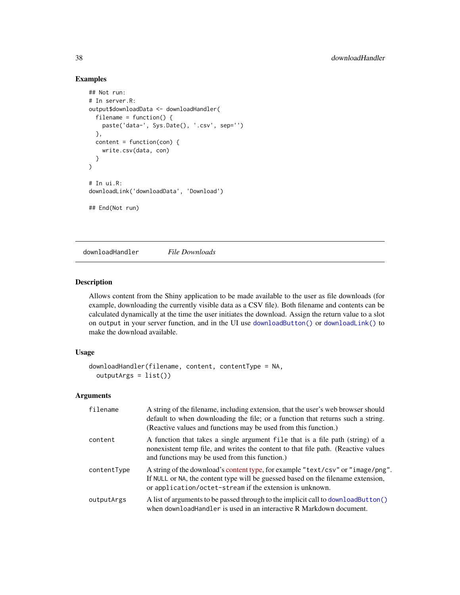# Examples

```
## Not run:
# In server.R:
output$downloadData <- downloadHandler(
  filename = function() {
   paste('data-', Sys.Date(), '.csv', sep='')
  },
  content = function(con) {
   write.csv(data, con)
  }
)
# In ui.R:
downloadLink('downloadData', 'Download')
## End(Not run)
```
<span id="page-37-0"></span>downloadHandler *File Downloads*

# Description

Allows content from the Shiny application to be made available to the user as file downloads (for example, downloading the currently visible data as a CSV file). Both filename and contents can be calculated dynamically at the time the user initiates the download. Assign the return value to a slot on output in your server function, and in the UI use [downloadButton\(\)](#page-36-0) or [downloadLink\(\)](#page-36-1) to make the download available.

## Usage

```
downloadHandler(filename, content, contentType = NA,
 outputArgs = list())
```
## Arguments

| filename    | A string of the filename, including extension, that the user's web browser should<br>default to when downloading the file; or a function that returns such a string.<br>(Reactive values and functions may be used from this function.) |
|-------------|-----------------------------------------------------------------------------------------------------------------------------------------------------------------------------------------------------------------------------------------|
| content     | A function that takes a single argument file that is a file path (string) of a<br>nonexistent temp file, and writes the content to that file path. (Reactive values<br>and functions may be used from this function.)                   |
| contentType | A string of the download's content type, for example "text/csv" or "image/png".<br>If NULL or NA, the content type will be guessed based on the filename extension,<br>or application/octet-stream if the extension is unknown.         |
| outputArgs  | A list of arguments to be passed through to the implicit call to downloadButton()<br>when download Handler is used in an interactive R Markdown document.                                                                               |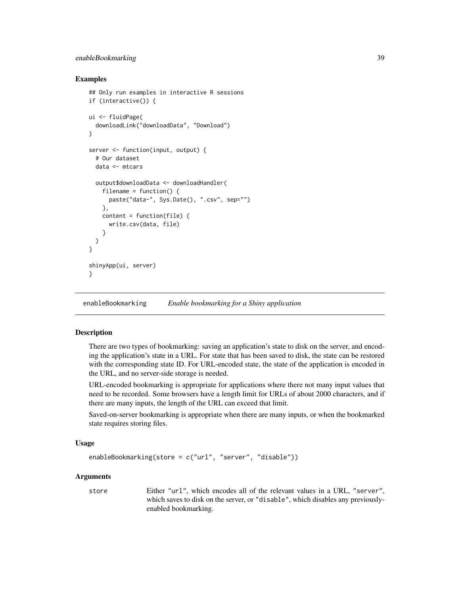# enableBookmarking 39

## Examples

```
## Only run examples in interactive R sessions
if (interactive()) {
ui <- fluidPage(
 downloadLink("downloadData", "Download")
)
server <- function(input, output) {
 # Our dataset
 data <- mtcars
 output$downloadData <- downloadHandler(
    filename = function() \{paste("data-", Sys.Date(), ".csv", sep="")
   },
   content = function(file) {
      write.csv(data, file)
   }
 )
}
shinyApp(ui, server)
}
```
enableBookmarking *Enable bookmarking for a Shiny application*

#### Description

There are two types of bookmarking: saving an application's state to disk on the server, and encoding the application's state in a URL. For state that has been saved to disk, the state can be restored with the corresponding state ID. For URL-encoded state, the state of the application is encoded in the URL, and no server-side storage is needed.

URL-encoded bookmarking is appropriate for applications where there not many input values that need to be recorded. Some browsers have a length limit for URLs of about 2000 characters, and if there are many inputs, the length of the URL can exceed that limit.

Saved-on-server bookmarking is appropriate when there are many inputs, or when the bookmarked state requires storing files.

# Usage

```
enableBookmarking(store = c("url", "server", "disable"))
```
## Arguments

store Either "url", which encodes all of the relevant values in a URL, "server", which saves to disk on the server, or "disable", which disables any previouslyenabled bookmarking.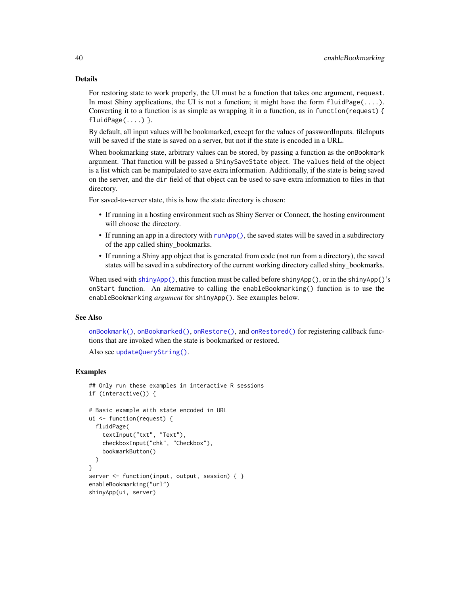#### Details

For restoring state to work properly, the UI must be a function that takes one argument, request. In most Shiny applications, the UI is not a function; it might have the form  $\text{fluidPage}(\ldots)$ . Converting it to a function is as simple as wrapping it in a function, as in function(request) { fluidPage(....) }.

By default, all input values will be bookmarked, except for the values of passwordInputs. fileInputs will be saved if the state is saved on a server, but not if the state is encoded in a URL.

When bookmarking state, arbitrary values can be stored, by passing a function as the onBookmark argument. That function will be passed a ShinySaveState object. The values field of the object is a list which can be manipulated to save extra information. Additionally, if the state is being saved on the server, and the dir field of that object can be used to save extra information to files in that directory.

For saved-to-server state, this is how the state directory is chosen:

- If running in a hosting environment such as Shiny Server or Connect, the hosting environment will choose the directory.
- If running an app in a directory with [runApp\(\)](#page-148-0), the saved states will be saved in a subdirectory of the app called shiny\_bookmarks.
- If running a Shiny app object that is generated from code (not run from a directory), the saved states will be saved in a subdirectory of the current working directory called shiny\_bookmarks.

When used with [shinyApp\(\)](#page-161-0), this function must be called before shinyApp(), or in the shinyApp()'s onStart function. An alternative to calling the enableBookmarking() function is to use the enableBookmarking *argument* for shinyApp(). See examples below.

## See Also

[onBookmark\(\)](#page-95-0), [onBookmarked\(\)](#page-95-1), [onRestore\(\)](#page-95-1), and [onRestored\(\)](#page-95-1) for registering callback functions that are invoked when the state is bookmarked or restored.

```
updateQueryString().
```

```
## Only run these examples in interactive R sessions
if (interactive()) {
# Basic example with state encoded in URL
ui <- function(request) {
 fluidPage(
    textInput("txt", "Text"),
    checkboxInput("chk", "Checkbox"),
    bookmarkButton()
 )
}
server <- function(input, output, session) { }
enableBookmarking("url")
shinyApp(ui, server)
```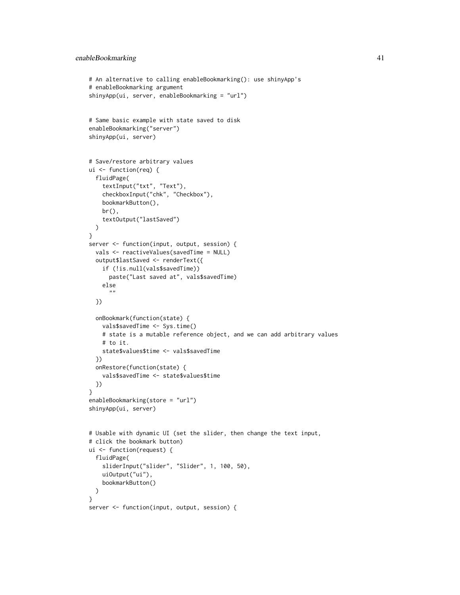```
# An alternative to calling enableBookmarking(): use shinyApp's
# enableBookmarking argument
shinyApp(ui, server, enableBookmarking = "url")
# Same basic example with state saved to disk
enableBookmarking("server")
shinyApp(ui, server)
# Save/restore arbitrary values
ui <- function(req) {
  fluidPage(
    textInput("txt", "Text"),
    checkboxInput("chk", "Checkbox"),
    bookmarkButton(),
   br(),
    textOutput("lastSaved")
  )
}
server <- function(input, output, session) {
  vals <- reactiveValues(savedTime = NULL)
  output$lastSaved <- renderText({
    if (!is.null(vals$savedTime))
      paste("Last saved at", vals$savedTime)
    else
      ""
  })
  onBookmark(function(state) {
    vals$savedTime <- Sys.time()
    # state is a mutable reference object, and we can add arbitrary values
    # to it.
   state$values$time <- vals$savedTime
  })
  onRestore(function(state) {
   vals$savedTime <- state$values$time
  })
}
enableBookmarking(store = "url")
shinyApp(ui, server)
# Usable with dynamic UI (set the slider, then change the text input,
# click the bookmark button)
ui <- function(request) {
  fluidPage(
    sliderInput("slider", "Slider", 1, 100, 50),
    uiOutput("ui"),
    bookmarkButton()
  )
}
server <- function(input, output, session) {
```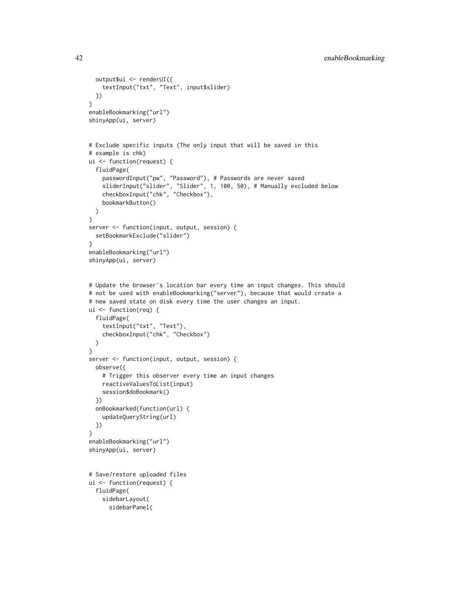```
output$ui <- renderUI({
    textInput("txt", "Text", input$slider)
  })
}
enableBookmarking("url")
shinyApp(ui, server)
# Exclude specific inputs (The only input that will be saved in this
# example is chk)
ui <- function(request) {
  fluidPage(
    passwordInput("pw", "Password"), # Passwords are never saved
    sliderInput("slider", "Slider", 1, 100, 50), # Manually excluded below
    checkboxInput("chk", "Checkbox"),
    bookmarkButton()
  )
}
server <- function(input, output, session) {
  setBookmarkExclude("slider")
}
enableBookmarking("url")
shinyApp(ui, server)
# Update the browser's location bar every time an input changes. This should
# not be used with enableBookmarking("server"), because that would create a
# new saved state on disk every time the user changes an input.
ui <- function(req) {
 fluidPage(
    textInput("txt", "Text"),
    checkboxInput("chk", "Checkbox")
  )
}
server <- function(input, output, session) {
  observe({
    # Trigger this observer every time an input changes
   reactiveValuesToList(input)
    session$doBookmark()
  })
  onBookmarked(function(url) {
    updateQueryString(url)
  })
}
enableBookmarking("url")
shinyApp(ui, server)
# Save/restore uploaded files
ui <- function(request) {
  fluidPage(
    sidebarLayout(
      sidebarPanel(
```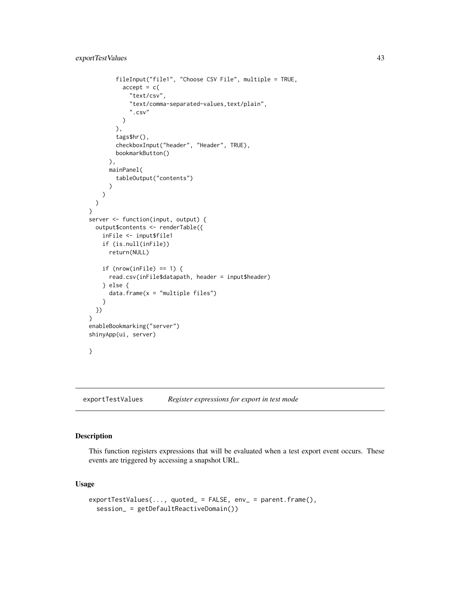```
fileInput("file1", "Choose CSV File", multiple = TRUE,
          accept = c("text/csv",
            "text/comma-separated-values,text/plain",
            ".csv"
          )
        ),
        tags$hr(),
        checkboxInput("header", "Header", TRUE),
        bookmarkButton()
      ),
      mainPanel(
        tableOutput("contents")
      )
   )
 )
}
server <- function(input, output) {
  output$contents <- renderTable({
    inFile <- input$file1
    if (is.null(inFile))
      return(NULL)
    if (nrow(inFile) == 1) {
      read.csv(inFile$datapath, header = input$header)
    } else {
      data. frame(x = "multiple files")
    }
  })
}
enableBookmarking("server")
shinyApp(ui, server)
}
```
exportTestValues *Register expressions for export in test mode*

## Description

This function registers expressions that will be evaluated when a test export event occurs. These events are triggered by accessing a snapshot URL.

# Usage

```
exportTestValues(..., quoted_ = FALSE, env_ = parent.frame(),
  session_ = getDefaultReactiveDomain())
```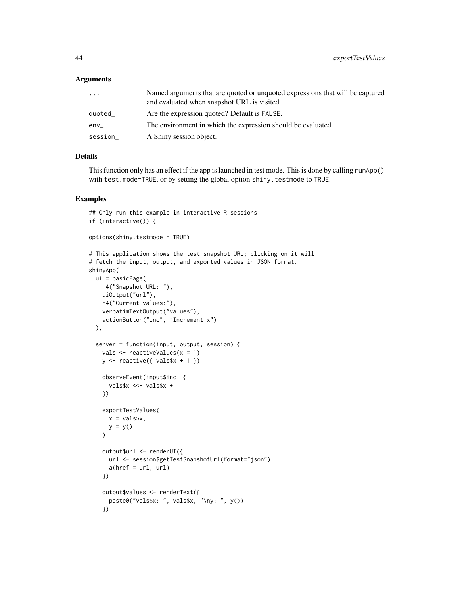## **Arguments**

| $\cdots$ | Named arguments that are quoted or unquoted expressions that will be captured<br>and evaluated when snapshot URL is visited. |
|----------|------------------------------------------------------------------------------------------------------------------------------|
| quoted_  | Are the expression quoted? Default is FALSE.                                                                                 |
| env      | The environment in which the expression should be evaluated.                                                                 |
| session_ | A Shiny session object.                                                                                                      |

# Details

This function only has an effect if the app is launched in test mode. This is done by calling runApp() with test.mode=TRUE, or by setting the global option shiny.testmode to TRUE.

```
## Only run this example in interactive R sessions
if (interactive()) {
options(shiny.testmode = TRUE)
# This application shows the test snapshot URL; clicking on it will
# fetch the input, output, and exported values in JSON format.
shinyApp(
 ui = basicPage(
   h4("Snapshot URL: "),
   uiOutput("url"),
   h4("Current values:"),
   verbatimTextOutput("values"),
   actionButton("inc", "Increment x")
  ),
  server = function(input, output, session) {
   vals <- reactiveValues(x = 1)
   y \leftarrow reactive({ vals$x + 1 })
    observeEvent(input$inc, {
      vals$x <<- vals$x + 1
    })
    exportTestValues(
     x = vals$x,
     y = y())
    output$url <- renderUI({
     url <- session$getTestSnapshotUrl(format="json")
      a(href = url, url)})
    output$values <- renderText({
      paste0("vals$x: ", vals$x, "\ny: ", y())
    })
```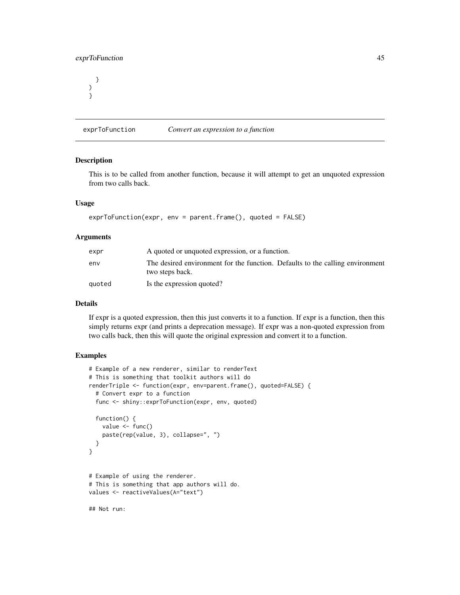# exprToFunction 45

} ) }

<span id="page-44-0"></span>exprToFunction *Convert an expression to a function*

# **Description**

This is to be called from another function, because it will attempt to get an unquoted expression from two calls back.

# Usage

```
exprToFunction(expr, env = parent.frame(), quoted = FALSE)
```
#### Arguments

| expr   | A quoted or unquoted expression, or a function.                                                  |  |
|--------|--------------------------------------------------------------------------------------------------|--|
| env    | The desired environment for the function. Defaults to the calling environment<br>two steps back. |  |
| auoted | Is the expression quoted?                                                                        |  |

#### Details

If expr is a quoted expression, then this just converts it to a function. If expr is a function, then this simply returns expr (and prints a deprecation message). If expr was a non-quoted expression from two calls back, then this will quote the original expression and convert it to a function.

# Examples

```
# Example of a new renderer, similar to renderText
# This is something that toolkit authors will do
renderTriple <- function(expr, env=parent.frame(), quoted=FALSE) {
  # Convert expr to a function
  func <- shiny::exprToFunction(expr, env, quoted)
  function() {
   value <- func()
    paste(rep(value, 3), collapse=", ")
  }
}
# Example of using the renderer.
# This is something that app authors will do.
values <- reactiveValues(A="text")
```
## Not run: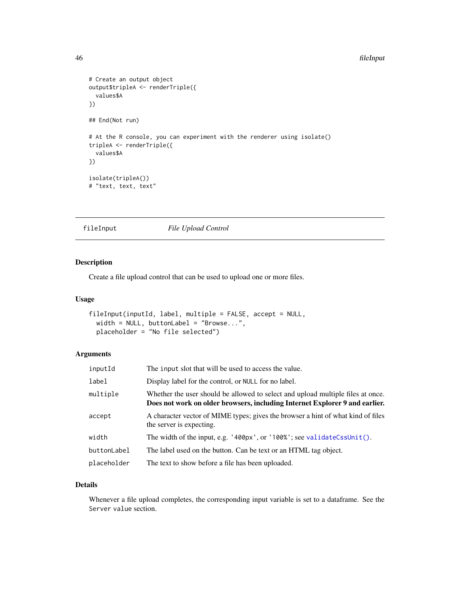#### 46 fileInput

```
# Create an output object
output$tripleA <- renderTriple({
  values$A
})
## End(Not run)
# At the R console, you can experiment with the renderer using isolate()
tripleA <- renderTriple({
  values$A
})
isolate(tripleA())
# "text, text, text"
```
fileInput *File Upload Control*

# Description

Create a file upload control that can be used to upload one or more files.

#### Usage

```
fileInput(inputId, label, multiple = FALSE, accept = NULL,
 width = NULL, buttonLabel = "Browse...",
 placeholder = "No file selected")
```
# Arguments

| inputId     | The input slot that will be used to access the value.                                                                                                          |  |
|-------------|----------------------------------------------------------------------------------------------------------------------------------------------------------------|--|
| label       | Display label for the control, or NULL for no label.                                                                                                           |  |
| multiple    | Whether the user should be allowed to select and upload multiple files at once.<br>Does not work on older browsers, including Internet Explorer 9 and earlier. |  |
| accept      | A character vector of MIME types; gives the browser a hint of what kind of files<br>the server is expecting.                                                   |  |
| width       | The width of the input, e.g. $'400px'$ , or $'100%$ ; see validateCssUnit().                                                                                   |  |
| buttonLabel | The label used on the button. Can be text or an HTML tag object.                                                                                               |  |
| placeholder | The text to show before a file has been uploaded.                                                                                                              |  |

# Details

Whenever a file upload completes, the corresponding input variable is set to a dataframe. See the Server value section.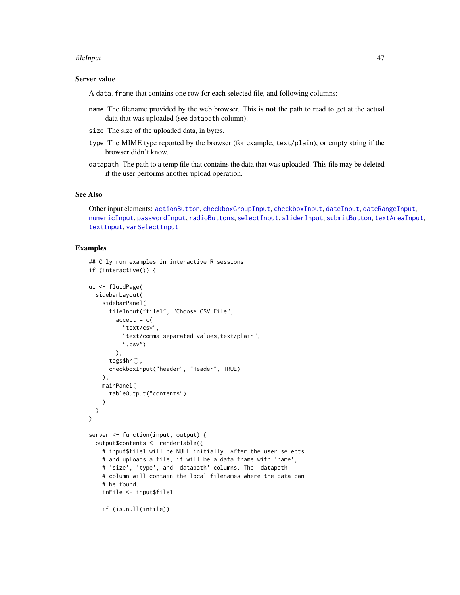#### fileInput 47

#### Server value

A data.frame that contains one row for each selected file, and following columns:

- name The filename provided by the web browser. This is not the path to read to get at the actual data that was uploaded (see datapath column).
- size The size of the uploaded data, in bytes.
- type The MIME type reported by the browser (for example, text/plain), or empty string if the browser didn't know.
- datapath The path to a temp file that contains the data that was uploaded. This file may be deleted if the user performs another upload operation.

## See Also

Other input elements: [actionButton](#page-7-0), [checkboxGroupInput](#page-17-0), [checkboxInput](#page-19-0), [dateInput](#page-24-0), [dateRangeInput](#page-27-0), [numericInput](#page-88-0), [passwordInput](#page-103-0), [radioButtons](#page-112-0), [selectInput](#page-154-0), [sliderInput](#page-170-0), [submitButton](#page-175-0), [textAreaInput](#page-181-0), [textInput](#page-182-0), [varSelectInput](#page-208-0)

```
## Only run examples in interactive R sessions
if (interactive()) {
ui <- fluidPage(
  sidebarLayout(
    sidebarPanel(
      fileInput("file1", "Choose CSV File",
        accept = c("text/csv",
          "text/comma-separated-values,text/plain",
          ".csv")),
      tags$hr(),
      checkboxInput("header", "Header", TRUE)
   ),
   mainPanel(
      tableOutput("contents")
    )
 )
\mathcal{L}server <- function(input, output) {
  output$contents <- renderTable({
    # input$file1 will be NULL initially. After the user selects
    # and uploads a file, it will be a data frame with 'name',
    # 'size', 'type', and 'datapath' columns. The 'datapath'
    # column will contain the local filenames where the data can
    # be found.
    inFile <- input$file1
    if (is.null(inFile))
```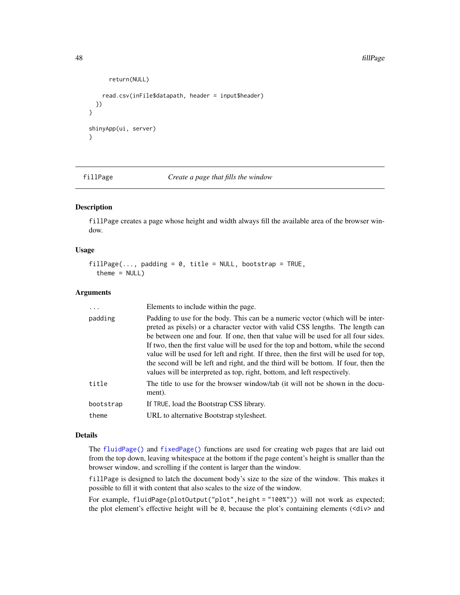#### 48 fillPage and the contract of the contract of the contract of the contract of the contract of the contract of the contract of the contract of the contract of the contract of the contract of the contract of the contract o

```
return(NULL)
    read.csv(inFile$datapath, header = input$header)
 })
}
shinyApp(ui, server)
}
```
<span id="page-47-0"></span>fillPage *Create a page that fills the window*

# Description

fillPage creates a page whose height and width always fill the available area of the browser window.

## Usage

```
fillPage(..., padding = 0, title = NULL, bootstrap = TRUE,theme = NULL)
```
# Arguments

| $\ddots$           | Elements to include within the page.                                                                                                                                                                                                                                                                                                                                                                                                                                                                                                                                                                    |  |
|--------------------|---------------------------------------------------------------------------------------------------------------------------------------------------------------------------------------------------------------------------------------------------------------------------------------------------------------------------------------------------------------------------------------------------------------------------------------------------------------------------------------------------------------------------------------------------------------------------------------------------------|--|
| padding            | Padding to use for the body. This can be a numeric vector (which will be inter-<br>preted as pixels) or a character vector with valid CSS lengths. The length can<br>be between one and four. If one, then that value will be used for all four sides.<br>If two, then the first value will be used for the top and bottom, while the second<br>value will be used for left and right. If three, then the first will be used for top,<br>the second will be left and right, and the third will be bottom. If four, then the<br>values will be interpreted as top, right, bottom, and left respectively. |  |
| title              | The title to use for the browser window/tab (it will not be shown in the docu-<br>ment).                                                                                                                                                                                                                                                                                                                                                                                                                                                                                                                |  |
| bootstrap<br>theme | If TRUE, load the Bootstrap CSS library.<br>URL to alternative Bootstrap stylesheet.                                                                                                                                                                                                                                                                                                                                                                                                                                                                                                                    |  |
|                    |                                                                                                                                                                                                                                                                                                                                                                                                                                                                                                                                                                                                         |  |

# Details

The [fluidPage\(\)](#page-52-0) and [fixedPage\(\)](#page-50-0) functions are used for creating web pages that are laid out from the top down, leaving whitespace at the bottom if the page content's height is smaller than the browser window, and scrolling if the content is larger than the window.

fillPage is designed to latch the document body's size to the size of the window. This makes it possible to fill it with content that also scales to the size of the window.

For example, fluidPage(plotOutput("plot",height = "100%")) will not work as expected; the plot element's effective height will be  $\theta$ , because the plot's containing elements ( $\langle \text{div} \rangle$  and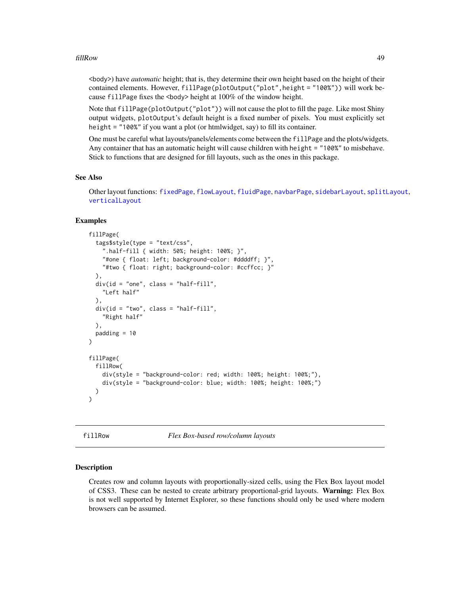#### fillRow the contract of the contract of the contract of the contract of the contract of the contract of the contract of the contract of the contract of the contract of the contract of the contract of the contract of the co

<body>) have *automatic* height; that is, they determine their own height based on the height of their contained elements. However, fillPage(plotOutput("plot",height = "100%")) will work because fillPage fixes the  $\langle \text{body} \rangle$  height at 100% of the window height.

Note that fillPage(plotOutput("plot")) will not cause the plot to fill the page. Like most Shiny output widgets, plotOutput's default height is a fixed number of pixels. You must explicitly set height = "100%" if you want a plot (or htmlwidget, say) to fill its container.

One must be careful what layouts/panels/elements come between the fillPage and the plots/widgets. Any container that has an automatic height will cause children with height = "100%" to misbehave. Stick to functions that are designed for fill layouts, such as the ones in this package.

# See Also

Other layout functions: [fixedPage](#page-50-0), [flowLayout](#page-51-0), [fluidPage](#page-52-0), [navbarPage](#page-82-0), [sidebarLayout](#page-167-0), [splitLayout](#page-173-0), [verticalLayout](#page-211-0)

## Examples

```
fillPage(
  tags$style(type = "text/css",
    ".half-fill { width: 50%; height: 100%; }",
    "#one { float: left; background-color: #ddddff; }",
    "#two { float: right; background-color: #ccffcc; }"
 ),
 div(id = "one", class = "half-fill",
    "Left half"
 ),
 div(id = "two", class = "half-fill","Right half"
 ),
 padding = 10)
fillPage(
 fillRow(
    div(style = "background-color: red; width: 100%; height: 100%;"),
    div(style = "background-color: blue; width: 100%; height: 100%;")
 )
\lambda
```
fillRow *Flex Box-based row/column layouts*

#### Description

Creates row and column layouts with proportionally-sized cells, using the Flex Box layout model of CSS3. These can be nested to create arbitrary proportional-grid layouts. Warning: Flex Box is not well supported by Internet Explorer, so these functions should only be used where modern browsers can be assumed.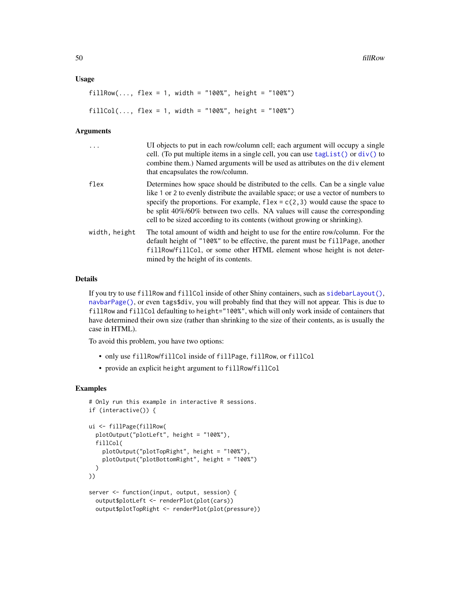#### Usage

```
fillRow(..., flex = 1, width = "100%", height = "100%")
fillCol(..., flex = 1, width = "100%", height = "100%")
```
#### Arguments

| .             | UI objects to put in each row/column cell; each argument will occupy a single<br>cell. (To put multiple items in a single cell, you can use $tagList()$ or $div()$ to<br>combine them.) Named arguments will be used as attributes on the div element<br>that encapsulates the row/column.                                                                                                                           |
|---------------|----------------------------------------------------------------------------------------------------------------------------------------------------------------------------------------------------------------------------------------------------------------------------------------------------------------------------------------------------------------------------------------------------------------------|
| flex          | Determines how space should be distributed to the cells. Can be a single value<br>like 1 or 2 to evenly distribute the available space; or use a vector of numbers to<br>specify the proportions. For example, $flex = c(2, 3)$ would cause the space to<br>be split 40%/60% between two cells. NA values will cause the corresponding<br>cell to be sized according to its contents (without growing or shrinking). |
| width, height | The total amount of width and height to use for the entire row/column. For the<br>default height of "100%" to be effective, the parent must be fillPage, another<br>fillRow/fillCol, or some other HTML element whose height is not deter-<br>mined by the height of its contents.                                                                                                                                   |

#### Details

If you try to use fillRow and fillCol inside of other Shiny containers, such as [sidebarLayout\(\)](#page-167-0), [navbarPage\(\)](#page-82-0), or even tags\$div, you will probably find that they will not appear. This is due to fillRow and fillCol defaulting to height="100%", which will only work inside of containers that have determined their own size (rather than shrinking to the size of their contents, as is usually the case in HTML).

To avoid this problem, you have two options:

- only use fillRow/fillCol inside of fillPage, fillRow, or fillCol
- provide an explicit height argument to fillRow/fillCol

```
# Only run this example in interactive R sessions.
if (interactive()) {
ui <- fillPage(fillRow(
  plotOutput("plotLeft", height = "100%"),
  fillCol(
    plotOutput("plotTopRight", height = "100%"),
    plotOutput("plotBottomRight", height = "100%")
  )
))
server <- function(input, output, session) {
  output$plotLeft <- renderPlot(plot(cars))
  output$plotTopRight <- renderPlot(plot(pressure))
```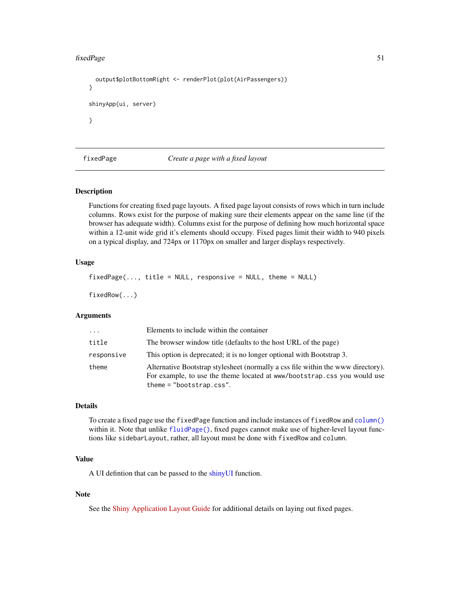#### fixedPage 51

```
output$plotBottomRight <- renderPlot(plot(AirPassengers))
}
shinyApp(ui, server)
}
```
<span id="page-50-0"></span>fixedPage *Create a page with a fixed layout*

# Description

Functions for creating fixed page layouts. A fixed page layout consists of rows which in turn include columns. Rows exist for the purpose of making sure their elements appear on the same line (if the browser has adequate width). Columns exist for the purpose of defining how much horizontal space within a 12-unit wide grid it's elements should occupy. Fixed pages limit their width to 940 pixels on a typical display, and 724px or 1170px on smaller and larger displays respectively.

## Usage

```
fixedPage(..., title = NULL, responsive = NULL, theme = NULL)
```
fixedRow(...)

## Arguments

| $\cdots$   | Elements to include within the container                                                                                                                                                   |
|------------|--------------------------------------------------------------------------------------------------------------------------------------------------------------------------------------------|
| title      | The browser window title (defaults to the host URL of the page)                                                                                                                            |
| responsive | This option is deprecated; it is no longer optional with Bootstrap 3.                                                                                                                      |
| theme      | Alternative Bootstrap stylesheet (normally a css file within the www directory).<br>For example, to use the theme located at www/bootstrap.css you would use<br>theme = $"bootstrap.css".$ |

#### Details

To create a fixed page use the fixedPage function and include instances of fixedRow and [column\(\)](#page-20-0) within it. Note that unlike [fluidPage\(\)](#page-52-0), fixed pages cannot make use of higher-level layout functions like sidebarLayout, rather, all layout must be done with fixedRow and column.

# Value

A UI defintion that can be passed to the [shinyUI](#page-0-0) function.

# Note

See the [Shiny Application Layout Guide](http://shiny.rstudio.com/articles/layout-guide.html) for additional details on laying out fixed pages.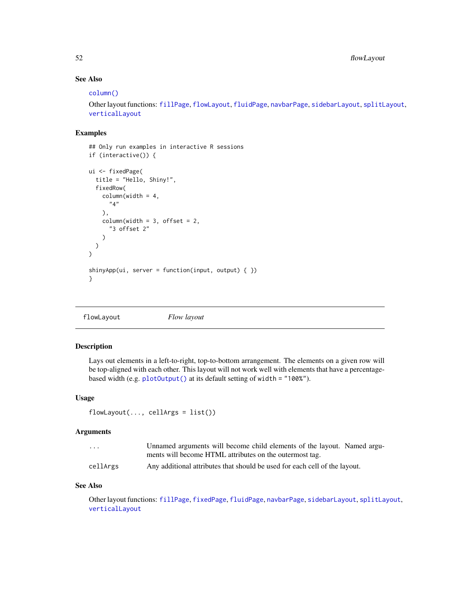52 flowLayout

# See Also

## [column\(\)](#page-20-0)

Other layout functions: [fillPage](#page-47-0), [flowLayout](#page-51-0), [fluidPage](#page-52-0), [navbarPage](#page-82-0), [sidebarLayout](#page-167-0), [splitLayout](#page-173-0), [verticalLayout](#page-211-0)

# Examples

```
## Only run examples in interactive R sessions
if (interactive()) {
ui <- fixedPage(
  title = "Hello, Shiny!",
  fixedRow(
    columnwidth = 4,"4"
    ),
    columnwidth = 3, offset = 2,"3 offset 2"
    )
 )
\mathcal{L}shinyApp(ui, server = function(input, output) \{ \})
}
```
<span id="page-51-0"></span>flowLayout *Flow layout*

# Description

Lays out elements in a left-to-right, top-to-bottom arrangement. The elements on a given row will be top-aligned with each other. This layout will not work well with elements that have a percentagebased width (e.g. [plotOutput\(\)](#page-104-0) at its default setting of width = "100%").

### Usage

```
flowLayout(..., cellsArgs = list())
```
## Arguments

| $\cdots$ | Unnamed arguments will become child elements of the layout. Named argu-    |
|----------|----------------------------------------------------------------------------|
|          | ments will become HTML attributes on the outermost tag.                    |
| cellArgs | Any additional attributes that should be used for each cell of the layout. |

## See Also

Other layout functions: [fillPage](#page-47-0), [fixedPage](#page-50-0), [fluidPage](#page-52-0), [navbarPage](#page-82-0), [sidebarLayout](#page-167-0), [splitLayout](#page-173-0), [verticalLayout](#page-211-0)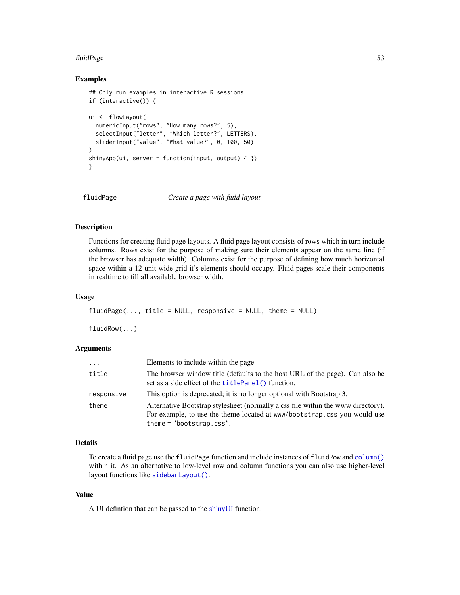#### fluidPage 53

## Examples

```
## Only run examples in interactive R sessions
if (interactive()) {
ui <- flowLayout(
  numericInput("rows", "How many rows?", 5),
  selectInput("letter", "Which letter?", LETTERS),
  sliderInput("value", "What value?", 0, 100, 50)
\lambdashinyApp(ui, server = function(input, output) \{ \})
}
```
<span id="page-52-0"></span>

fluidPage *Create a page with fluid layout*

# Description

Functions for creating fluid page layouts. A fluid page layout consists of rows which in turn include columns. Rows exist for the purpose of making sure their elements appear on the same line (if the browser has adequate width). Columns exist for the purpose of defining how much horizontal space within a 12-unit wide grid it's elements should occupy. Fluid pages scale their components in realtime to fill all available browser width.

## Usage

```
fluidPage(..., title = NULL, response = NULL, then = NULL)
```
fluidRow(...)

## Arguments

| $\cdots$   | Elements to include within the page                                                                                                                                                        |  |
|------------|--------------------------------------------------------------------------------------------------------------------------------------------------------------------------------------------|--|
| title      | The browser window title (defaults to the host URL of the page). Can also be<br>set as a side effect of the <b>titlePanel</b> () function.                                                 |  |
| responsive | This option is deprecated; it is no longer optional with Bootstrap 3.                                                                                                                      |  |
| theme      | Alternative Bootstrap stylesheet (normally a css file within the www directory).<br>For example, to use the theme located at www/bootstrap.css you would use<br>theme = $"bootstrap.css".$ |  |

# Details

To create a fluid page use the fluidPage function and include instances of fluidRow and [column\(\)](#page-20-0) within it. As an alternative to low-level row and column functions you can also use higher-level layout functions like [sidebarLayout\(\)](#page-167-0).

## Value

A UI defintion that can be passed to the [shinyUI](#page-0-0) function.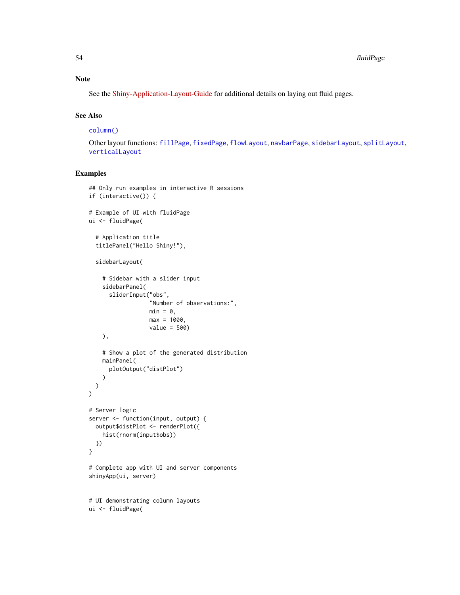See the [Shiny-Application-Layout-Guide](http://shiny.rstudio.com/articles/layout-guide.html) for additional details on laying out fluid pages.

# See Also

[column\(\)](#page-20-0)

Other layout functions: [fillPage](#page-47-0), [fixedPage](#page-50-0), [flowLayout](#page-51-0), [navbarPage](#page-82-0), [sidebarLayout](#page-167-0), [splitLayout](#page-173-0), [verticalLayout](#page-211-0)

```
## Only run examples in interactive R sessions
if (interactive()) {
# Example of UI with fluidPage
ui <- fluidPage(
  # Application title
  titlePanel("Hello Shiny!"),
  sidebarLayout(
    # Sidebar with a slider input
    sidebarPanel(
      sliderInput("obs",
                  "Number of observations:",
                  min = 0,
                  max = 1000.
                  value = 500)
    ),
    # Show a plot of the generated distribution
    mainPanel(
      plotOutput("distPlot")
    \lambda)
\mathcal{L}# Server logic
server <- function(input, output) {
  output$distPlot <- renderPlot({
    hist(rnorm(input$obs))
  })
}
# Complete app with UI and server components
shinyApp(ui, server)
# UI demonstrating column layouts
ui <- fluidPage(
```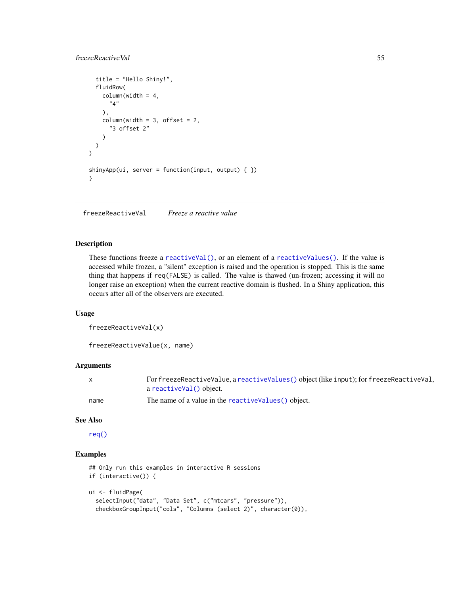# freezeReactiveVal 55

```
title = "Hello Shiny!",
  fluidRow(
    columnwidth = 4,"4"
    ),
    columnwidth = 3, offset = 2,"3 offset 2"
    )
 \lambda\mathcal{L}shinyApp(ui, server = function(input, output) \{ \})
}
```
freezeReactiveVal *Freeze a reactive value*

# Description

These functions freeze a [reactiveVal\(\)](#page-119-0), or an element of a [reactiveValues\(\)](#page-121-0). If the value is accessed while frozen, a "silent" exception is raised and the operation is stopped. This is the same thing that happens if req(FALSE) is called. The value is thawed (un-frozen; accessing it will no longer raise an exception) when the current reactive domain is flushed. In a Shiny application, this occurs after all of the observers are executed.

# Usage

```
freezeReactiveVal(x)
```
freezeReactiveValue(x, name)

# Arguments

| $\mathsf{x}$ | For freezeReactiveValue, a reactiveValues() object (like input); for freezeReactiveVal, |
|--------------|-----------------------------------------------------------------------------------------|
|              | a reactiveVal() object.                                                                 |
| name         | The name of a value in the reactive Values () object.                                   |

#### See Also

[req\(\)](#page-145-0)

```
## Only run this examples in interactive R sessions
if (interactive()) {
ui <- fluidPage(
  selectInput("data", "Data Set", c("mtcars", "pressure")),
  checkboxGroupInput("cols", "Columns (select 2)", character(0)),
```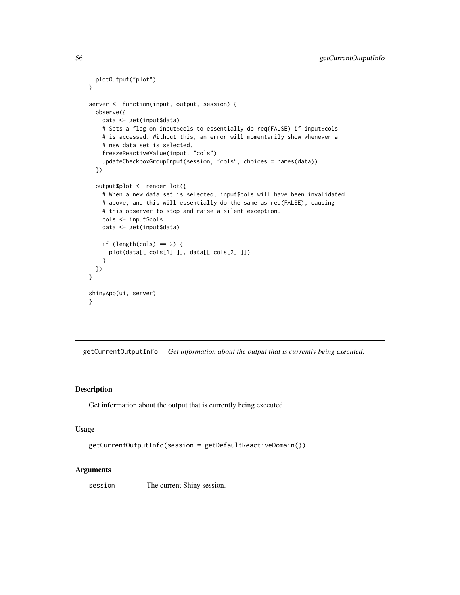```
plotOutput("plot")
)
server <- function(input, output, session) {
 observe({
   data <- get(input$data)
   # Sets a flag on input$cols to essentially do req(FALSE) if input$cols
   # is accessed. Without this, an error will momentarily show whenever a
   # new data set is selected.
   freezeReactiveValue(input, "cols")
   updateCheckboxGroupInput(session, "cols", choices = names(data))
 })
 output$plot <- renderPlot({
    # When a new data set is selected, input$cols will have been invalidated
   # above, and this will essentially do the same as req(FALSE), causing
   # this observer to stop and raise a silent exception.
   cols <- input$cols
   data <- get(input$data)
   if (length(cols) == 2) {
     plot(data[[ cols[1] ]], data[[ cols[2] ]])
    }
 })
}
shinyApp(ui, server)
}
```
getCurrentOutputInfo *Get information about the output that is currently being executed.*

# Description

Get information about the output that is currently being executed.

#### Usage

```
getCurrentOutputInfo(session = getDefaultReactiveDomain())
```
## Arguments

session The current Shiny session.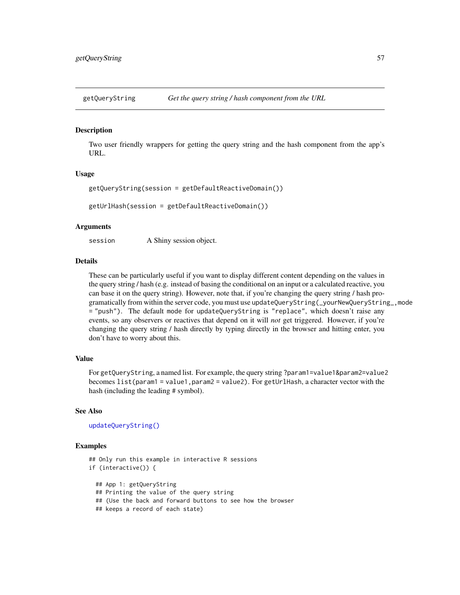#### Description

Two user friendly wrappers for getting the query string and the hash component from the app's URL.

#### Usage

```
getQueryString(session = getDefaultReactiveDomain())
```
getUrlHash(session = getDefaultReactiveDomain())

## Arguments

session A Shiny session object.

# Details

These can be particularly useful if you want to display different content depending on the values in the query string / hash (e.g. instead of basing the conditional on an input or a calculated reactive, you can base it on the query string). However, note that, if you're changing the query string / hash programatically from within the server code, you must use updateQueryString(\_yourNewQueryString\_,mode = "push"). The default mode for updateQueryString is "replace", which doesn't raise any events, so any observers or reactives that depend on it will *not* get triggered. However, if you're changing the query string / hash directly by typing directly in the browser and hitting enter, you don't have to worry about this.

#### Value

For getQueryString, a named list. For example, the query string ?param1=value1&param2=value2 becomes list(param1 = value1,param2 = value2). For getUrlHash, a character vector with the hash (including the leading # symbol).

#### See Also

[updateQueryString\(\)](#page-194-0)

#### Examples

```
## Only run this example in interactive R sessions
if (interactive()) {
 ## App 1: getQueryString
 ## Printing the value of the query string
```
## (Use the back and forward buttons to see how the browser

```
## keeps a record of each state)
```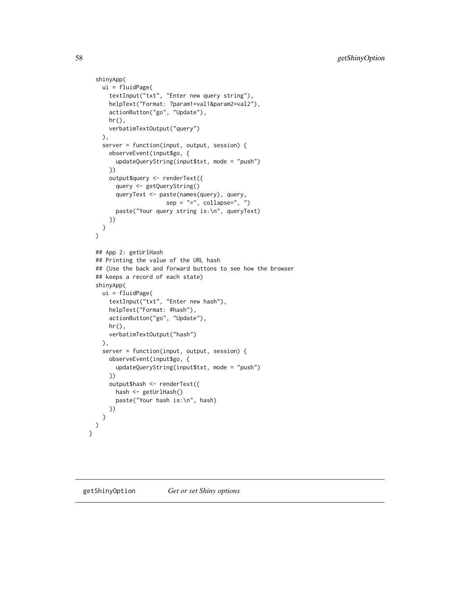```
shinyApp(
   ui = fluidPage(
      textInput("txt", "Enter new query string"),
      helpText("Format: ?param1=val1&param2=val2"),
      actionButton("go", "Update"),
      hr(),
      verbatimTextOutput("query")
   ),
    server = function(input, output, session) {
      observeEvent(input$go, {
        updateQueryString(input$txt, mode = "push")
      })
      output$query <- renderText({
        query <- getQueryString()
        queryText <- paste(names(query), query,
                       sep = "="", collapse="", "paste("Your query string is:\n", queryText)
      })
   }
 \mathcal{L}## App 2: getUrlHash
 ## Printing the value of the URL hash
 ## (Use the back and forward buttons to see how the browser
 ## keeps a record of each state)
 shinyApp(
   ui = fluidPage(
      textInput("txt", "Enter new hash"),
      helpText("Format: #hash"),
      actionButton("go", "Update"),
      hr(),
      verbatimTextOutput("hash")
   ),
    server = function(input, output, session) {
      observeEvent(input$go, {
       updateQueryString(input$txt, mode = "push")
      })
      output$hash <- renderText({
       hash <- getUrlHash()
        paste("Your hash is:\n", hash)
      })
   }
 )
}
```
getShinyOption *Get or set Shiny options*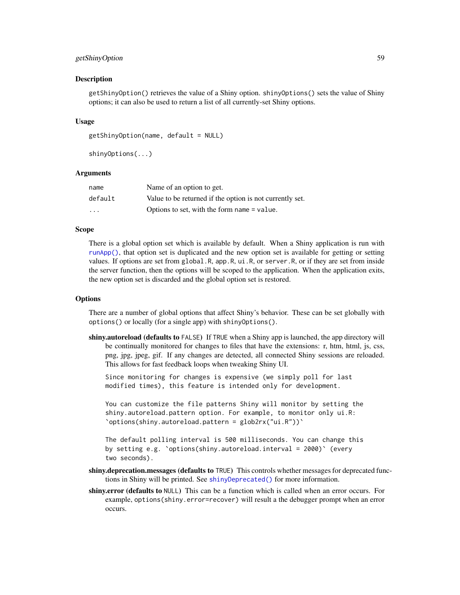# getShinyOption 59

## Description

getShinyOption() retrieves the value of a Shiny option. shinyOptions() sets the value of Shiny options; it can also be used to return a list of all currently-set Shiny options.

## Usage

```
getShinyOption(name, default = NULL)
```

```
shinyOptions(...)
```
## Arguments

| name                    | Name of an option to get.                                |
|-------------------------|----------------------------------------------------------|
| default                 | Value to be returned if the option is not currently set. |
| $\cdot$ $\cdot$ $\cdot$ | Options to set, with the form name = value.              |

#### Scope

There is a global option set which is available by default. When a Shiny application is run with [runApp\(\)](#page-148-0), that option set is duplicated and the new option set is available for getting or setting values. If options are set from global.R, app.R, ui.R, or server.R, or if they are set from inside the server function, then the options will be scoped to the application. When the application exits, the new option set is discarded and the global option set is restored.

#### **Options**

There are a number of global options that affect Shiny's behavior. These can be set globally with options() or locally (for a single app) with shinyOptions().

shiny.autoreload (defaults to FALSE) If TRUE when a Shiny app is launched, the app directory will be continually monitored for changes to files that have the extensions: r, htm, html, js, css, png, jpg, jpeg, gif. If any changes are detected, all connected Shiny sessions are reloaded. This allows for fast feedback loops when tweaking Shiny UI.

Since monitoring for changes is expensive (we simply poll for last modified times), this feature is intended only for development.

You can customize the file patterns Shiny will monitor by setting the shiny.autoreload.pattern option. For example, to monitor only ui.R: `options(shiny.autoreload.pattern = glob2rx("ui.R"))`

The default polling interval is 500 milliseconds. You can change this by setting e.g. `options(shiny.autoreload.interval = 2000)` (every two seconds).

- shiny.deprecation.messages (defaults to TRUE) This controls whether messages for deprecated functions in Shiny will be printed. See [shinyDeprecated\(\)](#page-0-0) for more information.
- shiny.error (defaults to NULL) This can be a function which is called when an error occurs. For example, options(shiny.error=recover) will result a the debugger prompt when an error occurs.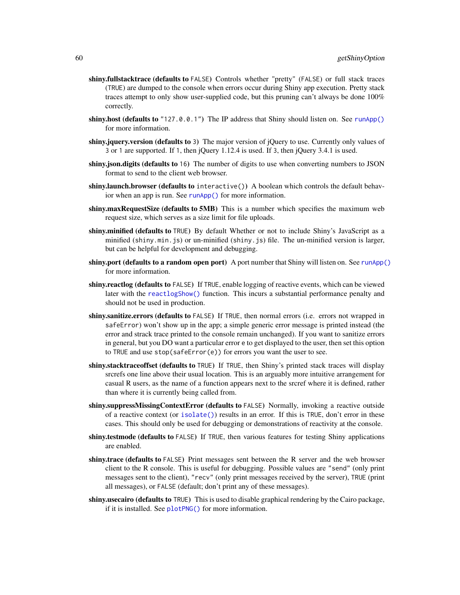- shiny.fullstacktrace (defaults to FALSE) Controls whether "pretty" (FALSE) or full stack traces (TRUE) are dumped to the console when errors occur during Shiny app execution. Pretty stack traces attempt to only show user-supplied code, but this pruning can't always be done 100% correctly.
- shiny.host (defaults to "127.0.0.1") The IP address that Shiny should listen on. See [runApp\(\)](#page-148-0) for more information.
- shiny.jquery.version (defaults to 3) The major version of jQuery to use. Currently only values of 3 or 1 are supported. If 1, then jQuery 1.12.4 is used. If 3, then jQuery 3.4.1 is used.
- shiny.json.digits (defaults to 16) The number of digits to use when converting numbers to JSON format to send to the client web browser.
- shiny.launch.browser (defaults to interactive()) A boolean which controls the default behavior when an app is run. See [runApp\(\)](#page-148-0) for more information.
- **shiny.maxRequestSize (defaults to 5MB)** This is a number which specifies the maximum web request size, which serves as a size limit for file uploads.
- shiny.minified (defaults to TRUE) By default Whether or not to include Shiny's JavaScript as a minified (shiny.min.js) or un-minified (shiny.js) file. The un-minified version is larger, but can be helpful for development and debugging.
- shiny.port (defaults to a random open port) A port number that Shiny will listen on. See [runApp\(\)](#page-148-0) for more information.
- shiny.reactlog (defaults to FALSE) If TRUE, enable logging of reactive events, which can be viewed later with the [reactlogShow\(\)](#page-123-0) function. This incurs a substantial performance penalty and should not be used in production.
- shiny.sanitize.errors (defaults to FALSE) If TRUE, then normal errors (i.e. errors not wrapped in safeError) won't show up in the app; a simple generic error message is printed instead (the error and strack trace printed to the console remain unchanged). If you want to sanitize errors in general, but you DO want a particular error e to get displayed to the user, then set this option to TRUE and use stop(safeError(e)) for errors you want the user to see.
- shiny.stacktraceoffset (defaults to TRUE) If TRUE, then Shiny's printed stack traces will display srcrefs one line above their usual location. This is an arguably more intuitive arrangement for casual R users, as the name of a function appears next to the srcref where it is defined, rather than where it is currently being called from.
- shiny.suppressMissingContextError (defaults to FALSE) Normally, invoking a reactive outside of a reactive context (or [isolate\(\)](#page-72-0)) results in an error. If this is TRUE, don't error in these cases. This should only be used for debugging or demonstrations of reactivity at the console.
- shiny.testmode (defaults to FALSE) If TRUE, then various features for testing Shiny applications are enabled.
- shiny.trace (defaults to FALSE) Print messages sent between the R server and the web browser client to the R console. This is useful for debugging. Possible values are "send" (only print messages sent to the client), "recv" (only print messages received by the server), TRUE (print all messages), or FALSE (default; don't print any of these messages).
- shiny.usecairo (defaults to TRUE) This is used to disable graphical rendering by the Cairo package, if it is installed. See [plotPNG\(\)](#page-109-0) for more information.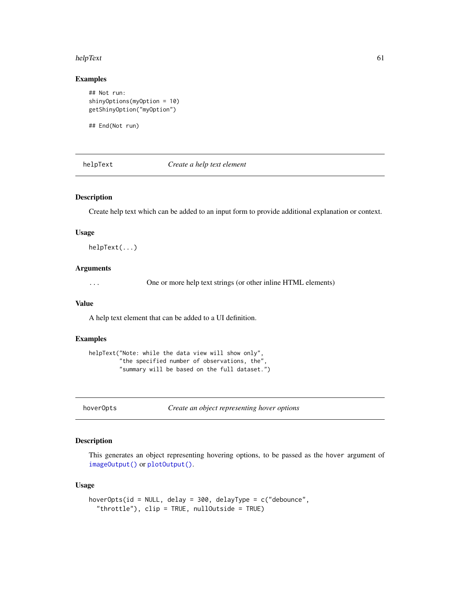#### helpText 61

# Examples

```
## Not run:
shinyOptions(myOption = 10)
getShinyOption("myOption")
```
## End(Not run)

helpText *Create a help text element*

# Description

Create help text which can be added to an input form to provide additional explanation or context.

# Usage

helpText(...)

# Arguments

... One or more help text strings (or other inline HTML elements)

#### Value

A help text element that can be added to a UI definition.

# Examples

```
helpText("Note: while the data view will show only",
         "the specified number of observations, the",
         "summary will be based on the full dataset.")
```
hoverOpts *Create an object representing hover options*

#### Description

This generates an object representing hovering options, to be passed as the hover argument of [imageOutput\(\)](#page-104-1) or [plotOutput\(\)](#page-104-0).

## Usage

```
hoverOpts(id = NULL, delay = 300, delayType = c("debounce",
  "throttle"), clip = TRUE, nullOutside = TRUE)
```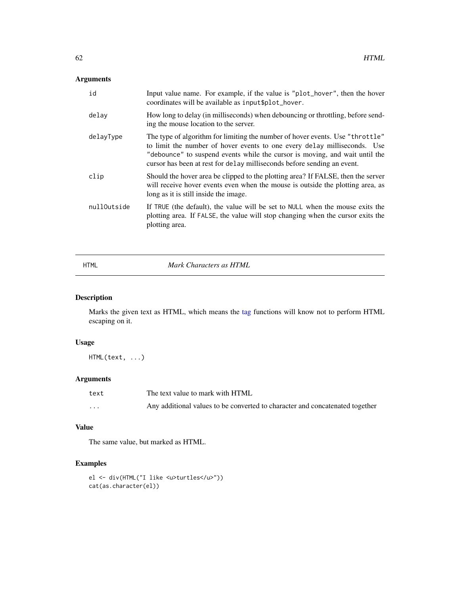# Arguments

| id          | Input value name. For example, if the value is "plot_hover", then the hover<br>coordinates will be available as input \$plot_hover.                                                                                                                                                                                 |
|-------------|---------------------------------------------------------------------------------------------------------------------------------------------------------------------------------------------------------------------------------------------------------------------------------------------------------------------|
| delay       | How long to delay (in milliseconds) when debouncing or throttling, before send-<br>ing the mouse location to the server.                                                                                                                                                                                            |
| delayType   | The type of algorithm for limiting the number of hover events. Use "throttle"<br>to limit the number of hover events to one every delay milliseconds. Use<br>"debounce" to suspend events while the cursor is moving, and wait until the<br>cursor has been at rest for delay milliseconds before sending an event. |
| clip        | Should the hover area be clipped to the plotting area? If FALSE, then the server<br>will receive hover events even when the mouse is outside the plotting area, as<br>long as it is still inside the image.                                                                                                         |
| nullOutside | If TRUE (the default), the value will be set to NULL when the mouse exits the<br>plotting area. If FALSE, the value will stop changing when the cursor exits the<br>plotting area.                                                                                                                                  |

HTML *Mark Characters as HTML*

# Description

Marks the given text as HTML, which means the [tag](#page-180-1) functions will know not to perform HTML escaping on it.

# Usage

HTML(text, ...)

# Arguments

| text     | The text value to mark with HTML                                             |
|----------|------------------------------------------------------------------------------|
| $\cdots$ | Any additional values to be converted to character and concatenated together |

# Value

The same value, but marked as HTML.

```
el <- div(HTML("I like <u>turtles</u>"))
cat(as.character(el))
```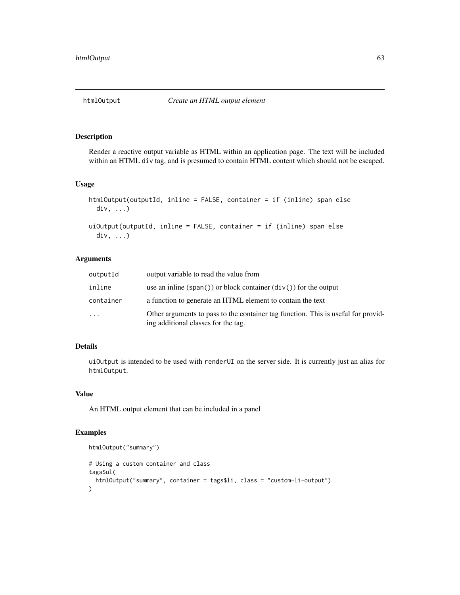# Description

Render a reactive output variable as HTML within an application page. The text will be included within an HTML div tag, and is presumed to contain HTML content which should not be escaped.

### Usage

```
htmlOutput(outputId, inline = FALSE, container = if (inline) span else
 div, ...)
uiOutput(outputId, inline = FALSE, container = if (inline) span else
  div, ...)
```
# Arguments

| outputId                | output variable to read the value from                                                                                   |
|-------------------------|--------------------------------------------------------------------------------------------------------------------------|
| inline                  | use an inline (span()) or block container $div()$ for the output                                                         |
| container               | a function to generate an HTML element to contain the text                                                               |
| $\cdot$ $\cdot$ $\cdot$ | Other arguments to pass to the container tag function. This is useful for provid-<br>ing additional classes for the tag. |

# Details

uiOutput is intended to be used with renderUI on the server side. It is currently just an alias for htmlOutput.

# Value

An HTML output element that can be included in a panel

```
htmlOutput("summary")
# Using a custom container and class
tags$ul(
  htmlOutput("summary", container = tags$li, class = "custom-li-output")
)
```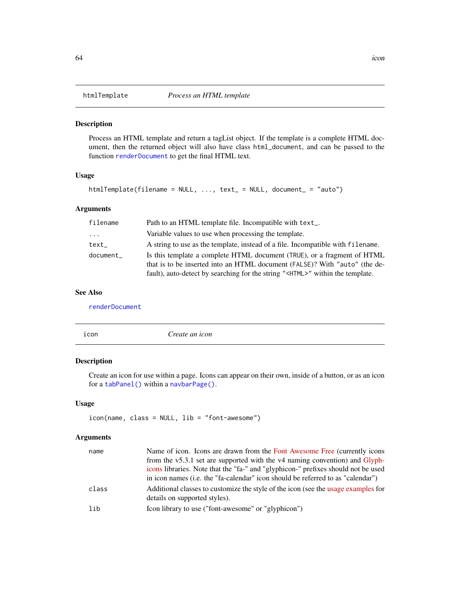# Description

Process an HTML template and return a tagList object. If the template is a complete HTML document, then the returned object will also have class html\_document, and can be passed to the function [renderDocument](#page-0-0) to get the final HTML text.

## Usage

```
htmlTemplate(filename = NULL, ..., text_ = NULL, document_ = "auto")
```
# Arguments

| filename  | Path to an HTML template file. Incompatible with text_.                                                                                                                                                                                        |
|-----------|------------------------------------------------------------------------------------------------------------------------------------------------------------------------------------------------------------------------------------------------|
| .         | Variable values to use when processing the template.                                                                                                                                                                                           |
| text_     | A string to use as the template, instead of a file. Incompatible with filename.                                                                                                                                                                |
| document_ | Is this template a complete HTML document (TRUE), or a fragment of HTML<br>that is to be inserted into an HTML document (FALSE)? With "auto" (the de-<br>fault), auto-detect by searching for the string " <html>" within the template.</html> |

# See Also

[renderDocument](#page-0-0)

| icon | Create an icon |  |
|------|----------------|--|
|      |                |  |

# Description

Create an icon for use within a page. Icons can appear on their own, inside of a button, or as an icon for a [tabPanel\(\)](#page-178-0) within a [navbarPage\(\)](#page-82-0).

# Usage

icon(name, class = NULL, lib = "font-awesome")

# Arguments

| name  | Name of icon. Icons are drawn from the Font Awesome Free (currently icons                                          |
|-------|--------------------------------------------------------------------------------------------------------------------|
|       | from the v5.3.1 set are supported with the v4 naming convention) and Glyph-                                        |
|       | icons libraries. Note that the "fa-" and "glyphicon-" prefixes should not be used                                  |
|       | in icon names (i.e. the "fa-calendar" icon should be referred to as "calendar")                                    |
| class | Additional classes to customize the style of the icon (see the usage examples for<br>details on supported styles). |
| lib   | Icon library to use ("font-awesome" or "glyphicon")                                                                |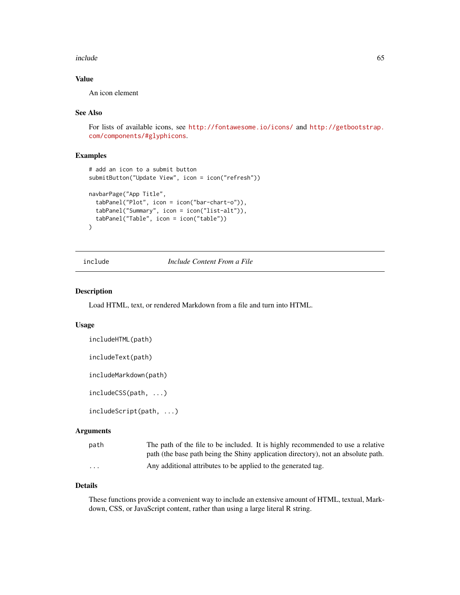#### include 65

# Value

An icon element

## See Also

For lists of available icons, see <http://fontawesome.io/icons/> and [http://getbootstrap.](http://getbootstrap.com/components/#glyphicons) [com/components/#glyphicons](http://getbootstrap.com/components/#glyphicons).

## Examples

```
# add an icon to a submit button
submitButton("Update View", icon = icon("refresh"))
navbarPage("App Title",
 tabPanel("Plot", icon = icon("bar-chart-o")),
 tabPanel("Summary", icon = icon("list-alt")),
 tabPanel("Table", icon = icon("table"))
)
```
# include *Include Content From a File*

#### Description

Load HTML, text, or rendered Markdown from a file and turn into HTML.

## Usage

```
includeHTML(path)
```

```
includeText(path)
```

```
includeMarkdown(path)
```

```
includeCSS(path, ...)
```

```
includeScript(path, ...)
```
# Arguments

| path              | The path of the file to be included. It is highly recommended to use a relative   |
|-------------------|-----------------------------------------------------------------------------------|
|                   | path (the base path being the Shiny application directory), not an absolute path. |
| $\cdot\cdot\cdot$ | Any additional attributes to be applied to the generated tag.                     |

# Details

These functions provide a convenient way to include an extensive amount of HTML, textual, Markdown, CSS, or JavaScript content, rather than using a large literal R string.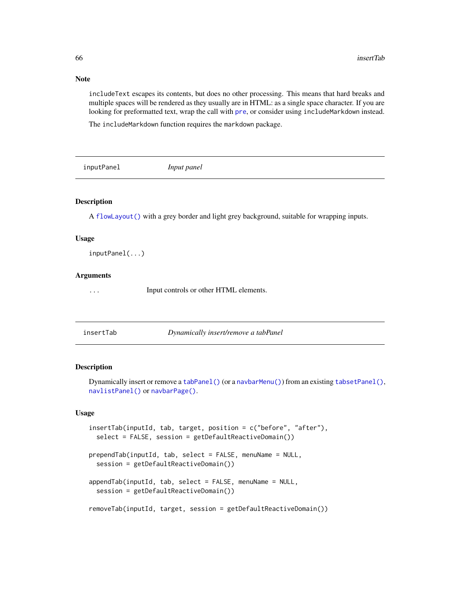# Note

includeText escapes its contents, but does no other processing. This means that hard breaks and multiple spaces will be rendered as they usually are in HTML: as a single space character. If you are looking for [pre](#page-14-0)formatted text, wrap the call with pre, or consider using includeMarkdown instead.

The includeMarkdown function requires the markdown package.

# Description

A [flowLayout\(\)](#page-51-0) with a grey border and light grey background, suitable for wrapping inputs.

## Usage

inputPanel(...)

## **Arguments**

... Input controls or other HTML elements.

insertTab *Dynamically insert/remove a tabPanel*

# Description

Dynamically insert or remove a [tabPanel\(\)](#page-178-0) (or a [navbarMenu\(\)](#page-82-1)) from an existing [tabsetPanel\(\)](#page-179-0), [navlistPanel\(\)](#page-84-0) or [navbarPage\(\)](#page-82-0).

# Usage

```
insertTab(inputId, tab, target, position = c("before", "after"),
  select = FALSE, session = getDefaultReactiveDomain())
prependTab(inputId, tab, select = FALSE, menuName = NULL,
  session = getDefaultReactiveDomain())
appendTab(inputId, tab, select = FALSE, menuName = NULL,
  session = getDefaultReactiveDomain())
removeTab(inputId, target, session = getDefaultReactiveDomain())
```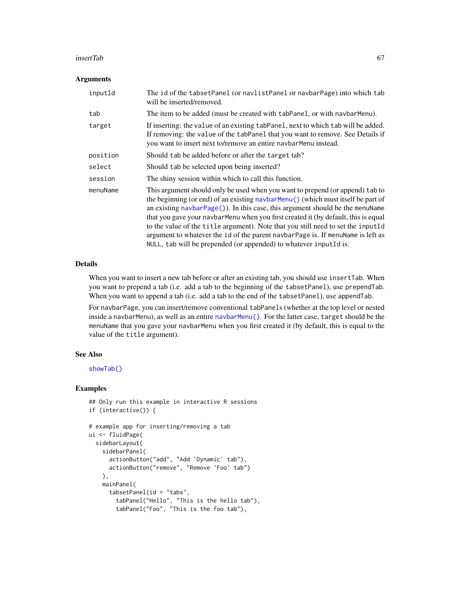#### insertTab 67

### **Arguments**

| inputId  | The id of the tabsetPanel (or navlistPanel or navbarPage) into which tab<br>will be inserted/removed.                                                                                                                                                                                                                                                                                                                                                                                                                                                                                    |
|----------|------------------------------------------------------------------------------------------------------------------------------------------------------------------------------------------------------------------------------------------------------------------------------------------------------------------------------------------------------------------------------------------------------------------------------------------------------------------------------------------------------------------------------------------------------------------------------------------|
| tab      | The item to be added (must be created with tabPanel, or with navbarMenu).                                                                                                                                                                                                                                                                                                                                                                                                                                                                                                                |
| target   | If inserting: the value of an existing tabPanel, next to which tab will be added.<br>If removing: the value of the tabPanel that you want to remove. See Details if<br>you want to insert next to/remove an entire navbarMenu instead.                                                                                                                                                                                                                                                                                                                                                   |
| position | Should tab be added before or after the target tab?                                                                                                                                                                                                                                                                                                                                                                                                                                                                                                                                      |
| select   | Should tab be selected upon being inserted?                                                                                                                                                                                                                                                                                                                                                                                                                                                                                                                                              |
| session  | The shiny session within which to call this function.                                                                                                                                                                                                                                                                                                                                                                                                                                                                                                                                    |
| menuName | This argument should only be used when you want to prepend (or append) tab to<br>the beginning (or end) of an existing navbarMenu() (which must itself be part of<br>an existing $navbarPage()$ ). In this case, this argument should be the menuName<br>that you gave your navbar Menu when you first created it (by default, this is equal<br>to the value of the title argument). Note that you still need to set the inputId<br>argument to whatever the id of the parent navbarPage is. If menuName is left as<br>NULL, tab will be prepended (or appended) to whatever inputId is. |

## Details

When you want to insert a new tab before or after an existing tab, you should use insertTab. When you want to prepend a tab (i.e. add a tab to the beginning of the tabsetPanel), use prependTab. When you want to append a tab (i.e. add a tab to the end of the tabsetPanel), use appendTab.

For navbarPage, you can insert/remove conventional tabPanels (whether at the top level or nested inside a navbarMenu), as well as an entire [navbarMenu\(\)](#page-82-1). For the latter case, target should be the menuName that you gave your navbarMenu when you first created it (by default, this is equal to the value of the title argument).

# See Also

[showTab\(\)](#page-165-0)

```
## Only run this example in interactive R sessions
if (interactive()) {
# example app for inserting/removing a tab
ui <- fluidPage(
 sidebarLayout(
   sidebarPanel(
     actionButton("add", "Add 'Dynamic' tab"),
     actionButton("remove", "Remove 'Foo' tab")
   ),
   mainPanel(
     tabsetPanel(id = "tabs",
       tabPanel("Hello", "This is the hello tab"),
       tabPanel("Foo", "This is the foo tab"),
```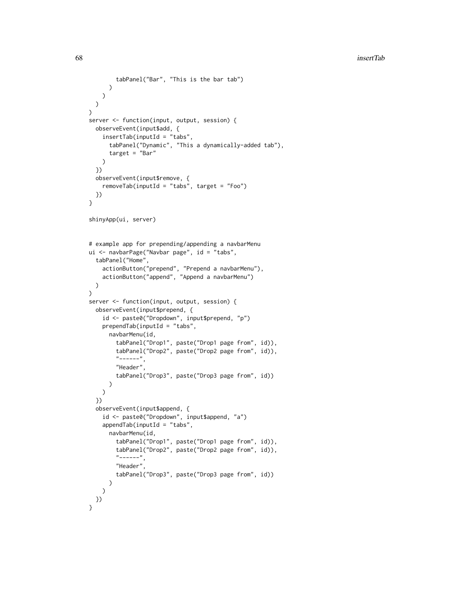```
tabPanel("Bar", "This is the bar tab")
     )
   )
 )
\mathcal{L}server <- function(input, output, session) {
  observeEvent(input$add, {
    insertTab(inputId = "tabs",
      tabPanel("Dynamic", "This a dynamically-added tab"),
      target = "Bar"
   )
  })
  observeEvent(input$remove, {
    removeTab(inputId = "tabs", target = "Foo")
  })
}
shinyApp(ui, server)
# example app for prepending/appending a navbarMenu
ui <- navbarPage("Navbar page", id = "tabs",
  tabPanel("Home",
    actionButton("prepend", "Prepend a navbarMenu"),
    actionButton("append", "Append a navbarMenu")
  )
\mathcal{L}server <- function(input, output, session) {
  observeEvent(input$prepend, {
    id <- paste0("Dropdown", input$prepend, "p")
    prependTab(inputId = "tabs",navbarMenu(id,
        tabPanel("Drop1", paste("Drop1 page from", id)),
        tabPanel("Drop2", paste("Drop2 page from", id)),
        "-----""Header",
        tabPanel("Drop3", paste("Drop3 page from", id))
      )
   )
  })
  observeEvent(input$append, {
    id <- paste0("Dropdown", input$append, "a")
    appendTab(inputId = "tabs",navbarMenu(id,
        tabPanel("Drop1", paste("Drop1 page from", id)),
        tabPanel("Drop2", paste("Drop2 page from", id)),
        "-----",
        "Header",
        tabPanel("Drop3", paste("Drop3 page from", id))
      \lambda)
 })
}
```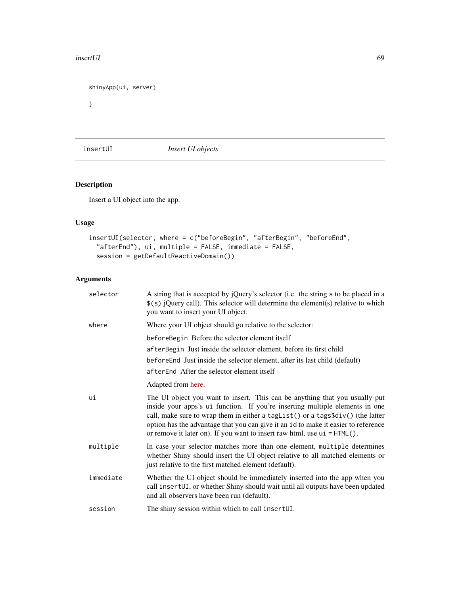## insertUI 69

```
shinyApp(ui, server)
```
}

insertUI *Insert UI objects*

# Description

Insert a UI object into the app.

# Usage

```
insertUI(selector, where = c("beforeBegin", "afterBegin", "beforeEnd",
  "afterEnd"), ui, multiple = FALSE, immediate = FALSE,
 session = getDefaultReactiveDomain())
```
# Arguments

| selector  | A string that is accepted by jQuery's selector (i.e. the string s to be placed in a<br>$$(s)$ jQuery call). This selector will determine the element(s) relative to which<br>you want to insert your UI object.                                                                                                                                                                                                      |
|-----------|----------------------------------------------------------------------------------------------------------------------------------------------------------------------------------------------------------------------------------------------------------------------------------------------------------------------------------------------------------------------------------------------------------------------|
| where     | Where your UI object should go relative to the selector:                                                                                                                                                                                                                                                                                                                                                             |
|           | beforeBegin Before the selector element itself<br>after Begin Just inside the selector element, before its first child<br>beforeEnd Just inside the selector element, after its last child (default)<br>afterEnd After the selector element itself                                                                                                                                                                   |
|           | Adapted from here.                                                                                                                                                                                                                                                                                                                                                                                                   |
| ui        | The UI object you want to insert. This can be anything that you usually put<br>inside your apps's ui function. If you're inserting multiple elements in one<br>call, make sure to wrap them in either a taglist () or a tags\$div() (the latter<br>option has the advantage that you can give it an id to make it easier to reference<br>or remove it later on). If you want to insert raw html, use $ui = HTML()$ . |
| multiple  | In case your selector matches more than one element, multiple determines<br>whether Shiny should insert the UI object relative to all matched elements or<br>just relative to the first matched element (default).                                                                                                                                                                                                   |
| immediate | Whether the UI object should be immediately inserted into the app when you<br>call insertUI, or whether Shiny should wait until all outputs have been updated<br>and all observers have been run (default).                                                                                                                                                                                                          |
| session   | The shiny session within which to call insertUI.                                                                                                                                                                                                                                                                                                                                                                     |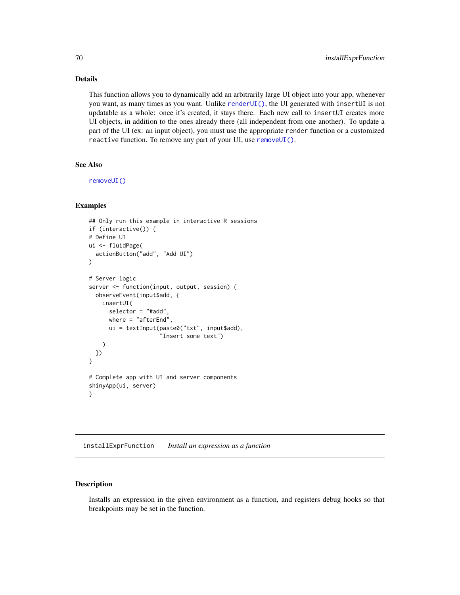# Details

This function allows you to dynamically add an arbitrarily large UI object into your app, whenever you want, as many times as you want. Unlike [renderUI\(\)](#page-143-0), the UI generated with insertUI is not updatable as a whole: once it's created, it stays there. Each new call to insertUI creates more UI objects, in addition to the ones already there (all independent from one another). To update a part of the UI (ex: an input object), you must use the appropriate render function or a customized reactive function. To remove any part of your UI, use [removeUI\(\)](#page-126-0).

# See Also

[removeUI\(\)](#page-126-0)

## Examples

```
## Only run this example in interactive R sessions
if (interactive()) {
# Define UI
ui <- fluidPage(
  actionButton("add", "Add UI")
)
# Server logic
server <- function(input, output, session) {
  observeEvent(input$add, {
   insertUI(
      selector = "#add",
     where = "afterEnd",
      ui = textInput(paste0("txt", input$add),
                     "Insert some text")
   )
 })
}
# Complete app with UI and server components
shinyApp(ui, server)
}
```
installExprFunction *Install an expression as a function*

# **Description**

Installs an expression in the given environment as a function, and registers debug hooks so that breakpoints may be set in the function.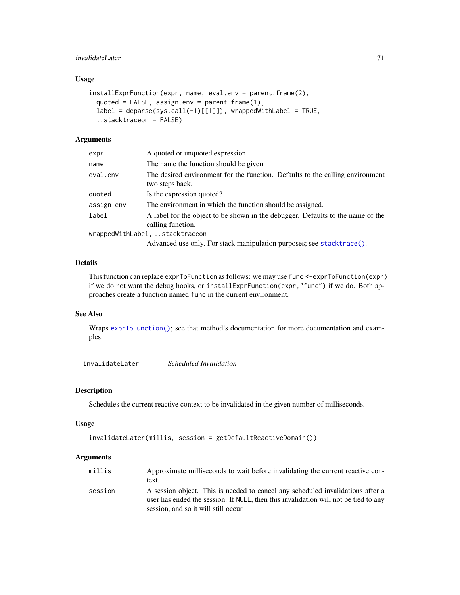# invalidateLater 71

# Usage

```
installExprFunction(expr, name, eval.env = parent.frame(2),
 quoted = FALSE, assign.env = parent.frame(1),
  label = deparse(sys.call(-1)[[1]]), wrappedWithLabel = TRUE,
  ..stacktraceon = FALSE)
```
## Arguments

| expr       | A quoted or unquoted expression                                                                      |
|------------|------------------------------------------------------------------------------------------------------|
| name       | The name the function should be given                                                                |
| eval.env   | The desired environment for the function. Defaults to the calling environment<br>two steps back.     |
| quoted     | Is the expression quoted?                                                                            |
| assign.env | The environment in which the function should be assigned.                                            |
| label      | A label for the object to be shown in the debugger. Defaults to the name of the<br>calling function. |
|            | wrappedWithLabel, stacktraceon                                                                       |
|            | Advanced use only. For stack manipulation purposes; see stacktrace().                                |

# Details

This function can replace exprToFunction as follows: we may use func <-exprToFunction(expr) if we do not want the debug hooks, or installExprFunction(expr,"func") if we do. Both approaches create a function named func in the current environment.

# See Also

Wraps [exprToFunction\(\)](#page-44-0); see that method's documentation for more documentation and examples.

invalidateLater *Scheduled Invalidation*

#### Description

Schedules the current reactive context to be invalidated in the given number of milliseconds.

#### Usage

```
invalidateLater(millis, session = getDefaultReactiveDomain())
```
## Arguments

| millis  | Approximate milliseconds to wait before invalidating the current reactive con-                                                                                        |
|---------|-----------------------------------------------------------------------------------------------------------------------------------------------------------------------|
|         | text.                                                                                                                                                                 |
| session | A session object. This is needed to cancel any scheduled invalidations after a<br>user has ended the session. If NULL, then this invalidation will not be tied to any |
|         | session, and so it will still occur.                                                                                                                                  |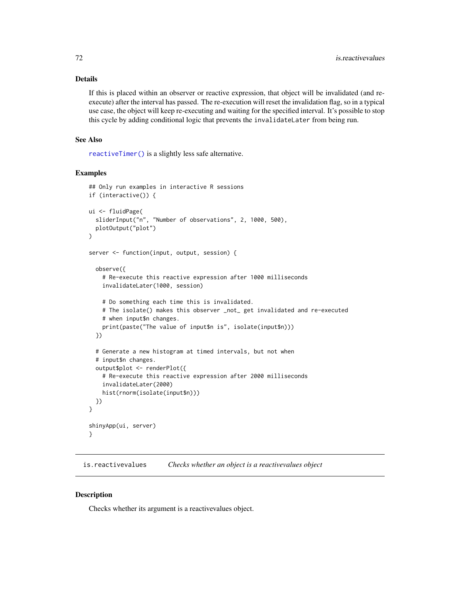## Details

If this is placed within an observer or reactive expression, that object will be invalidated (and reexecute) after the interval has passed. The re-execution will reset the invalidation flag, so in a typical use case, the object will keep re-executing and waiting for the specified interval. It's possible to stop this cycle by adding conditional logic that prevents the invalidateLater from being run.

## See Also

[reactiveTimer\(\)](#page-118-0) is a slightly less safe alternative.

## Examples

```
## Only run examples in interactive R sessions
if (interactive()) {
ui <- fluidPage(
  sliderInput("n", "Number of observations", 2, 1000, 500),
  plotOutput("plot")
)
server <- function(input, output, session) {
  observe({
    # Re-execute this reactive expression after 1000 milliseconds
    invalidateLater(1000, session)
    # Do something each time this is invalidated.
    # The isolate() makes this observer _not_ get invalidated and re-executed
    # when input$n changes.
    print(paste("The value of input$n is", isolate(input$n)))
  })
  # Generate a new histogram at timed intervals, but not when
  # input$n changes.
  output$plot <- renderPlot({
    # Re-execute this reactive expression after 2000 milliseconds
    invalidateLater(2000)
    hist(rnorm(isolate(input$n)))
  })
}
shinyApp(ui, server)
}
```
is.reactivevalues *Checks whether an object is a reactivevalues object*

# **Description**

Checks whether its argument is a reactivevalues object.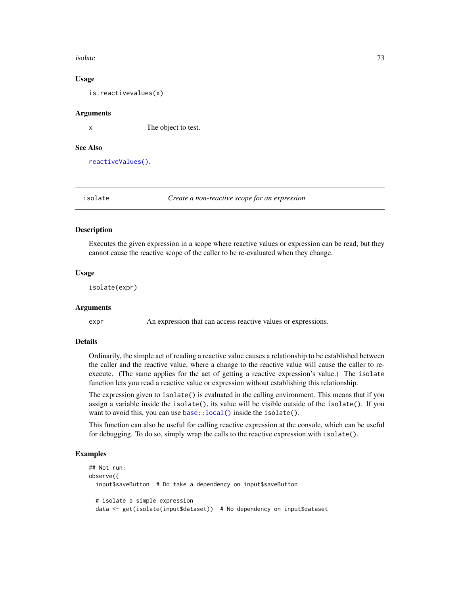#### isolate 73

#### Usage

is.reactivevalues(x)

### Arguments

x The object to test.

## See Also

[reactiveValues\(\)](#page-121-0).

<span id="page-72-0"></span>isolate *Create a non-reactive scope for an expression*

### Description

Executes the given expression in a scope where reactive values or expression can be read, but they cannot cause the reactive scope of the caller to be re-evaluated when they change.

### Usage

isolate(expr)

### Arguments

expr An expression that can access reactive values or expressions.

#### Details

Ordinarily, the simple act of reading a reactive value causes a relationship to be established between the caller and the reactive value, where a change to the reactive value will cause the caller to reexecute. (The same applies for the act of getting a reactive expression's value.) The isolate function lets you read a reactive value or expression without establishing this relationship.

The expression given to isolate() is evaluated in the calling environment. This means that if you assign a variable inside the isolate(), its value will be visible outside of the isolate(). If you want to avoid this, you can use base:: local() inside the isolate().

This function can also be useful for calling reactive expression at the console, which can be useful for debugging. To do so, simply wrap the calls to the reactive expression with isolate().

#### Examples

```
## Not run:
observe({
 input$saveButton # Do take a dependency on input$saveButton
 # isolate a simple expression
 data <- get(isolate(input$dataset)) # No dependency on input$dataset
```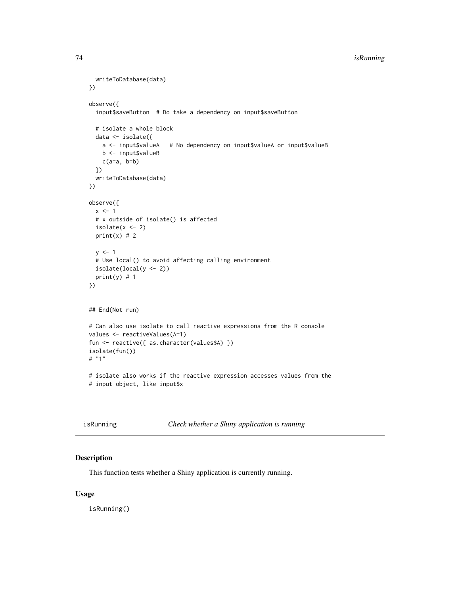## 74 isRunning

```
writeToDatabase(data)
})
observe({
 input$saveButton # Do take a dependency on input$saveButton
 # isolate a whole block
 data <- isolate({
   a <- input$valueA # No dependency on input$valueA or input$valueB
   b <- input$valueB
   c(a=a, b=b)})
 writeToDatabase(data)
})
observe({
 x \le -1# x outside of isolate() is affected
 isolate(x < -2)print(x) # 2y \le -1# Use local() to avoid affecting calling environment
 isolate(local(y <- 2))
 print(y) # 1})
## End(Not run)
# Can also use isolate to call reactive expressions from the R console
values <- reactiveValues(A=1)
fun <- reactive({ as.character(values$A) })
isolate(fun())
# "1"
# isolate also works if the reactive expression accesses values from the
# input object, like input$x
```

|  | isRunning |  |
|--|-----------|--|
|  |           |  |
|  |           |  |

isRunning *Check whether a Shiny application is running*

## Description

This function tests whether a Shiny application is currently running.

### Usage

isRunning()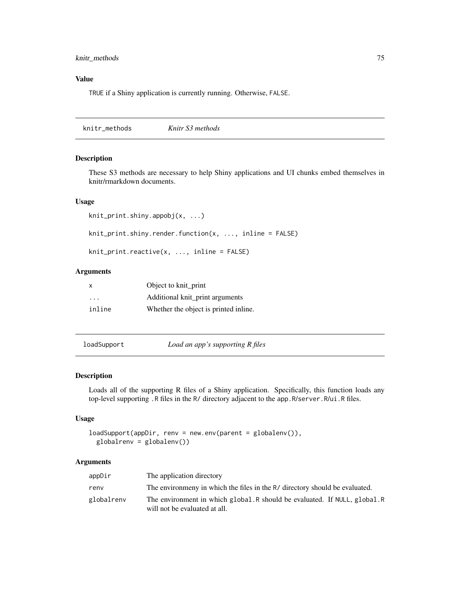## knitr\_methods 75

# Value

TRUE if a Shiny application is currently running. Otherwise, FALSE.

knitr\_methods *Knitr S3 methods*

#### Description

These S3 methods are necessary to help Shiny applications and UI chunks embed themselves in knitr/rmarkdown documents.

#### Usage

```
knit_print.shiny.appobj(x, ...)
```
knit\_print.shiny.render.function(x, ..., inline = FALSE)

knit\_print.reactive(x, ..., inline = FALSE)

## Arguments

| $\mathsf{x}$ | Object to knit_print                  |
|--------------|---------------------------------------|
| .            | Additional knit_print arguments       |
| inline       | Whether the object is printed inline. |

loadSupport *Load an app's supporting R files*

## Description

Loads all of the supporting R files of a Shiny application. Specifically, this function loads any top-level supporting .R files in the R/ directory adjacent to the app.R/server.R/ui.R files.

## Usage

```
loadSupport(appDir, renv = new.env(parent = globalenv()),
 globalrenv = globalenv())
```

| appDir     | The application directory                                                                                   |
|------------|-------------------------------------------------------------------------------------------------------------|
| renv       | The environmeny in which the files in the R/ directory should be evaluated.                                 |
| globalrenv | The environment in which global. R should be evaluated. If NULL, global. R<br>will not be evaluated at all. |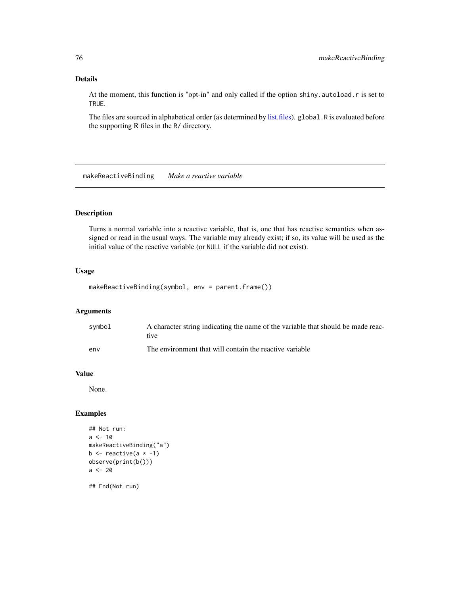# Details

At the moment, this function is "opt-in" and only called if the option shiny.autoload.r is set to TRUE.

The files are sourced in alphabetical order (as determined by [list.files\)](#page-0-0). global.R is evaluated before the supporting R files in the R/ directory.

makeReactiveBinding *Make a reactive variable*

## Description

Turns a normal variable into a reactive variable, that is, one that has reactive semantics when assigned or read in the usual ways. The variable may already exist; if so, its value will be used as the initial value of the reactive variable (or NULL if the variable did not exist).

### Usage

makeReactiveBinding(symbol, env = parent.frame())

## Arguments

| svmbol | A character string indicating the name of the variable that should be made reac-<br>tive. |
|--------|-------------------------------------------------------------------------------------------|
| env    | The environment that will contain the reactive variable                                   |

## Value

None.

## Examples

```
## Not run:
a < -10makeReactiveBinding("a")
b \leftarrow reactive(a \star -1)
observe(print(b()))
a < - 20
```
## End(Not run)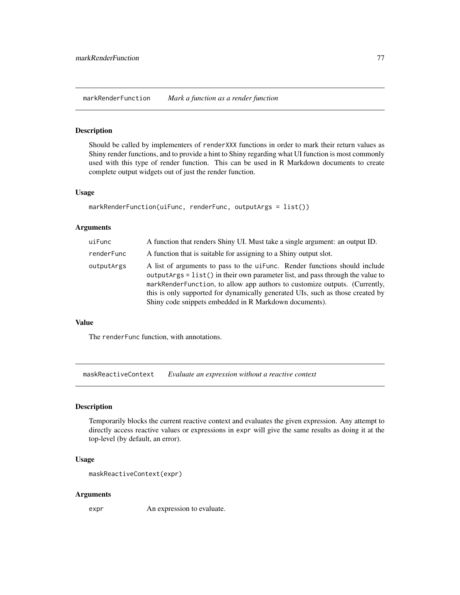markRenderFunction *Mark a function as a render function*

### Description

Should be called by implementers of renderXXX functions in order to mark their return values as Shiny render functions, and to provide a hint to Shiny regarding what UI function is most commonly used with this type of render function. This can be used in R Markdown documents to create complete output widgets out of just the render function.

#### Usage

```
markRenderFunction(uiFunc, renderFunc, outputArgs = list())
```
## Arguments

| uiFunc     | A function that renders Shiny UI. Must take a single argument: an output ID.                                                                                                                                                                                                                                                                                                           |
|------------|----------------------------------------------------------------------------------------------------------------------------------------------------------------------------------------------------------------------------------------------------------------------------------------------------------------------------------------------------------------------------------------|
| renderFunc | A function that is suitable for assigning to a Shiny output slot.                                                                                                                                                                                                                                                                                                                      |
| outputArgs | A list of arguments to pass to the uifunc. Render functions should include<br>outputArgs = list() in their own parameter list, and pass through the value to<br>markRenderFunction, to allow app authors to customize outputs. (Currently,<br>this is only supported for dynamically generated UIs, such as those created by<br>Shiny code snippets embedded in R Markdown documents). |

## Value

The renderFunc function, with annotations.

maskReactiveContext *Evaluate an expression without a reactive context*

#### Description

Temporarily blocks the current reactive context and evaluates the given expression. Any attempt to directly access reactive values or expressions in expr will give the same results as doing it at the top-level (by default, an error).

### Usage

```
maskReactiveContext(expr)
```
#### Arguments

expr An expression to evaluate.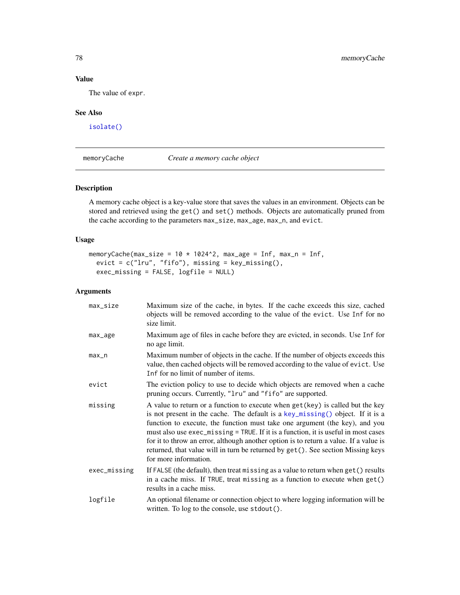# Value

The value of expr.

# See Also

[isolate\(\)](#page-72-0)

memoryCache *Create a memory cache object*

## Description

A memory cache object is a key-value store that saves the values in an environment. Objects can be stored and retrieved using the get() and set() methods. Objects are automatically pruned from the cache according to the parameters max\_size, max\_age, max\_n, and evict.

## Usage

```
memoryCache(max_size = 10 \times 1024^2, max_age = Inf, max_n = Inf,
  evict = c("Iru", "fifo"), missing = key_missing(),exec_missing = FALSE, logfile = NULL)
```

| max_size     | Maximum size of the cache, in bytes. If the cache exceeds this size, cached<br>objects will be removed according to the value of the evict. Use Inf for no<br>size limit.                                                                                                                                                                                                                                                                                                                                                                     |
|--------------|-----------------------------------------------------------------------------------------------------------------------------------------------------------------------------------------------------------------------------------------------------------------------------------------------------------------------------------------------------------------------------------------------------------------------------------------------------------------------------------------------------------------------------------------------|
| max_age      | Maximum age of files in cache before they are evicted, in seconds. Use Inf for<br>no age limit.                                                                                                                                                                                                                                                                                                                                                                                                                                               |
| max_n        | Maximum number of objects in the cache. If the number of objects exceeds this<br>value, then cached objects will be removed according to the value of evict. Use<br>Inf for no limit of number of items.                                                                                                                                                                                                                                                                                                                                      |
| evict        | The eviction policy to use to decide which objects are removed when a cache<br>pruning occurs. Currently, "1ru" and "fifo" are supported.                                                                                                                                                                                                                                                                                                                                                                                                     |
| missing      | A value to return or a function to execute when get (key) is called but the key<br>is not present in the cache. The default is a key_missing() object. If it is a<br>function to execute, the function must take one argument (the key), and you<br>must also use exec_missing = TRUE. If it is a function, it is useful in most cases<br>for it to throw an error, although another option is to return a value. If a value is<br>returned, that value will in turn be returned by get (). See section Missing keys<br>for more information. |
| exec_missing | If FALSE (the default), then treat missing as a value to return when get () results<br>in a cache miss. If TRUE, treat missing as a function to execute when $get()$<br>results in a cache miss.                                                                                                                                                                                                                                                                                                                                              |
| logfile      | An optional filename or connection object to where logging information will be<br>written. To log to the console, use stdout().                                                                                                                                                                                                                                                                                                                                                                                                               |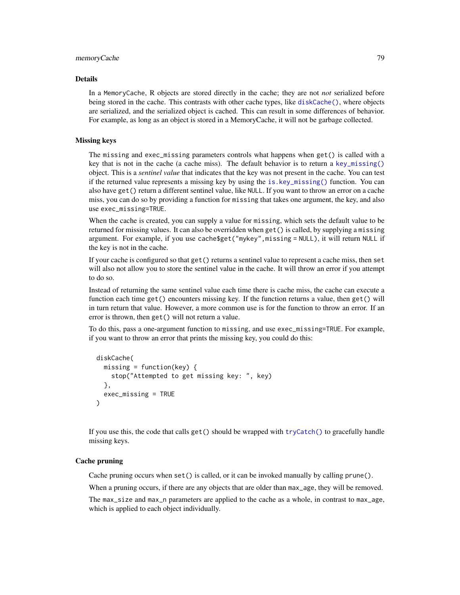#### Details

In a MemoryCache, R objects are stored directly in the cache; they are not *not* serialized before being stored in the cache. This contrasts with other cache types, like [diskCache\(\)](#page-32-0), where objects are serialized, and the serialized object is cached. This can result in some differences of behavior. For example, as long as an object is stored in a MemoryCache, it will not be garbage collected.

### Missing keys

The missing and exec\_missing parameters controls what happens when get() is called with a key that is not in the cache (a cache miss). The default behavior is to return a [key\\_missing\(\)](#page-0-0) object. This is a *sentinel value* that indicates that the key was not present in the cache. You can test if the returned value represents a missing key by using the [is.key\\_missing\(\)](#page-0-0) function. You can also have get() return a different sentinel value, like NULL. If you want to throw an error on a cache miss, you can do so by providing a function for missing that takes one argument, the key, and also use exec\_missing=TRUE.

When the cache is created, you can supply a value for missing, which sets the default value to be returned for missing values. It can also be overridden when get() is called, by supplying a missing argument. For example, if you use cache\$get("mykey",missing = NULL), it will return NULL if the key is not in the cache.

If your cache is configured so that get() returns a sentinel value to represent a cache miss, then set will also not allow you to store the sentinel value in the cache. It will throw an error if you attempt to do so.

Instead of returning the same sentinel value each time there is cache miss, the cache can execute a function each time get() encounters missing key. If the function returns a value, then get() will in turn return that value. However, a more common use is for the function to throw an error. If an error is thrown, then get() will not return a value.

To do this, pass a one-argument function to missing, and use exec\_missing=TRUE. For example, if you want to throw an error that prints the missing key, you could do this:

```
diskCache(
 missing = function(key) {
    stop("Attempted to get missing key: ", key)
 },
 exec_missing = TRUE
\lambda
```
If you use this, the code that calls get() should be wrapped with [tryCatch\(\)](#page-0-0) to gracefully handle missing keys.

#### Cache pruning

Cache pruning occurs when set() is called, or it can be invoked manually by calling prune().

When a pruning occurs, if there are any objects that are older than  $max_{a}$  age, they will be removed.

The max\_size and max\_n parameters are applied to the cache as a whole, in contrast to max\_age, which is applied to each object individually.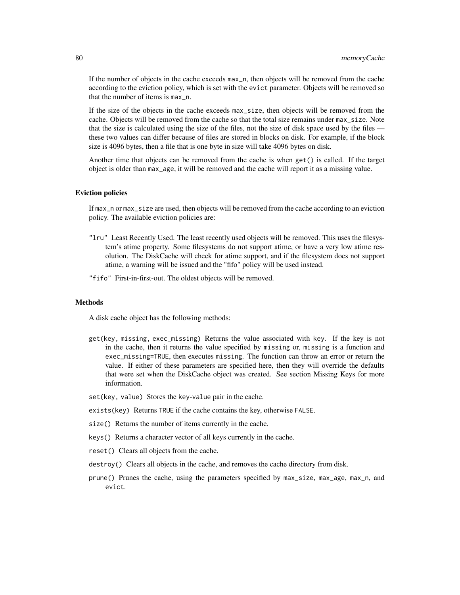If the number of objects in the cache exceeds max\_n, then objects will be removed from the cache according to the eviction policy, which is set with the evict parameter. Objects will be removed so that the number of items is max\_n.

If the size of the objects in the cache exceeds max\_size, then objects will be removed from the cache. Objects will be removed from the cache so that the total size remains under max\_size. Note that the size is calculated using the size of the files, not the size of disk space used by the files these two values can differ because of files are stored in blocks on disk. For example, if the block size is 4096 bytes, then a file that is one byte in size will take 4096 bytes on disk.

Another time that objects can be removed from the cache is when get() is called. If the target object is older than max\_age, it will be removed and the cache will report it as a missing value.

#### Eviction policies

If max\_n or max\_size are used, then objects will be removed from the cache according to an eviction policy. The available eviction policies are:

- "lru" Least Recently Used. The least recently used objects will be removed. This uses the filesystem's atime property. Some filesystems do not support atime, or have a very low atime resolution. The DiskCache will check for atime support, and if the filesystem does not support atime, a warning will be issued and the "fifo" policy will be used instead.
- "fifo" First-in-first-out. The oldest objects will be removed.

## **Methods**

A disk cache object has the following methods:

- get(key, missing, exec\_missing) Returns the value associated with key. If the key is not in the cache, then it returns the value specified by missing or, missing is a function and exec\_missing=TRUE, then executes missing. The function can throw an error or return the value. If either of these parameters are specified here, then they will override the defaults that were set when the DiskCache object was created. See section Missing Keys for more information.
- set(key, value) Stores the key-value pair in the cache.
- exists(key) Returns TRUE if the cache contains the key, otherwise FALSE.
- size() Returns the number of items currently in the cache.
- keys() Returns a character vector of all keys currently in the cache.
- reset() Clears all objects from the cache.
- destroy() Clears all objects in the cache, and removes the cache directory from disk.
- prune() Prunes the cache, using the parameters specified by max\_size, max\_age, max\_n, and evict.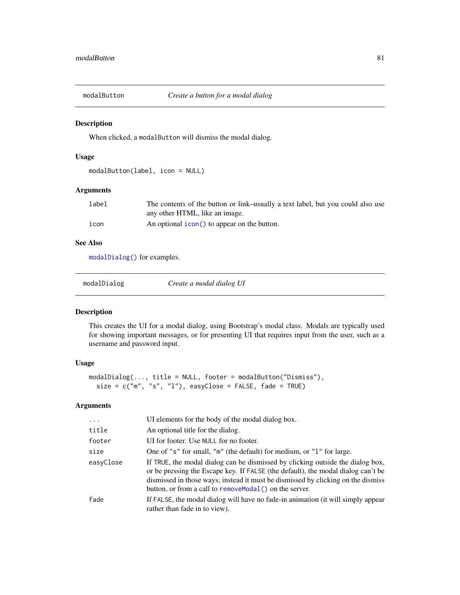## Description

When clicked, a modalButton will dismiss the modal dialog.

# Usage

```
modalButton(label, icon = NULL)
```
## Arguments

| label | The contents of the button or link-usually a text label, but you could also use |
|-------|---------------------------------------------------------------------------------|
|       | any other HTML, like an image.                                                  |
| icon  | An optional icon() to appear on the button.                                     |

# See Also

[modalDialog\(\)](#page-80-0) for examples.

<span id="page-80-0"></span>

| modalDialog | Create a modal dialog UI |
|-------------|--------------------------|
|-------------|--------------------------|

## Description

This creates the UI for a modal dialog, using Bootstrap's modal class. Modals are typically used for showing important messages, or for presenting UI that requires input from the user, such as a username and password input.

# Usage

```
modalDialog(..., title = NULL, footer = modalButton("Dismiss"),
  size = c("m", "s", "l"), easyClose = FALSE, fade = TRUE)
```

| $\ddots$  | UI elements for the body of the modal dialog box.                                                                                                                                                                                                                                                                  |
|-----------|--------------------------------------------------------------------------------------------------------------------------------------------------------------------------------------------------------------------------------------------------------------------------------------------------------------------|
| title     | An optional title for the dialog.                                                                                                                                                                                                                                                                                  |
| footer    | UI for footer. Use NULL for no footer.                                                                                                                                                                                                                                                                             |
| size      | One of "s" for small, "m" (the default) for medium, or "1" for large.                                                                                                                                                                                                                                              |
| easyClose | If TRUE, the modal dialog can be dismissed by clicking outside the dialog box,<br>or be pressing the Escape key. If FALSE (the default), the modal dialog can't be<br>dismissed in those ways; instead it must be dismissed by clicking on the dismiss<br>button, or from a call to remove Modal () on the server. |
| fade      | If FALSE, the modal dialog will have no fade-in animation (it will simply appear<br>rather than fade in to view).                                                                                                                                                                                                  |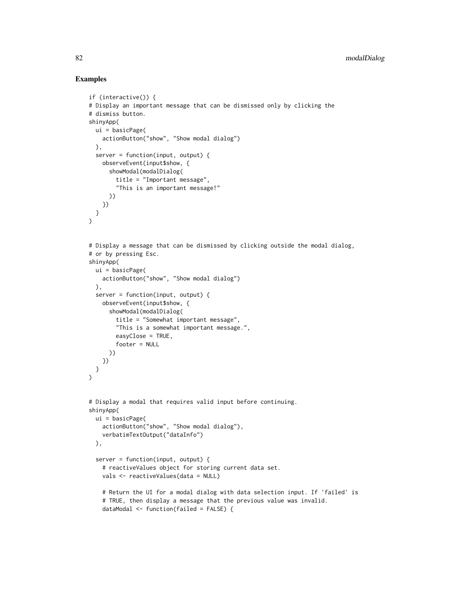## Examples

```
if (interactive()) {
# Display an important message that can be dismissed only by clicking the
# dismiss button.
shinyApp(
  ui = basicPage(
    actionButton("show", "Show modal dialog")
  ),
  server = function(input, output) {
   observeEvent(input$show, {
      showModal(modalDialog(
        title = "Important message",
        "This is an important message!"
     ))
   })
 }
\lambda# Display a message that can be dismissed by clicking outside the modal dialog,
# or by pressing Esc.
shinyApp(
 ui = basicPage(
   actionButton("show", "Show modal dialog")
  ),
  server = function(input, output) {
   observeEvent(input$show, {
      showModal(modalDialog(
        title = "Somewhat important message",
        "This is a somewhat important message.",
        easyClose = TRUE,
        footer = NULL
      ))
   })
 }
\lambda# Display a modal that requires valid input before continuing.
shinyApp(
  ui = basicPage(
    actionButton("show", "Show modal dialog"),
    verbatimTextOutput("dataInfo")
  ),
  server = function(input, output) {
    # reactiveValues object for storing current data set.
    vals <- reactiveValues(data = NULL)
    # Return the UI for a modal dialog with data selection input. If 'failed' is
    # TRUE, then display a message that the previous value was invalid.
    dataModal <- function(failed = FALSE) {
```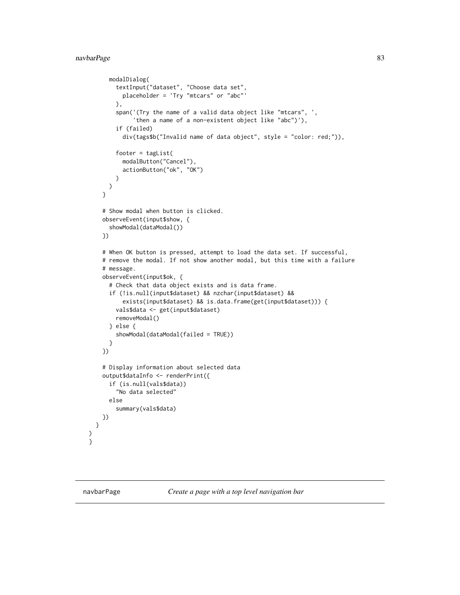# navbarPage 83

```
modalDialog(
      textInput("dataset", "Choose data set",
        placeholder = 'Try "mtcars" or "abc"'
      ),
      span('(Try the name of a valid data object like "mtcars", ',
           'then a name of a non-existent object like "abc")'),
      if (failed)
        div(tags$b("Invalid name of data object", style = "color: red;")),
      footer = tagList(modalButton("Cancel"),
        actionButton("ok", "OK")
      )
   )
  }
  # Show modal when button is clicked.
  observeEvent(input$show, {
    showModal(dataModal())
  })
  # When OK button is pressed, attempt to load the data set. If successful,
  # remove the modal. If not show another modal, but this time with a failure
  # message.
  observeEvent(input$ok, {
    # Check that data object exists and is data frame.
    if (!is.null(input$dataset) && nzchar(input$dataset) &&
        exists(input$dataset) && is.data.frame(get(input$dataset))) {
      vals$data <- get(input$dataset)
      removeModal()
    } else {
      showModal(dataModal(failed = TRUE))
    }
 })
  # Display information about selected data
  output$dataInfo <- renderPrint({
    if (is.null(vals$data))
      "No data selected"
    else
      summary(vals$data)
 })
}
```
) }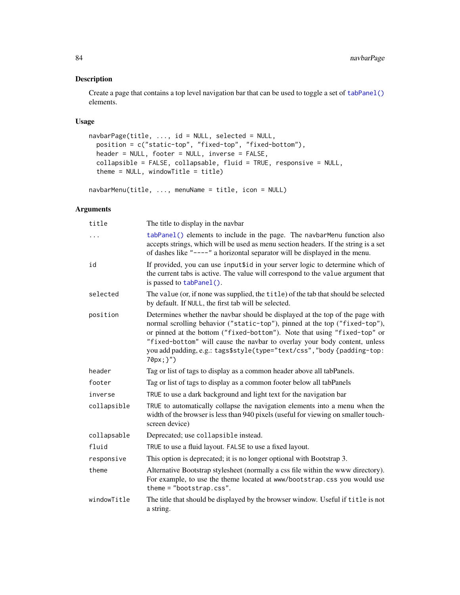## Description

Create a page that contains a top level navigation bar that can be used to toggle a set of [tabPanel\(\)](#page-178-0) elements.

## Usage

```
navbarPage(title, ..., id = NULL, selected = NULL,
 position = c("static-top", "fixed-top", "fixed-bottom"),
 header = NULL, footer = NULL, inverse = FALSE,
  collapsible = FALSE, collapsable, fluid = TRUE, responsive = NULL,
  theme = NULL, windowTitle = title)
```

```
navbarMenu(title, ..., menuName = title, icon = NULL)
```

| title       | The title to display in the navbar                                                                                                                                                                                                                                                                                                                                                                           |
|-------------|--------------------------------------------------------------------------------------------------------------------------------------------------------------------------------------------------------------------------------------------------------------------------------------------------------------------------------------------------------------------------------------------------------------|
| .           | tabPanel() elements to include in the page. The navbarMenu function also<br>accepts strings, which will be used as menu section headers. If the string is a set<br>of dashes like "----" a horizontal separator will be displayed in the menu.                                                                                                                                                               |
| id          | If provided, you can use input \$id in your server logic to determine which of<br>the current tabs is active. The value will correspond to the value argument that<br>is passed to tabPanel().                                                                                                                                                                                                               |
| selected    | The value (or, if none was supplied, the title) of the tab that should be selected<br>by default. If NULL, the first tab will be selected.                                                                                                                                                                                                                                                                   |
| position    | Determines whether the navbar should be displayed at the top of the page with<br>normal scrolling behavior ("static-top"), pinned at the top ("fixed-top"),<br>or pinned at the bottom ("fixed-bottom"). Note that using "fixed-top" or<br>"fixed-bottom" will cause the navbar to overlay your body content, unless<br>you add padding, e.g.: tags\$style(type="text/css", "body {padding-top:<br>70px; }") |
| header      | Tag or list of tags to display as a common header above all tabPanels.                                                                                                                                                                                                                                                                                                                                       |
| footer      | Tag or list of tags to display as a common footer below all tabPanels                                                                                                                                                                                                                                                                                                                                        |
| inverse     | TRUE to use a dark background and light text for the navigation bar                                                                                                                                                                                                                                                                                                                                          |
| collapsible | TRUE to automatically collapse the navigation elements into a menu when the<br>width of the browser is less than 940 pixels (useful for viewing on smaller touch-<br>screen device)                                                                                                                                                                                                                          |
| collapsable | Deprecated; use collapsible instead.                                                                                                                                                                                                                                                                                                                                                                         |
| fluid       | TRUE to use a fluid layout. FALSE to use a fixed layout.                                                                                                                                                                                                                                                                                                                                                     |
| responsive  | This option is deprecated; it is no longer optional with Bootstrap 3.                                                                                                                                                                                                                                                                                                                                        |
| theme       | Alternative Bootstrap stylesheet (normally a css file within the www directory).<br>For example, to use the theme located at www/bootstrap.css you would use<br>$them = "bootstrap.cs".$                                                                                                                                                                                                                     |
| windowTitle | The title that should be displayed by the browser window. Useful if title is not<br>a string.                                                                                                                                                                                                                                                                                                                |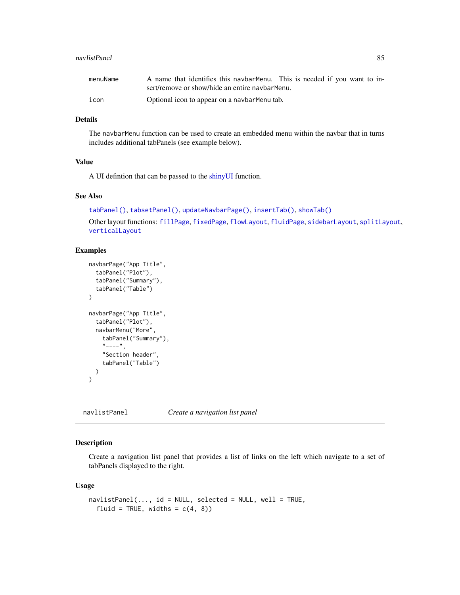#### navlistPanel 85

| menuName | A name that identifies this navbar Menu. This is needed if you want to in- |
|----------|----------------------------------------------------------------------------|
|          | sert/remove or show/hide an entire navbarMenu.                             |
| icon     | Optional icon to appear on a navbar Menu tab.                              |

## Details

The navbarMenu function can be used to create an embedded menu within the navbar that in turns includes additional tabPanels (see example below).

## Value

A UI defintion that can be passed to the [shinyUI](#page-0-0) function.

## See Also

```
tabPanel(), tabsetPanel(), updateNavbarPage(), insertTab(), showTab()
Other layout functions: fillPage, fixedPage, flowLayout, fluidPage, sidebarLayout, splitLayout,
verticalLayout
```
### Examples

```
navbarPage("App Title",
  tabPanel("Plot"),
  tabPanel("Summary"),
  tabPanel("Table")
\mathcal{L}navbarPage("App Title",
  tabPanel("Plot"),
  navbarMenu("More",
    tabPanel("Summary"),
    "---",
    "Section header",
    tabPanel("Table")
  )
)
```
navlistPanel *Create a navigation list panel*

# Description

Create a navigation list panel that provides a list of links on the left which navigate to a set of tabPanels displayed to the right.

#### Usage

```
navlistPanel(..., id = NULL, selected = NULL, well = TRUE,
  fluid = TRUE, widths = c(4, 8))
```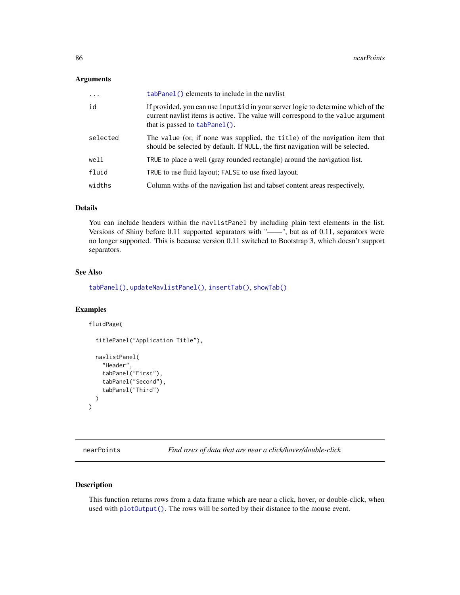#### Arguments

| $\ddots$ | tabPanel() elements to include in the navlist                                                                                                                                                          |
|----------|--------------------------------------------------------------------------------------------------------------------------------------------------------------------------------------------------------|
| id       | If provided, you can use input \$10 in your server logic to determine which of the<br>current navist items is active. The value will correspond to the value argument<br>that is passed to tabPanel(). |
| selected | The value (or, if none was supplied, the title) of the navigation item that<br>should be selected by default. If NULL, the first navigation will be selected.                                          |
| well     | TRUE to place a well (gray rounded rectangle) around the navigation list.                                                                                                                              |
| fluid    | TRUE to use fluid layout; FALSE to use fixed layout.                                                                                                                                                   |
| widths   | Column withs of the navigation list and tabset content areas respectively.                                                                                                                             |

## Details

You can include headers within the navlistPanel by including plain text elements in the list. Versions of Shiny before 0.11 supported separators with "——", but as of 0.11, separators were no longer supported. This is because version 0.11 switched to Bootstrap 3, which doesn't support separators.

## See Also

[tabPanel\(\)](#page-178-0), [updateNavlistPanel\(\)](#page-201-0), [insertTab\(\)](#page-65-0), [showTab\(\)](#page-165-0)

## Examples

fluidPage(

```
titlePanel("Application Title"),
navlistPanel(
  "Header",
  tabPanel("First"),
  tabPanel("Second"),
  tabPanel("Third")
)
```
nearPoints *Find rows of data that are near a click/hover/double-click*

### Description

 $\mathcal{L}$ 

This function returns rows from a data frame which are near a click, hover, or double-click, when used with [plotOutput\(\)](#page-104-0). The rows will be sorted by their distance to the mouse event.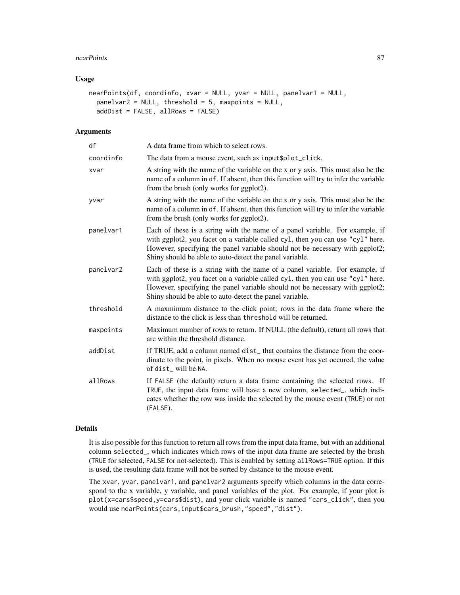#### nearPoints 87

## Usage

```
nearPoints(df, coordinfo, xvar = NULL, yvar = NULL, panelvar1 = NULL,
 panelvar2 = NULL, threshold = 5, maxpoints = NULL,
  addDist = FALSE, allRows = FALSE)
```
# Arguments

| df        | A data frame from which to select rows.                                                                                                                                                                                                                                                                   |
|-----------|-----------------------------------------------------------------------------------------------------------------------------------------------------------------------------------------------------------------------------------------------------------------------------------------------------------|
| coordinfo | The data from a mouse event, such as input \$plot_click.                                                                                                                                                                                                                                                  |
| xvar      | A string with the name of the variable on the x or y axis. This must also be the<br>name of a column in df. If absent, then this function will try to infer the variable<br>from the brush (only works for ggplot2).                                                                                      |
| yvar      | A string with the name of the variable on the x or y axis. This must also be the<br>name of a column in df. If absent, then this function will try to infer the variable<br>from the brush (only works for ggplot2).                                                                                      |
| panelvar1 | Each of these is a string with the name of a panel variable. For example, if<br>with ggplot2, you facet on a variable called cyl, then you can use "cyl" here.<br>However, specifying the panel variable should not be necessary with ggplot2;<br>Shiny should be able to auto-detect the panel variable. |
| panelvar2 | Each of these is a string with the name of a panel variable. For example, if<br>with ggplot2, you facet on a variable called cyl, then you can use "cyl" here.<br>However, specifying the panel variable should not be necessary with ggplot2;<br>Shiny should be able to auto-detect the panel variable. |
| threshold | A maxmimum distance to the click point; rows in the data frame where the<br>distance to the click is less than threshold will be returned.                                                                                                                                                                |
| maxpoints | Maximum number of rows to return. If NULL (the default), return all rows that<br>are within the threshold distance.                                                                                                                                                                                       |
| addDist   | If TRUE, add a column named dist_that contains the distance from the coor-<br>dinate to the point, in pixels. When no mouse event has yet occured, the value<br>of dist_will be NA.                                                                                                                       |
| allRows   | If FALSE (the default) return a data frame containing the selected rows. If<br>TRUE, the input data frame will have a new column, selected_, which indi-<br>cates whether the row was inside the selected by the mouse event (TRUE) or not<br>(FALSE).                                                    |

#### Details

It is also possible for this function to return all rows from the input data frame, but with an additional column selected\_, which indicates which rows of the input data frame are selected by the brush (TRUE for selected, FALSE for not-selected). This is enabled by setting allRows=TRUE option. If this is used, the resulting data frame will not be sorted by distance to the mouse event.

The xvar, yvar, panelvar1, and panelvar2 arguments specify which columns in the data correspond to the x variable, y variable, and panel variables of the plot. For example, if your plot is plot(x=cars\$speed,y=cars\$dist), and your click variable is named "cars\_click", then you would use nearPoints(cars,input\$cars\_brush,"speed","dist").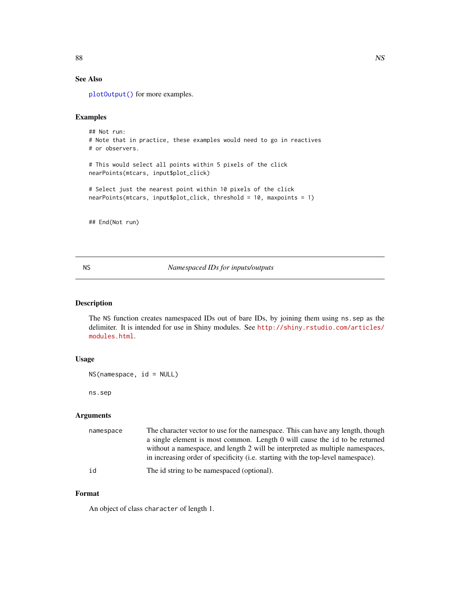# See Also

[plotOutput\(\)](#page-104-0) for more examples.

# Examples

```
## Not run:
# Note that in practice, these examples would need to go in reactives
# or observers.
# This would select all points within 5 pixels of the click
nearPoints(mtcars, input$plot_click)
# Select just the nearest point within 10 pixels of the click
nearPoints(mtcars, input$plot_click, threshold = 10, maxpoints = 1)
```
## End(Not run)

NS *Namespaced IDs for inputs/outputs*

### Description

The NS function creates namespaced IDs out of bare IDs, by joining them using ns.sep as the delimiter. It is intended for use in Shiny modules. See [http://shiny.rstudio.com/articles/](http://shiny.rstudio.com/articles/modules.html) [modules.html](http://shiny.rstudio.com/articles/modules.html).

# Usage

```
NS(namespace, id = NULL)
```
ns.sep

## Arguments

| namespace | The character vector to use for the namespace. This can have any length, though  |
|-----------|----------------------------------------------------------------------------------|
|           | a single element is most common. Length 0 will cause the id to be returned       |
|           | without a namespace, and length 2 will be interpreted as multiple namespaces,    |
|           | in increasing order of specificity (i.e. starting with the top-level namespace). |
| id        | The id string to be namespaced (optional).                                       |

### Format

An object of class character of length 1.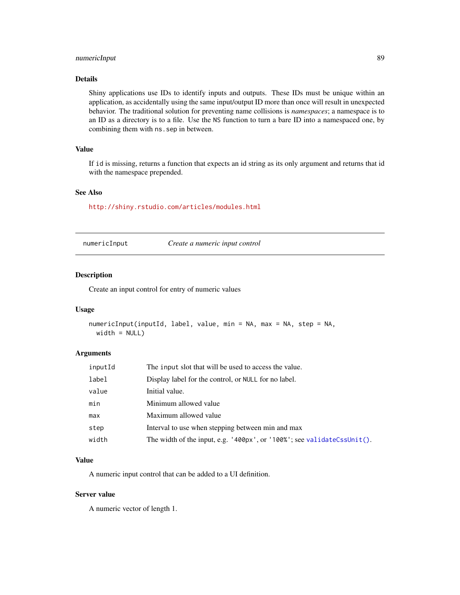## numericInput 89

## Details

Shiny applications use IDs to identify inputs and outputs. These IDs must be unique within an application, as accidentally using the same input/output ID more than once will result in unexpected behavior. The traditional solution for preventing name collisions is *namespaces*; a namespace is to an ID as a directory is to a file. Use the NS function to turn a bare ID into a namespaced one, by combining them with ns.sep in between.

## Value

If id is missing, returns a function that expects an id string as its only argument and returns that id with the namespace prepended.

## See Also

<http://shiny.rstudio.com/articles/modules.html>

<span id="page-88-0"></span>

| numericInput |  |  |
|--------------|--|--|
|              |  |  |

numericInput *Create a numeric input control*

#### Description

Create an input control for entry of numeric values

### Usage

```
numericInput(inputId, label, value, min = NA, max = NA, step = NA,
 width = NULL)
```
#### Arguments

| inputId | The input slot that will be used to access the value.                   |
|---------|-------------------------------------------------------------------------|
| label   | Display label for the control, or NULL for no label.                    |
| value   | Initial value.                                                          |
| min     | Minimum allowed value                                                   |
| max     | Maximum allowed value                                                   |
| step    | Interval to use when stepping between min and max                       |
| width   | The width of the input, e.g. '400px', or '100%'; see validateCssUnit(). |

#### Value

A numeric input control that can be added to a UI definition.

### Server value

A numeric vector of length 1.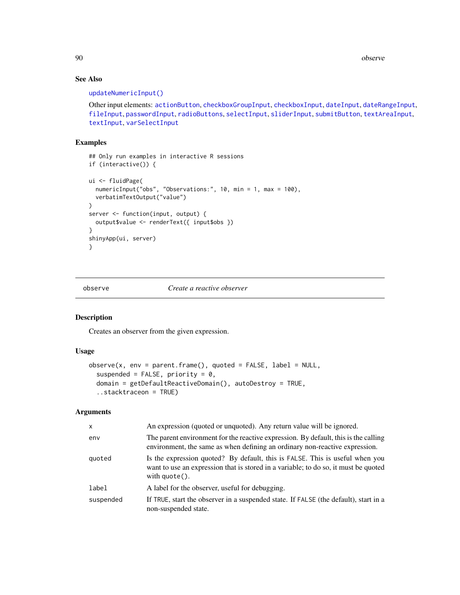90 observe

# See Also

### [updateNumericInput\(\)](#page-193-0)

Other input elements: [actionButton](#page-7-0), [checkboxGroupInput](#page-17-0), [checkboxInput](#page-19-0), [dateInput](#page-24-0), [dateRangeInput](#page-27-0), [fileInput](#page-45-0), [passwordInput](#page-103-0), [radioButtons](#page-112-0), [selectInput](#page-154-0), [sliderInput](#page-170-0), [submitButton](#page-175-0), [textAreaInput](#page-181-0), [textInput](#page-182-0), [varSelectInput](#page-208-0)

### Examples

```
## Only run examples in interactive R sessions
if (interactive()) {
ui <- fluidPage(
  numericInput("obs", "Observations:", 10, min = 1, max = 100),
  verbatimTextOutput("value")
\mathcal{L}server <- function(input, output) {
  output$value <- renderText({ input$obs })
}
shinyApp(ui, server)
}
```
<span id="page-89-0"></span>

observe *Create a reactive observer*

# Description

Creates an observer from the given expression.

# Usage

```
observe(x, env = parent-frame(), quoted = FALSE, label = NULL,suspended = FALSE, priority = 0,
  domain = getDefaultReactiveDomain(), autoDestroy = TRUE,
  ..stacktraceon = TRUE)
```

| $\times$  | An expression (quoted or unquoted). Any return value will be ignored.                                                                                                                          |
|-----------|------------------------------------------------------------------------------------------------------------------------------------------------------------------------------------------------|
| env       | The parent environment for the reactive expression. By default, this is the calling<br>environment, the same as when defining an ordinary non-reactive expression.                             |
| quoted    | Is the expression quoted? By default, this is FALSE. This is useful when you<br>want to use an expression that is stored in a variable; to do so, it must be quoted<br>with $\text{quote}()$ . |
| label     | A label for the observer, useful for debugging.                                                                                                                                                |
| suspended | If TRUE, start the observer in a suspended state. If FALSE (the default), start in a<br>non-suspended state.                                                                                   |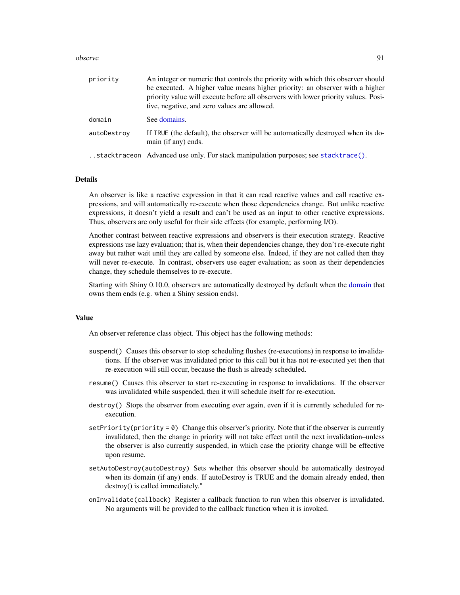#### observe 91

| priority    | An integer or numeric that controls the priority with which this observer should<br>be executed. A higher value means higher priority: an observer with a higher<br>priority value will execute before all observers with lower priority values. Posi-<br>tive, negative, and zero values are allowed. |
|-------------|--------------------------------------------------------------------------------------------------------------------------------------------------------------------------------------------------------------------------------------------------------------------------------------------------------|
| domain      | See domains.                                                                                                                                                                                                                                                                                           |
| autoDestroy | If TRUE (the default), the observer will be automatically destroyed when its do-<br>main (if any) ends.                                                                                                                                                                                                |
|             | stacktraceon Advanced use only. For stack manipulation purposes; see stacktrace().                                                                                                                                                                                                                     |

## **Details**

An observer is like a reactive expression in that it can read reactive values and call reactive expressions, and will automatically re-execute when those dependencies change. But unlike reactive expressions, it doesn't yield a result and can't be used as an input to other reactive expressions. Thus, observers are only useful for their side effects (for example, performing I/O).

Another contrast between reactive expressions and observers is their execution strategy. Reactive expressions use lazy evaluation; that is, when their dependencies change, they don't re-execute right away but rather wait until they are called by someone else. Indeed, if they are not called then they will never re-execute. In contrast, observers use eager evaluation; as soon as their dependencies change, they schedule themselves to re-execute.

Starting with Shiny 0.10.0, observers are automatically destroyed by default when the [domain](#page-35-0) that owns them ends (e.g. when a Shiny session ends).

## Value

An observer reference class object. This object has the following methods:

- suspend() Causes this observer to stop scheduling flushes (re-executions) in response to invalidations. If the observer was invalidated prior to this call but it has not re-executed yet then that re-execution will still occur, because the flush is already scheduled.
- resume() Causes this observer to start re-executing in response to invalidations. If the observer was invalidated while suspended, then it will schedule itself for re-execution.
- destroy() Stops the observer from executing ever again, even if it is currently scheduled for reexecution.
- setPriority(priority =  $\emptyset$ ) Change this observer's priority. Note that if the observer is currently invalidated, then the change in priority will not take effect until the next invalidation–unless the observer is also currently suspended, in which case the priority change will be effective upon resume.
- setAutoDestroy(autoDestroy) Sets whether this observer should be automatically destroyed when its domain (if any) ends. If autoDestroy is TRUE and the domain already ended, then destroy() is called immediately."
- onInvalidate(callback) Register a callback function to run when this observer is invalidated. No arguments will be provided to the callback function when it is invoked.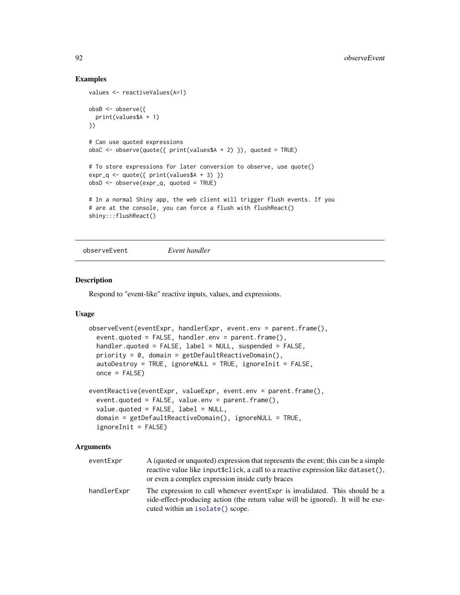## Examples

```
values <- reactiveValues(A=1)
obsB <- observe({
  print(values$A + 1)
})
# Can use quoted expressions
obsC <- observe(quote({ print(valuessA + 2) }), quoted = TRUE)
# To store expressions for later conversion to observe, use quote()
expr_q \leftarrow quote({\{ print(values\A + 3)\})
obsD <- observe(expr_q, quoted = TRUE)
# In a normal Shiny app, the web client will trigger flush events. If you
# are at the console, you can force a flush with flushReact()
shiny:::flushReact()
```
observeEvent *Event handler*

## Description

Respond to "event-like" reactive inputs, values, and expressions.

### Usage

```
observeEvent(eventExpr, handlerExpr, event.env = parent.frame(),
 event.quoted = FALSE, handler.env = parent.frame(),
 handler.quoted = FALSE, label = NULL, suspended = FALSE,
 priority = 0, domain = getDefaultReactiveDomain(),
 autoDestroy = TRUE, ignoreNULL = TRUE, ignoreInit = FALSE,
 once = FALSE)eventReactive(eventExpr, valueExpr, event.env = parent.frame(),
  event.quoted = FALSE, value.env = parent.frame(),
  value.quoted = FALSE, label = NULL,
  domain = getDefaultReactiveDomain(), ignoreNULL = TRUE,
```
# ignoreInit = FALSE)

| eventExpr   | A (quoted or unquoted) expression that represents the event; this can be a simple<br>reactive value like input \$click, a call to a reactive expression like dataset().<br>or even a complex expression inside curly braces |
|-------------|-----------------------------------------------------------------------------------------------------------------------------------------------------------------------------------------------------------------------------|
| handlerExpr | The expression to call whenever event Expr is invalidated. This should be a<br>side-effect-producing action (the return value will be ignored). It will be exe-<br>cuted within an isolate() scope.                         |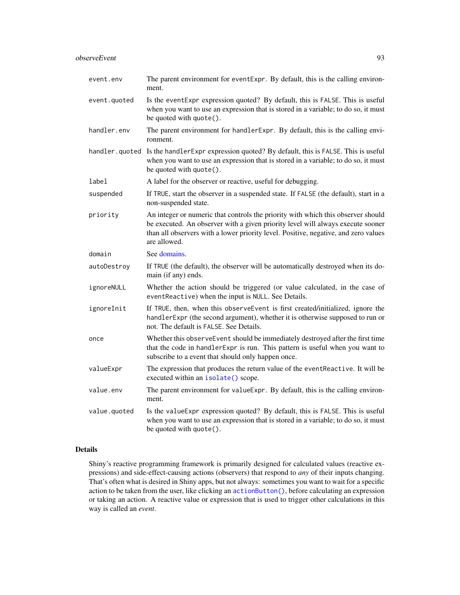## observeEvent 93

| event.env    | The parent environment for eventExpr. By default, this is the calling environ-<br>ment.                                                                                                                                                                                    |
|--------------|----------------------------------------------------------------------------------------------------------------------------------------------------------------------------------------------------------------------------------------------------------------------------|
| event.quoted | Is the event Expr expression quoted? By default, this is FALSE. This is useful<br>when you want to use an expression that is stored in a variable; to do so, it must<br>be quoted with quote().                                                                            |
| handler.env  | The parent environment for handlerExpr. By default, this is the calling envi-<br>ronment.                                                                                                                                                                                  |
|              | handler. quoted Is the handler Expression quoted? By default, this is FALSE. This is useful<br>when you want to use an expression that is stored in a variable; to do so, it must<br>be quoted with quote().                                                               |
| label        | A label for the observer or reactive, useful for debugging.                                                                                                                                                                                                                |
| suspended    | If TRUE, start the observer in a suspended state. If FALSE (the default), start in a<br>non-suspended state.                                                                                                                                                               |
| priority     | An integer or numeric that controls the priority with which this observer should<br>be executed. An observer with a given priority level will always execute sooner<br>than all observers with a lower priority level. Positive, negative, and zero values<br>are allowed. |
| domain       | See domains.                                                                                                                                                                                                                                                               |
| autoDestroy  | If TRUE (the default), the observer will be automatically destroyed when its do-<br>main (if any) ends.                                                                                                                                                                    |
| ignoreNULL   | Whether the action should be triggered (or value calculated, in the case of<br>eventReactive) when the input is NULL. See Details.                                                                                                                                         |
| ignoreInit   | If TRUE, then, when this observeEvent is first created/initialized, ignore the<br>handlerExpr (the second argument), whether it is otherwise supposed to run or<br>not. The default is FALSE. See Details.                                                                 |
| once         | Whether this observeEvent should be immediately destroyed after the first time<br>that the code in handlerExpr is run. This pattern is useful when you want to<br>subscribe to a event that should only happen once.                                                       |
| valueExpr    | The expression that produces the return value of the eventReactive. It will be<br>executed within an isolate() scope.                                                                                                                                                      |
| value.env    | The parent environment for value Expr. By default, this is the calling environ-<br>ment.                                                                                                                                                                                   |
| value.quoted | Is the value Expr expression quoted? By default, this is FALSE. This is useful<br>when you want to use an expression that is stored in a variable; to do so, it must<br>be quoted with quote().                                                                            |

## Details

Shiny's reactive programming framework is primarily designed for calculated values (reactive expressions) and side-effect-causing actions (observers) that respond to *any* of their inputs changing. That's often what is desired in Shiny apps, but not always: sometimes you want to wait for a specific action to be taken from the user, like clicking an [actionButton\(\)](#page-7-0), before calculating an expression or taking an action. A reactive value or expression that is used to trigger other calculations in this way is called an *event*.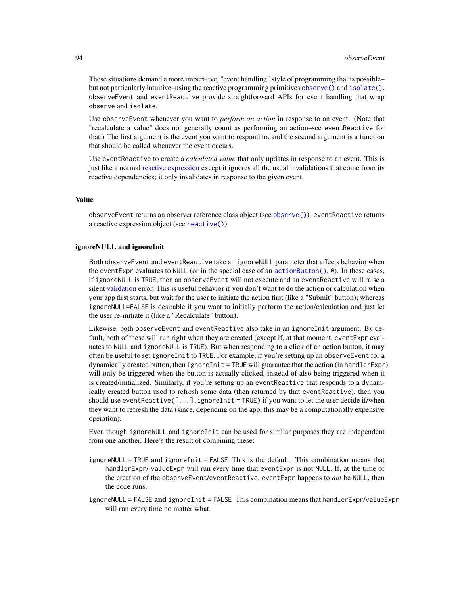These situations demand a more imperative, "event handling" style of programming that is possible– but not particularly intuitive–using the reactive programming primitives [observe\(\)](#page-89-0) and [isolate\(\)](#page-72-0). observeEvent and eventReactive provide straightforward APIs for event handling that wrap observe and isolate.

Use observeEvent whenever you want to *perform an action* in response to an event. (Note that "recalculate a value" does not generally count as performing an action–see eventReactive for that.) The first argument is the event you want to respond to, and the second argument is a function that should be called whenever the event occurs.

Use eventReactive to create a *calculated value* that only updates in response to an event. This is just like a normal [reactive expression](#page-114-0) except it ignores all the usual invalidations that come from its reactive dependencies; it only invalidates in response to the given event.

#### Value

observeEvent returns an observer reference class object (see [observe\(\)](#page-89-0)). eventReactive returns a reactive expression object (see [reactive\(\)](#page-114-0)).

#### ignoreNULL and ignoreInit

Both observeEvent and eventReactive take an ignoreNULL parameter that affects behavior when the eventExpr evaluates to NULL (or in the special case of an [actionButton\(\)](#page-7-0), 0). In these cases, if ignoreNULL is TRUE, then an observeEvent will not execute and an eventReactive will raise a silent [validation](#page-206-0) error. This is useful behavior if you don't want to do the action or calculation when your app first starts, but wait for the user to initiate the action first (like a "Submit" button); whereas ignoreNULL=FALSE is desirable if you want to initially perform the action/calculation and just let the user re-initiate it (like a "Recalculate" button).

Likewise, both observeEvent and eventReactive also take in an ignoreInit argument. By default, both of these will run right when they are created (except if, at that moment, eventExpr evaluates to NULL and ignoreNULL is TRUE). But when responding to a click of an action button, it may often be useful to set ignoreInit to TRUE. For example, if you're setting up an observeEvent for a dynamically created button, then ignoreInit = TRUE will guarantee that the action (in handlerExpr) will only be triggered when the button is actually clicked, instead of also being triggered when it is created/initialized. Similarly, if you're setting up an eventReactive that responds to a dynamically created button used to refresh some data (then returned by that eventReactive), then you should use eventReactive( $[\ldots]$ , ignoreInit = TRUE) if you want to let the user decide if/when they want to refresh the data (since, depending on the app, this may be a computationally expensive operation).

Even though ignoreNULL and ignoreInit can be used for similar purposes they are independent from one another. Here's the result of combining these:

- ignoreNULL = TRUE and ignoreInit = FALSE This is the default. This combination means that handlerExpr/ valueExpr will run every time that eventExpr is not NULL. If, at the time of the creation of the observeEvent/eventReactive, eventExpr happens to *not* be NULL, then the code runs.
- ignoreNULL = FALSE and ignoreInit = FALSE This combination means that handlerExpr/valueExpr will run every time no matter what.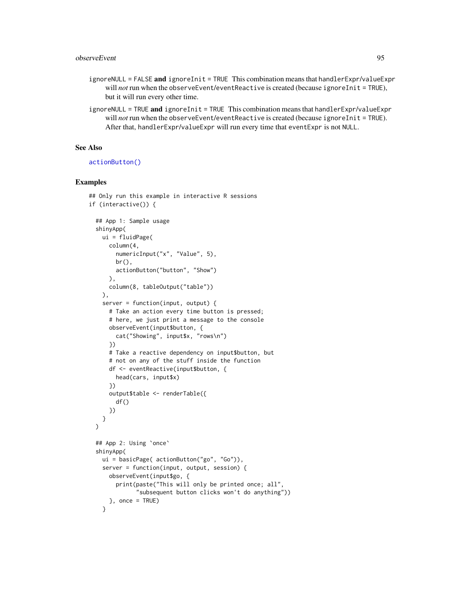- ignoreNULL = FALSE and ignoreInit = TRUE This combination means that handlerExpr/valueExpr will *not* run when the observeEvent/eventReactive is created (because ignoreInit = TRUE), but it will run every other time.
- $ignoreNULL = TRUE$  and  $ignoreInit = TRUE$  This combination means that handlerExpr/valueExpr will *not* run when the observeEvent/eventReactive is created (because ignoreInit = TRUE). After that, handlerExpr/valueExpr will run every time that eventExpr is not NULL.

### See Also

#### [actionButton\(\)](#page-7-0)

### Examples

```
## Only run this example in interactive R sessions
if (interactive()) {
 ## App 1: Sample usage
 shinyApp(
   ui = fluidPage(
      column(4,
        numericInput("x", "Value", 5),
        br(),
        actionButton("button", "Show")
      ),
      column(8, tableOutput("table"))
   ),
    server = function(input, output) {
      # Take an action every time button is pressed;
      # here, we just print a message to the console
      observeEvent(input$button, {
        cat("Showing", input$x, "rows\n")
      })
      # Take a reactive dependency on input$button, but
      # not on any of the stuff inside the function
      df <- eventReactive(input$button, {
       head(cars, input$x)
      })
      output$table <- renderTable({
        df()
      })
   }
 \lambda## App 2: Using `once`
 shinyApp(
   ui = basicPage( actionButton("go", "Go")),
    server = function(input, output, session) {
      observeEvent(input$go, {
        print(paste("This will only be printed once; all",
              "subsequent button clicks won't do anything"))
      }, once = TRUE)
    }
```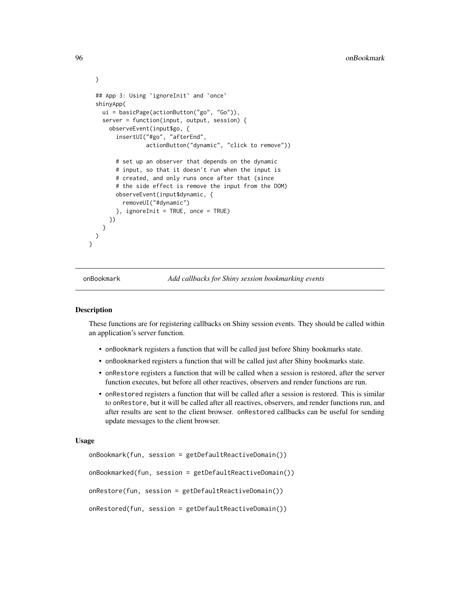```
## App 3: Using `ignoreInit` and `once`
 shinyApp(
   ui = basicPage(actionButton("go", "Go")),
    server = function(input, output, session) {
     observeEvent(input$go, {
        insertUI("#go", "afterEnd",
                 actionButton("dynamic", "click to remove"))
        # set up an observer that depends on the dynamic
        # input, so that it doesn't run when the input is
        # created, and only runs once after that (since
       # the side effect is remove the input from the DOM)
       observeEvent(input$dynamic, {
          removeUI("#dynamic")
       }, ignoreInit = TRUE, once = TRUE)
     })
   }
 )
}
```
onBookmark *Add callbacks for Shiny session bookmarking events*

## **Description**

These functions are for registering callbacks on Shiny session events. They should be called within an application's server function.

- onBookmark registers a function that will be called just before Shiny bookmarks state.
- onBookmarked registers a function that will be called just after Shiny bookmarks state.
- onRestore registers a function that will be called when a session is restored, after the server function executes, but before all other reactives, observers and render functions are run.
- onRestored registers a function that will be called after a session is restored. This is similar to onRestore, but it will be called after all reactives, observers, and render functions run, and after results are sent to the client browser. onRestored callbacks can be useful for sending update messages to the client browser.

### Usage

```
onBookmark(fun, session = getDefaultReactiveDomain())
onBookmarked(fun, session = getDefaultReactiveDomain())
onRestore(fun, session = getDefaultReactiveDomain())
onRestored(fun, session = getDefaultReactiveDomain())
```
)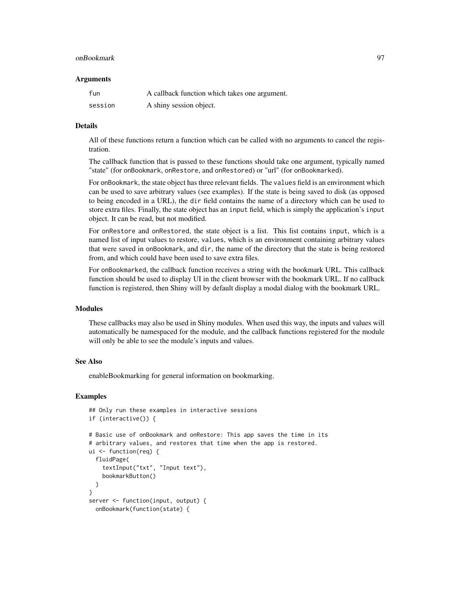#### onBookmark 97

#### Arguments

| fun     | A callback function which takes one argument. |
|---------|-----------------------------------------------|
| session | A shiny session object.                       |

### Details

All of these functions return a function which can be called with no arguments to cancel the registration.

The callback function that is passed to these functions should take one argument, typically named "state" (for onBookmark, onRestore, and onRestored) or "url" (for onBookmarked).

For onBookmark, the state object has three relevant fields. The values field is an environment which can be used to save arbitrary values (see examples). If the state is being saved to disk (as opposed to being encoded in a URL), the dir field contains the name of a directory which can be used to store extra files. Finally, the state object has an input field, which is simply the application's input object. It can be read, but not modified.

For onRestore and onRestored, the state object is a list. This list contains input, which is a named list of input values to restore, values, which is an environment containing arbitrary values that were saved in onBookmark, and dir, the name of the directory that the state is being restored from, and which could have been used to save extra files.

For onBookmarked, the callback function receives a string with the bookmark URL. This callback function should be used to display UI in the client browser with the bookmark URL. If no callback function is registered, then Shiny will by default display a modal dialog with the bookmark URL.

#### Modules

These callbacks may also be used in Shiny modules. When used this way, the inputs and values will automatically be namespaced for the module, and the callback functions registered for the module will only be able to see the module's inputs and values.

### See Also

enableBookmarking for general information on bookmarking.

#### Examples

```
## Only run these examples in interactive sessions
if (interactive()) {
# Basic use of onBookmark and onRestore: This app saves the time in its
# arbitrary values, and restores that time when the app is restored.
ui <- function(req) {
 fluidPage(
    textInput("txt", "Input text"),
    bookmarkButton()
 )
}
server <- function(input, output) {
 onBookmark(function(state) {
```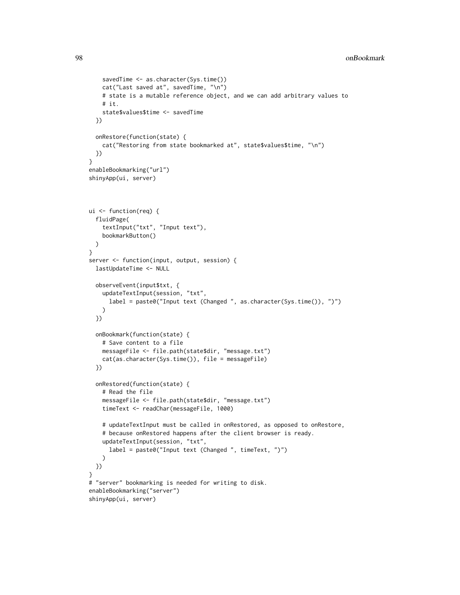```
savedTime <- as.character(Sys.time())
    cat("Last saved at", savedTime, "\n")
    # state is a mutable reference object, and we can add arbitrary values to
    # it.
    state$values$time <- savedTime
  })
  onRestore(function(state) {
    cat("Restoring from state bookmarked at", state$values$time, "\n")
  })
}
enableBookmarking("url")
shinyApp(ui, server)
ui <- function(req) {
  fluidPage(
    textInput("txt", "Input text"),
    bookmarkButton()
  )
}
server <- function(input, output, session) {
  lastUpdateTime <- NULL
  observeEvent(input$txt, {
   updateTextInput(session, "txt",
      label = paste0("Input text (Changed ", as.character(Sys.time()), ")")
   )
  })
  onBookmark(function(state) {
    # Save content to a file
   messageFile <- file.path(state$dir, "message.txt")
   cat(as.character(Sys.time()), file = messageFile)
  })
  onRestored(function(state) {
    # Read the file
    messageFile <- file.path(state$dir, "message.txt")
    timeText <- readChar(messageFile, 1000)
    # updateTextInput must be called in onRestored, as opposed to onRestore,
    # because onRestored happens after the client browser is ready.
   updateTextInput(session, "txt",
      label = paste0("Input text (Changed ", timeText, ")")
   )
  })
}
# "server" bookmarking is needed for writing to disk.
enableBookmarking("server")
shinyApp(ui, server)
```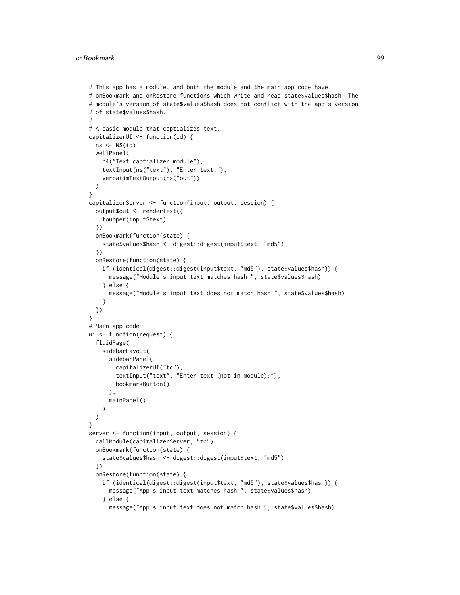```
# This app has a module, and both the module and the main app code have
# onBookmark and onRestore functions which write and read state$values$hash. The
# module's version of state$values$hash does not conflict with the app's version
# of state$values$hash.
#
# A basic module that captializes text.
capitalizerUI <- function(id) {
 ns < - NS(id)wellPanel(
    h4("Text captializer module"),
    textInput(ns("text"), "Enter text:"),
    verbatimTextOutput(ns("out"))
  )
}
capitalizerServer <- function(input, output, session) {
  output$out <- renderText({
    toupper(input$text)
  })
  onBookmark(function(state) {
    state$values$hash <- digest::digest(input$text, "md5")
  })
  onRestore(function(state) {
    if (identical(digest::digest(input$text, "md5"), state$values$hash)) {
      message("Module's input text matches hash ", state$values$hash)
    } else {
      message("Module's input text does not match hash ", state$values$hash)
    }
  })
}
# Main app code
ui <- function(request) {
  fluidPage(
    sidebarLayout(
      sidebarPanel(
        capitalizerUI("tc"),
        textInput("text", "Enter text (not in module):"),
        bookmarkButton()
      ),
     mainPanel()
    )
  )
}
server <- function(input, output, session) {
  callModule(capitalizerServer, "tc")
  onBookmark(function(state) {
    state$values$hash <- digest::digest(input$text, "md5")
  })
  onRestore(function(state) {
    if (identical(digest::digest(input$text, "md5"), state$values$hash)) {
      message("App's input text matches hash ", state$values$hash)
    } else {
      message("App's input text does not match hash ", state$values$hash)
```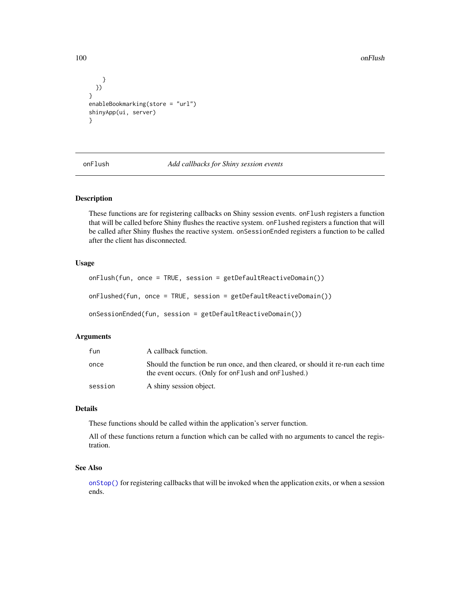100 onFlush

```
}
  })
}
enableBookmarking(store = "url")
shinyApp(ui, server)
}
```
onFlush *Add callbacks for Shiny session events*

## <span id="page-99-0"></span>Description

These functions are for registering callbacks on Shiny session events. onFlush registers a function that will be called before Shiny flushes the reactive system. onFlushed registers a function that will be called after Shiny flushes the reactive system. onSessionEnded registers a function to be called after the client has disconnected.

## Usage

```
onFlush(fun, once = TRUE, session = getDefaultReactiveDomain())
onFlushed(fun, once = TRUE, session = getDefaultReactiveDomain())
onSessionEnded(fun, session = getDefaultReactiveDomain())
```
## Arguments

| fun     | A callback function.                                                                                                                      |
|---------|-------------------------------------------------------------------------------------------------------------------------------------------|
| once    | Should the function be run once, and then cleared, or should it re-run each time<br>the event occurs. (Only for on Flush and on Flushed.) |
| session | A shiny session object.                                                                                                                   |

#### Details

These functions should be called within the application's server function.

All of these functions return a function which can be called with no arguments to cancel the registration.

### See Also

[onStop\(\)](#page-100-0) for registering callbacks that will be invoked when the application exits, or when a session ends.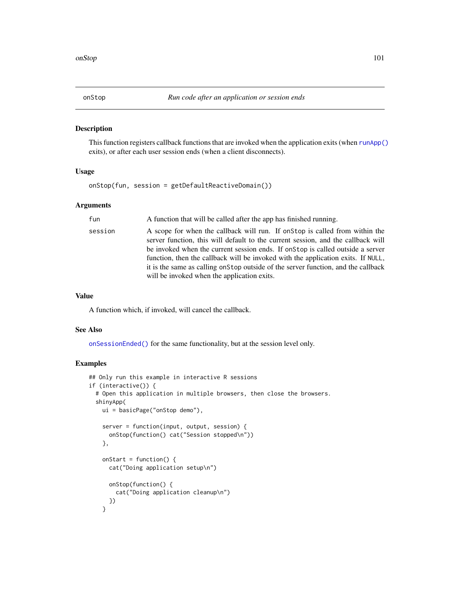<span id="page-100-0"></span>

### Description

This function registers callback functions that are invoked when the application exits (when [runApp\(\)](#page-148-0) exits), or after each user session ends (when a client disconnects).

### Usage

onStop(fun, session = getDefaultReactiveDomain())

### Arguments

| fun     | A function that will be called after the app has finished running.                                                                                                                                                                                                                                                                                                                                                                                                          |
|---------|-----------------------------------------------------------------------------------------------------------------------------------------------------------------------------------------------------------------------------------------------------------------------------------------------------------------------------------------------------------------------------------------------------------------------------------------------------------------------------|
| session | A scope for when the callback will run. If on top is called from within the<br>server function, this will default to the current session, and the callback will<br>be invoked when the current session ends. If on Stop is called outside a server<br>function, then the callback will be invoked with the application exits. If NULL,<br>it is the same as calling on Stop outside of the server function, and the callback<br>will be invoked when the application exits. |

#### Value

A function which, if invoked, will cancel the callback.

## See Also

[onSessionEnded\(\)](#page-99-0) for the same functionality, but at the session level only.

## Examples

```
## Only run this example in interactive R sessions
if (interactive()) {
 # Open this application in multiple browsers, then close the browsers.
 shinyApp(
   ui = basicPage("onStop demo"),
   server = function(input, output, session) {
     onStop(function() cat("Session stopped\n"))
    },
   onStart = function() {
     cat("Doing application setup\n")
     onStop(function() {
       cat("Doing application cleanup\n")
     })
    }
```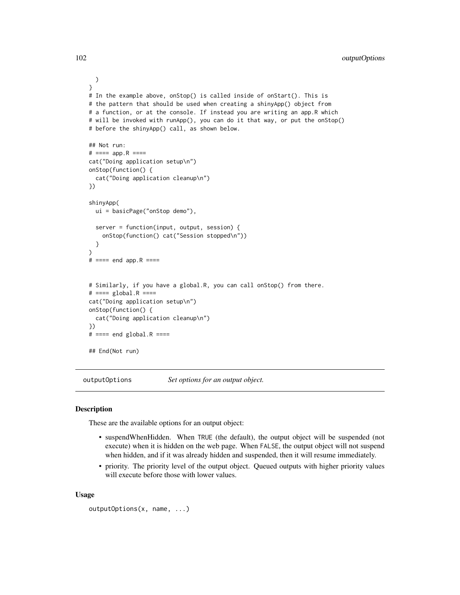```
)
}
# In the example above, onStop() is called inside of onStart(). This is
# the pattern that should be used when creating a shinyApp() object from
# a function, or at the console. If instead you are writing an app.R which
# will be invoked with runApp(), you can do it that way, or put the onStop()
# before the shinyApp() call, as shown below.
## Not run:
# ==== app.R ====
cat("Doing application setup\n")
onStop(function() {
 cat("Doing application cleanup\n")
})
shinyApp(
 ui = basicPage("onStop demo"),
 server = function(input, output, session) {
    onStop(function() cat("Session stopped\n"))
 }
)
# ==== end app.R ====
# Similarly, if you have a global.R, you can call onStop() from there.
# === global.R ====
cat("Doing application setup\n")
onStop(function() {
 cat("Doing application cleanup\n")
})
# === end global.R ===## End(Not run)
```
outputOptions *Set options for an output object.*

# **Description**

These are the available options for an output object:

- suspendWhenHidden. When TRUE (the default), the output object will be suspended (not execute) when it is hidden on the web page. When FALSE, the output object will not suspend when hidden, and if it was already hidden and suspended, then it will resume immediately.
- priority. The priority level of the output object. Queued outputs with higher priority values will execute before those with lower values.

### Usage

```
outputOptions(x, name, ...)
```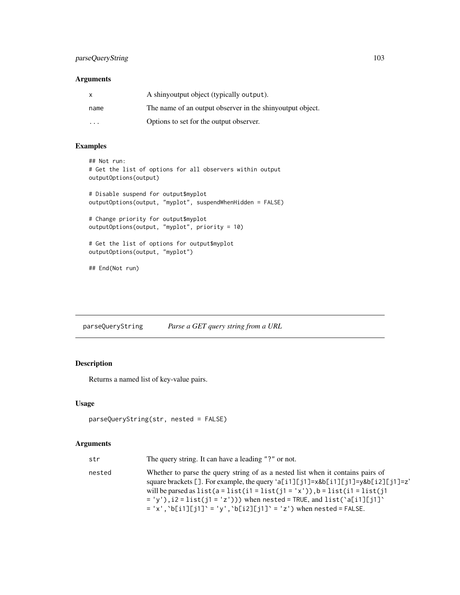## parseQueryString 103

# Arguments

| X    | A shinyoutput object (typically output).                  |
|------|-----------------------------------------------------------|
| name | The name of an output observer in the shinyoutput object. |
| .    | Options to set for the output observer.                   |

# Examples

```
## Not run:
# Get the list of options for all observers within output
outputOptions(output)
# Disable suspend for output$myplot
outputOptions(output, "myplot", suspendWhenHidden = FALSE)
# Change priority for output$myplot
outputOptions(output, "myplot", priority = 10)
# Get the list of options for output$myplot
outputOptions(output, "myplot")
## End(Not run)
```
parseQueryString *Parse a GET query string from a URL*

# Description

Returns a named list of key-value pairs.

## Usage

```
parseQueryString(str, nested = FALSE)
```

| str    | The query string. It can have a leading "?" or not.                                                                                                                                                                                                                                                                                                                                                         |
|--------|-------------------------------------------------------------------------------------------------------------------------------------------------------------------------------------------------------------------------------------------------------------------------------------------------------------------------------------------------------------------------------------------------------------|
| nested | Whether to parse the query string of as a nested list when it contains pairs of<br>square brackets []. For example, the query 'a[i1][j1]=x&b[i1][j1]=y&b[i2][j1]=z'<br>will be parsed as $list(a = list(i1 = list(j1 = 'x'))$ , $b = list(i1 = list(j1$<br>$= 'v')$ , i2 = list(j1 = 'z'))) when nested = TRUE, and list('a[i1][j1]'<br>$= 'x', 'b[i1][j1]' = 'y', 'b[i2][j1]' = 'z')$ when nested = FALSE. |
|        |                                                                                                                                                                                                                                                                                                                                                                                                             |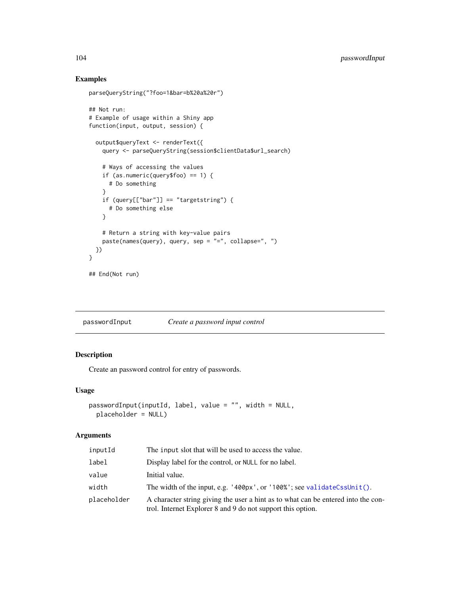# Examples

```
parseQueryString("?foo=1&bar=b%20a%20r")
## Not run:
# Example of usage within a Shiny app
function(input, output, session) {
  output$queryText <- renderText({
    query <- parseQueryString(session$clientData$url_search)
   # Ways of accessing the values
   if (as.numeric(query$foo) == 1) {
     # Do something
    }
    if (query[["bar"]] == "targetstring") {
      # Do something else
    }
   # Return a string with key-value pairs
   paste(names(query), query, sep = "=", collapse=", ")
 })
}
## End(Not run)
```
<span id="page-103-0"></span>passwordInput *Create a password input control*

# Description

Create an password control for entry of passwords.

### Usage

```
passwordInput(inputId, label, value = "", width = NULL,
 placeholder = NULL)
```

| inputId     | The input slot that will be used to access the value.                                                                                            |
|-------------|--------------------------------------------------------------------------------------------------------------------------------------------------|
| label       | Display label for the control, or NULL for no label.                                                                                             |
| value       | Initial value.                                                                                                                                   |
| width       | The width of the input, e.g. $'400px'$ , or $'100%$ ; see validateCssUnit().                                                                     |
| placeholder | A character string giving the user a hint as to what can be entered into the con-<br>trol. Internet Explorer 8 and 9 do not support this option. |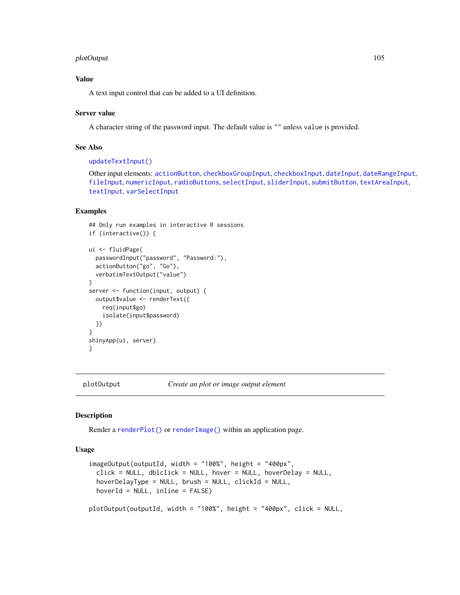## plotOutput 105

## Value

A text input control that can be added to a UI definition.

### Server value

A character string of the password input. The default value is "" unless value is provided.

## See Also

### [updateTextInput\(\)](#page-204-0)

Other input elements: [actionButton](#page-7-0), [checkboxGroupInput](#page-17-0), [checkboxInput](#page-19-0), [dateInput](#page-24-0), [dateRangeInput](#page-27-0), [fileInput](#page-45-0), [numericInput](#page-88-0), [radioButtons](#page-112-0), [selectInput](#page-154-0), [sliderInput](#page-170-0), [submitButton](#page-175-0), [textAreaInput](#page-181-0), [textInput](#page-182-0), [varSelectInput](#page-208-0)

# Examples

```
## Only run examples in interactive R sessions
if (interactive()) {
ui <- fluidPage(
 passwordInput("password", "Password:"),
 actionButton("go", "Go"),
 verbatimTextOutput("value")
)
server <- function(input, output) {
 output$value <- renderText({
   req(input$go)
    isolate(input$password)
 })
}
shinyApp(ui, server)
}
```
<span id="page-104-0"></span>

plotOutput *Create an plot or image output element*

### **Description**

Render a [renderPlot\(\)](#page-136-0) or [renderImage\(\)](#page-134-0) within an application page.

# Usage

```
imageOutput(outputId, width = "100%", height = "400px",click = NULL, dblclick = NULL, hover = NULL, hoverDelay = NULL,
  hoverDelayType = NULL, brush = NULL, clickId = NULL,hoverId = NULL, inline = FALSE)
plotOutput(outputId, width = "100%", height = "400px", click = NULL,
```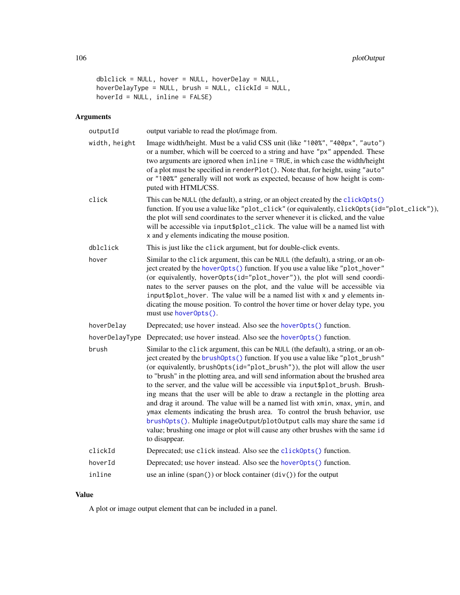```
dblclick = NULL, hover = NULL, hoverDelay = NULL,
hoverDelayType = NULL, brush = NULL, clickId = NULL,
hoverId = NULL, inline = FALSE)
```
# Arguments

| outputId       | output variable to read the plot/image from.                                                                                                                                                                                                                                                                                                                                                                                                                                                                                                                                                                                                                                                                                                                                                                                                                |
|----------------|-------------------------------------------------------------------------------------------------------------------------------------------------------------------------------------------------------------------------------------------------------------------------------------------------------------------------------------------------------------------------------------------------------------------------------------------------------------------------------------------------------------------------------------------------------------------------------------------------------------------------------------------------------------------------------------------------------------------------------------------------------------------------------------------------------------------------------------------------------------|
| width, height  | Image width/height. Must be a valid CSS unit (like "100%", "400px", "auto")<br>or a number, which will be coerced to a string and have "px" appended. These<br>two arguments are ignored when inline = TRUE, in which case the width/height<br>of a plot must be specified in renderPlot(). Note that, for height, using "auto"<br>or "100%" generally will not work as expected, because of how height is com-<br>puted with HTML/CSS.                                                                                                                                                                                                                                                                                                                                                                                                                     |
| click          | This can be NULL (the default), a string, or an object created by the click0pts()<br>function. If you use a value like "plot_click" (or equivalently, click0pts(id="plot_click")),<br>the plot will send coordinates to the server whenever it is clicked, and the value<br>will be accessible via input \$plot_click. The value will be a named list with<br>x and y elements indicating the mouse position.                                                                                                                                                                                                                                                                                                                                                                                                                                               |
| dblclick       | This is just like the click argument, but for double-click events.                                                                                                                                                                                                                                                                                                                                                                                                                                                                                                                                                                                                                                                                                                                                                                                          |
| hover          | Similar to the click argument, this can be NULL (the default), a string, or an ob-<br>ject created by the hoverOpts() function. If you use a value like "plot_hover"<br>(or equivalently, hoverOpts(id="plot_hover")), the plot will send coordi-<br>nates to the server pauses on the plot, and the value will be accessible via<br>input\$plot_hover. The value will be a named list with x and y elements in-<br>dicating the mouse position. To control the hover time or hover delay type, you<br>must use hoverOpts().                                                                                                                                                                                                                                                                                                                                |
| hoverDelay     | Deprecated; use hover instead. Also see the hover0pts() function.                                                                                                                                                                                                                                                                                                                                                                                                                                                                                                                                                                                                                                                                                                                                                                                           |
| hoverDelayType | Deprecated; use hover instead. Also see the hover0pts() function.                                                                                                                                                                                                                                                                                                                                                                                                                                                                                                                                                                                                                                                                                                                                                                                           |
| brush          | Similar to the click argument, this can be NULL (the default), a string, or an ob-<br>ject created by the brush0pts() function. If you use a value like "plot_brush"<br>(or equivalently, brush0pts(id="plot_brush")), the plot will allow the user<br>to "brush" in the plotting area, and will send information about the brushed area<br>to the server, and the value will be accessible via input \$plot_brush. Brush-<br>ing means that the user will be able to draw a rectangle in the plotting area<br>and drag it around. The value will be a named list with xmin, xmax, ymin, and<br>ymax elements indicating the brush area. To control the brush behavior, use<br>brushOpts(). Multiple imageOutput/plotOutput calls may share the same id<br>value; brushing one image or plot will cause any other brushes with the same id<br>to disappear. |
| clickId        | Deprecated; use click instead. Also see the click0pts() function.                                                                                                                                                                                                                                                                                                                                                                                                                                                                                                                                                                                                                                                                                                                                                                                           |
| hoverId        | Deprecated; use hover instead. Also see the hover0pts() function.                                                                                                                                                                                                                                                                                                                                                                                                                                                                                                                                                                                                                                                                                                                                                                                           |
| inline         | use an inline $(\text{span}() )$ or block container $(\text{div}() )$ for the output                                                                                                                                                                                                                                                                                                                                                                                                                                                                                                                                                                                                                                                                                                                                                                        |

# Value

A plot or image output element that can be included in a panel.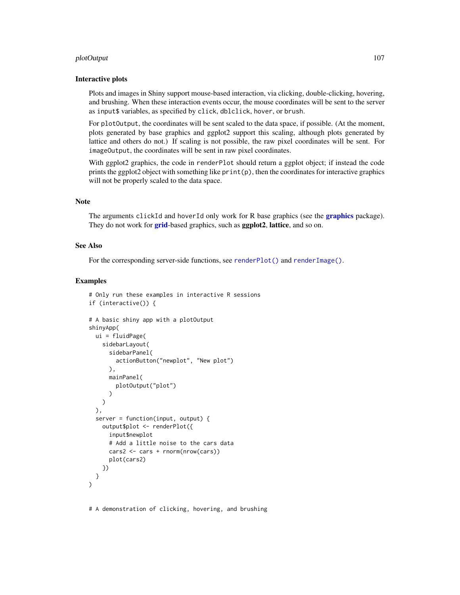#### plotOutput the contract of the contract of the contract of the contract of the contract of the contract of the contract of the contract of the contract of the contract of the contract of the contract of the contract of the

### Interactive plots

Plots and images in Shiny support mouse-based interaction, via clicking, double-clicking, hovering, and brushing. When these interaction events occur, the mouse coordinates will be sent to the server as input\$ variables, as specified by click, dblclick, hover, or brush.

For plotOutput, the coordinates will be sent scaled to the data space, if possible. (At the moment, plots generated by base graphics and ggplot2 support this scaling, although plots generated by lattice and others do not.) If scaling is not possible, the raw pixel coordinates will be sent. For imageOutput, the coordinates will be sent in raw pixel coordinates.

With ggplot2 graphics, the code in renderPlot should return a ggplot object; if instead the code prints the ggplot2 object with something like print(p), then the coordinates for interactive graphics will not be properly scaled to the data space.

### Note

The arguments clickId and hoverId only work for R base [graphics](#page-0-0) (see the **graphics** package). They do not work for **[grid](#page-0-0)**-based graphics, such as **ggplot2**, lattice, and so on.

## See Also

For the corresponding server-side functions, see [renderPlot\(\)](#page-136-0) and [renderImage\(\)](#page-134-0).

#### Examples

```
# Only run these examples in interactive R sessions
if (interactive()) {
# A basic shiny app with a plotOutput
shinyApp(
 ui = fluidPage(
    sidebarLayout(
      sidebarPanel(
        actionButton("newplot", "New plot")
      ),
      mainPanel(
        plotOutput("plot")
      )
   \lambda),
 server = function(input, output) {
   output$plot <- renderPlot({
      input$newplot
      # Add a little noise to the cars data
      cars2 <- cars + rnorm(nrow(cars))
      plot(cars2)
   })
 }
\lambda
```
# A demonstration of clicking, hovering, and brushing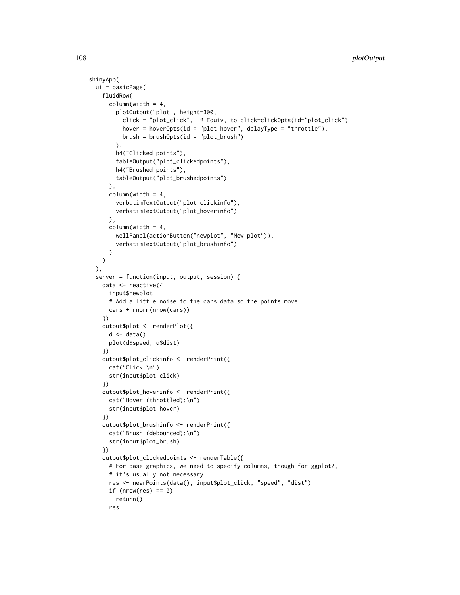```
shinyApp(
 ui = basicPage(
   fluidRow(
      column(width = 4,
        plotOutput("plot", height=300,
          click = "plot_click", # Equiv, to click=clickOpts(id="plot_click")
          hover = hoverOpts(id = "plot_hover", delayType = "throttle"),
         brush = brushOpts(id = "plot_brush")
        \lambda.
       h4("Clicked points"),
        tableOutput("plot_clickedpoints"),
        h4("Brushed points"),
        tableOutput("plot_brushedpoints")
      ),
      column(width = 4,
        verbatimTextOutput("plot_clickinfo"),
        verbatimTextOutput("plot_hoverinfo")
      ),
      columnwidth = 4,wellPanel(actionButton("newplot", "New plot")),
        verbatimTextOutput("plot_brushinfo")
      )
   )
 ),
 server = function(input, output, session) {
   data <- reactive({
      input$newplot
      # Add a little noise to the cars data so the points move
      cars + rnorm(nrow(cars))
    })
    output$plot <- renderPlot({
      d \leftarrow data()plot(d$speed, d$dist)
    })
    output$plot_clickinfo <- renderPrint({
      cat("Click:\n")
      str(input$plot_click)
    })
    output$plot_hoverinfo <- renderPrint({
      cat("Hover (throttled):\n")
      str(input$plot_hover)
    })
    output$plot_brushinfo <- renderPrint({
      cat("Brush (debounced):\n")
      str(input$plot_brush)
    })
    output$plot_clickedpoints <- renderTable({
      # For base graphics, we need to specify columns, though for ggplot2,
      # it's usually not necessary.
      res <- nearPoints(data(), input$plot_click, "speed", "dist")
      if (nrow(res) == 0)
       return()
      res
```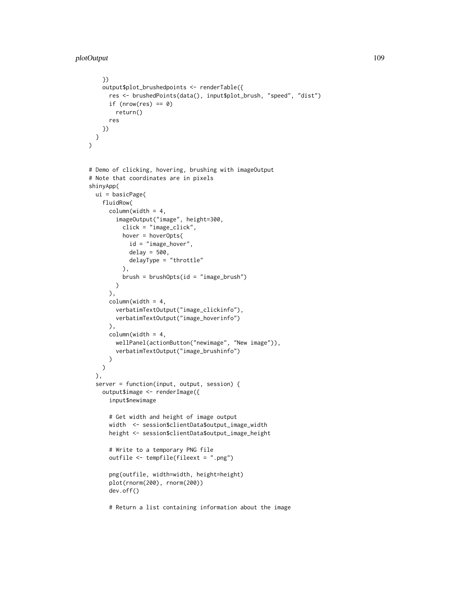```
})
   output$plot_brushedpoints <- renderTable({
      res <- brushedPoints(data(), input$plot_brush, "speed", "dist")
      if (nrow(res) == 0)
       return()
      res
   })
 }
\lambda# Demo of clicking, hovering, brushing with imageOutput
# Note that coordinates are in pixels
shinyApp(
 ui = basicPage(
   fluidRow(
      column(width = 4,
        imageOutput("image", height=300,
          click = "image_click",
          hover = hoverOpts(
            id = "image_hover",
            delay = 500,
           delayType = "throttle"
          ),
          brush = brushOpts(id = "image_brush")
       )
      ),
      column(width = 4,
       verbatimTextOutput("image_clickinfo"),
       verbatimTextOutput("image_hoverinfo")
      ),
      column(width = 4,
       wellPanel(actionButton("newimage", "New image")),
       verbatimTextOutput("image_brushinfo")
     \lambda\lambda),
 server = function(input, output, session) {
    output$image <- renderImage({
      input$newimage
      # Get width and height of image output
      width <- session$clientData$output_image_width
      height <- session$clientData$output_image_height
      # Write to a temporary PNG file
      outfile <- tempfile(fileext = ".png")
      png(outfile, width=width, height=height)
      plot(rnorm(200), rnorm(200))
      dev.off()
```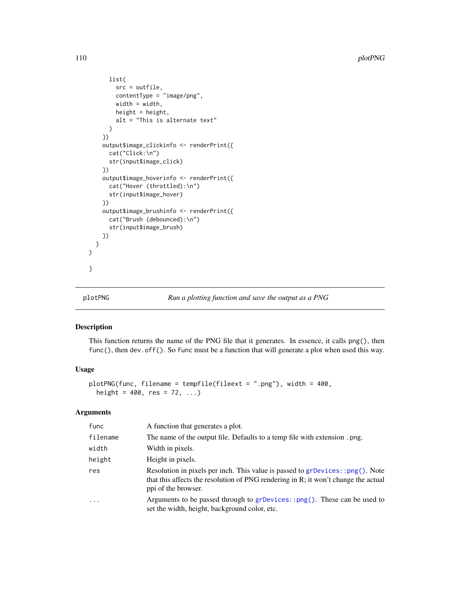```
list(
        src = outfile,
        contentType = "image/png",
        width = width,
        height = height,alt = "This is alternate text"
      )
    })
    output$image_clickinfo <- renderPrint({
      cat("Click:\n")
      str(input$image_click)
    })
    output$image_hoverinfo <- renderPrint({
      cat("Hover (throttled):\n")
      str(input$image_hover)
    })
    output$image_brushinfo <- renderPrint({
      cat("Brush (debounced):\n")
      str(input$image_brush)
    })
 }
\mathcal{L}}
```
<span id="page-109-0"></span>

# plotPNG *Run a plotting function and save the output as a PNG*

## Description

This function returns the name of the PNG file that it generates. In essence, it calls png(), then func(), then dev.off(). So func must be a function that will generate a plot when used this way.

# Usage

```
plotPNG(func, filename = tempfile(fileext = ".png"), width = 400,
  height = 400, res = 72, ...)
```

| func      | A function that generates a plot.                                                                                                                                                          |
|-----------|--------------------------------------------------------------------------------------------------------------------------------------------------------------------------------------------|
| filename  | The name of the output file. Defaults to a temp file with extension .png.                                                                                                                  |
| width     | Width in pixels.                                                                                                                                                                           |
| height    | Height in pixels.                                                                                                                                                                          |
| res       | Resolution in pixels per inch. This value is passed to grDevices::png(). Note<br>that this affects the resolution of PNG rendering in R; it won't change the actual<br>ppi of the browser. |
| $\ddotsc$ | Arguments to be passed through to $grDevices::png()$ . These can be used to<br>set the width, height, background color, etc.                                                               |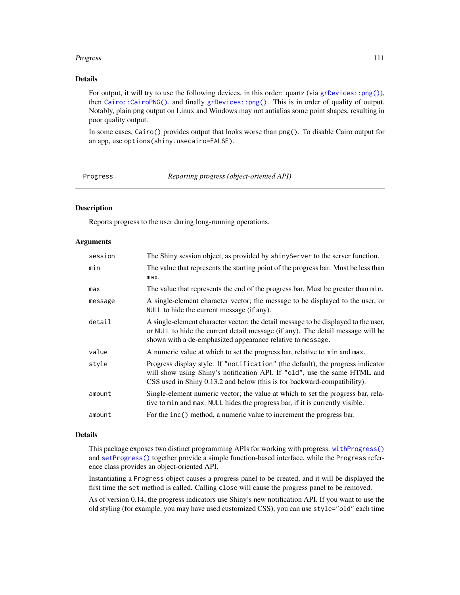## Progress 2011 and 2012 and 2013 and 2013 and 2013 and 2013 and 2013 and 2013 and 2014 and 2013 and 2014 and 201

# Details

For output, it will try to use the following devices, in this order: quartz (via [grDevices::png\(\)](#page-0-0)), then [Cairo::CairoPNG\(\)](#page-0-0), and finally [grDevices::png\(\)](#page-0-0). This is in order of quality of output. Notably, plain png output on Linux and Windows may not antialias some point shapes, resulting in poor quality output.

In some cases, Cairo() provides output that looks worse than png(). To disable Cairo output for an app, use options(shiny.usecairo=FALSE).

| Progress |  |
|----------|--|
|----------|--|

Progress *Reporting progress (object-oriented API)*

#### Description

Reports progress to the user during long-running operations.

## Arguments

| session | The Shiny session object, as provided by shiny Server to the server function.                                                                                                                                                            |
|---------|------------------------------------------------------------------------------------------------------------------------------------------------------------------------------------------------------------------------------------------|
| min     | The value that represents the starting point of the progress bar. Must be less than<br>max.                                                                                                                                              |
| max     | The value that represents the end of the progress bar. Must be greater than min.                                                                                                                                                         |
| message | A single-element character vector; the message to be displayed to the user, or<br>NULL to hide the current message (if any).                                                                                                             |
| detail  | A single-element character vector; the detail message to be displayed to the user,<br>or NULL to hide the current detail message (if any). The detail message will be<br>shown with a de-emphasized appearance relative to message.      |
| value   | A numeric value at which to set the progress bar, relative to min and max.                                                                                                                                                               |
| style   | Progress display style. If "notification" (the default), the progress indicator<br>will show using Shiny's notification API. If "old", use the same HTML and<br>CSS used in Shiny 0.13.2 and below (this is for backward-compatibility). |
| amount  | Single-element numeric vector; the value at which to set the progress bar, rela-<br>tive to min and max. NULL hides the progress bar, if it is currently visible.                                                                        |
| amount  | For the inc() method, a numeric value to increment the progress bar.                                                                                                                                                                     |

# Details

This package exposes two distinct programming APIs for working with progress. [withProgress\(\)](#page-214-0) and [setProgress\(\)](#page-214-1) together provide a simple function-based interface, while the Progress reference class provides an object-oriented API.

Instantiating a Progress object causes a progress panel to be created, and it will be displayed the first time the set method is called. Calling close will cause the progress panel to be removed.

As of version 0.14, the progress indicators use Shiny's new notification API. If you want to use the old styling (for example, you may have used customized CSS), you can use style="old" each time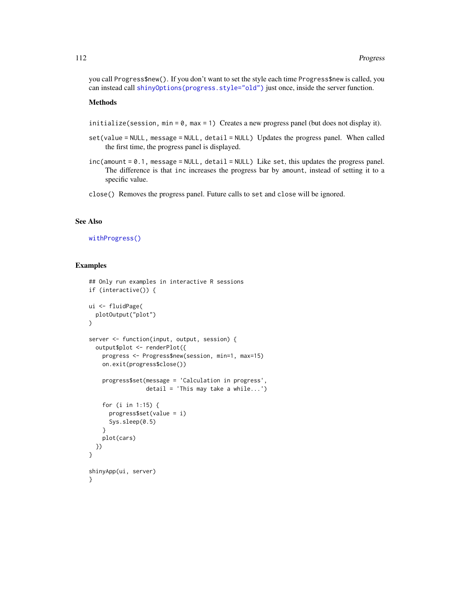you call Progress\$new(). If you don't want to set the style each time Progress\$new is called, you can instead call [shinyOptions\(progress.style="old"\)](#page-57-0) just once, inside the server function.

#### Methods

- initialize(session, min = 0, max = 1) Creates a new progress panel (but does not display it).
- set(value = NULL, message = NULL, detail = NULL) Updates the progress panel. When called the first time, the progress panel is displayed.
- inc(amount = 0.1, message = NULL, detail = NULL) Like set, this updates the progress panel. The difference is that inc increases the progress bar by amount, instead of setting it to a specific value.
- close() Removes the progress panel. Future calls to set and close will be ignored.

## See Also

#### [withProgress\(\)](#page-214-0)

## Examples

```
## Only run examples in interactive R sessions
if (interactive()) {
ui <- fluidPage(
  plotOutput("plot")
)
server <- function(input, output, session) {
  output$plot <- renderPlot({
   progress <- Progress$new(session, min=1, max=15)
   on.exit(progress$close())
    progress$set(message = 'Calculation in progress',
                 detail = 'This may take a while...')
    for (i in 1:15) {
      progress$set(value = i)
      Sys.sleep(0.5)
    }
    plot(cars)
  })
}
shinyApp(ui, server)
}
```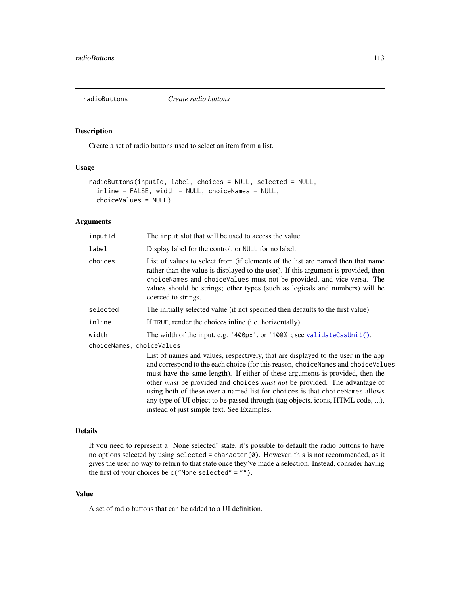# Description

Create a set of radio buttons used to select an item from a list.

# Usage

```
radioButtons(inputId, label, choices = NULL, selected = NULL,
  inline = FALSE, width = NULL, choiceNames = NULL,
 choiceValues = NULL)
```
# Arguments

| inputId                   | The input slot that will be used to access the value.                                                                                                                                                                                                                                                                                                                                                                                                                                                                                                             |  |
|---------------------------|-------------------------------------------------------------------------------------------------------------------------------------------------------------------------------------------------------------------------------------------------------------------------------------------------------------------------------------------------------------------------------------------------------------------------------------------------------------------------------------------------------------------------------------------------------------------|--|
| label                     | Display label for the control, or NULL for no label.                                                                                                                                                                                                                                                                                                                                                                                                                                                                                                              |  |
| choices                   | List of values to select from (if elements of the list are named then that name<br>rather than the value is displayed to the user). If this argument is provided, then<br>choiceNames and choiceValues must not be provided, and vice-versa. The<br>values should be strings; other types (such as logicals and numbers) will be<br>coerced to strings.                                                                                                                                                                                                           |  |
| selected                  | The initially selected value (if not specified then defaults to the first value)                                                                                                                                                                                                                                                                                                                                                                                                                                                                                  |  |
| inline                    | If TRUE, render the choices in line ( <i>i.e.</i> horizontally)                                                                                                                                                                                                                                                                                                                                                                                                                                                                                                   |  |
| width                     | The width of the input, e.g. '400px', or '100%'; see validateCssUnit().                                                                                                                                                                                                                                                                                                                                                                                                                                                                                           |  |
| choiceNames, choiceValues |                                                                                                                                                                                                                                                                                                                                                                                                                                                                                                                                                                   |  |
|                           | List of names and values, respectively, that are displayed to the user in the app<br>and correspond to the each choice (for this reason, choiceNames and choiceValues<br>must have the same length). If either of these arguments is provided, then the<br>other <i>must</i> be provided and choices <i>must not</i> be provided. The advantage of<br>using both of these over a named list for choices is that choiceNames allows<br>any type of UI object to be passed through (tag objects, icons, HTML code, ),<br>instead of just simple text. See Examples. |  |

## Details

If you need to represent a "None selected" state, it's possible to default the radio buttons to have no options selected by using selected = character(0). However, this is not recommended, as it gives the user no way to return to that state once they've made a selection. Instead, consider having the first of your choices be c("None selected" = "").

## Value

A set of radio buttons that can be added to a UI definition.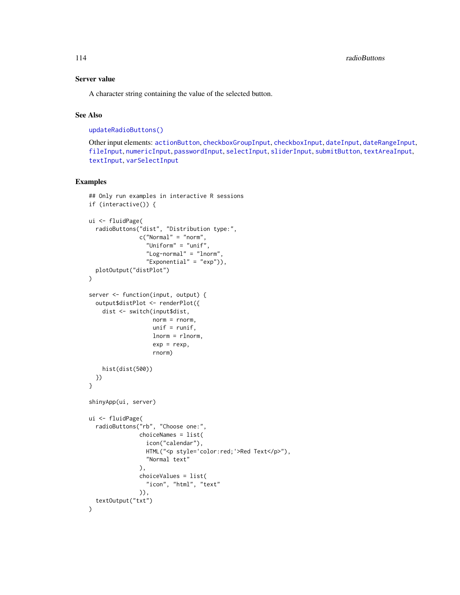# Server value

A character string containing the value of the selected button.

# See Also

[updateRadioButtons\(\)](#page-196-0)

Other input elements: [actionButton](#page-7-0), [checkboxGroupInput](#page-17-0), [checkboxInput](#page-19-0), [dateInput](#page-24-0), [dateRangeInput](#page-27-0), [fileInput](#page-45-0), [numericInput](#page-88-0), [passwordInput](#page-103-0), [selectInput](#page-154-0), [sliderInput](#page-170-0), [submitButton](#page-175-0), [textAreaInput](#page-181-0), [textInput](#page-182-0), [varSelectInput](#page-208-0)

# Examples

```
## Only run examples in interactive R sessions
if (interactive()) {
ui <- fluidPage(
  radioButtons("dist", "Distribution type:",
               c("Normal" = "norm","Uniform" = "unif",
                 "Log-normal" = "lnorm",
                 "Exponential" = "exp")),
  plotOutput("distPlot")
\lambdaserver <- function(input, output) {
  output$distPlot <- renderPlot({
    dist <- switch(input$dist,
                   norm = rnorm.
                   unif = runif,
                   lnorm = rlnorm,
                   exp = rexp,
                   rnorm)
   hist(dist(500))
 })
}
shinyApp(ui, server)
ui <- fluidPage(
  radioButtons("rb", "Choose one:",
               choiceNames = list(
                 icon("calendar"),
                 HTML("<p style='color:red;'>Red Text</p>"),
                 "Normal text"
               ),
               choiceValues = list(
                 "icon", "html", "text"
               )),
  textOutput("txt")
)
```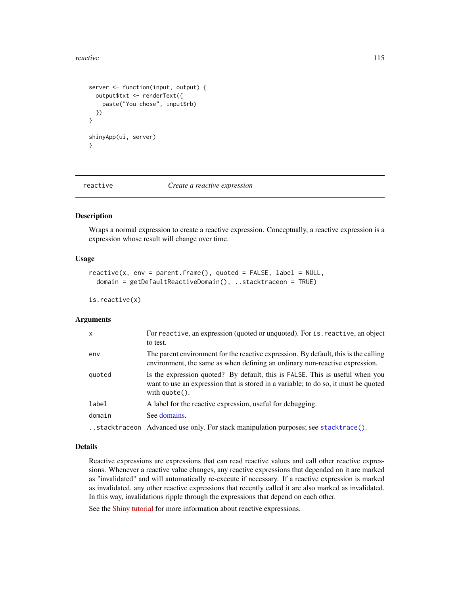#### reactive 115

```
server <- function(input, output) {
 output$txt <- renderText({
   paste("You chose", input$rb)
 })
}
shinyApp(ui, server)
}
```
<span id="page-114-0"></span>

reactive *Create a reactive expression*

## Description

Wraps a normal expression to create a reactive expression. Conceptually, a reactive expression is a expression whose result will change over time.

## Usage

```
reactive(x, env = parent-frame(), quoted = FALSE, label = NULL,domain = getDefaultReactiveDomain(), ..stacktraceon = TRUE)
```

```
is.reactive(x)
```
#### Arguments

| x      | For reactive, an expression (quoted or unquoted). For is reactive, an object<br>to test.                                                                                                       |
|--------|------------------------------------------------------------------------------------------------------------------------------------------------------------------------------------------------|
| env    | The parent environment for the reactive expression. By default, this is the calling<br>environment, the same as when defining an ordinary non-reactive expression.                             |
| quoted | Is the expression quoted? By default, this is FALSE. This is useful when you<br>want to use an expression that is stored in a variable; to do so, it must be quoted<br>with $\text{quote}()$ . |
| label  | A label for the reactive expression, useful for debugging.                                                                                                                                     |
| domain | See domains.                                                                                                                                                                                   |
|        | stacktraceon Advanced use only. For stack manipulation purposes; see stacktrace().                                                                                                             |

## Details

Reactive expressions are expressions that can read reactive values and call other reactive expressions. Whenever a reactive value changes, any reactive expressions that depended on it are marked as "invalidated" and will automatically re-execute if necessary. If a reactive expression is marked as invalidated, any other reactive expressions that recently called it are also marked as invalidated. In this way, invalidations ripple through the expressions that depend on each other.

See the [Shiny tutorial](https://shiny.rstudio.com/tutorial/) for more information about reactive expressions.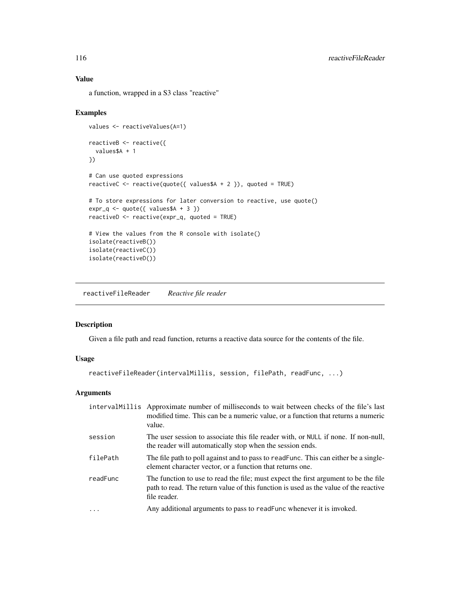# Value

a function, wrapped in a S3 class "reactive"

## Examples

```
values <- reactiveValues(A=1)
reactiveB <- reactive({
 values$A + 1
})
# Can use quoted expressions
reactiveC <- reactive(quote({ values$A + 2 }), quoted = TRUE)
# To store expressions for later conversion to reactive, use quote()
expr_q \leftarrow quote({\{ values\AA + 3 \}})reactiveD <- reactive(expr_q, quoted = TRUE)
# View the values from the R console with isolate()
isolate(reactiveB())
isolate(reactiveC())
isolate(reactiveD())
```
<span id="page-115-0"></span>reactiveFileReader *Reactive file reader*

## Description

Given a file path and read function, returns a reactive data source for the contents of the file.

## Usage

```
reactiveFileReader(intervalMillis, session, filePath, readFunc, ...)
```

|          | interval Millis Approximate number of milliseconds to wait between checks of the file's last<br>modified time. This can be a numeric value, or a function that returns a numeric<br>value.  |
|----------|---------------------------------------------------------------------------------------------------------------------------------------------------------------------------------------------|
| session  | The user session to associate this file reader with, or NULL if none. If non-null,<br>the reader will automatically stop when the session ends.                                             |
| filePath | The file path to poll against and to pass to readFunc. This can either be a single-<br>element character vector, or a function that returns one.                                            |
| readFunc | The function to use to read the file; must expect the first argument to be the file<br>path to read. The return value of this function is used as the value of the reactive<br>file reader. |
|          | Any additional arguments to pass to readFunc whenever it is invoked.                                                                                                                        |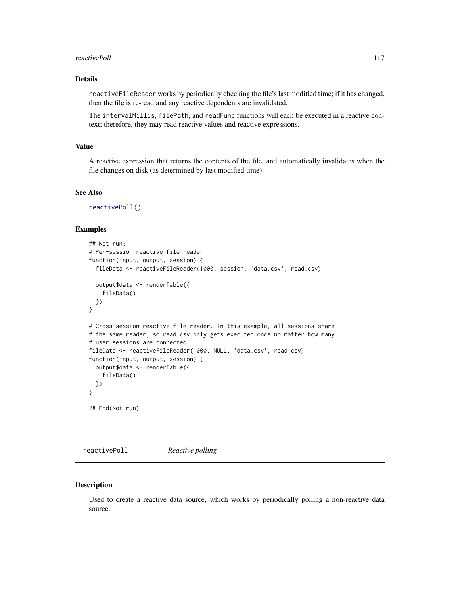#### reactivePoll 117

## Details

reactiveFileReader works by periodically checking the file's last modified time; if it has changed, then the file is re-read and any reactive dependents are invalidated.

The intervalMillis, filePath, and readFunc functions will each be executed in a reactive context; therefore, they may read reactive values and reactive expressions.

## Value

A reactive expression that returns the contents of the file, and automatically invalidates when the file changes on disk (as determined by last modified time).

## See Also

[reactivePoll\(\)](#page-116-0)

## Examples

```
## Not run:
# Per-session reactive file reader
function(input, output, session) {
 fileData <- reactiveFileReader(1000, session, 'data.csv', read.csv)
 output$data <- renderTable({
    fileData()
 })
}
# Cross-session reactive file reader. In this example, all sessions share
# the same reader, so read.csv only gets executed once no matter how many
# user sessions are connected.
fileData <- reactiveFileReader(1000, NULL, 'data.csv', read.csv)
function(input, output, session) {
 output$data <- renderTable({
    fileData()
 })
}
## End(Not run)
```
<span id="page-116-0"></span>reactivePoll *Reactive polling*

#### Description

Used to create a reactive data source, which works by periodically polling a non-reactive data source.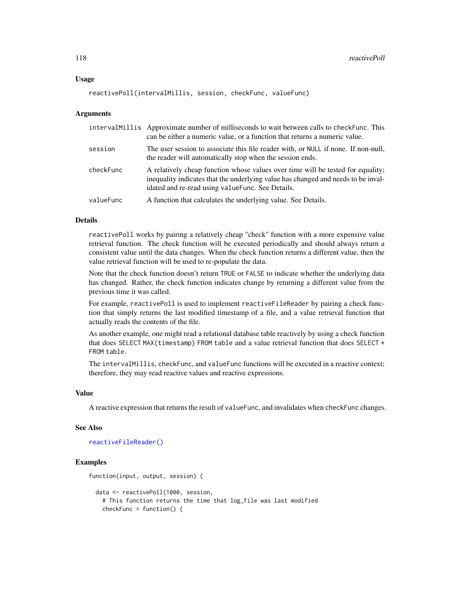#### Usage

```
reactivePoll(intervalMillis, session, checkFunc, valueFunc)
```
## Arguments

|           | intervalMillis Approximate number of milliseconds to wait between calls to checkFunc. This<br>can be either a numeric value, or a function that returns a numeric value.                                                  |
|-----------|---------------------------------------------------------------------------------------------------------------------------------------------------------------------------------------------------------------------------|
| session   | The user session to associate this file reader with, or NULL if none. If non-null,<br>the reader will automatically stop when the session ends.                                                                           |
| checkFunc | A relatively cheap function whose values over time will be tested for equality;<br>inequality indicates that the underlying value has changed and needs to be inval-<br>idated and re-read using value Func. See Details. |
| valueFunc | A function that calculates the underlying value. See Details.                                                                                                                                                             |

## Details

reactivePoll works by pairing a relatively cheap "check" function with a more expensive value retrieval function. The check function will be executed periodically and should always return a consistent value until the data changes. When the check function returns a different value, then the value retrieval function will be used to re-populate the data.

Note that the check function doesn't return TRUE or FALSE to indicate whether the underlying data has changed. Rather, the check function indicates change by returning a different value from the previous time it was called.

For example, reactivePoll is used to implement reactiveFileReader by pairing a check function that simply returns the last modified timestamp of a file, and a value retrieval function that actually reads the contents of the file.

As another example, one might read a relational database table reactively by using a check function that does SELECT MAX(timestamp) FROM table and a value retrieval function that does SELECT  $*$ FROM table.

The intervalMillis, checkFunc, and valueFunc functions will be executed in a reactive context; therefore, they may read reactive values and reactive expressions.

# Value

A reactive expression that returns the result of valueFunc, and invalidates when checkFunc changes.

#### See Also

```
reactiveFileReader()
```
# Examples

```
function(input, output, session) {
 data <- reactivePoll(1000, session,
   # This function returns the time that log_file was last modified
   checkFunc = function() {
```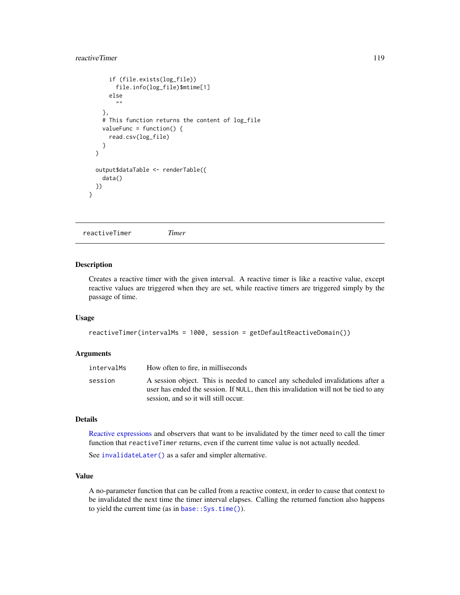# reactiveTimer 119

```
if (file.exists(log_file))
      file.info(log_file)$mtime[1]
    else
      ""
  },
  # This function returns the content of log_file
  valueFunc = function() {
    read.csv(log_file)
  }
\lambdaoutput$dataTable <- renderTable({
  data()
})
```
reactiveTimer *Timer*

# Description

}

Creates a reactive timer with the given interval. A reactive timer is like a reactive value, except reactive values are triggered when they are set, while reactive timers are triggered simply by the passage of time.

# Usage

```
reactiveTimer(intervalMs = 1000, session = getDefaultReactiveDomain())
```
## Arguments

| intervalMs | How often to fire, in milliseconds                                                                                                                                    |
|------------|-----------------------------------------------------------------------------------------------------------------------------------------------------------------------|
| session    | A session object. This is needed to cancel any scheduled invalidations after a<br>user has ended the session. If NULL, then this invalidation will not be tied to any |
|            | session, and so it will still occur.                                                                                                                                  |

## Details

[Reactive expressions](#page-114-0) and observers that want to be invalidated by the timer need to call the timer function that reactiveTimer returns, even if the current time value is not actually needed.

See [invalidateLater\(\)](#page-70-0) as a safer and simpler alternative.

## Value

A no-parameter function that can be called from a reactive context, in order to cause that context to be invalidated the next time the timer interval elapses. Calling the returned function also happens to yield the current time (as in base:: Sys.time()).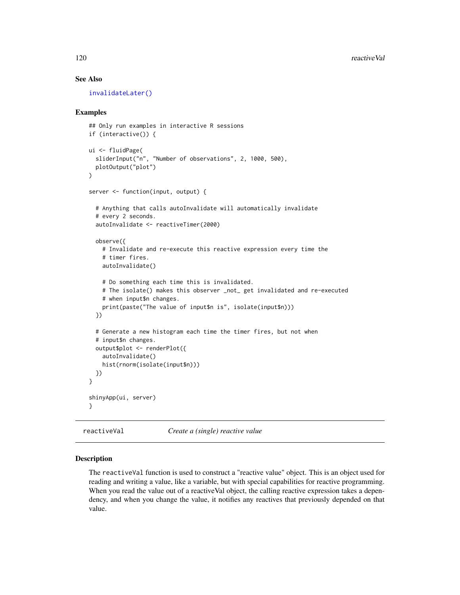# See Also

[invalidateLater\(\)](#page-70-0)

## Examples

```
## Only run examples in interactive R sessions
if (interactive()) {
ui <- fluidPage(
  sliderInput("n", "Number of observations", 2, 1000, 500),
  plotOutput("plot")
)
server <- function(input, output) {
  # Anything that calls autoInvalidate will automatically invalidate
  # every 2 seconds.
  autoInvalidate <- reactiveTimer(2000)
  observe({
    # Invalidate and re-execute this reactive expression every time the
    # timer fires.
    autoInvalidate()
    # Do something each time this is invalidated.
    # The isolate() makes this observer _not_ get invalidated and re-executed
    # when input$n changes.
   print(paste("The value of input$n is", isolate(input$n)))
  })
  # Generate a new histogram each time the timer fires, but not when
  # input$n changes.
  output$plot <- renderPlot({
   autoInvalidate()
    hist(rnorm(isolate(input$n)))
  })
}
shinyApp(ui, server)
}
```
reactiveVal *Create a (single) reactive value*

## Description

The reactiveVal function is used to construct a "reactive value" object. This is an object used for reading and writing a value, like a variable, but with special capabilities for reactive programming. When you read the value out of a reactiveVal object, the calling reactive expression takes a dependency, and when you change the value, it notifies any reactives that previously depended on that value.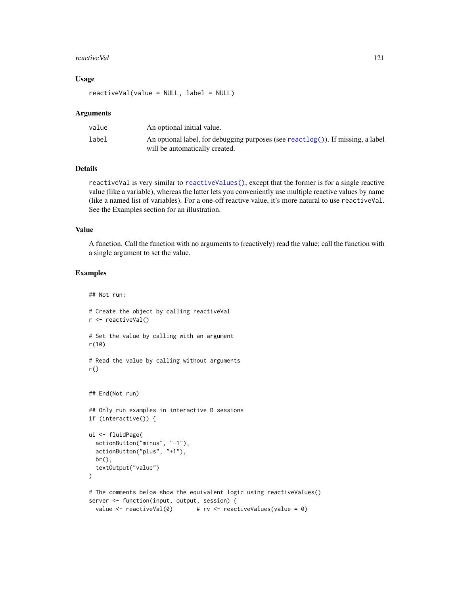#### reactive Val 21

## Usage

reactiveVal(value = NULL, label = NULL)

#### Arguments

| value | An optional initial value.                                                                                        |
|-------|-------------------------------------------------------------------------------------------------------------------|
| label | An optional label, for debugging purposes (see reactlog()). If missing, a label<br>will be automatically created. |

## Details

reactiveVal is very similar to [reactiveValues\(\)](#page-121-0), except that the former is for a single reactive value (like a variable), whereas the latter lets you conveniently use multiple reactive values by name (like a named list of variables). For a one-off reactive value, it's more natural to use reactiveVal. See the Examples section for an illustration.

#### Value

A function. Call the function with no arguments to (reactively) read the value; call the function with a single argument to set the value.

## Examples

## Not run:

```
# Create the object by calling reactiveVal
r <- reactiveVal()
# Set the value by calling with an argument
r(10)
# Read the value by calling without arguments
r()
## End(Not run)
## Only run examples in interactive R sessions
if (interactive()) {
ui <- fluidPage(
  actionButton("minus", "-1"),
  actionButton("plus", "+1"),
  br(),
  textOutput("value")
)
# The comments below show the equivalent logic using reactiveValues()
server <- function(input, output, session) {
  value \le reactiveVal(0) # rv \le reactiveValues(value = 0)
```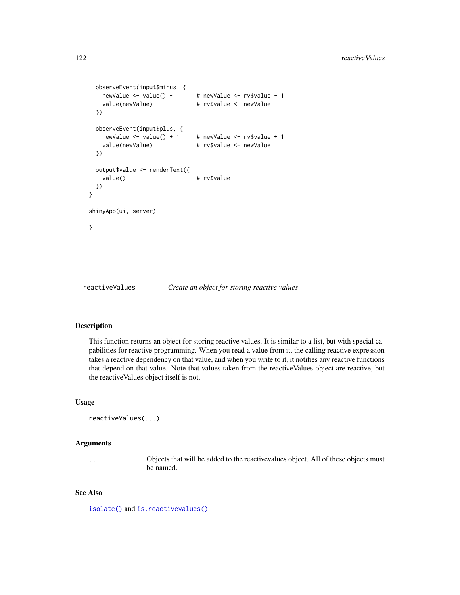```
observeEvent(input$minus, {
   newValue <- value() - 1 # newValue <- rv$value - 1
   value(newValue) # rv$value <- newValue
 })
 observeEvent(input$plus, {
   newValue \le value() + 1 # newValue \le rv$value + 1
   value(newValue) # rv$value <- newValue
 })
 output$value <- renderText({
   value() # rv$value
 })
}
shinyApp(ui, server)
}
```
<span id="page-121-0"></span>reactiveValues *Create an object for storing reactive values*

## Description

This function returns an object for storing reactive values. It is similar to a list, but with special capabilities for reactive programming. When you read a value from it, the calling reactive expression takes a reactive dependency on that value, and when you write to it, it notifies any reactive functions that depend on that value. Note that values taken from the reactiveValues object are reactive, but the reactiveValues object itself is not.

## Usage

```
reactiveValues(...)
```
#### Arguments

... Objects that will be added to the reactivevalues object. All of these objects must be named.

# See Also

[isolate\(\)](#page-72-0) and [is.reactivevalues\(\)](#page-71-0).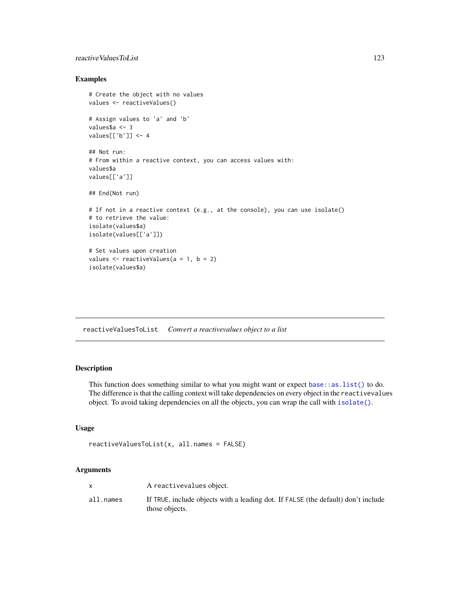# reactive Values ToList 123

# Examples

```
# Create the object with no values
values <- reactiveValues()
# Assign values to 'a' and 'b'
values$a <- 3
values[['b']] <- 4
## Not run:
# From within a reactive context, you can access values with:
values$a
values[['a']]
## End(Not run)
# If not in a reactive context (e.g., at the console), you can use isolate()
# to retrieve the value:
isolate(values$a)
isolate(values[['a']])
# Set values upon creation
values \le reactiveValues(a = 1, b = 2)
isolate(values$a)
```
reactiveValuesToList *Convert a reactivevalues object to a list*

# Description

This function does something similar to what you might want or expect [base::as.list\(\)](#page-0-0) to do. The difference is that the calling context will take dependencies on every object in the reactivevalues object. To avoid taking dependencies on all the objects, you can wrap the call with [isolate\(\)](#page-72-0).

## Usage

```
reactiveValuesToList(x, all.names = FALSE)
```

|           | A reactivevalues object.                                                                            |
|-----------|-----------------------------------------------------------------------------------------------------|
| all.names | If TRUE, include objects with a leading dot. If FALSE (the default) don't include<br>those objects. |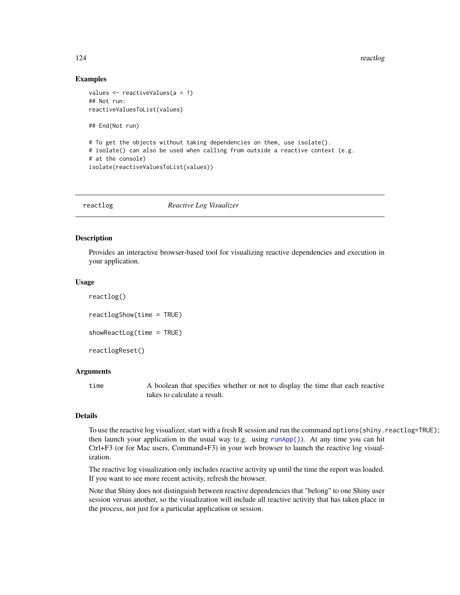## Examples

```
values <- reactiveValues(a = 1)
## Not run:
reactiveValuesToList(values)
## End(Not run)
# To get the objects without taking dependencies on them, use isolate().
# isolate() can also be used when calling from outside a reactive context (e.g.
# at the console)
isolate(reactiveValuesToList(values))
```
<span id="page-123-0"></span>reactlog *Reactive Log Visualizer*

## <span id="page-123-1"></span>Description

Provides an interactive browser-based tool for visualizing reactive dependencies and execution in your application.

#### Usage

```
reactlog()
reactlogShow(time = TRUE)
showReactLog(time = TRUE)
reactlogReset()
```
## Arguments

time A boolean that specifies whether or not to display the time that each reactive takes to calculate a result.

# Details

To use the reactive log visualizer, start with a fresh R session and run the command options(shiny.reactlog=TRUE); then launch your application in the usual way (e.g. using [runApp\(\)](#page-148-0)). At any time you can hit Ctrl+F3 (or for Mac users, Command+F3) in your web browser to launch the reactive log visualization.

The reactive log visualization only includes reactive activity up until the time the report was loaded. If you want to see more recent activity, refresh the browser.

Note that Shiny does not distinguish between reactive dependencies that "belong" to one Shiny user session versus another, so the visualization will include all reactive activity that has taken place in the process, not just for a particular application or session.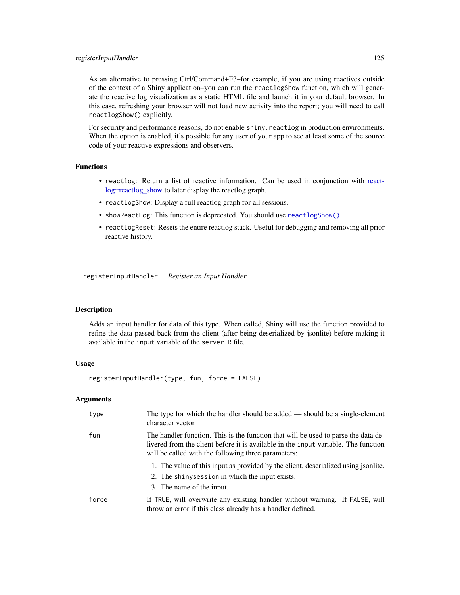# registerInputHandler 125

As an alternative to pressing Ctrl/Command+F3–for example, if you are using reactives outside of the context of a Shiny application–you can run the reactlogShow function, which will generate the reactive log visualization as a static HTML file and launch it in your default browser. In this case, refreshing your browser will not load new activity into the report; you will need to call reactlogShow() explicitly.

For security and performance reasons, do not enable shiny. reactlog in production environments. When the option is enabled, it's possible for any user of your app to see at least some of the source code of your reactive expressions and observers.

# Functions

- reactlog: Return a list of reactive information. Can be used in conjunction with [react](#page-0-0)[log::reactlog\\_show](#page-0-0) to later display the reactlog graph.
- reactlogShow: Display a full reactlog graph for all sessions.
- showReactLog: This function is deprecated. You should use [reactlogShow\(\)](#page-123-1)
- reactlogReset: Resets the entire reactlog stack. Useful for debugging and removing all prior reactive history.

<span id="page-124-0"></span>registerInputHandler *Register an Input Handler*

## **Description**

Adds an input handler for data of this type. When called, Shiny will use the function provided to refine the data passed back from the client (after being deserialized by jsonlite) before making it available in the input variable of the server.R file.

# Usage

```
registerInputHandler(type, fun, force = FALSE)
```

| type  | The type for which the handler should be added $-$ should be a single-element<br>character vector.                                                                                                                              |
|-------|---------------------------------------------------------------------------------------------------------------------------------------------------------------------------------------------------------------------------------|
| fun   | The handler function. This is the function that will be used to parse the data de-<br>livered from the client before it is available in the input variable. The function<br>will be called with the following three parameters: |
|       | 1. The value of this input as provided by the client, descrialized using jsonlite.                                                                                                                                              |
|       | 2. The shiny session in which the input exists.                                                                                                                                                                                 |
|       | 3. The name of the input.                                                                                                                                                                                                       |
| force | If TRUE, will overwrite any existing handler without warning. If FALSE, will<br>throw an error if this class already has a handler defined.                                                                                     |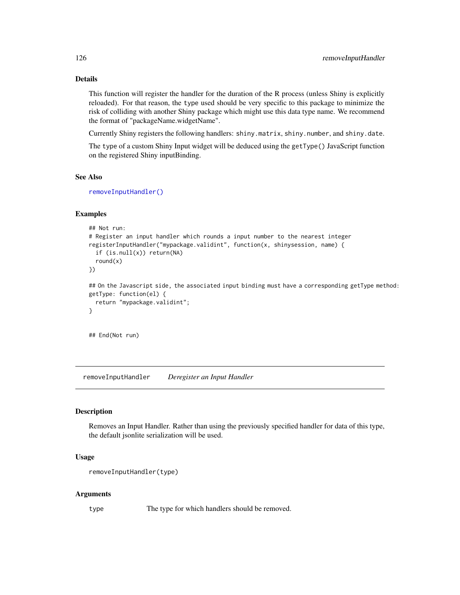# Details

This function will register the handler for the duration of the R process (unless Shiny is explicitly reloaded). For that reason, the type used should be very specific to this package to minimize the risk of colliding with another Shiny package which might use this data type name. We recommend the format of "packageName.widgetName".

Currently Shiny registers the following handlers: shiny.matrix, shiny.number, and shiny.date.

The type of a custom Shiny Input widget will be deduced using the getType() JavaScript function on the registered Shiny inputBinding.

# See Also

[removeInputHandler\(\)](#page-125-0)

## Examples

```
## Not run:
# Register an input handler which rounds a input number to the nearest integer
registerInputHandler("mypackage.validint", function(x, shinysession, name) {
  if (is.null(x)) return(NA)
  round(x)
})
## On the Javascript side, the associated input binding must have a corresponding getType method:
getType: function(el) {
  return "mypackage.validint";
}
```
## End(Not run)

<span id="page-125-0"></span>removeInputHandler *Deregister an Input Handler*

#### Description

Removes an Input Handler. Rather than using the previously specified handler for data of this type, the default jsonlite serialization will be used.

## Usage

```
removeInputHandler(type)
```
## Arguments

type The type for which handlers should be removed.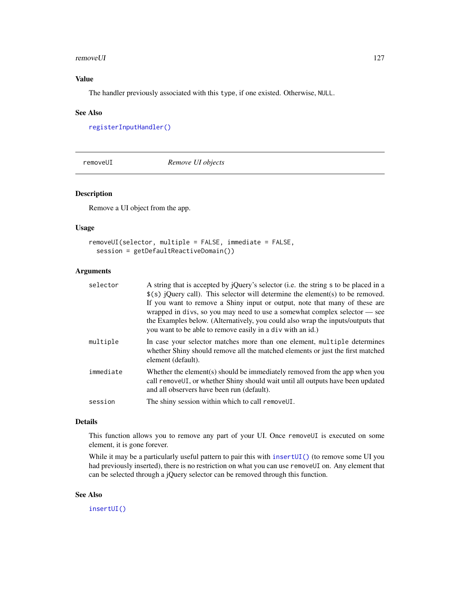#### removeUI and the set of the set of the set of the set of the set of the set of the set of the set of the set of the set of the set of the set of the set of the set of the set of the set of the set of the set of the set of

# Value

The handler previously associated with this type, if one existed. Otherwise, NULL.

#### See Also

[registerInputHandler\(\)](#page-124-0)

removeUI *Remove UI objects*

# **Description**

Remove a UI object from the app.

# Usage

```
removeUI(selector, multiple = FALSE, immediate = FALSE,
  session = getDefaultReactiveDomain())
```
## Arguments

| selector  | A string that is accepted by jQuery's selector (i.e. the string s to be placed in a                                                                                                                                                                                                                                                                                                          |
|-----------|----------------------------------------------------------------------------------------------------------------------------------------------------------------------------------------------------------------------------------------------------------------------------------------------------------------------------------------------------------------------------------------------|
|           | $\$(s)$ jQuery call). This selector will determine the element(s) to be removed.<br>If you want to remove a Shiny input or output, note that many of these are<br>wrapped in divs, so you may need to use a somewhat complex selector — see<br>the Examples below. (Alternatively, you could also wrap the inputs/outputs that<br>you want to be able to remove easily in a div with an id.) |
| multiple  | In case your selector matches more than one element, multiple determines<br>whether Shiny should remove all the matched elements or just the first matched<br>element (default).                                                                                                                                                                                                             |
| immediate | Whether the element(s) should be immediately removed from the app when you<br>call remove UI, or whether Shiny should wait until all outputs have been updated<br>and all observers have been run (default).                                                                                                                                                                                 |
| session   | The shiny session within which to call remove UI.                                                                                                                                                                                                                                                                                                                                            |
|           |                                                                                                                                                                                                                                                                                                                                                                                              |

## Details

This function allows you to remove any part of your UI. Once removeUI is executed on some element, it is gone forever.

While it may be a particularly useful pattern to pair this with [insertUI\(\)](#page-68-0) (to remove some UI you had previously inserted), there is no restriction on what you can use removeUI on. Any element that can be selected through a jQuery selector can be removed through this function.

# See Also

[insertUI\(\)](#page-68-0)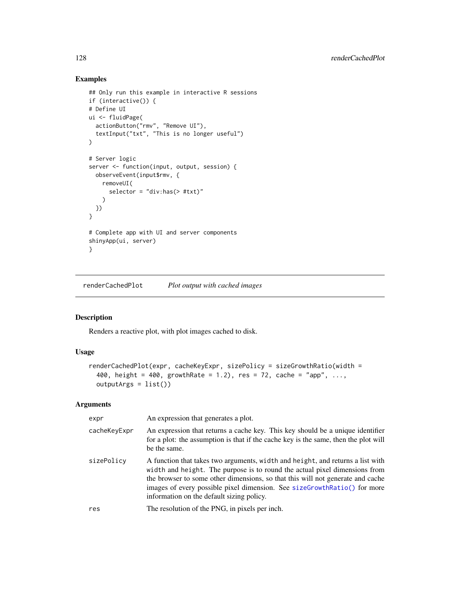# Examples

```
## Only run this example in interactive R sessions
if (interactive()) {
# Define UI
ui <- fluidPage(
  actionButton("rmv", "Remove UI"),
  textInput("txt", "This is no longer useful")
\lambda# Server logic
server <- function(input, output, session) {
 observeEvent(input$rmv, {
    removeUI(
      selector = "div:has(> #txt)"
    )
 })
}
# Complete app with UI and server components
shinyApp(ui, server)
}
```
<span id="page-127-0"></span>renderCachedPlot *Plot output with cached images*

## Description

Renders a reactive plot, with plot images cached to disk.

# Usage

```
renderCachedPlot(expr, cacheKeyExpr, sizePolicy = sizeGrowthRatio(width =
 400, height = 400, growthRate = 1.2), res = 72, cache = "app", ...,
 outputArgs = list())
```

| expr         | An expression that generates a plot.                                                                                                                                                                                                                                                                                                                                    |
|--------------|-------------------------------------------------------------------------------------------------------------------------------------------------------------------------------------------------------------------------------------------------------------------------------------------------------------------------------------------------------------------------|
| cacheKeyExpr | An expression that returns a cache key. This key should be a unique identifier<br>for a plot: the assumption is that if the cache key is the same, then the plot will<br>be the same.                                                                                                                                                                                   |
| sizePolicy   | A function that takes two arguments, width and height, and returns a list with<br>width and height. The purpose is to round the actual pixel dimensions from<br>the browser to some other dimensions, so that this will not generate and cache<br>images of every possible pixel dimension. See sizeGrowthRatio() for more<br>information on the default sizing policy. |
| res          | The resolution of the PNG, in pixels per inch.                                                                                                                                                                                                                                                                                                                          |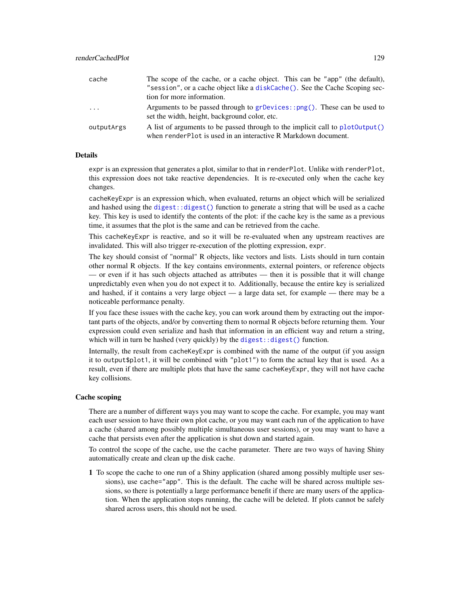| cache      | The scope of the cache, or a cache object. This can be "app" (the default),                                                                     |
|------------|-------------------------------------------------------------------------------------------------------------------------------------------------|
|            | "session", or a cache object like a diskCache(). See the Cache Scoping sec-                                                                     |
|            | tion for more information.                                                                                                                      |
| $\cdots$   | Arguments to be passed through to $grDevices::png()$ . These can be used to<br>set the width, height, background color, etc.                    |
| outputArgs | A list of arguments to be passed through to the implicit call to plot0utput()<br>when renderPlot is used in an interactive R Markdown document. |

#### Details

expr is an expression that generates a plot, similar to that in renderPlot. Unlike with renderPlot, this expression does not take reactive dependencies. It is re-executed only when the cache key changes.

cacheKeyExpr is an expression which, when evaluated, returns an object which will be serialized and hashed using the [digest::digest\(\)](#page-0-0) function to generate a string that will be used as a cache key. This key is used to identify the contents of the plot: if the cache key is the same as a previous time, it assumes that the plot is the same and can be retrieved from the cache.

This cacheKeyExpr is reactive, and so it will be re-evaluated when any upstream reactives are invalidated. This will also trigger re-execution of the plotting expression, expr.

The key should consist of "normal" R objects, like vectors and lists. Lists should in turn contain other normal R objects. If the key contains environments, external pointers, or reference objects — or even if it has such objects attached as attributes — then it is possible that it will change unpredictably even when you do not expect it to. Additionally, because the entire key is serialized and hashed, if it contains a very large object — a large data set, for example — there may be a noticeable performance penalty.

If you face these issues with the cache key, you can work around them by extracting out the important parts of the objects, and/or by converting them to normal R objects before returning them. Your expression could even serialize and hash that information in an efficient way and return a string, which will in turn be hashed (very quickly) by the  $\text{digest}:$  digest() function.

Internally, the result from cacheKeyExpr is combined with the name of the output (if you assign it to output\$plot1, it will be combined with "plot1") to form the actual key that is used. As a result, even if there are multiple plots that have the same cacheKeyExpr, they will not have cache key collisions.

#### Cache scoping

There are a number of different ways you may want to scope the cache. For example, you may want each user session to have their own plot cache, or you may want each run of the application to have a cache (shared among possibly multiple simultaneous user sessions), or you may want to have a cache that persists even after the application is shut down and started again.

To control the scope of the cache, use the cache parameter. There are two ways of having Shiny automatically create and clean up the disk cache.

1 To scope the cache to one run of a Shiny application (shared among possibly multiple user sessions), use cache="app". This is the default. The cache will be shared across multiple sessions, so there is potentially a large performance benefit if there are many users of the application. When the application stops running, the cache will be deleted. If plots cannot be safely shared across users, this should not be used.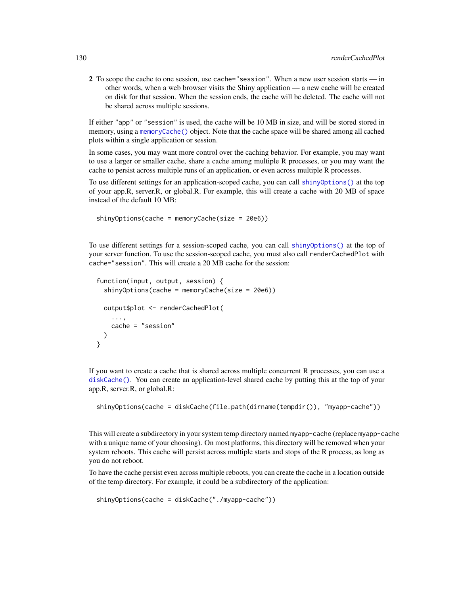2 To scope the cache to one session, use cache="session". When a new user session starts — in other words, when a web browser visits the Shiny application — a new cache will be created on disk for that session. When the session ends, the cache will be deleted. The cache will not be shared across multiple sessions.

If either "app" or "session" is used, the cache will be 10 MB in size, and will be stored stored in memory, using a [memoryCache\(\)](#page-77-0) object. Note that the cache space will be shared among all cached plots within a single application or session.

In some cases, you may want more control over the caching behavior. For example, you may want to use a larger or smaller cache, share a cache among multiple R processes, or you may want the cache to persist across multiple runs of an application, or even across multiple R processes.

To use different settings for an application-scoped cache, you can call [shinyOptions\(\)](#page-57-0) at the top of your app.R, server.R, or global.R. For example, this will create a cache with 20 MB of space instead of the default 10 MB:

shinyOptions(cache = memoryCache(size = 20e6))

To use different settings for a session-scoped cache, you can call [shinyOptions\(\)](#page-57-0) at the top of your server function. To use the session-scoped cache, you must also call renderCachedPlot with cache="session". This will create a 20 MB cache for the session:

```
function(input, output, session) {
  shinyOptions(cache = memoryCache(size = 20e6))
 output$plot <- renderCachedPlot(
    ...,
   cache = "session"
 )
}
```
If you want to create a cache that is shared across multiple concurrent R processes, you can use a [diskCache\(\)](#page-32-0). You can create an application-level shared cache by putting this at the top of your app.R, server.R, or global.R:

```
shinyOptions(cache = diskCache(file.path(dirname(tempdir()), "myapp-cache"))
```
This will create a subdirectory in your system temp directory named myapp-cache (replace myapp-cache with a unique name of your choosing). On most platforms, this directory will be removed when your system reboots. This cache will persist across multiple starts and stops of the R process, as long as you do not reboot.

To have the cache persist even across multiple reboots, you can create the cache in a location outside of the temp directory. For example, it could be a subdirectory of the application:

shinyOptions(cache = diskCache("./myapp-cache"))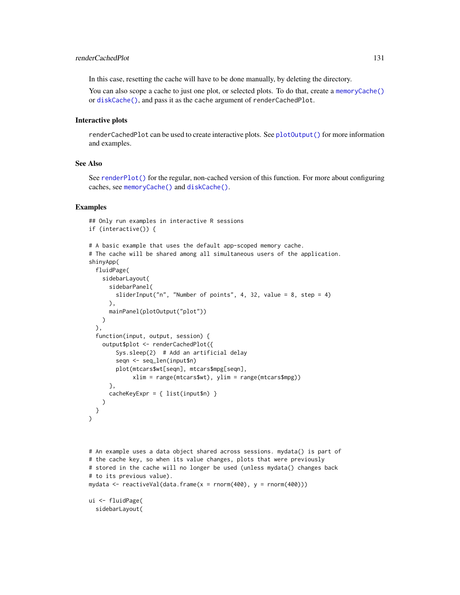In this case, resetting the cache will have to be done manually, by deleting the directory.

You can also scope a cache to just one plot, or selected plots. To do that, create a [memoryCache\(\)](#page-77-0) or [diskCache\(\)](#page-32-0), and pass it as the cache argument of renderCachedPlot.

## Interactive plots

renderCachedPlot can be used to create interactive plots. See [plotOutput\(\)](#page-104-0) for more information and examples.

## See Also

See [renderPlot\(\)](#page-136-0) for the regular, non-cached version of this function. For more about configuring caches, see [memoryCache\(\)](#page-77-0) and [diskCache\(\)](#page-32-0).

#### Examples

```
## Only run examples in interactive R sessions
if (interactive()) {
# A basic example that uses the default app-scoped memory cache.
# The cache will be shared among all simultaneous users of the application.
shinyApp(
 fluidPage(
   sidebarLayout(
      sidebarPanel(
        sliderInput("n", "Number of points", 4, 32, value = 8, step = 4)
      ),
      mainPanel(plotOutput("plot"))
   \lambda),
 function(input, output, session) {
    output$plot <- renderCachedPlot({
        Sys.sleep(2) # Add an artificial delay
        seqn <- seq_len(input$n)
        plot(mtcars$wt[seqn], mtcars$mpg[seqn],
             xlim = range(mtcars$wt), ylim = range(mtcars$mpg))
      },
      cacheKeyExpr = { list(input$n) }
    )
 }
\mathcal{L}
```

```
# An example uses a data object shared across sessions. mydata() is part of
# the cache key, so when its value changes, plots that were previously
# stored in the cache will no longer be used (unless mydata() changes back
# to its previous value).
mydata <- reactiveVal(data.frame(x = rnorm(400), y = rnorm(400)))
ui <- fluidPage(
```
sidebarLayout(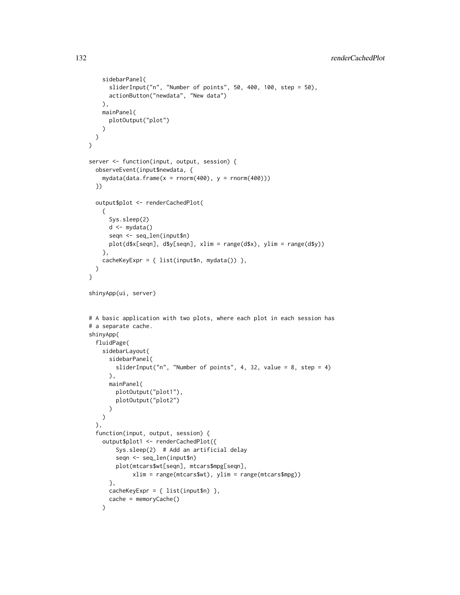```
sidebarPanel(
      sliderInput("n", "Number of points", 50, 400, 100, step = 50),
      actionButton("newdata", "New data")
   ),
    mainPanel(
     plotOutput("plot")
   )
 )
\lambdaserver <- function(input, output, session) {
  observeEvent(input$newdata, {
    mydata(data.frame(x = rnorm(400), y = rnorm(400)))
  })
  output$plot <- renderCachedPlot(
   {
      Sys.sleep(2)
      d <- mydata()
      seqn <- seq_len(input$n)
     plot(d$x[seqn], d$y[seqn], xlim = range(d$x), ylim = range(d$y))
   },
    cacheKeyExpr = { list(input$n, mydata()) },
  )
}
shinyApp(ui, server)
# A basic application with two plots, where each plot in each session has
# a separate cache.
shinyApp(
  fluidPage(
    sidebarLayout(
      sidebarPanel(
        sliderInput("n", "Number of points", 4, 32, value = 8, step = 4)
      ),
      mainPanel(
        plotOutput("plot1"),
        plotOutput("plot2")
      )
   )
  ),
  function(input, output, session) {
    output$plot1 <- renderCachedPlot({
        Sys.sleep(2) # Add an artificial delay
        seqn <- seq_len(input$n)
        plot(mtcars$wt[seqn], mtcars$mpg[seqn],
             xlim = range(mtcars$wt), ylim = range(mtcars$mpg))
      },
      cacheKeyExpr = { list(input$n) },
      cache = memoryCache()
    )
```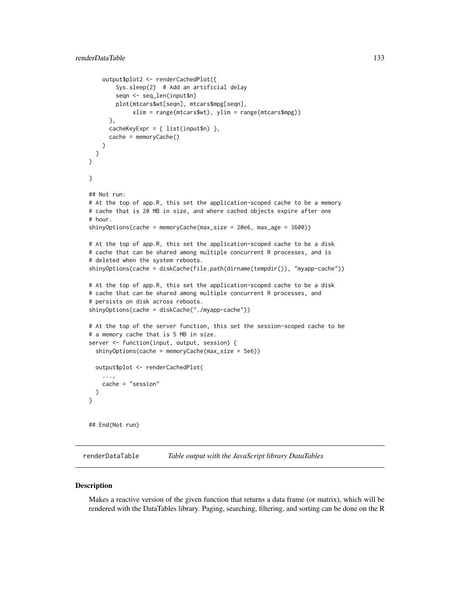```
output$plot2 <- renderCachedPlot({
        Sys.sleep(2) # Add an artificial delay
        seqn <- seq_len(input$n)
        plot(mtcars$wt[seqn], mtcars$mpg[seqn],
             xlim = range(mtcars$wt), ylim = range(mtcars$mpg))
     },
     cacheKeyExpr = \{ list(input$n) \},cache = memoryCache()
   \lambda}
)
}
## Not run:
# At the top of app.R, this set the application-scoped cache to be a memory
# cache that is 20 MB in size, and where cached objects expire after one
# hour.
shinyOptions(cache = memoryCache(max_size = 20e6, max_age = 3600))
# At the top of app.R, this set the application-scoped cache to be a disk
# cache that can be shared among multiple concurrent R processes, and is
# deleted when the system reboots.
shinyOptions(cache = diskCache(file.path(dirname(tempdir()), "myapp-cache"))
# At the top of app.R, this set the application-scoped cache to be a disk
# cache that can be shared among multiple concurrent R processes, and
# persists on disk across reboots.
shinyOptions(cache = diskCache("./myapp-cache"))
# At the top of the server function, this set the session-scoped cache to be
# a memory cache that is 5 MB in size.
server <- function(input, output, session) {
 shinyOptions(cache = memoryCache(max_size = 5e6))
 output$plot <- renderCachedPlot(
    ...,
    cache = "session"
 )
}
## End(Not run)
```
renderDataTable *Table output with the JavaScript library DataTables*

#### **Description**

Makes a reactive version of the given function that returns a data frame (or matrix), which will be rendered with the DataTables library. Paging, searching, filtering, and sorting can be done on the R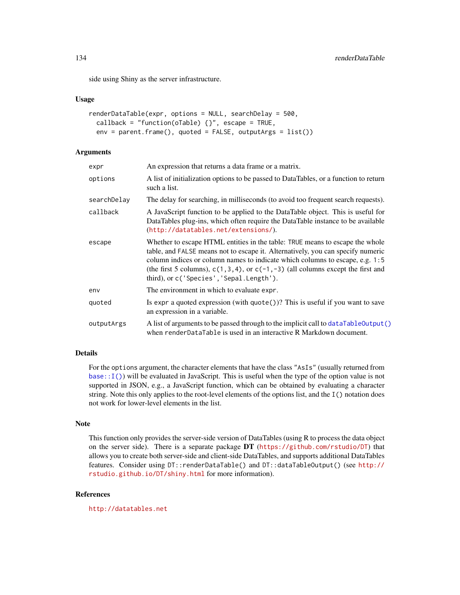side using Shiny as the server infrastructure.

## Usage

```
renderDataTable(expr, options = NULL, searchDelay = 500,
  callback = "function(oTable) \{\}", escape = TRUE,
  env = parent.frame(), quoted = FALSE, outputArgs = list())
```
## Arguments

| expr        | An expression that returns a data frame or a matrix.                                                                                                                                                                                                                                                                                                                               |
|-------------|------------------------------------------------------------------------------------------------------------------------------------------------------------------------------------------------------------------------------------------------------------------------------------------------------------------------------------------------------------------------------------|
| options     | A list of initialization options to be passed to DataTables, or a function to return<br>such a list.                                                                                                                                                                                                                                                                               |
| searchDelav | The delay for searching, in milliseconds (to avoid too frequent search requests).                                                                                                                                                                                                                                                                                                  |
| callback    | A JavaScript function to be applied to the DataTable object. This is useful for<br>DataTables plug-ins, which often require the DataTable instance to be available<br>(http://datatables.net/extensions/).                                                                                                                                                                         |
| escape      | Whether to escape HTML entities in the table: TRUE means to escape the whole<br>table, and FALSE means not to escape it. Alternatively, you can specify numeric<br>column indices or column names to indicate which columns to escape, e.g. 1:5<br>(the first 5 columns), $c(1,3,4)$ , or $c(-1,-3)$ (all columns except the first and<br>third), or c('Species', 'Sepal.Length'). |
| env         | The environment in which to evaluate expr.                                                                                                                                                                                                                                                                                                                                         |
| quoted      | Is expr a quoted expression (with $\text{quote}()$ )? This is useful if you want to save<br>an expression in a variable.                                                                                                                                                                                                                                                           |
| outputArgs  | A list of arguments to be passed through to the implicit call to dataTableOutput()<br>when renderDataTable is used in an interactive R Markdown document.                                                                                                                                                                                                                          |

## Details

For the options argument, the character elements that have the class "AsIs" (usually returned from [base::I\(\)](#page-0-0)) will be evaluated in JavaScript. This is useful when the type of the option value is not supported in JSON, e.g., a JavaScript function, which can be obtained by evaluating a character string. Note this only applies to the root-level elements of the options list, and the I() notation does not work for lower-level elements in the list.

#### Note

This function only provides the server-side version of DataTables (using R to process the data object on the server side). There is a separate package DT (<https://github.com/rstudio/DT>) that allows you to create both server-side and client-side DataTables, and supports additional DataTables features. Consider using DT::renderDataTable() and DT::dataTableOutput() (see [http://](http://rstudio.github.io/DT/shiny.html) [rstudio.github.io/DT/shiny.html](http://rstudio.github.io/DT/shiny.html) for more information).

# References

<http://datatables.net>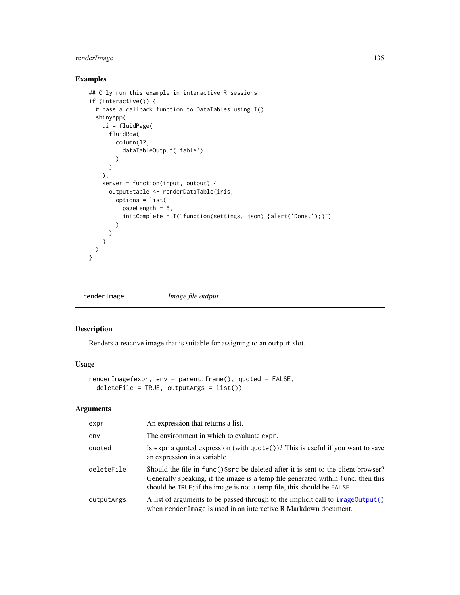# renderImage 135

# Examples

```
## Only run this example in interactive R sessions
if (interactive()) {
  # pass a callback function to DataTables using I()
  shinyApp(
   ui = fluidPage(
     fluidRow(
        column(12,
          dataTableOutput('table')
        )
      )
   ),
   server = function(input, output) {
     output$table <- renderDataTable(iris,
       options = list(
          pageLength = 5,
          initComplete = I("function(settings, json) {alert('Done.');}")
        \lambda)
   }
 \lambda}
```
renderImage *Image file output*

## Description

Renders a reactive image that is suitable for assigning to an output slot.

## Usage

```
renderImage(expr, env = parent.frame(), quoted = FALSE,
 deleteFile = TRUE, outputArgs = list())
```

| expr       | An expression that returns a list.                                                                                                                                                                                                              |
|------------|-------------------------------------------------------------------------------------------------------------------------------------------------------------------------------------------------------------------------------------------------|
| env        | The environment in which to evaluate expr.                                                                                                                                                                                                      |
| quoted     | Is expr a quoted expression (with $\text{quote}()$ )? This is useful if you want to save<br>an expression in a variable.                                                                                                                        |
| deleteFile | Should the file in func()\$src be deleted after it is sent to the client browser?<br>Generally speaking, if the image is a temp file generated within func, then this<br>should be TRUE; if the image is not a temp file, this should be FALSE. |
| outputArgs | A list of arguments to be passed through to the implicit call to image Output ()<br>when render I mage is used in an interactive R Markdown document.                                                                                           |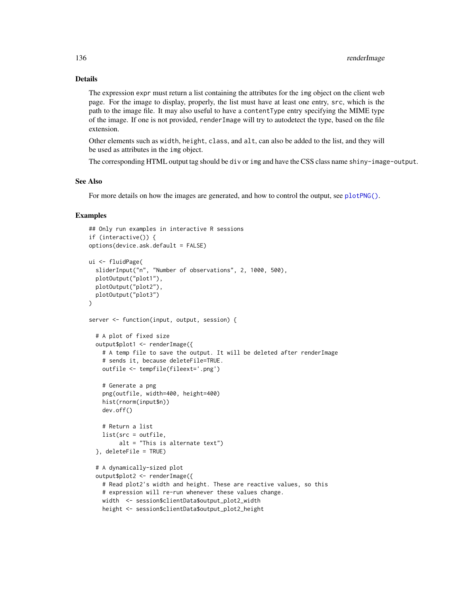# Details

The expression expr must return a list containing the attributes for the img object on the client web page. For the image to display, properly, the list must have at least one entry, src, which is the path to the image file. It may also useful to have a contentType entry specifying the MIME type of the image. If one is not provided, renderImage will try to autodetect the type, based on the file extension.

Other elements such as width, height, class, and alt, can also be added to the list, and they will be used as attributes in the img object.

The corresponding HTML output tag should be div or img and have the CSS class name shiny-image-output.

# See Also

For more details on how the images are generated, and how to control the output, see [plotPNG\(\)](#page-109-0).

## Examples

```
## Only run examples in interactive R sessions
if (interactive()) {
options(device.ask.default = FALSE)
ui <- fluidPage(
  sliderInput("n", "Number of observations", 2, 1000, 500),
  plotOutput("plot1"),
  plotOutput("plot2"),
  plotOutput("plot3")
\lambdaserver <- function(input, output, session) {
  # A plot of fixed size
  output$plot1 <- renderImage({
    # A temp file to save the output. It will be deleted after renderImage
    # sends it, because deleteFile=TRUE.
    outfile <- tempfile(fileext='.png')
    # Generate a png
    png(outfile, width=400, height=400)
    hist(rnorm(input$n))
    dev.off()
    # Return a list
    list(src = outfile,
         alt = "This is alternate text")
  }, deleteFile = TRUE)
  # A dynamically-sized plot
  output$plot2 <- renderImage({
    # Read plot2's width and height. These are reactive values, so this
    # expression will re-run whenever these values change.
    width <- session$clientData$output_plot2_width
    height <- session$clientData$output_plot2_height
```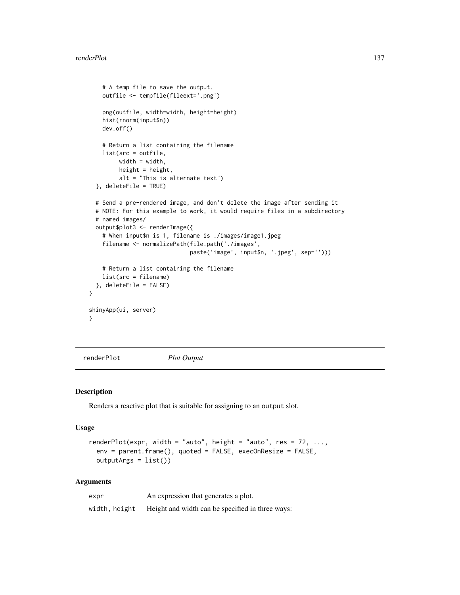```
# A temp file to save the output.
   outfile <- tempfile(fileext='.png')
   png(outfile, width=width, height=height)
   hist(rnorm(input$n))
   dev.off()
    # Return a list containing the filename
   list(src = outfile,
        width = width,
        height = height,alt = "This is alternate text")
 }, deleteFile = TRUE)
 # Send a pre-rendered image, and don't delete the image after sending it
 # NOTE: For this example to work, it would require files in a subdirectory
 # named images/
 output$plot3 <- renderImage({
    # When input$n is 1, filename is ./images/image1.jpeg
   filename <- normalizePath(file.path('./images',
                             paste('image', input$n, '.jpeg', sep='')))
    # Return a list containing the filename
   list(src = filename)
 }, deleteFile = FALSE)
shinyApp(ui, server)
}
```
<span id="page-136-0"></span>renderPlot *Plot Output*

#### Description

}

Renders a reactive plot that is suitable for assigning to an output slot.

#### Usage

```
renderPlot(expr, width = "auto", height = "auto", res = 72, ...,
 env = parent.frame(), quoted = FALSE, execOnResize = FALSE,
 outputArgs = list()
```

| expr          | An expression that generates a plot.             |
|---------------|--------------------------------------------------|
| width, height | Height and width can be specified in three ways: |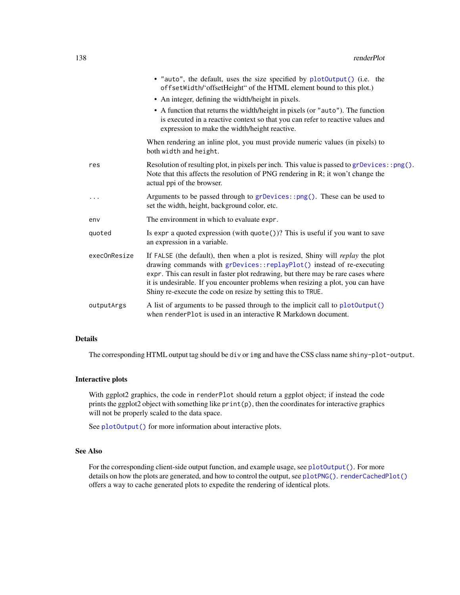|              | • "auto", the default, uses the size specified by plot0utput() (i.e. the<br>offsetWidth/'offsetHeight" of the HTML element bound to this plot.)                                                                                                                                                                                                                                                  |
|--------------|--------------------------------------------------------------------------------------------------------------------------------------------------------------------------------------------------------------------------------------------------------------------------------------------------------------------------------------------------------------------------------------------------|
|              | • An integer, defining the width/height in pixels.                                                                                                                                                                                                                                                                                                                                               |
|              | • A function that returns the width/height in pixels (or "auto"). The function<br>is executed in a reactive context so that you can refer to reactive values and<br>expression to make the width/height reactive.                                                                                                                                                                                |
|              | When rendering an inline plot, you must provide numeric values (in pixels) to<br>both width and height.                                                                                                                                                                                                                                                                                          |
| res          | Resolution of resulting plot, in pixels per inch. This value is passed to $grDevices::png()$ .<br>Note that this affects the resolution of PNG rendering in R; it won't change the<br>actual ppi of the browser.                                                                                                                                                                                 |
| .            | Arguments to be passed through to grDevices::png(). These can be used to<br>set the width, height, background color, etc.                                                                                                                                                                                                                                                                        |
| env          | The environment in which to evaluate expr.                                                                                                                                                                                                                                                                                                                                                       |
| quoted       | Is expr a quoted expression (with quote())? This is useful if you want to save<br>an expression in a variable.                                                                                                                                                                                                                                                                                   |
| execOnResize | If FALSE (the default), then when a plot is resized, Shiny will replay the plot<br>drawing commands with grDevices::replayPlot() instead of re-executing<br>expr. This can result in faster plot redrawing, but there may be rare cases where<br>it is undesirable. If you encounter problems when resizing a plot, you can have<br>Shiny re-execute the code on resize by setting this to TRUE. |
| outputArgs   | A list of arguments to be passed through to the implicit call to plot0utput()<br>when renderPlot is used in an interactive R Markdown document.                                                                                                                                                                                                                                                  |

# Details

The corresponding HTML output tag should be div or img and have the CSS class name shiny-plot-output.

# Interactive plots

With ggplot2 graphics, the code in renderPlot should return a ggplot object; if instead the code prints the ggplot2 object with something like print(p), then the coordinates for interactive graphics will not be properly scaled to the data space.

See [plotOutput\(\)](#page-104-0) for more information about interactive plots.

# See Also

For the corresponding client-side output function, and example usage, see [plotOutput\(\)](#page-104-0). For more details on how the plots are generated, and how to control the output, see [plotPNG\(\)](#page-109-0). [renderCachedPlot\(\)](#page-127-0) offers a way to cache generated plots to expedite the rendering of identical plots.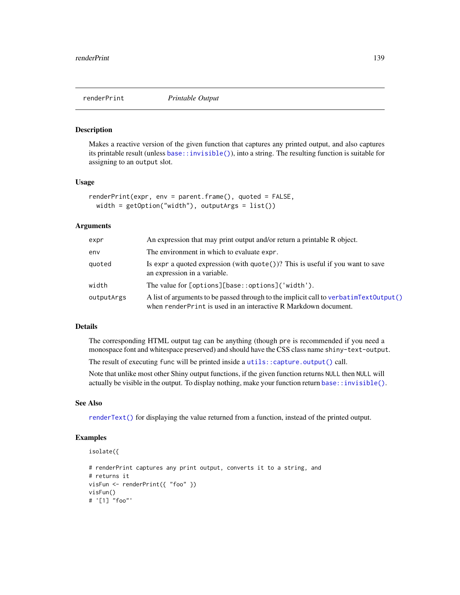<span id="page-138-0"></span>

#### Description

Makes a reactive version of the given function that captures any printed output, and also captures its printable result (unless [base::invisible\(\)](#page-0-0)), into a string. The resulting function is suitable for assigning to an output slot.

#### Usage

```
renderPrint(expr, env = parent.frame(), quoted = FALSE,
 width = getOption("width"), outputArgs = list()
```
#### Arguments

| expr       | An expression that may print output and/or return a printable R object.                                                                                      |
|------------|--------------------------------------------------------------------------------------------------------------------------------------------------------------|
| env        | The environment in which to evaluate expr.                                                                                                                   |
| quoted     | Is expr a quoted expression (with $\text{quote}()$ )? This is useful if you want to save<br>an expression in a variable.                                     |
| width      | The value for [options][base::options]('width').                                                                                                             |
| outputArgs | A list of arguments to be passed through to the implicit call to verbatim Text Output ()<br>when render Print is used in an interactive R Markdown document. |

## Details

The corresponding HTML output tag can be anything (though pre is recommended if you need a monospace font and whitespace preserved) and should have the CSS class name shiny-text-output.

The result of executing func will be printed inside a [utils::capture.output\(\)](#page-0-0) call.

Note that unlike most other Shiny output functions, if the given function returns NULL then NULL will actually be visible in the output. To display nothing, make your function return [base::invisible\(\)](#page-0-0).

## See Also

[renderText\(\)](#page-141-0) for displaying the value returned from a function, instead of the printed output.

# Examples

```
isolate({
```

```
# renderPrint captures any print output, converts it to a string, and
# returns it
visFun <- renderPrint({ "foo" })
visFun()
# '[1] "foo"'
```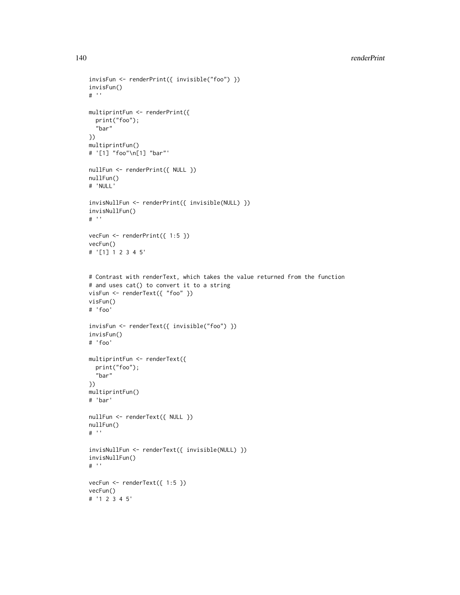```
invisFun <- renderPrint({ invisible("foo") })
invisFun()
# ''
multiprintFun <- renderPrint({
  print("foo");
  "bar"
})
multiprintFun()
# '[1] "foo"\n[1] "bar"'
nullFun <- renderPrint({ NULL })
nullFun()
# 'NULL'
invisNullFun <- renderPrint({ invisible(NULL) })
invisNullFun()
# ''
vecFun <- renderPrint({ 1:5 })
vecFun()
# '[1] 1 2 3 4 5'
# Contrast with renderText, which takes the value returned from the function
# and uses cat() to convert it to a string
visFun <- renderText({ "foo" })
visFun()
# 'foo'
invisFun <- renderText({ invisible("foo") })
invisFun()
# 'foo'
multiprintFun <- renderText({
  print("foo");
  "bar"
})
multiprintFun()
# 'bar'
nullFun <- renderText({ NULL })
nullFun()
# ''
invisNullFun <- renderText({ invisible(NULL) })
invisNullFun()
# ''
vecFun <- renderText({ 1:5 })
vecFun()
# '1 2 3 4 5'
```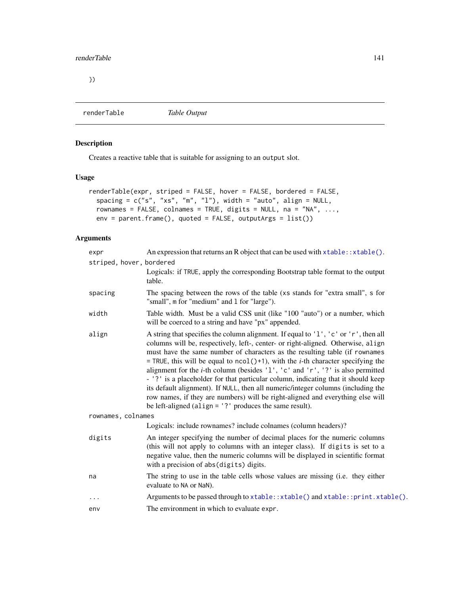})

renderTable *Table Output*

# Description

Creates a reactive table that is suitable for assigning to an output slot.

# Usage

```
renderTable(expr, striped = FALSE, hover = FALSE, bordered = FALSE,
 spacing = c("s", "xs", "m", "1"), width = "auto", align = NULL,
 rownames = FALSE, colnames = TRUE, digits = NULL, na = "NA", ...,
 env = parent.frame(), quoted = FALSE, outputArgs = list())
```

| expr                     | An expression that returns an R object that can be used with $x$ table: : x table().                                                                                                                                                                                                                                                                                                                                                                                                                                                                                                                                                                                                                                                                                             |  |
|--------------------------|----------------------------------------------------------------------------------------------------------------------------------------------------------------------------------------------------------------------------------------------------------------------------------------------------------------------------------------------------------------------------------------------------------------------------------------------------------------------------------------------------------------------------------------------------------------------------------------------------------------------------------------------------------------------------------------------------------------------------------------------------------------------------------|--|
| striped, hover, bordered |                                                                                                                                                                                                                                                                                                                                                                                                                                                                                                                                                                                                                                                                                                                                                                                  |  |
|                          | Logicals: if TRUE, apply the corresponding Bootstrap table format to the output<br>table.                                                                                                                                                                                                                                                                                                                                                                                                                                                                                                                                                                                                                                                                                        |  |
| spacing                  | The spacing between the rows of the table (xs stands for "extra small", s for<br>"small", m for "medium" and 1 for "large").                                                                                                                                                                                                                                                                                                                                                                                                                                                                                                                                                                                                                                                     |  |
| width                    | Table width. Must be a valid CSS unit (like "100 "auto") or a number, which<br>will be coerced to a string and have "px" appended.                                                                                                                                                                                                                                                                                                                                                                                                                                                                                                                                                                                                                                               |  |
| align                    | A string that specifies the column alignment. If equal to '1', 'c' or 'r', then all<br>columns will be, respectively, left-, center- or right-aligned. Otherwise, align<br>must have the same number of characters as the resulting table (if rownames<br>= TRUE, this will be equal to $ncol()+1$ , with the <i>i</i> -th character specifying the<br>alignment for the <i>i</i> -th column (besides $'1'$ , $'c'$ and $'r'$ , $'?'$ is also permitted<br>- '?' is a placeholder for that particular column, indicating that it should keep<br>its default alignment). If NULL, then all numeric/integer columns (including the<br>row names, if they are numbers) will be right-aligned and everything else will<br>be left-aligned (align = $'$ ?' produces the same result). |  |
| rownames, colnames       |                                                                                                                                                                                                                                                                                                                                                                                                                                                                                                                                                                                                                                                                                                                                                                                  |  |
|                          | Logicals: include rownames? include colnames (column headers)?                                                                                                                                                                                                                                                                                                                                                                                                                                                                                                                                                                                                                                                                                                                   |  |
| digits                   | An integer specifying the number of decimal places for the numeric columns<br>(this will not apply to columns with an integer class). If digits is set to a<br>negative value, then the numeric columns will be displayed in scientific format<br>with a precision of abs(digits) digits.                                                                                                                                                                                                                                                                                                                                                                                                                                                                                        |  |
| na                       | The string to use in the table cells whose values are missing (i.e. they either<br>evaluate to NA or NaN).                                                                                                                                                                                                                                                                                                                                                                                                                                                                                                                                                                                                                                                                       |  |
| $\ddots$                 | Arguments to be passed through to xtable:: xtable() and xtable:: print. xtable().                                                                                                                                                                                                                                                                                                                                                                                                                                                                                                                                                                                                                                                                                                |  |
| env                      | The environment in which to evaluate expr.                                                                                                                                                                                                                                                                                                                                                                                                                                                                                                                                                                                                                                                                                                                                       |  |
|                          |                                                                                                                                                                                                                                                                                                                                                                                                                                                                                                                                                                                                                                                                                                                                                                                  |  |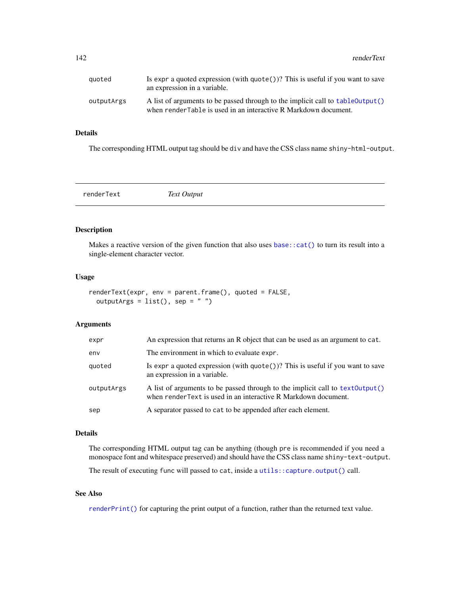| auoted     | Is expr a quoted expression (with $\text{quote}()$ )? This is useful if you want to save<br>an expression in a variable.                            |
|------------|-----------------------------------------------------------------------------------------------------------------------------------------------------|
| outputArgs | A list of arguments to be passed through to the implicit call to table 0utput()<br>when render Table is used in an interactive R Markdown document. |

## Details

The corresponding HTML output tag should be div and have the CSS class name shiny-html-output.

<span id="page-141-0"></span>renderText *Text Output*

# Description

Makes a reactive version of the given function that also uses [base::cat\(\)](#page-0-0) to turn its result into a single-element character vector.

## Usage

```
renderText(expr, env = parent.frame(), quoted = FALSE,
 outputArgs = list(), sep = "")
```
# Arguments

| expr       | An expression that returns an R object that can be used as an argument to cat.                                                                   |
|------------|--------------------------------------------------------------------------------------------------------------------------------------------------|
| env        | The environment in which to evaluate expr.                                                                                                       |
| quoted     | Is expr a quoted expression (with $\text{quote}()$ )? This is useful if you want to save<br>an expression in a variable.                         |
| outputArgs | A list of arguments to be passed through to the implicit call to text0utput()<br>when render Text is used in an interactive R Markdown document. |
| sep        | A separator passed to cat to be appended after each element.                                                                                     |

## Details

The corresponding HTML output tag can be anything (though pre is recommended if you need a monospace font and whitespace preserved) and should have the CSS class name shiny-text-output.

The result of executing func will passed to cat, inside a [utils::capture.output\(\)](#page-0-0) call.

# See Also

[renderPrint\(\)](#page-138-0) for capturing the print output of a function, rather than the returned text value.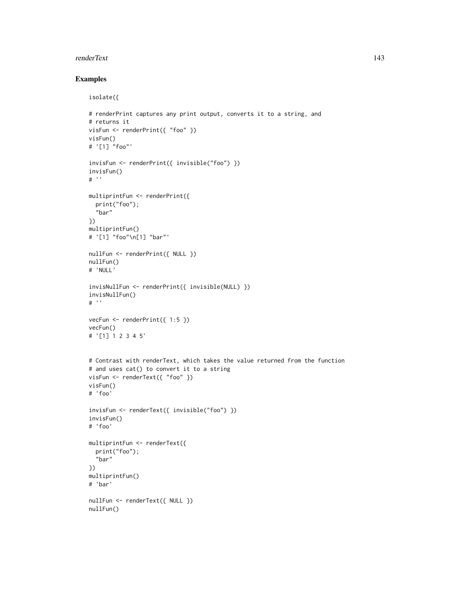## renderText 143

# Examples

```
isolate({
```

```
# renderPrint captures any print output, converts it to a string, and
# returns it
visFun <- renderPrint({ "foo" })
visFun()
# '[1] "foo"'
invisFun <- renderPrint({ invisible("foo") })
invisFun()
# ''
multiprintFun <- renderPrint({
  print("foo");
  "bar"
})
multiprintFun()
# '[1] "foo"\n[1] "bar"'
nullFun <- renderPrint({ NULL })
nullFun()
# 'NULL'
invisNullFun <- renderPrint({ invisible(NULL) })
invisNullFun()
# ''
vecFun \leq renderPrint({ 1:5 })
vecFun()
# '[1] 1 2 3 4 5'
# Contrast with renderText, which takes the value returned from the function
# and uses cat() to convert it to a string
visFun <- renderText({ "foo" })
visFun()
# 'foo'
invisFun <- renderText({ invisible("foo") })
invisFun()
# 'foo'
multiprintFun <- renderText({
  print("foo");
  "bar"
})
multiprintFun()
# 'bar'
nullFun <- renderText({ NULL })
nullFun()
```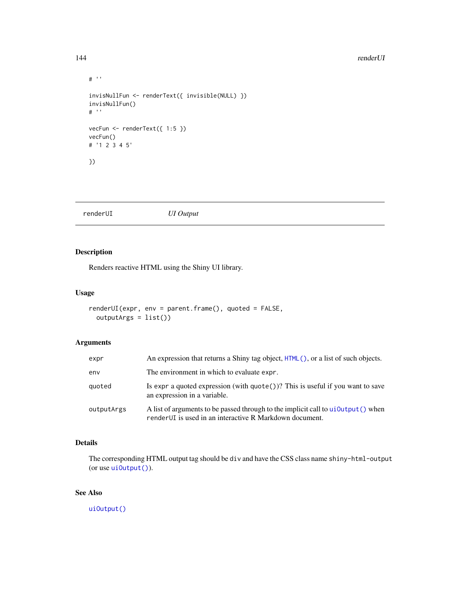#### 144 renderUI

```
# ''
invisNullFun <- renderText({ invisible(NULL) })
invisNullFun()
# ''
vecFun <- renderText({ 1:5 })
vecFun()
# '1 2 3 4 5'
})
```
renderUI *UI Output*

# Description

Renders reactive HTML using the Shiny UI library.

# Usage

```
renderUI(expr, env = parent.frame(), quoted = FALSE,
 outputArgs = list())
```
# Arguments

| expr       | An expression that returns a Shiny tag object, $HTML($ , or a list of such objects.                                                           |
|------------|-----------------------------------------------------------------------------------------------------------------------------------------------|
| env        | The environment in which to evaluate expr.                                                                                                    |
| quoted     | Is expr a quoted expression (with $\text{quote}()$ )? This is useful if you want to save<br>an expression in a variable.                      |
| outputArgs | A list of arguments to be passed through to the implicit call to ujoutput () when<br>render UI is used in an interactive R Markdown document. |

# Details

The corresponding HTML output tag should be div and have the CSS class name shiny-html-output (or use ui0utput()).

# See Also

[uiOutput\(\)](#page-62-0)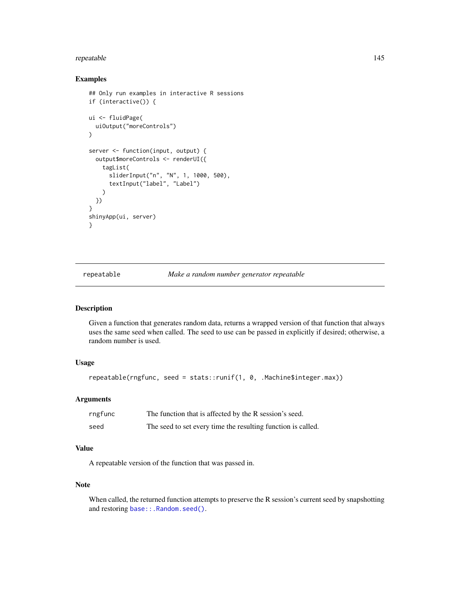## repeatable 145

#### Examples

```
## Only run examples in interactive R sessions
if (interactive()) {
ui <- fluidPage(
 uiOutput("moreControls")
)
server <- function(input, output) {
 output$moreControls <- renderUI({
   tagList(
      sliderInput("n", "N", 1, 1000, 500),
      textInput("label", "Label")
   )
 })
}
shinyApp(ui, server)
}
```
repeatable *Make a random number generator repeatable*

## Description

Given a function that generates random data, returns a wrapped version of that function that always uses the same seed when called. The seed to use can be passed in explicitly if desired; otherwise, a random number is used.

#### Usage

```
repeatable(rngfunc, seed = stats::runif(1, 0, .Machine$integer.max))
```
#### Arguments

| rngfunc | The function that is affected by the R session's seed.       |
|---------|--------------------------------------------------------------|
| seed    | The seed to set every time the resulting function is called. |

#### Value

A repeatable version of the function that was passed in.

#### Note

When called, the returned function attempts to preserve the R session's current seed by snapshotting and restoring base:: . Random. seed().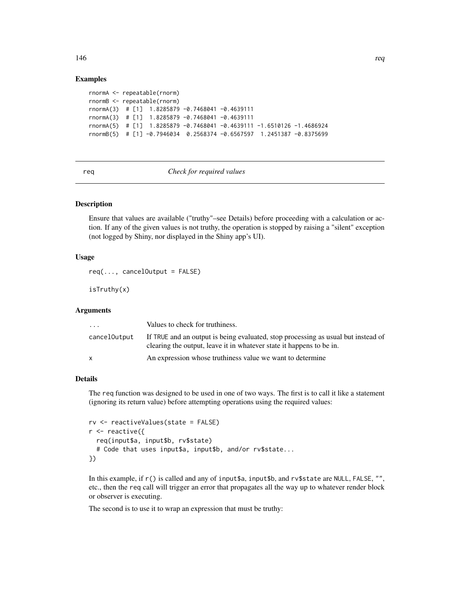#### Examples

```
rnormA <- repeatable(rnorm)
rnormB <- repeatable(rnorm)
rnormA(3) # [1] 1.8285879 -0.7468041 -0.4639111
rnormA(3) # [1] 1.8285879 -0.7468041 -0.4639111
rnormA(5) # [1] 1.8285879 -0.7468041 -0.4639111 -1.6510126 -1.4686924
rnormB(5) # [1] -0.7946034 0.2568374 -0.6567597 1.2451387 -0.8375699
```
req *Check for required values*

## Description

Ensure that values are available ("truthy"–see Details) before proceeding with a calculation or action. If any of the given values is not truthy, the operation is stopped by raising a "silent" exception (not logged by Shiny, nor displayed in the Shiny app's UI).

## Usage

```
req(..., cancelOutput = FALSE)
```
isTruthy(x)

#### Arguments

| $\cdot$ $\cdot$ $\cdot$ | Values to check for truthiness.                                                                                                                           |
|-------------------------|-----------------------------------------------------------------------------------------------------------------------------------------------------------|
| cancelOutput            | If TRUE and an output is being evaluated, stop processing as usual but instead of<br>clearing the output, leave it in whatever state it happens to be in. |
|                         | An expression whose truthings value we want to determine                                                                                                  |

#### Details

The req function was designed to be used in one of two ways. The first is to call it like a statement (ignoring its return value) before attempting operations using the required values:

```
rv <- reactiveValues(state = FALSE)
r <- reactive({
  req(input$a, input$b, rv$state)
  # Code that uses input$a, input$b, and/or rv$state...
})
```
In this example, if r() is called and any of input\$a, input\$b, and rv\$state are NULL, FALSE, "", etc., then the req call will trigger an error that propagates all the way up to whatever render block or observer is executing.

The second is to use it to wrap an expression that must be truthy:

146 requirements and the contract of the contract of the contract of the contract of the contract of the contract of the contract of the contract of the contract of the contract of the contract of the contract of the contr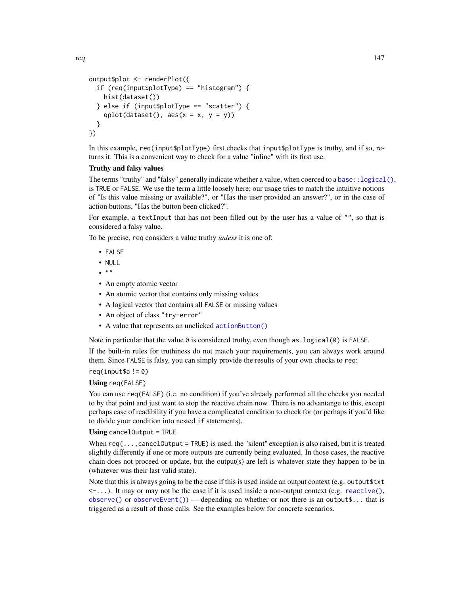```
output$plot <- renderPlot({
  if (req(input$plotType) == "histogram") {
    hist(dataset())
  } else if (input$plotType == "scatter") {
    qplot(dataset(), \text{aes}(x = x, y = y))
  }
})
```
In this example, req(input\$plotType) first checks that input\$plotType is truthy, and if so, returns it. This is a convenient way to check for a value "inline" with its first use.

#### Truthy and falsy values

The terms "truthy" and "falsy" generally indicate whether a value, when coerced to a base:  $:logical()$ , is TRUE or FALSE. We use the term a little loosely here; our usage tries to match the intuitive notions of "Is this value missing or available?", or "Has the user provided an answer?", or in the case of action buttons, "Has the button been clicked?".

For example, a textInput that has not been filled out by the user has a value of "", so that is considered a falsy value.

To be precise, req considers a value truthy *unless* it is one of:

- FALSE
- $\bullet$  NULL
- $\bullet$  ""
- An empty atomic vector
- An atomic vector that contains only missing values
- A logical vector that contains all FALSE or missing values
- An object of class "try-error"
- A value that represents an unclicked [actionButton\(\)](#page-7-0)

Note in particular that the value  $\theta$  is considered truthy, even though as  $\text{logical}(\theta)$  is FALSE.

If the built-in rules for truthiness do not match your requirements, you can always work around them. Since FALSE is falsy, you can simply provide the results of your own checks to req:

## $req(input$a != 0)$

## Using req(FALSE)

You can use req(FALSE) (i.e. no condition) if you've already performed all the checks you needed to by that point and just want to stop the reactive chain now. There is no advantange to this, except perhaps ease of readibility if you have a complicated condition to check for (or perhaps if you'd like to divide your condition into nested if statements).

#### Using cancelOutput = TRUE

When  $req($ ...,cancelOutput = TRUE) is used, the "silent" exception is also raised, but it is treated slightly differently if one or more outputs are currently being evaluated. In those cases, the reactive chain does not proceed or update, but the output(s) are left is whatever state they happen to be in (whatever was their last valid state).

Note that this is always going to be the case if this is used inside an output context (e.g. output\$txt  $\leq$ ...). It may or may not be the case if it is used inside a non-output context (e.g. reactive $($ ), [observe\(\)](#page-89-0) or [observeEvent\(\)](#page-91-0)) — depending on whether or not there is an output\$... that is triggered as a result of those calls. See the examples below for concrete scenarios.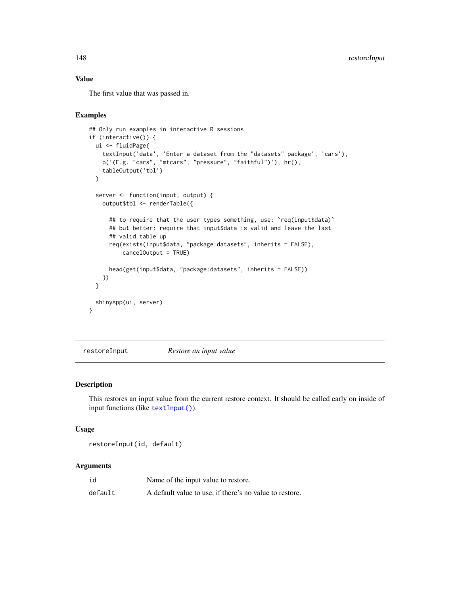## Value

The first value that was passed in.

## Examples

```
## Only run examples in interactive R sessions
if (interactive()) {
  ui <- fluidPage(
    textInput('data', 'Enter a dataset from the "datasets" package', 'cars'),
    p('(E.g. "cars", "mtcars", "pressure", "faithful")'), hr(),
    tableOutput('tbl')
  )
  server <- function(input, output) {
    output$tbl <- renderTable({
      ## to require that the user types something, use: `req(input$data)`
      ## but better: require that input$data is valid and leave the last
      ## valid table up
      req(exists(input$data, "package:datasets", inherits = FALSE),
          cancelOutput = TRUE)
      head(get(input$data, "package:datasets", inherits = FALSE))
   })
  }
  shinyApp(ui, server)
}
```
restoreInput *Restore an input value*

## Description

This restores an input value from the current restore context. It should be called early on inside of input functions (like [textInput\(\)](#page-182-0)).

#### Usage

restoreInput(id, default)

#### Arguments

| id      | Name of the input value to restore.                     |
|---------|---------------------------------------------------------|
| default | A default value to use, if there's no value to restore. |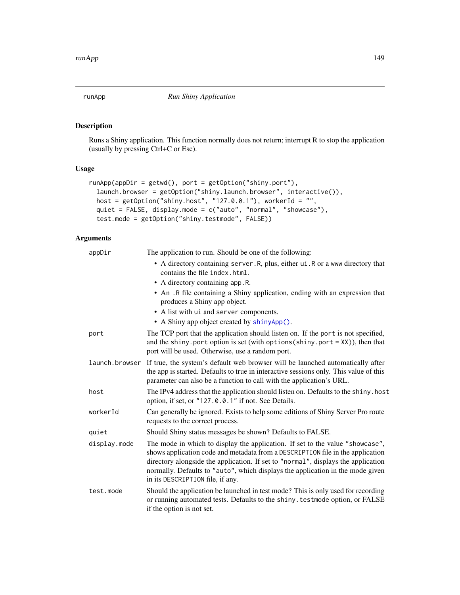<span id="page-148-0"></span>

## Description

Runs a Shiny application. This function normally does not return; interrupt R to stop the application (usually by pressing Ctrl+C or Esc).

## Usage

```
runApp(appDir = getwd(), port = getOption("shiny.port"),
 launch.browser = getOption("shiny.launch.browser", interactive()),
 host = getOption("shiny.host", "127.0.0.1"), workerId = "",
 quiet = FALSE, display.mode = c("auto", "normal", "showcase"),
  test.mode = getOption("shiny.testmode", FALSE))
```
## Arguments

| appDir       | The application to run. Should be one of the following:                                                                                                                                                                                                                                                                                                                    |
|--------------|----------------------------------------------------------------------------------------------------------------------------------------------------------------------------------------------------------------------------------------------------------------------------------------------------------------------------------------------------------------------------|
|              | • A directory containing server. R, plus, either ui. R or a www directory that<br>contains the file index.html.                                                                                                                                                                                                                                                            |
|              | • A directory containing app. R.                                                                                                                                                                                                                                                                                                                                           |
|              | • An .R file containing a Shiny application, ending with an expression that<br>produces a Shiny app object.                                                                                                                                                                                                                                                                |
|              | • A list with ui and server components.                                                                                                                                                                                                                                                                                                                                    |
|              | • A Shiny app object created by shinyApp().                                                                                                                                                                                                                                                                                                                                |
| port         | The TCP port that the application should listen on. If the port is not specified,<br>and the shiny. port option is set (with options (shiny. port = $XX$ )), then that<br>port will be used. Otherwise, use a random port.                                                                                                                                                 |
|              | launch.browser If true, the system's default web browser will be launched automatically after<br>the app is started. Defaults to true in interactive sessions only. This value of this<br>parameter can also be a function to call with the application's URL.                                                                                                             |
| host         | The IPv4 address that the application should listen on. Defaults to the shiny. host<br>option, if set, or "127.0.0.1" if not. See Details.                                                                                                                                                                                                                                 |
| workerId     | Can generally be ignored. Exists to help some editions of Shiny Server Pro route<br>requests to the correct process.                                                                                                                                                                                                                                                       |
| quiet        | Should Shiny status messages be shown? Defaults to FALSE.                                                                                                                                                                                                                                                                                                                  |
| display.mode | The mode in which to display the application. If set to the value "showcase",<br>shows application code and metadata from a DESCRIPTION file in the application<br>directory alongside the application. If set to "normal", displays the application<br>normally. Defaults to "auto", which displays the application in the mode given<br>in its DESCRIPTION file, if any. |
| test.mode    | Should the application be launched in test mode? This is only used for recording<br>or running automated tests. Defaults to the shiny. testmode option, or FALSE<br>if the option is not set.                                                                                                                                                                              |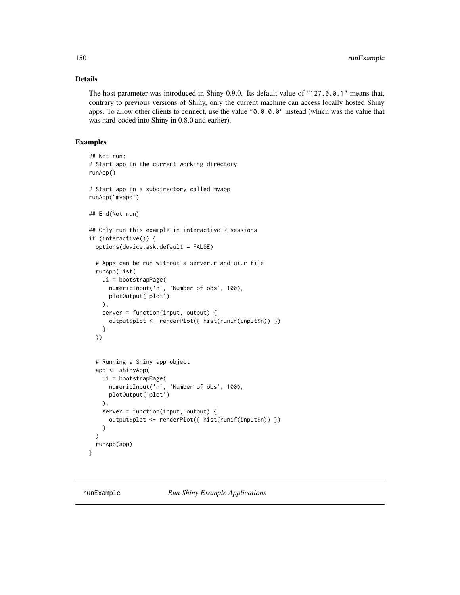## Details

The host parameter was introduced in Shiny 0.9.0. Its default value of "127.0.0.1" means that, contrary to previous versions of Shiny, only the current machine can access locally hosted Shiny apps. To allow other clients to connect, use the value "0.0.0.0" instead (which was the value that was hard-coded into Shiny in 0.8.0 and earlier).

```
## Not run:
# Start app in the current working directory
runApp()
# Start app in a subdirectory called myapp
runApp("myapp")
## End(Not run)
## Only run this example in interactive R sessions
if (interactive()) {
 options(device.ask.default = FALSE)
 # Apps can be run without a server.r and ui.r file
 runApp(list(
   ui = bootstrapPage(
     numericInput('n', 'Number of obs', 100),
     plotOutput('plot')
   ),
    server = function(input, output) {
     output$plot <- renderPlot({ hist(runif(input$n)) })
   }
 ))
 # Running a Shiny app object
 app <- shinyApp(
   ui = bootstrapPage(
     numericInput('n', 'Number of obs', 100),
     plotOutput('plot')
   ),
   server = function(input, output) {
     output$plot <- renderPlot({ hist(runif(input$n)) })
    }
 )
 runApp(app)
}
```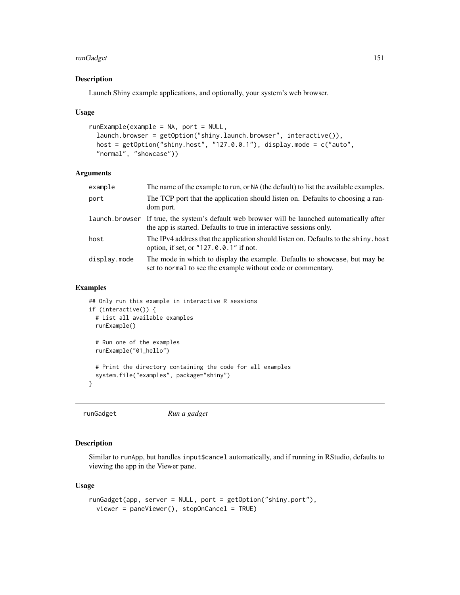## runGadget 151

## Description

Launch Shiny example applications, and optionally, your system's web browser.

#### Usage

```
runExample(example = NA, port = NULL,
  launch.browser = getOption("shiny.launch.browser", interactive()),
 host = getOption("shiny.host", "127.0.0.1"), display.mode = c("auto",
  "normal", "showcase"))
```
## Arguments

| The name of the example to run, or NA (the default) to list the available examples.                                                                                 |
|---------------------------------------------------------------------------------------------------------------------------------------------------------------------|
| The TCP port that the application should listen on. Defaults to choosing a ran-<br>dom port.                                                                        |
| launch browser If true, the system's default web browser will be launched automatically after<br>the app is started. Defaults to true in interactive sessions only. |
| The IPv4 address that the application should listen on. Defaults to the shiny. host<br>option, if set, or "127.0.0.1" if not.                                       |
| The mode in which to display the example. Defaults to showcase, but may be<br>set to normal to see the example without code or commentary.                          |
|                                                                                                                                                                     |

#### Examples

```
## Only run this example in interactive R sessions
if (interactive()) {
 # List all available examples
 runExample()
 # Run one of the examples
 runExample("01_hello")
 # Print the directory containing the code for all examples
 system.file("examples", package="shiny")
}
```
runGadget *Run a gadget*

# Description

Similar to runApp, but handles input\$cancel automatically, and if running in RStudio, defaults to viewing the app in the Viewer pane.

#### Usage

```
runGadget(app, server = NULL, port = getOption("shiny.port"),
 viewer = paneViewer(), stopOnCancel = TRUE)
```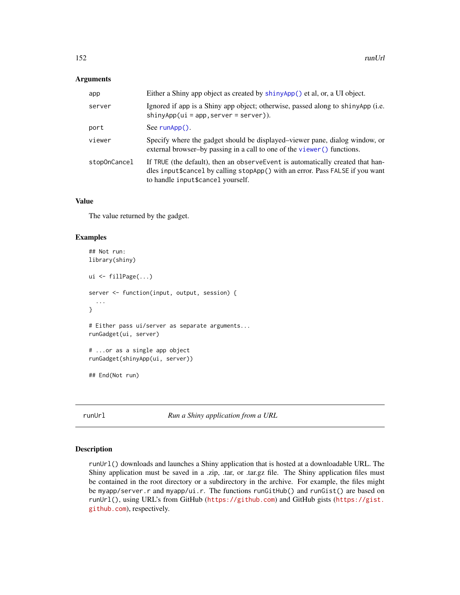#### Arguments

| app          | Either a Shiny app object as created by shinyApp() et al, or, a UI object.                                                                                                                            |
|--------------|-------------------------------------------------------------------------------------------------------------------------------------------------------------------------------------------------------|
| server       | Ignored if app is a Shiny app object; otherwise, passed along to shinyApp (i.e.<br>$\frac{1}{2}$ shinyApp(ui = app, server = server)).                                                                |
| port         | See $runApp()$ .                                                                                                                                                                                      |
| viewer       | Specify where the gadget should be displayed–viewer pane, dialog window, or<br>external browser-by passing in a call to one of the viewer () functions.                                               |
| stopOnCancel | If TRUE (the default), then an observe Event is automatically created that han-<br>dles input\$cancel by calling stopApp() with an error. Pass FALSE if you want<br>to handle input\$cancel yourself. |

#### Value

The value returned by the gadget.

#### Examples

```
## Not run:
library(shiny)
ui <- fillPage(...)
server <- function(input, output, session) {
  ...
}
# Either pass ui/server as separate arguments...
runGadget(ui, server)
# ...or as a single app object
runGadget(shinyApp(ui, server))
## End(Not run)
```
runUrl *Run a Shiny application from a URL*

## Description

runUrl() downloads and launches a Shiny application that is hosted at a downloadable URL. The Shiny application must be saved in a .zip, .tar, or .tar.gz file. The Shiny application files must be contained in the root directory or a subdirectory in the archive. For example, the files might be myapp/server.r and myapp/ui.r. The functions runGitHub() and runGist() are based on runUrl(), using URL's from GitHub (<https://github.com>) and GitHub gists ([https://gist.](https://gist.github.com) [github.com](https://gist.github.com)), respectively.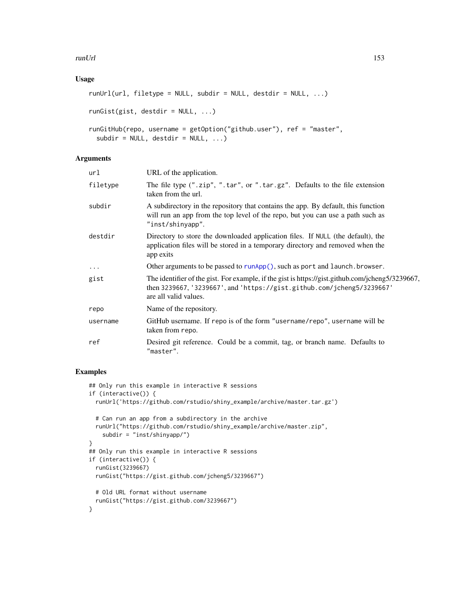#### runUrl 153

## Usage

```
runUr1(url, filetype = NULL, subdir = NULL, destdir = NULL, ...)runGist(gist, destdir = NULL, ...)
runGitHub(repo, username = getOption("github.user"), ref = "master",
  subdir = NULL, destdir = NULL, ...
```
## Arguments

| url      | URL of the application.                                                                                                                                                                             |
|----------|-----------------------------------------------------------------------------------------------------------------------------------------------------------------------------------------------------|
| filetype | The file type (".zip", ".tar", or ".tar.gz". Defaults to the file extension<br>taken from the url.                                                                                                  |
| subdir   | A subdirectory in the repository that contains the app. By default, this function<br>will run an app from the top level of the repo, but you can use a path such as<br>"inst/shinyapp".             |
| destdir  | Directory to store the downloaded application files. If NULL (the default), the<br>application files will be stored in a temporary directory and removed when the<br>app exits                      |
| $\ddots$ | Other arguments to be passed to runApp(), such as port and launch. browser.                                                                                                                         |
| gist     | The identifier of the gist. For example, if the gist is https://gist.github.com/jcheng5/3239667,<br>then 3239667, '3239667', and 'https://gist.github.com/jcheng5/3239667'<br>are all valid values. |
| repo     | Name of the repository.                                                                                                                                                                             |
| username | GitHub username. If repo is of the form "username/repo", username will be<br>taken from repo.                                                                                                       |
| ref      | Desired git reference. Could be a commit, tag, or branch name. Defaults to<br>"master".                                                                                                             |
|          |                                                                                                                                                                                                     |

```
## Only run this example in interactive R sessions
if (interactive()) {
  runUrl('https://github.com/rstudio/shiny_example/archive/master.tar.gz')
  # Can run an app from a subdirectory in the archive
  runUrl("https://github.com/rstudio/shiny_example/archive/master.zip",
    subdir = "inst/shinyapp/")
}
## Only run this example in interactive R sessions
if (interactive()) {
  runGist(3239667)
 runGist("https://gist.github.com/jcheng5/3239667")
  # Old URL format without username
  runGist("https://gist.github.com/3239667")
}
```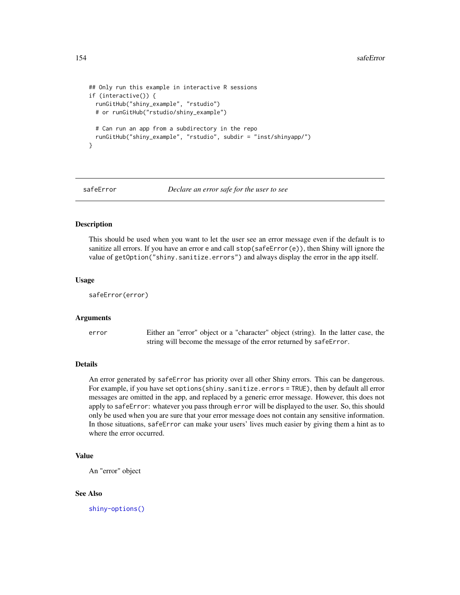```
## Only run this example in interactive R sessions
if (interactive()) {
 runGitHub("shiny_example", "rstudio")
 # or runGitHub("rstudio/shiny_example")
 # Can run an app from a subdirectory in the repo
 runGitHub("shiny_example", "rstudio", subdir = "inst/shinyapp/")
}
```
safeError *Declare an error safe for the user to see*

#### Description

This should be used when you want to let the user see an error message even if the default is to sanitize all errors. If you have an error e and call  $stop(safeError(e))$ , then Shiny will ignore the value of getOption("shiny.sanitize.errors") and always display the error in the app itself.

#### Usage

```
safeError(error)
```
## Arguments

error Either an "error" object or a "character" object (string). In the latter case, the string will become the message of the error returned by safeError.

## Details

An error generated by safeError has priority over all other Shiny errors. This can be dangerous. For example, if you have set options(shiny.sanitize.errors = TRUE), then by default all error messages are omitted in the app, and replaced by a generic error message. However, this does not apply to safeError: whatever you pass through error will be displayed to the user. So, this should only be used when you are sure that your error message does not contain any sensitive information. In those situations, safeError can make your users' lives much easier by giving them a hint as to where the error occurred.

#### Value

An "error" object

#### See Also

[shiny-options\(\)](#page-57-0)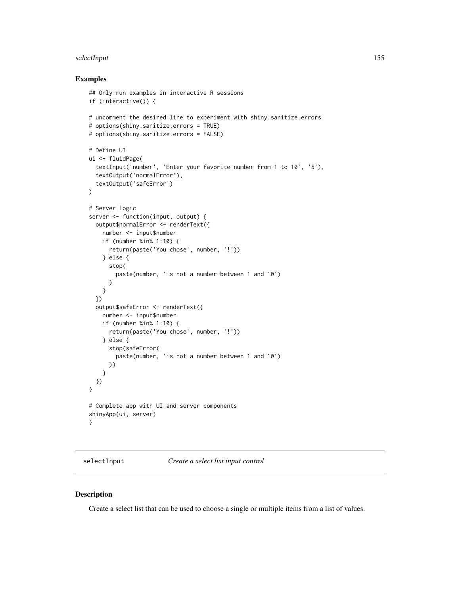#### selectInput 155

#### Examples

```
## Only run examples in interactive R sessions
if (interactive()) {
# uncomment the desired line to experiment with shiny.sanitize.errors
# options(shiny.sanitize.errors = TRUE)
# options(shiny.sanitize.errors = FALSE)
# Define UI
ui <- fluidPage(
  textInput('number', 'Enter your favorite number from 1 to 10', '5'),
  textOutput('normalError'),
  textOutput('safeError')
)
# Server logic
server <- function(input, output) {
  output$normalError <- renderText({
   number <- input$number
   if (number %in% 1:10) {
      return(paste('You chose', number, '!'))
    } else {
      stop(
        paste(number, 'is not a number between 1 and 10')
      )
   }
  })
  output$safeError <- renderText({
   number <- input$number
    if (number %in% 1:10) {
      return(paste('You chose', number, '!'))
   } else {
      stop(safeError(
        paste(number, 'is not a number between 1 and 10')
      ))
    }
 })
}
# Complete app with UI and server components
shinyApp(ui, server)
}
```
<span id="page-154-0"></span>selectInput *Create a select list input control*

### Description

Create a select list that can be used to choose a single or multiple items from a list of values.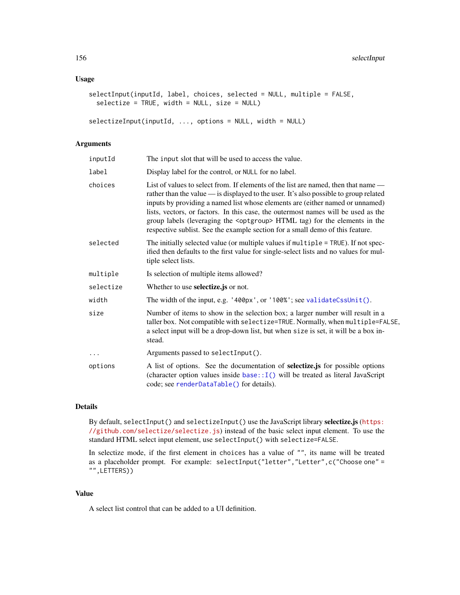## Usage

```
selectInput(inputId, label, choices, selected = NULL, multiple = FALSE,
  selectize = TRUE, width = NULL, size = NULL)
```

```
selectizeInput(inputId, ..., options = NULL, width = NULL)
```
#### Arguments

| inputId   | The input slot that will be used to access the value.                                                                                                                                                                                                                                                                                                                                                                                                                                                                       |
|-----------|-----------------------------------------------------------------------------------------------------------------------------------------------------------------------------------------------------------------------------------------------------------------------------------------------------------------------------------------------------------------------------------------------------------------------------------------------------------------------------------------------------------------------------|
| label     | Display label for the control, or NULL for no label.                                                                                                                                                                                                                                                                                                                                                                                                                                                                        |
| choices   | List of values to select from. If elements of the list are named, then that name —<br>rather than the value — is displayed to the user. It's also possible to group related<br>inputs by providing a named list whose elements are (either named or unnamed)<br>lists, vectors, or factors. In this case, the outermost names will be used as the<br>group labels (leveraging the <optgroup> HTML tag) for the elements in the<br/>respective sublist. See the example section for a small demo of this feature.</optgroup> |
| selected  | The initially selected value (or multiple values if multiple = TRUE). If not spec-<br>ified then defaults to the first value for single-select lists and no values for mul-<br>tiple select lists.                                                                                                                                                                                                                                                                                                                          |
| multiple  | Is selection of multiple items allowed?                                                                                                                                                                                                                                                                                                                                                                                                                                                                                     |
| selectize | Whether to use <b>selectize</b> , js or not.                                                                                                                                                                                                                                                                                                                                                                                                                                                                                |
| width     | The width of the input, e.g. '400px', or '100%'; see validateCssUnit().                                                                                                                                                                                                                                                                                                                                                                                                                                                     |
| size      | Number of items to show in the selection box; a larger number will result in a<br>taller box. Not compatible with selectize=TRUE. Normally, when multiple=FALSE,<br>a select input will be a drop-down list, but when size is set, it will be a box in-<br>stead.                                                                                                                                                                                                                                                           |
| $\cdots$  | Arguments passed to selectInput().                                                                                                                                                                                                                                                                                                                                                                                                                                                                                          |
| options   | A list of options. See the documentation of selectize.js for possible options<br>(character option values inside $base::I()$ will be treated as literal JavaScript<br>code; see renderDataTable() for details).                                                                                                                                                                                                                                                                                                             |

#### Details

By default, selectInput() and selectizeInput() use the JavaScript library selectize.js ([https:](https://github.com/selectize/selectize.js) [//github.com/selectize/selectize.js](https://github.com/selectize/selectize.js)) instead of the basic select input element. To use the standard HTML select input element, use selectInput() with selectize=FALSE.

In selectize mode, if the first element in choices has a value of "", its name will be treated as a placeholder prompt. For example: selectInput("letter","Letter",c("Choose one" = "",LETTERS))

#### Value

A select list control that can be added to a UI definition.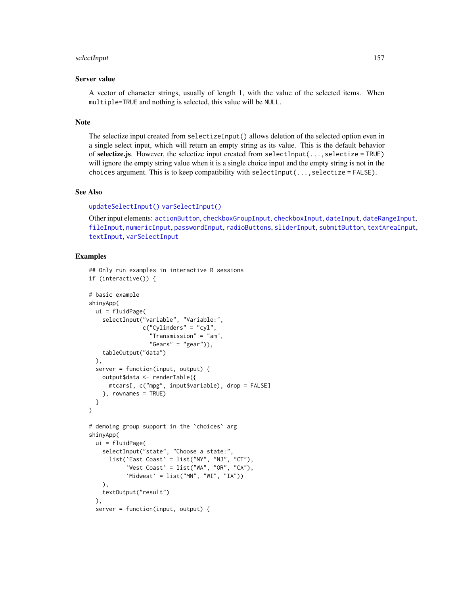#### selectInput 157

#### Server value

A vector of character strings, usually of length 1, with the value of the selected items. When multiple=TRUE and nothing is selected, this value will be NULL.

#### Note

The selectize input created from selectizeInput() allows deletion of the selected option even in a single select input, which will return an empty string as its value. This is the default behavior of selectize.js. However, the selectize input created from selectInput(...,selectize = TRUE) will ignore the empty string value when it is a single choice input and the empty string is not in the choices argument. This is to keep compatibility with selectInput $(...,selectize = FALSE)$ .

## See Also

```
updateSelectInput() varSelectInput()
```
Other input elements: [actionButton](#page-7-0), [checkboxGroupInput](#page-17-0), [checkboxInput](#page-19-0), [dateInput](#page-24-0), [dateRangeInput](#page-27-0), [fileInput](#page-45-0), [numericInput](#page-88-0), [passwordInput](#page-103-0), [radioButtons](#page-112-0), [sliderInput](#page-170-0), [submitButton](#page-175-0), [textAreaInput](#page-181-0), [textInput](#page-182-0), [varSelectInput](#page-208-0)

```
## Only run examples in interactive R sessions
if (interactive()) {
# basic example
shinyApp(
 ui = fluidPage(
    selectInput("variable", "Variable:",
                c("Cylinders" = "cyl",
                  "Transmission" = "am",
                  "Gears" = "gear"),
    tableOutput("data")
 ),
 server = function(input, output) {
    output$data <- renderTable({
      mtcars[, c("mpg", input$variable), drop = FALSE]
    }, rownames = TRUE)
 }
)
# demoing group support in the `choices` arg
shinyApp(
 ui = fluidPage(
   selectInput("state", "Choose a state:",
      list(`East Coast` = list("NY", "NJ", "CT"),
           'West Coast' = list("WA", "OR", "CA"),
           'Midwest' = list('MN'', 'WI'', 'IA'))),
   textOutput("result")
 ),
 server = function(input, output) {
```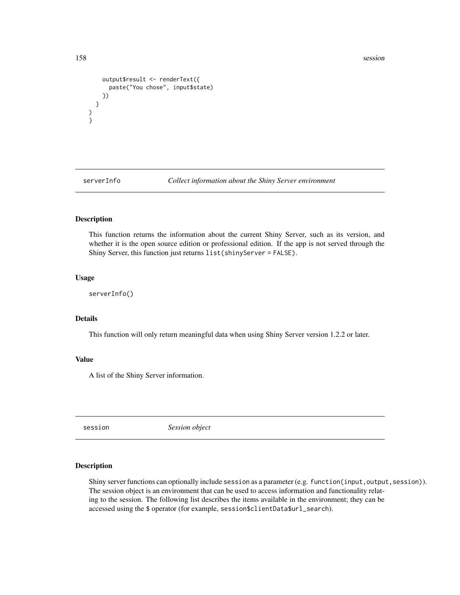```
output$result <- renderText({
     paste("You chose", input$state)
   })
 }
)
}
```
serverInfo *Collect information about the Shiny Server environment*

## Description

This function returns the information about the current Shiny Server, such as its version, and whether it is the open source edition or professional edition. If the app is not served through the Shiny Server, this function just returns list(shinyServer = FALSE).

#### Usage

serverInfo()

## Details

This function will only return meaningful data when using Shiny Server version 1.2.2 or later.

#### Value

A list of the Shiny Server information.

session *Session object*

#### Description

Shiny server functions can optionally include session as a parameter (e.g. function(input,output, session)). The session object is an environment that can be used to access information and functionality relating to the session. The following list describes the items available in the environment; they can be accessed using the \$ operator (for example, session\$clientData\$url\_search).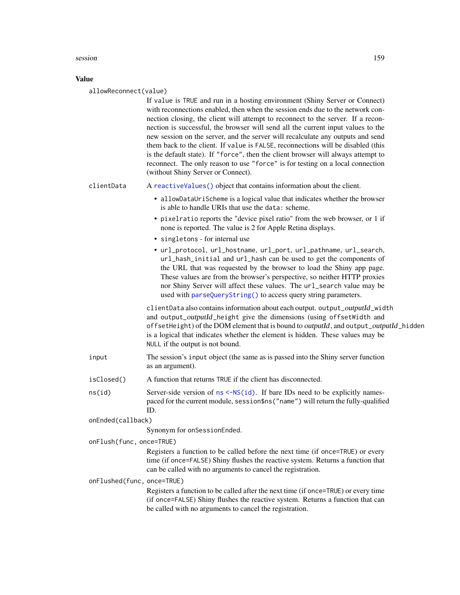#### session and the session of the session of the session of the session of the session of the session of the session of the session of the session of the session of the session of the session of the session of the session of

## Value

| allowReconnect(value)      |                                                                                                                                                                                                                                                                                                                                                                                                                                                                                                                                                                                                                                                                                                                           |  |
|----------------------------|---------------------------------------------------------------------------------------------------------------------------------------------------------------------------------------------------------------------------------------------------------------------------------------------------------------------------------------------------------------------------------------------------------------------------------------------------------------------------------------------------------------------------------------------------------------------------------------------------------------------------------------------------------------------------------------------------------------------------|--|
|                            | If value is TRUE and run in a hosting environment (Shiny Server or Connect)<br>with reconnections enabled, then when the session ends due to the network con-<br>nection closing, the client will attempt to reconnect to the server. If a recon-<br>nection is successful, the browser will send all the current input values to the<br>new session on the server, and the server will recalculate any outputs and send<br>them back to the client. If value is FALSE, reconnections will be disabled (this<br>is the default state). If "force", then the client browser will always attempt to<br>reconnect. The only reason to use "force" is for testing on a local connection<br>(without Shiny Server or Connect). |  |
| clientData                 | A reactiveValues() object that contains information about the client.                                                                                                                                                                                                                                                                                                                                                                                                                                                                                                                                                                                                                                                     |  |
|                            | • allowDataUriScheme is a logical value that indicates whether the browser<br>is able to handle URIs that use the data: scheme.                                                                                                                                                                                                                                                                                                                                                                                                                                                                                                                                                                                           |  |
|                            | • pixelratio reports the "device pixel ratio" from the web browser, or 1 if<br>none is reported. The value is 2 for Apple Retina displays.                                                                                                                                                                                                                                                                                                                                                                                                                                                                                                                                                                                |  |
|                            | • singletons - for internal use                                                                                                                                                                                                                                                                                                                                                                                                                                                                                                                                                                                                                                                                                           |  |
|                            | • url_protocol, url_hostname, url_port, url_pathname, url_search,<br>url_hash_initial and url_hash can be used to get the components of<br>the URL that was requested by the browser to load the Shiny app page.<br>These values are from the browser's perspective, so neither HTTP proxies<br>nor Shiny Server will affect these values. The url_search value may be<br>used with parseQueryString() to access query string parameters.                                                                                                                                                                                                                                                                                 |  |
|                            | clientData also contains information about each output. output_outputId_width<br>and output_outputId_height give the dimensions (using offsetWidth and<br>offsetHeight) of the DOM element that is bound to outputId, and output_outputId_hidden<br>is a logical that indicates whether the element is hidden. These values may be<br>NULL if the output is not bound.                                                                                                                                                                                                                                                                                                                                                    |  |
| input                      | The session's input object (the same as is passed into the Shiny server function<br>as an argument).                                                                                                                                                                                                                                                                                                                                                                                                                                                                                                                                                                                                                      |  |
| isClosed()                 | A function that returns TRUE if the client has disconnected.                                                                                                                                                                                                                                                                                                                                                                                                                                                                                                                                                                                                                                                              |  |
| ns(id)                     | Server-side version of $ns < -NS(id)$ . If bare IDs need to be explicitly names-<br>paced for the current module, session\$ns("name") will return the fully-qualified<br>ID.                                                                                                                                                                                                                                                                                                                                                                                                                                                                                                                                              |  |
| onEnded(callback)          |                                                                                                                                                                                                                                                                                                                                                                                                                                                                                                                                                                                                                                                                                                                           |  |
|                            | Synonym for onSessionEnded.                                                                                                                                                                                                                                                                                                                                                                                                                                                                                                                                                                                                                                                                                               |  |
| onFlush(func, once=TRUE)   |                                                                                                                                                                                                                                                                                                                                                                                                                                                                                                                                                                                                                                                                                                                           |  |
|                            | Registers a function to be called before the next time (if once=TRUE) or every<br>time (if once=FALSE) Shiny flushes the reactive system. Returns a function that<br>can be called with no arguments to cancel the registration.                                                                                                                                                                                                                                                                                                                                                                                                                                                                                          |  |
| onFlushed(func, once=TRUE) | Registers a function to be called after the next time (if once=TRUE) or every time<br>(if once=FALSE) Shiny flushes the reactive system. Returns a function that can<br>be called with no arguments to cancel the registration.                                                                                                                                                                                                                                                                                                                                                                                                                                                                                           |  |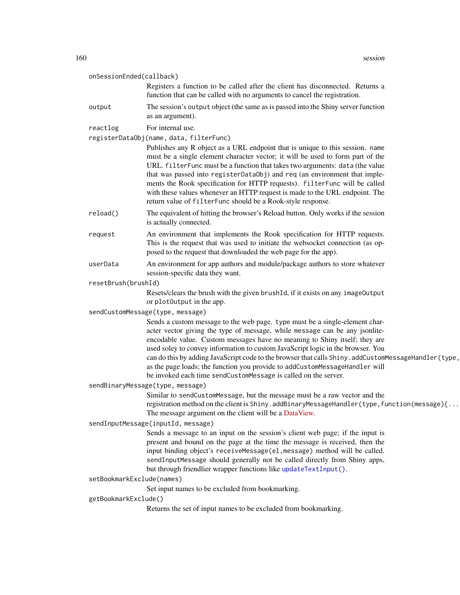| onSessionEnded(callback)         |                                                                                                                                                                                                                                                                                                                                                                                                                                                                                                                                                                                       |
|----------------------------------|---------------------------------------------------------------------------------------------------------------------------------------------------------------------------------------------------------------------------------------------------------------------------------------------------------------------------------------------------------------------------------------------------------------------------------------------------------------------------------------------------------------------------------------------------------------------------------------|
|                                  | Registers a function to be called after the client has disconnected. Returns a<br>function that can be called with no arguments to cancel the registration.                                                                                                                                                                                                                                                                                                                                                                                                                           |
| output                           | The session's output object (the same as is passed into the Shiny server function<br>as an argument).                                                                                                                                                                                                                                                                                                                                                                                                                                                                                 |
| reactlog                         | For internal use.                                                                                                                                                                                                                                                                                                                                                                                                                                                                                                                                                                     |
|                                  | registerDataObj(name, data, filterFunc)                                                                                                                                                                                                                                                                                                                                                                                                                                                                                                                                               |
|                                  | Publishes any R object as a URL endpoint that is unique to this session. name<br>must be a single element character vector; it will be used to form part of the<br>URL. filterFunc must be a function that takes two arguments: data (the value<br>that was passed into registerDataObj) and req (an environment that imple-<br>ments the Rook specification for HTTP requests). filterFunc will be called<br>with these values whenever an HTTP request is made to the URL endpoint. The<br>return value of filterFunc should be a Rook-style response.                              |
| reload()                         | The equivalent of hitting the browser's Reload button. Only works if the session<br>is actually connected.                                                                                                                                                                                                                                                                                                                                                                                                                                                                            |
| request                          | An environment that implements the Rook specification for HTTP requests.<br>This is the request that was used to initiate the websocket connection (as op-<br>posed to the request that downloaded the web page for the app).                                                                                                                                                                                                                                                                                                                                                         |
| userData                         | An environment for app authors and module/package authors to store whatever<br>session-specific data they want.                                                                                                                                                                                                                                                                                                                                                                                                                                                                       |
| resetBrush(brushId)              |                                                                                                                                                                                                                                                                                                                                                                                                                                                                                                                                                                                       |
|                                  | Resets/clears the brush with the given brushId, if it exists on any imageOutput<br>or plot0utput in the app.                                                                                                                                                                                                                                                                                                                                                                                                                                                                          |
| sendCustomMessage(type, message) |                                                                                                                                                                                                                                                                                                                                                                                                                                                                                                                                                                                       |
|                                  | Sends a custom message to the web page. type must be a single-element char-<br>acter vector giving the type of message, while message can be any jsonlite-<br>encodable value. Custom messages have no meaning to Shiny itself; they are<br>used soley to convey information to custom JavaScript logic in the browser. You<br>can do this by adding JavaScript code to the browser that calls Shiny. addCustomMessageHandler(type,<br>as the page loads; the function you provide to addCustomMessageHandler will<br>be invoked each time sendCustomMessage is called on the server. |
|                                  | sendBinaryMessage(type, message)                                                                                                                                                                                                                                                                                                                                                                                                                                                                                                                                                      |
|                                  | Similar to sendCustomMessage, but the message must be a raw vector and the<br>registration method on the client is Shiny.addBinaryMessageHandler(type, function(message){<br>The message argument on the client will be a DataView.                                                                                                                                                                                                                                                                                                                                                   |
|                                  | sendInputMessage(inputId, message)                                                                                                                                                                                                                                                                                                                                                                                                                                                                                                                                                    |
|                                  | Sends a message to an input on the session's client web page; if the input is<br>present and bound on the page at the time the message is received, then the<br>input binding object's receiveMessage(el, message) method will be called.<br>sendInputMessage should generally not be called directly from Shiny apps,<br>but through friendlier wrapper functions like updateTextInput().                                                                                                                                                                                            |
| setBookmarkExclude(names)        |                                                                                                                                                                                                                                                                                                                                                                                                                                                                                                                                                                                       |
|                                  | Set input names to be excluded from bookmarking.                                                                                                                                                                                                                                                                                                                                                                                                                                                                                                                                      |
| getBookmarkExclude()             |                                                                                                                                                                                                                                                                                                                                                                                                                                                                                                                                                                                       |
|                                  | Returns the set of input names to be excluded from bookmarking.                                                                                                                                                                                                                                                                                                                                                                                                                                                                                                                       |
|                                  |                                                                                                                                                                                                                                                                                                                                                                                                                                                                                                                                                                                       |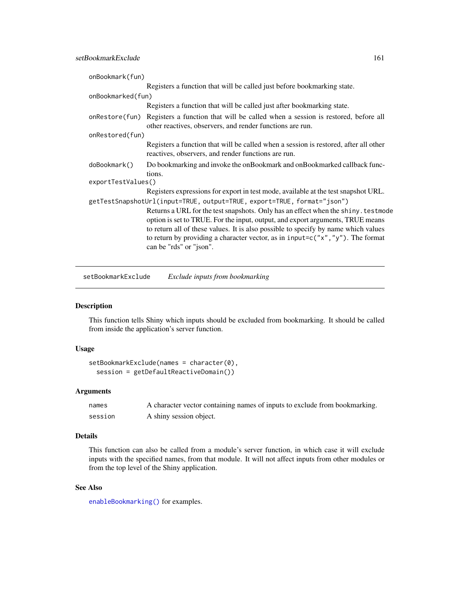| onBookmark(fun)                                                         |                                                                                                                                                                                                                                                                                                                                                                            |  |
|-------------------------------------------------------------------------|----------------------------------------------------------------------------------------------------------------------------------------------------------------------------------------------------------------------------------------------------------------------------------------------------------------------------------------------------------------------------|--|
|                                                                         | Registers a function that will be called just before bookmarking state.                                                                                                                                                                                                                                                                                                    |  |
| onBookmarked(fun)                                                       |                                                                                                                                                                                                                                                                                                                                                                            |  |
|                                                                         | Registers a function that will be called just after bookmarking state.                                                                                                                                                                                                                                                                                                     |  |
| onRestore(fun)                                                          | Registers a function that will be called when a session is restored, before all<br>other reactives, observers, and render functions are run.                                                                                                                                                                                                                               |  |
| onRestored(fun)                                                         |                                                                                                                                                                                                                                                                                                                                                                            |  |
|                                                                         | Registers a function that will be called when a session is restored, after all other<br>reactives, observers, and render functions are run.                                                                                                                                                                                                                                |  |
| doBookmark()                                                            | Do bookmarking and invoke the onBookmark and onBookmarked callback func-                                                                                                                                                                                                                                                                                                   |  |
| tions.<br>exportTestValues()                                            |                                                                                                                                                                                                                                                                                                                                                                            |  |
|                                                                         | Registers expressions for export in test mode, available at the test snapshot URL.                                                                                                                                                                                                                                                                                         |  |
| getTestSnapshotUrl(input=TRUE, output=TRUE, export=TRUE, format="json") |                                                                                                                                                                                                                                                                                                                                                                            |  |
|                                                                         | Returns a URL for the test snapshots. Only has an effect when the shiny. testmode<br>option is set to TRUE. For the input, output, and export arguments, TRUE means<br>to return all of these values. It is also possible to specify by name which values<br>to return by providing a character vector, as in input= $c("x", "y")$ . The format<br>can be "rds" or "json". |  |

setBookmarkExclude *Exclude inputs from bookmarking*

## Description

This function tells Shiny which inputs should be excluded from bookmarking. It should be called from inside the application's server function.

#### Usage

```
setBookmarkExclude(names = character(0),
  session = getDefaultReactiveDomain())
```
#### Arguments

| names   | A character vector containing names of inputs to exclude from bookmarking. |
|---------|----------------------------------------------------------------------------|
| session | A shiny session object.                                                    |

## Details

This function can also be called from a module's server function, in which case it will exclude inputs with the specified names, from that module. It will not affect inputs from other modules or from the top level of the Shiny application.

## See Also

[enableBookmarking\(\)](#page-38-0) for examples.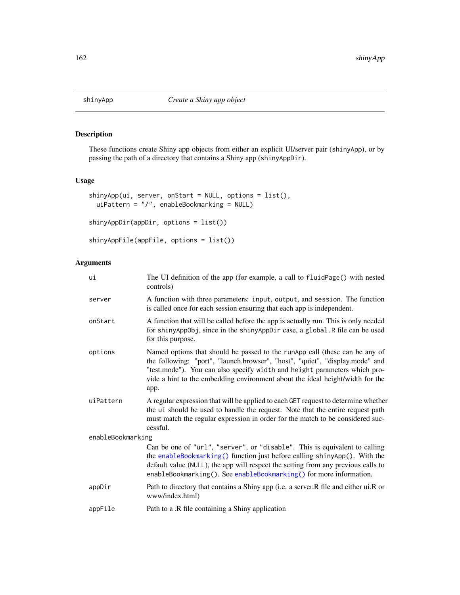<span id="page-161-0"></span>

## Description

These functions create Shiny app objects from either an explicit UI/server pair (shinyApp), or by passing the path of a directory that contains a Shiny app (shinyAppDir).

## Usage

```
shinyApp(ui, server, onStart = NULL, options = list(),
 uiPattern = "/", enableBookmarking = NULL)
```

```
shinyAppDir(appDir, options = list())
```

```
shinyAppFile(appFile, options = list())
```
## Arguments

| ui                | The UI definition of the app (for example, a call to fluidPage() with nested<br>controls)                                                                                                                                                                                                                                         |
|-------------------|-----------------------------------------------------------------------------------------------------------------------------------------------------------------------------------------------------------------------------------------------------------------------------------------------------------------------------------|
| server            | A function with three parameters: input, output, and session. The function<br>is called once for each session ensuring that each app is independent.                                                                                                                                                                              |
| onStart           | A function that will be called before the app is actually run. This is only needed<br>for shinyAppObj, since in the shinyAppDir case, a global. R file can be used<br>for this purpose.                                                                                                                                           |
| options           | Named options that should be passed to the runApp call (these can be any of<br>the following: "port", "launch.browser", "host", "quiet", "display.mode" and<br>"test.mode"). You can also specify width and height parameters which pro-<br>vide a hint to the embedding environment about the ideal height/width for the<br>app. |
| uiPattern         | A regular expression that will be applied to each GET request to determine whether<br>the ui should be used to handle the request. Note that the entire request path<br>must match the regular expression in order for the match to be considered suc-<br>cessful.                                                                |
| enableBookmarking |                                                                                                                                                                                                                                                                                                                                   |
|                   | Can be one of "url", "server", or "disable". This is equivalent to calling<br>the enableBookmarking() function just before calling shinyApp(). With the<br>default value (NULL), the app will respect the setting from any previous calls to<br>enableBookmarking(). See enableBookmarking() for more information.                |
| appDir            | Path to directory that contains a Shiny app (i.e. a server.R file and either ui.R or<br>www/index.html)                                                                                                                                                                                                                           |
| appFile           | Path to a .R file containing a Shiny application                                                                                                                                                                                                                                                                                  |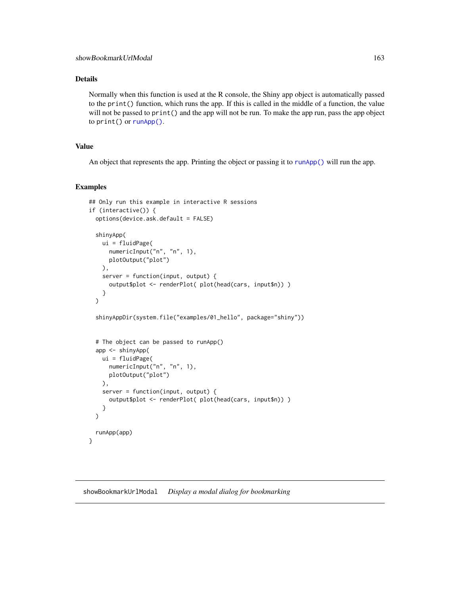## Details

Normally when this function is used at the R console, the Shiny app object is automatically passed to the print() function, which runs the app. If this is called in the middle of a function, the value will not be passed to print() and the app will not be run. To make the app run, pass the app object to print() or [runApp\(\)](#page-148-0).

## Value

An object that represents the app. Printing the object or passing it to [runApp\(\)](#page-148-0) will run the app.

## Examples

```
## Only run this example in interactive R sessions
if (interactive()) {
 options(device.ask.default = FALSE)
 shinyApp(
   ui = fluidPage(
     numericInput("n", "n", 1),
     plotOutput("plot")
   ),
    server = function(input, output) {
     output$plot <- renderPlot( plot(head(cars, input$n)) )
    }
 )
 shinyAppDir(system.file("examples/01_hello", package="shiny"))
 # The object can be passed to runApp()
 app <- shinyApp(
   ui = fluidPage(
     numericInput("n", "n", 1),
     plotOutput("plot")
   ),
    server = function(input, output) {
     output$plot <- renderPlot( plot(head(cars, input$n)) )
    }
 )
 runApp(app)
}
```
showBookmarkUrlModal *Display a modal dialog for bookmarking*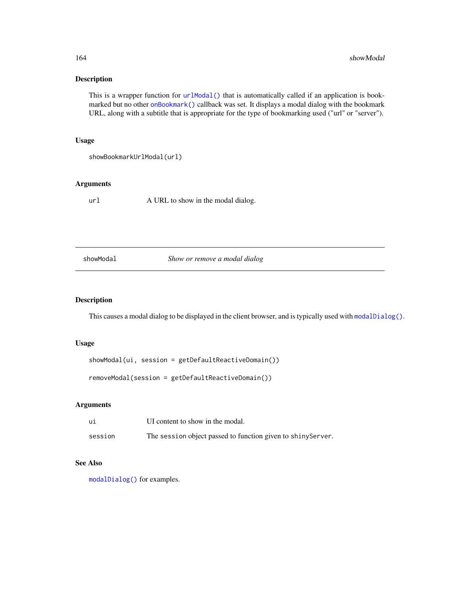## Description

This is a wrapper function for [urlModal\(\)](#page-205-0) that is automatically called if an application is bookmarked but no other [onBookmark\(\)](#page-95-0) callback was set. It displays a modal dialog with the bookmark URL, along with a subtitle that is appropriate for the type of bookmarking used ("url" or "server").

## Usage

```
showBookmarkUrlModal(url)
```
## Arguments

url A URL to show in the modal dialog.

## showModal *Show or remove a modal dialog*

## Description

This causes a modal dialog to be displayed in the client browser, and is typically used with [modalDialog\(\)](#page-80-0).

#### Usage

showModal(ui, session = getDefaultReactiveDomain())

removeModal(session = getDefaultReactiveDomain())

## Arguments

| ui      | UI content to show in the modal.                             |
|---------|--------------------------------------------------------------|
| session | The session object passed to function given to shiny Server. |

## See Also

[modalDialog\(\)](#page-80-0) for examples.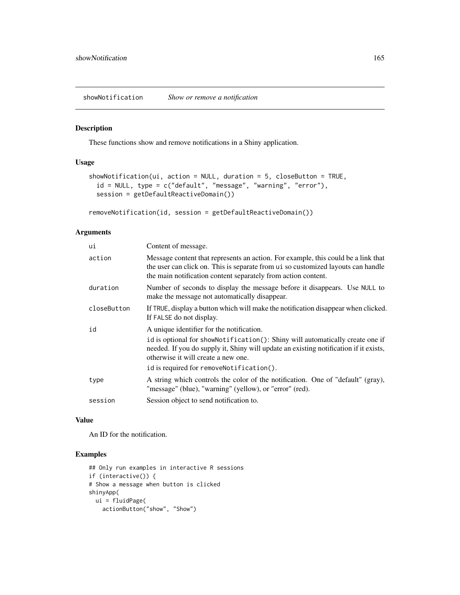showNotification *Show or remove a notification*

## Description

These functions show and remove notifications in a Shiny application.

## Usage

```
showNotification(ui, action = NULL, duration = 5, closeButton = TRUE,
 id = NULL, type = c("default", "message", "warning", "error"),
 session = getDefaultReactiveDomain())
```

```
removeNotification(id, session = getDefaultReactiveDomain())
```
## Arguments

| ui          | Content of message.                                                                                                                                                                                                                                                                                    |
|-------------|--------------------------------------------------------------------------------------------------------------------------------------------------------------------------------------------------------------------------------------------------------------------------------------------------------|
| action      | Message content that represents an action. For example, this could be a link that<br>the user can click on. This is separate from ui so customized layouts can handle<br>the main notification content separately from action content.                                                                 |
| duration    | Number of seconds to display the message before it disappears. Use NULL to<br>make the message not automatically disappear.                                                                                                                                                                            |
| closeButton | If TRUE, display a button which will make the notification disappear when clicked.<br>If FALSE do not display.                                                                                                                                                                                         |
| id          | A unique identifier for the notification.<br>id is optional for showNotification(): Shiny will automatically create one if<br>needed. If you do supply it, Shiny will update an existing notification if it exists,<br>otherwise it will create a new one.<br>id is required for removeNotification(). |
| type        | A string which controls the color of the notification. One of "default" (gray),<br>"message" (blue), "warning" (yellow), or "error" (red).                                                                                                                                                             |
| session     | Session object to send notification to.                                                                                                                                                                                                                                                                |

#### Value

An ID for the notification.

```
## Only run examples in interactive R sessions
if (interactive()) {
# Show a message when button is clicked
shinyApp(
 ui = fluidPage(actionButton("show", "Show")
```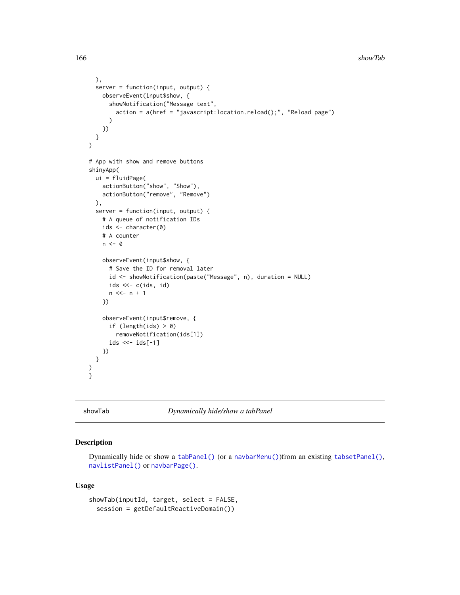```
),
  server = function(input, output) {
    observeEvent(input$show, {
      showNotification("Message text",
        action = a(href = "javascript:location.reload();", "Reload page")
      \lambda})
 }
\mathcal{L}# App with show and remove buttons
shinyApp(
  ui = fluidPage(
    actionButton("show", "Show"),
    actionButton("remove", "Remove")
  ),
  server = function(input, output) {
    # A queue of notification IDs
    ids <- character(0)
    # A counter
    n \leq -\emptysetobserveEvent(input$show, {
      # Save the ID for removal later
      id <- showNotification(paste("Message", n), duration = NULL)
      ids <<-c(ids, id)n \ll - n + 1})
    observeEvent(input$remove, {
      if (length(ids) > 0)
        removeNotification(ids[1])
      ids \leq -ids[-1]})
  }
)
}
```
<span id="page-165-0"></span>showTab *Dynamically hide/show a tabPanel*

## Description

Dynamically hide or show a [tabPanel\(\)](#page-178-0) (or a [navbarMenu\(\)](#page-82-0))from an existing [tabsetPanel\(\)](#page-179-0), [navlistPanel\(\)](#page-84-0) or [navbarPage\(\)](#page-82-1).

#### Usage

```
showTab(inputId, target, select = FALSE,
 session = getDefaultReactiveDomain())
```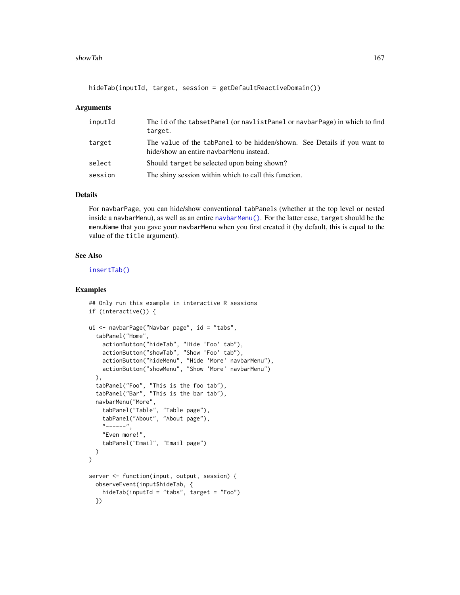#### showTab 167

hideTab(inputId, target, session = getDefaultReactiveDomain())

#### Arguments

| inputId | The id of the tabsetPanel (or navlistPanel or navbarPage) in which to find<br>target.                                |
|---------|----------------------------------------------------------------------------------------------------------------------|
| target  | The value of the tabPanel to be hidden/shown. See Details if you want to<br>hide/show an entire navbar Menu instead. |
| select  | Should target be selected upon being shown?                                                                          |
| session | The shiny session within which to call this function.                                                                |

## Details

For navbarPage, you can hide/show conventional tabPanels (whether at the top level or nested inside a navbarMenu), as well as an entire [navbarMenu\(\)](#page-82-0). For the latter case, target should be the menuName that you gave your navbarMenu when you first created it (by default, this is equal to the value of the title argument).

#### See Also

[insertTab\(\)](#page-65-0)

```
## Only run this example in interactive R sessions
if (interactive()) {
ui <- navbarPage("Navbar page", id = "tabs",
  tabPanel("Home",
    actionButton("hideTab", "Hide 'Foo' tab"),
   actionButton("showTab", "Show 'Foo' tab"),
    actionButton("hideMenu", "Hide 'More' navbarMenu"),
    actionButton("showMenu", "Show 'More' navbarMenu")
 ),
  tabPanel("Foo", "This is the foo tab"),
  tabPanel("Bar", "This is the bar tab"),
  navbarMenu("More",
    tabPanel("Table", "Table page"),
    tabPanel("About", "About page"),
    "-----",
    "Even more!",
    tabPanel("Email", "Email page")
  )
\mathcal{L}server <- function(input, output, session) {
  observeEvent(input$hideTab, {
    hideTab(inputId = "tabs", target = "Foo")
  })
```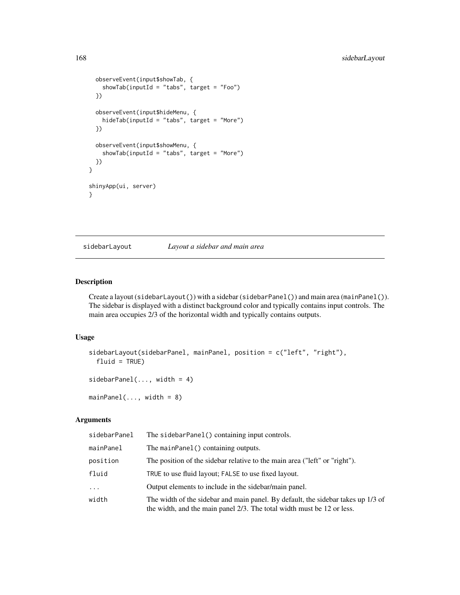```
observeEvent(input$showTab, {
   showTab(inputId = "tabs", target = "Foo")
 })
 observeEvent(input$hideMenu, {
   hideTab(inputId = "tabs", target = "More")
 })
 observeEvent(input$showMenu, {
    showTab(inputId = "tabs", target = "More")
 })
}
shinyApp(ui, server)
}
```
<span id="page-167-0"></span>sidebarLayout *Layout a sidebar and main area*

## <span id="page-167-1"></span>Description

Create a layout (sidebarLayout()) with a sidebar (sidebarPanel()) and main area (mainPanel()). The sidebar is displayed with a distinct background color and typically contains input controls. The main area occupies 2/3 of the horizontal width and typically contains outputs.

#### Usage

```
sidebarLayout(sidebarPanel, mainPanel, position = c("left", "right"),
 fluid = TRUE)
sidebarPanel(..., width = 4)
```
 $mainPanel(..., width = 8)$ 

## Arguments

| sidebarPanel | The sidebarPanel() containing input controls.                                                                                                              |
|--------------|------------------------------------------------------------------------------------------------------------------------------------------------------------|
| mainPanel    | The mainPanel() containing outputs.                                                                                                                        |
| position     | The position of the sidebar relative to the main area ("left" or "right").                                                                                 |
| fluid        | TRUE to use fluid layout; FALSE to use fixed layout.                                                                                                       |
| $\cdots$     | Output elements to include in the sidebar/main panel.                                                                                                      |
| width        | The width of the sidebar and main panel. By default, the sidebar takes up 1/3 of<br>the width, and the main panel 2/3. The total width must be 12 or less. |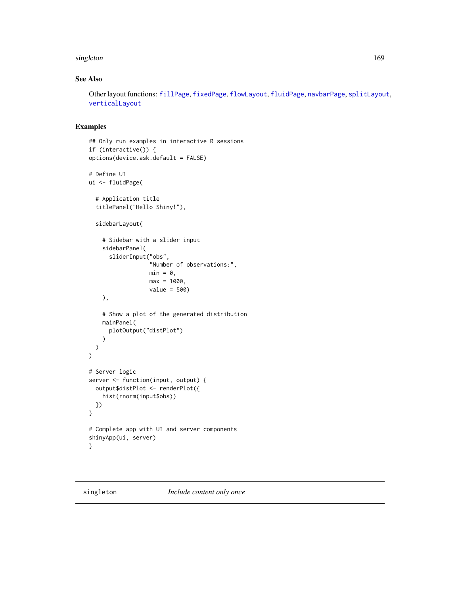#### singleton and the state of the state of the state of the state of the state of the state of the state of the state of the state of the state of the state of the state of the state of the state of the state of the state of

## See Also

Other layout functions: [fillPage](#page-47-0), [fixedPage](#page-50-0), [flowLayout](#page-51-0), [fluidPage](#page-52-0), [navbarPage](#page-82-1), [splitLayout](#page-173-0), [verticalLayout](#page-211-0)

```
## Only run examples in interactive R sessions
if (interactive()) {
options(device.ask.default = FALSE)
# Define UI
ui <- fluidPage(
  # Application title
  titlePanel("Hello Shiny!"),
  sidebarLayout(
    # Sidebar with a slider input
    sidebarPanel(
      sliderInput("obs",
                  "Number of observations:",
                  min = 0,
                  max = 1000,value = 500)
    ),
    # Show a plot of the generated distribution
    mainPanel(
      plotOutput("distPlot")
    )
 )
\overline{)}# Server logic
server <- function(input, output) {
  output$distPlot <- renderPlot({
    hist(rnorm(input$obs))
 })
}
# Complete app with UI and server components
shinyApp(ui, server)
}
```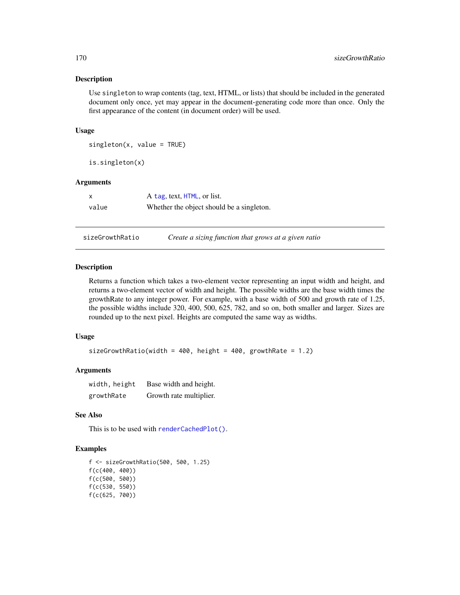#### Description

Use singleton to wrap contents (tag, text, HTML, or lists) that should be included in the generated document only once, yet may appear in the document-generating code more than once. Only the first appearance of the content (in document order) will be used.

#### Usage

```
singleton(x, value = TRUE)
```
is.singleton(x)

#### Arguments

| x     | A tag, text, HTML, or list.               |
|-------|-------------------------------------------|
| value | Whether the object should be a singleton. |

sizeGrowthRatio *Create a sizing function that grows at a given ratio*

#### Description

Returns a function which takes a two-element vector representing an input width and height, and returns a two-element vector of width and height. The possible widths are the base width times the growthRate to any integer power. For example, with a base width of 500 and growth rate of 1.25, the possible widths include 320, 400, 500, 625, 782, and so on, both smaller and larger. Sizes are rounded up to the next pixel. Heights are computed the same way as widths.

#### Usage

```
sizeGrowthRatio(width = 400, height = 400, growthRate = 1.2)
```
## Arguments

| width, height | Base width and height.  |
|---------------|-------------------------|
| growthRate    | Growth rate multiplier. |

## See Also

This is to be used with [renderCachedPlot\(\)](#page-127-0).

```
f <- sizeGrowthRatio(500, 500, 1.25)
f(c(400, 400))
f(c(500, 500))
f(c(530, 550))
f(c(625, 700))
```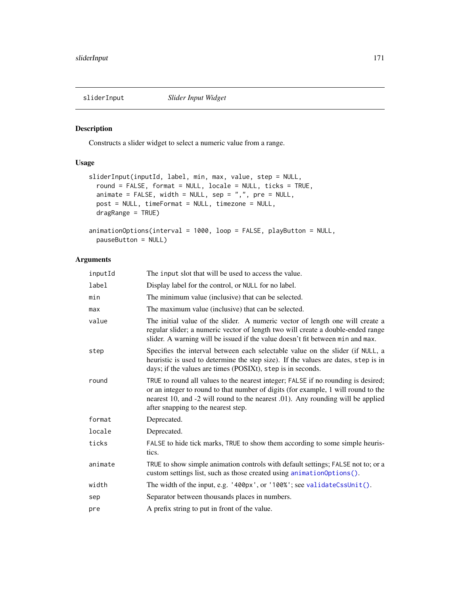<span id="page-170-0"></span>

## <span id="page-170-1"></span>Description

Constructs a slider widget to select a numeric value from a range.

## Usage

```
sliderInput(inputId, label, min, max, value, step = NULL,
  round = FALSE, format = NULL, locale = NULL, ticks = TRUE,
  animate = FALSE, width = NULL, sep = ",", pre = NULL,
 post = NULL, timeFormat = NULL, timezone = NULL,
  dragRange = TRUE)
animationOptions(interval = 1000, loop = FALSE, playButton = NULL,
```

```
pauseButton = NULL)
```
## Arguments

| inputId | The input slot that will be used to access the value.                                                                                                                                                                                                                                            |
|---------|--------------------------------------------------------------------------------------------------------------------------------------------------------------------------------------------------------------------------------------------------------------------------------------------------|
| label   | Display label for the control, or NULL for no label.                                                                                                                                                                                                                                             |
| min     | The minimum value (inclusive) that can be selected.                                                                                                                                                                                                                                              |
| max     | The maximum value (inclusive) that can be selected.                                                                                                                                                                                                                                              |
| value   | The initial value of the slider. A numeric vector of length one will create a<br>regular slider; a numeric vector of length two will create a double-ended range<br>slider. A warning will be issued if the value doesn't fit between min and max.                                               |
| step    | Specifies the interval between each selectable value on the slider (if NULL, a<br>heuristic is used to determine the step size). If the values are dates, step is in<br>days; if the values are times (POSIXt), step is in seconds.                                                              |
| round   | TRUE to round all values to the nearest integer; FALSE if no rounding is desired;<br>or an integer to round to that number of digits (for example, 1 will round to the<br>nearest 10, and -2 will round to the nearest .01). Any rounding will be applied<br>after snapping to the nearest step. |
| format  | Deprecated.                                                                                                                                                                                                                                                                                      |
| locale  | Deprecated.                                                                                                                                                                                                                                                                                      |
| ticks   | FALSE to hide tick marks, TRUE to show them according to some simple heuris-<br>tics.                                                                                                                                                                                                            |
| animate | TRUE to show simple animation controls with default settings; FALSE not to; or a<br>custom settings list, such as those created using animation Options ().                                                                                                                                      |
| width   | The width of the input, e.g. '400px', or '100%'; see validateCssUnit().                                                                                                                                                                                                                          |
| sep     | Separator between thousands places in numbers.                                                                                                                                                                                                                                                   |
| pre     | A prefix string to put in front of the value.                                                                                                                                                                                                                                                    |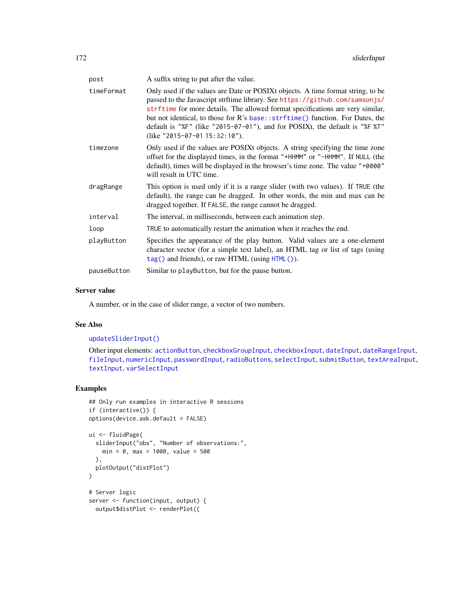| post        | A suffix string to put after the value.                                                                                                                                                                                                                                                                                                                                                                                                            |
|-------------|----------------------------------------------------------------------------------------------------------------------------------------------------------------------------------------------------------------------------------------------------------------------------------------------------------------------------------------------------------------------------------------------------------------------------------------------------|
| timeFormat  | Only used if the values are Date or POSIXt objects. A time format string, to be<br>passed to the Javascript strftime library. See https://github.com/samsonjs/<br>strftime for more details. The allowed format specifications are very similar,<br>but not identical, to those for R's base:: strftime() function. For Dates, the<br>default is "%F" (like "2015-07-01"), and for POSIXt, the default is "%F %T"<br>(like "2015-07-01 15:32:10"). |
| timezone    | Only used if the values are POSIXt objects. A string specifying the time zone<br>offset for the displayed times, in the format "+HHMM" or "-HHMM". If NULL (the<br>default), times will be displayed in the browser's time zone. The value "+0000"<br>will result in UTC time.                                                                                                                                                                     |
| dragRange   | This option is used only if it is a range slider (with two values). If TRUE (the<br>default), the range can be dragged. In other words, the min and max can be<br>dragged together. If FALSE, the range cannot be dragged.                                                                                                                                                                                                                         |
| interval    | The interval, in milliseconds, between each animation step.                                                                                                                                                                                                                                                                                                                                                                                        |
| loop        | TRUE to automatically restart the animation when it reaches the end.                                                                                                                                                                                                                                                                                                                                                                               |
| playButton  | Specifies the appearance of the play button. Valid values are a one-element<br>character vector (for a simple text label), an HTML tag or list of tags (using<br>tag() and friends), or raw HTML (using HTML()).                                                                                                                                                                                                                                   |
| pauseButton | Similar to playButton, but for the pause button.                                                                                                                                                                                                                                                                                                                                                                                                   |

## Server value

A number, or in the case of slider range, a vector of two numbers.

## See Also

## [updateSliderInput\(\)](#page-200-0)

Other input elements: [actionButton](#page-7-0), [checkboxGroupInput](#page-17-0), [checkboxInput](#page-19-0), [dateInput](#page-24-0), [dateRangeInput](#page-27-0), [fileInput](#page-45-0), [numericInput](#page-88-0), [passwordInput](#page-103-0), [radioButtons](#page-112-0), [selectInput](#page-154-0), [submitButton](#page-175-0), [textAreaInput](#page-181-0), [textInput](#page-182-0), [varSelectInput](#page-208-0)

## Examples

```
## Only run examples in interactive R sessions
if (interactive()) {
options(device.ask.default = FALSE)
ui <- fluidPage(
  sliderInput("obs", "Number of observations:",
   min = 0, max = 1000, value = 500
  ),
  plotOutput("distPlot")
)
# Server logic
server <- function(input, output) {
```
output\$distPlot <- renderPlot({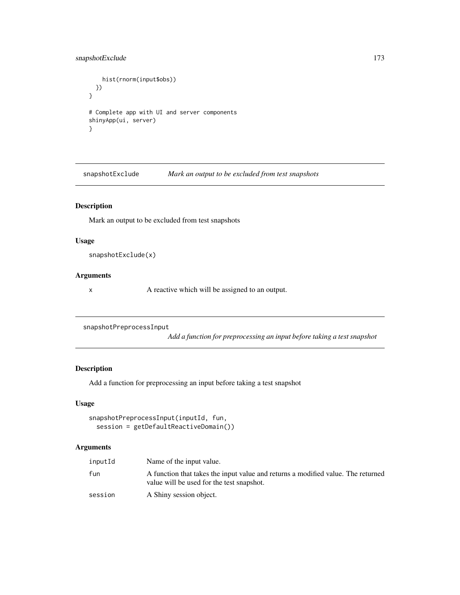## snapshotExclude 173

```
hist(rnorm(input$obs))
 })
}
# Complete app with UI and server components
shinyApp(ui, server)
}
```
snapshotExclude *Mark an output to be excluded from test snapshots*

## Description

Mark an output to be excluded from test snapshots

#### Usage

snapshotExclude(x)

#### Arguments

x A reactive which will be assigned to an output.

```
snapshotPreprocessInput
```
*Add a function for preprocessing an input before taking a test snapshot*

## Description

Add a function for preprocessing an input before taking a test snapshot

## Usage

```
snapshotPreprocessInput(inputId, fun,
 session = getDefaultReactiveDomain())
```
## Arguments

| inputId | Name of the input value.                                                                                                      |
|---------|-------------------------------------------------------------------------------------------------------------------------------|
| fun     | A function that takes the input value and returns a modified value. The returned<br>value will be used for the test snapshot. |
| session | A Shiny session object.                                                                                                       |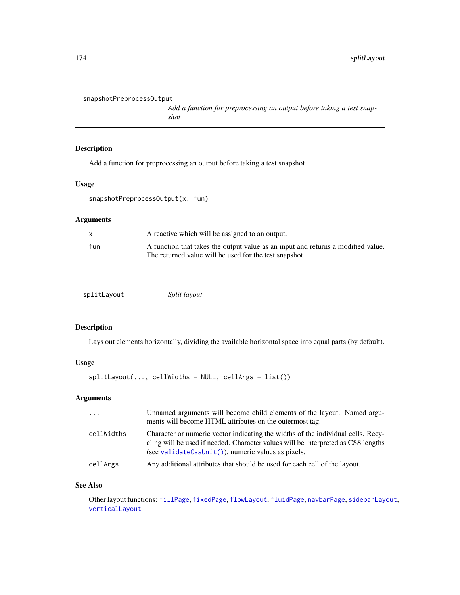```
snapshotPreprocessOutput
```
*Add a function for preprocessing an output before taking a test snapshot*

## Description

Add a function for preprocessing an output before taking a test snapshot

#### Usage

```
snapshotPreprocessOutput(x, fun)
```
## Arguments

| X   | A reactive which will be assigned to an output.                                                                                            |
|-----|--------------------------------------------------------------------------------------------------------------------------------------------|
| fun | A function that takes the output value as an input and returns a modified value.<br>The returned value will be used for the test snapshot. |
|     |                                                                                                                                            |

<span id="page-173-0"></span>

### Description

Lays out elements horizontally, dividing the available horizontal space into equal parts (by default).

## Usage

```
splitLayout(..., cellWidths = NULL, cellArgs = list())
```
#### Arguments

| .          | Unnamed arguments will become child elements of the layout. Named argu-<br>ments will become HTML attributes on the outermost tag.                                                                                          |
|------------|-----------------------------------------------------------------------------------------------------------------------------------------------------------------------------------------------------------------------------|
| cellWidths | Character or numeric vector indicating the widths of the individual cells. Recy-<br>cling will be used if needed. Character values will be interpreted as CSS lengths<br>(see validateCssUnit()), numeric values as pixels. |
| cellArgs   | Any additional attributes that should be used for each cell of the layout.                                                                                                                                                  |

#### See Also

Other layout functions: [fillPage](#page-47-0), [fixedPage](#page-50-0), [flowLayout](#page-51-0), [fluidPage](#page-52-0), [navbarPage](#page-82-1), [sidebarLayout](#page-167-0), [verticalLayout](#page-211-0)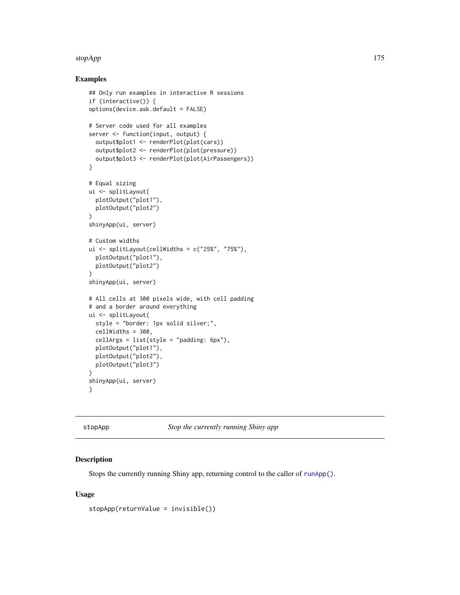#### stopApp 175

#### Examples

```
## Only run examples in interactive R sessions
if (interactive()) {
options(device.ask.default = FALSE)
# Server code used for all examples
server <- function(input, output) {
  output$plot1 <- renderPlot(plot(cars))
  output$plot2 <- renderPlot(plot(pressure))
  output$plot3 <- renderPlot(plot(AirPassengers))
}
# Equal sizing
ui <- splitLayout(
 plotOutput("plot1"),
  plotOutput("plot2")
\lambdashinyApp(ui, server)
# Custom widths
ui \le splitLayout(cellWidths = c("25%", "75%"),
  plotOutput("plot1"),
  plotOutput("plot2")
)
shinyApp(ui, server)
# All cells at 300 pixels wide, with cell padding
# and a border around everything
ui <- splitLayout(
  style = "border: 1px solid silver;",
  cellWidths = 300,
  cellArgs = list(style = "padding: 6px"),
  plotOutput("plot1"),
  plotOutput("plot2"),
  plotOutput("plot3")
)
shinyApp(ui, server)
}
```
stopApp *Stop the currently running Shiny app*

#### Description

Stops the currently running Shiny app, returning control to the caller of [runApp\(\)](#page-148-0).

#### Usage

stopApp(returnValue = invisible())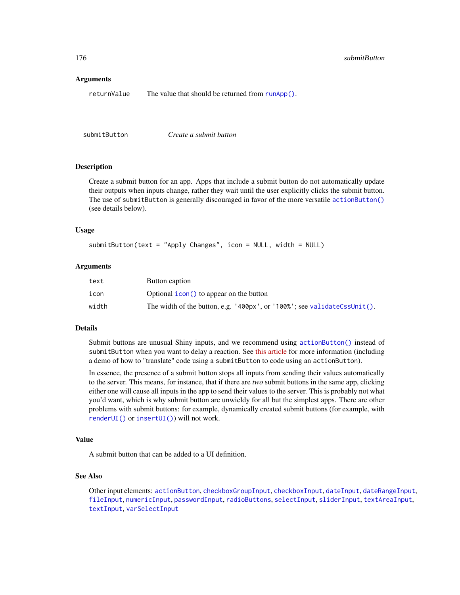#### Arguments

returnValue The value that should be returned from [runApp\(\)](#page-148-0).

<span id="page-175-0"></span>submitButton *Create a submit button*

#### Description

Create a submit button for an app. Apps that include a submit button do not automatically update their outputs when inputs change, rather they wait until the user explicitly clicks the submit button. The use of submitButton is generally discouraged in favor of the more versatile [actionButton\(\)](#page-7-0) (see details below).

#### Usage

```
submitButton(text = "Apply Changes", icon = NULL, width = NULL)
```
#### **Arguments**

| text  | Button caption                                                           |
|-------|--------------------------------------------------------------------------|
| icon  | Optional <i>i</i> con() to appear on the button                          |
| width | The width of the button, e.g. '400px', or '100%'; see validateCssUnit(). |

#### Details

Submit buttons are unusual Shiny inputs, and we recommend using [actionButton\(\)](#page-7-0) instead of submitButton when you want to delay a reaction. See [this article](http://shiny.rstudio.com/articles/action-buttons.html) for more information (including a demo of how to "translate" code using a submitButton to code using an actionButton).

In essence, the presence of a submit button stops all inputs from sending their values automatically to the server. This means, for instance, that if there are *two* submit buttons in the same app, clicking either one will cause all inputs in the app to send their values to the server. This is probably not what you'd want, which is why submit button are unwieldy for all but the simplest apps. There are other problems with submit buttons: for example, dynamically created submit buttons (for example, with [renderUI\(\)](#page-143-0) or [insertUI\(\)](#page-68-0)) will not work.

#### Value

A submit button that can be added to a UI definition.

#### See Also

Other input elements: [actionButton](#page-7-0), [checkboxGroupInput](#page-17-0), [checkboxInput](#page-19-0), [dateInput](#page-24-0), [dateRangeInput](#page-27-0), [fileInput](#page-45-0), [numericInput](#page-88-0), [passwordInput](#page-103-0), [radioButtons](#page-112-0), [selectInput](#page-154-0), [sliderInput](#page-170-0), [textAreaInput](#page-181-0), [textInput](#page-182-0), [varSelectInput](#page-208-0)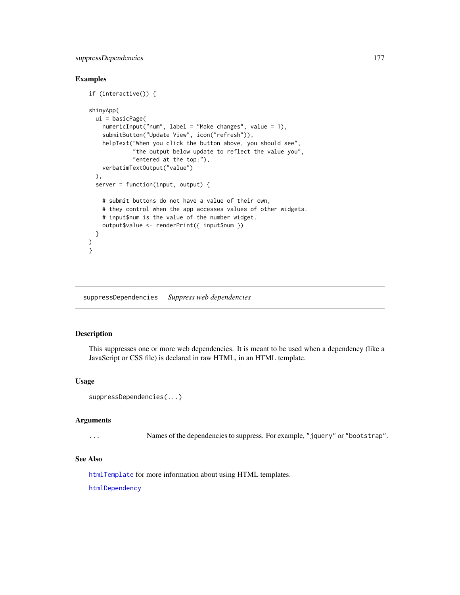## suppressDependencies 177

## Examples

```
if (interactive()) {
shinyApp(
 ui = basicPage(
   numericInput("num", label = "Make changes", value = 1),
   submitButton("Update View", icon("refresh")),
   helpText("When you click the button above, you should see",
             "the output below update to reflect the value you",
             "entered at the top:"),
   verbatimTextOutput("value")
 ),
 server = function(input, output) {
   # submit buttons do not have a value of their own,
   # they control when the app accesses values of other widgets.
   # input$num is the value of the number widget.
   output$value <- renderPrint({ input$num })
 }
)
}
```
suppressDependencies *Suppress web dependencies*

#### Description

This suppresses one or more web dependencies. It is meant to be used when a dependency (like a JavaScript or CSS file) is declared in raw HTML, in an HTML template.

#### Usage

```
suppressDependencies(...)
```
#### Arguments

... Names of the dependencies to suppress. For example, "jquery" or "bootstrap".

## See Also

[htmlTemplate](#page-63-1) for more information about using HTML templates.

[htmlDependency](#page-0-0)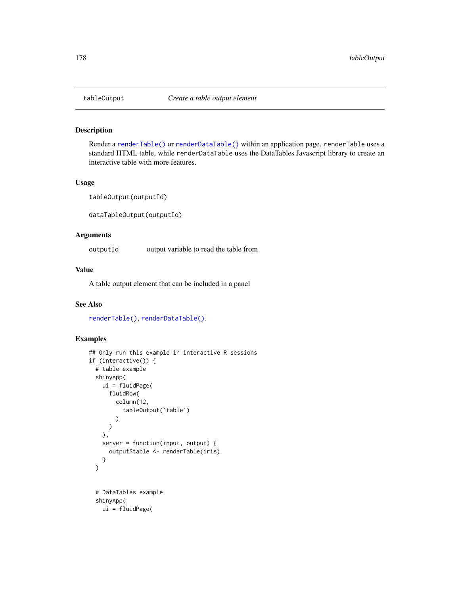#### Description

Render a [renderTable\(\)](#page-140-0) or [renderDataTable\(\)](#page-132-0) within an application page. renderTable uses a standard HTML table, while renderDataTable uses the DataTables Javascript library to create an interactive table with more features.

## Usage

tableOutput(outputId)

dataTableOutput(outputId)

## Arguments

outputId output variable to read the table from

## Value

A table output element that can be included in a panel

## See Also

[renderTable\(\)](#page-140-0), [renderDataTable\(\)](#page-132-0).

```
## Only run this example in interactive R sessions
if (interactive()) {
 # table example
 shinyApp(
   ui = fluidPage(
     fluidRow(
       column(12,
          tableOutput('table')
        )
     )
   ),
   server = function(input, output) {
     output$table <- renderTable(iris)
    }
 )
 # DataTables example
 shinyApp(
   ui = fluidPage(
```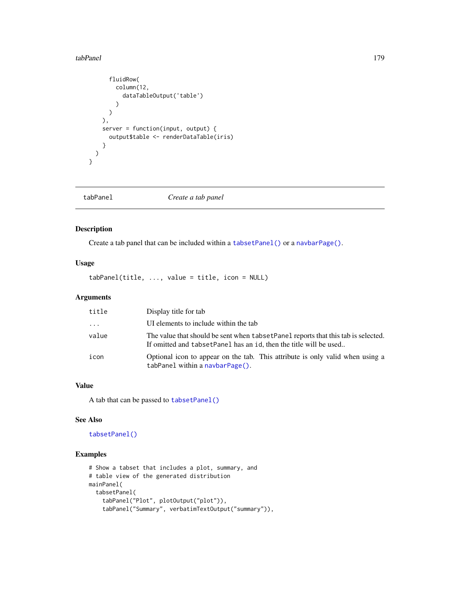#### tabPanel 179

```
fluidRow(
       column(12,
         dataTableOutput('table')
       )
     )
   ),
   server = function(input, output) {
     output$table <- renderDataTable(iris)
   }
 )
}
```
<span id="page-178-0"></span>tabPanel *Create a tab panel*

## Description

Create a tab panel that can be included within a [tabsetPanel\(\)](#page-179-0) or a [navbarPage\(\)](#page-82-1).

## Usage

tabPanel(title, ..., value = title, icon = NULL)

## Arguments

| title    | Display title for tab                                                                                                                                    |
|----------|----------------------------------------------------------------------------------------------------------------------------------------------------------|
| $\cdots$ | UI elements to include within the tab                                                                                                                    |
| value    | The value that should be sent when tabset Panel reports that this tab is selected.<br>If omitted and tabset Panel has an id, then the title will be used |
| icon     | Optional icon to appear on the tab. This attribute is only valid when using a<br>tabPanel within a navbarPage().                                         |

## Value

A tab that can be passed to [tabsetPanel\(\)](#page-179-0)

## See Also

[tabsetPanel\(\)](#page-179-0)

```
# Show a tabset that includes a plot, summary, and
# table view of the generated distribution
mainPanel(
  tabsetPanel(
    tabPanel("Plot", plotOutput("plot")),
    tabPanel("Summary", verbatimTextOutput("summary")),
```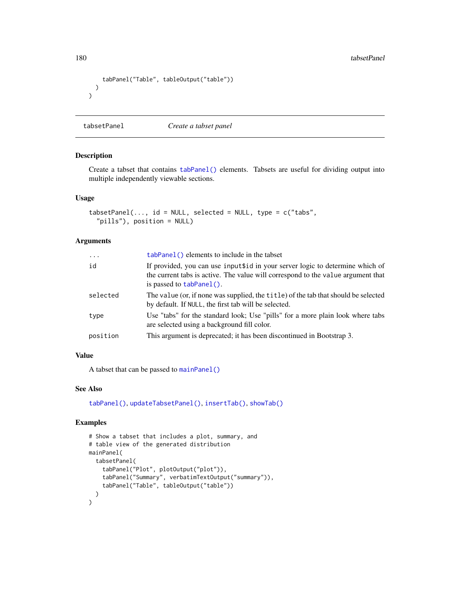```
tabPanel("Table", tableOutput("table"))
 )
)
```
<span id="page-179-0"></span>tabsetPanel *Create a tabset panel*

## Description

Create a tabset that contains [tabPanel\(\)](#page-178-0) elements. Tabsets are useful for dividing output into multiple independently viewable sections.

## Usage

```
tabsetPanel(..., id = NULL, selected = NULL, type = c("tabs","pills"), position = NULL)
```
#### Arguments

| $\cdots$ | tabPanel() elements to include in the tabset                                                                                                                                                 |
|----------|----------------------------------------------------------------------------------------------------------------------------------------------------------------------------------------------|
| id       | If provided, you can use inputsid in your server logic to determine which of<br>the current tabs is active. The value will correspond to the value argument that<br>is passed to tabPanel(). |
| selected | The value (or, if none was supplied, the title) of the tab that should be selected<br>by default. If NULL, the first tab will be selected.                                                   |
| type     | Use "tabs" for the standard look; Use "pills" for a more plain look where tabs<br>are selected using a background fill color.                                                                |
| position | This argument is deprecated; it has been discontinued in Bootstrap 3.                                                                                                                        |

## Value

A tabset that can be passed to [mainPanel\(\)](#page-167-1)

## See Also

[tabPanel\(\)](#page-178-0), [updateTabsetPanel\(\)](#page-201-0), [insertTab\(\)](#page-65-0), [showTab\(\)](#page-165-0)

```
# Show a tabset that includes a plot, summary, and
# table view of the generated distribution
mainPanel(
 tabsetPanel(
    tabPanel("Plot", plotOutput("plot")),
    tabPanel("Summary", verbatimTextOutput("summary")),
    tabPanel("Table", tableOutput("table"))
  )
\mathcal{L}
```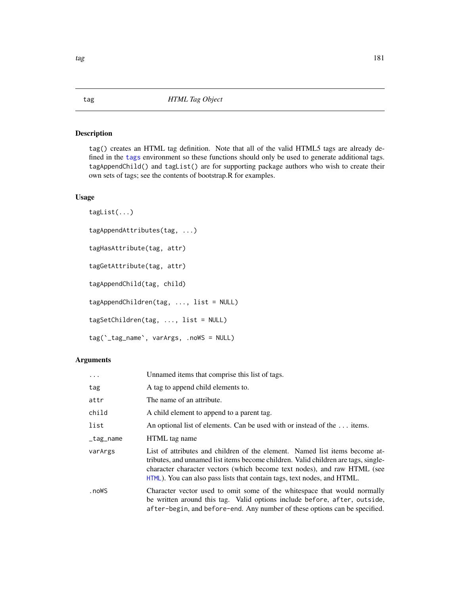## Description

tag() creates an HTML tag definition. Note that all of the valid HTML5 tags are already defined in the [tags](#page-14-0) environment so these functions should only be used to generate additional tags. tagAppendChild() and tagList() are for supporting package authors who wish to create their own sets of tags; see the contents of bootstrap.R for examples.

## Usage

```
tagList(...)
tagAppendAttributes(tag, ...)
tagHasAttribute(tag, attr)
tagGetAttribute(tag, attr)
tagAppendChild(tag, child)
tagAppendChildren(tag, ..., list = NULL)
tagSetChildren(tag, ..., list = NULL)
tag(`_tag_name`, varArgs, .noWS = NULL)
```

| $\cdots$  | Unnamed items that comprise this list of tags.                                                                                                                                                                                                                                                                           |
|-----------|--------------------------------------------------------------------------------------------------------------------------------------------------------------------------------------------------------------------------------------------------------------------------------------------------------------------------|
| tag       | A tag to append child elements to.                                                                                                                                                                                                                                                                                       |
| attr      | The name of an attribute.                                                                                                                                                                                                                                                                                                |
| child     | A child element to append to a parent tag.                                                                                                                                                                                                                                                                               |
| list      | An optional list of elements. Can be used with or instead of the  items.                                                                                                                                                                                                                                                 |
| _tag_name | HTML tag name                                                                                                                                                                                                                                                                                                            |
| varArgs   | List of attributes and children of the element. Named list items become at-<br>tributes, and unnamed list items become children. Valid children are tags, single-<br>character character vectors (which become text nodes), and raw HTML (see<br>HTML). You can also pass lists that contain tags, text nodes, and HTML. |
| .noWS     | Character vector used to omit some of the whitespace that would normally<br>be written around this tag. Valid options include before, after, outside,<br>after-begin, and before-end. Any number of these options can be specified.                                                                                      |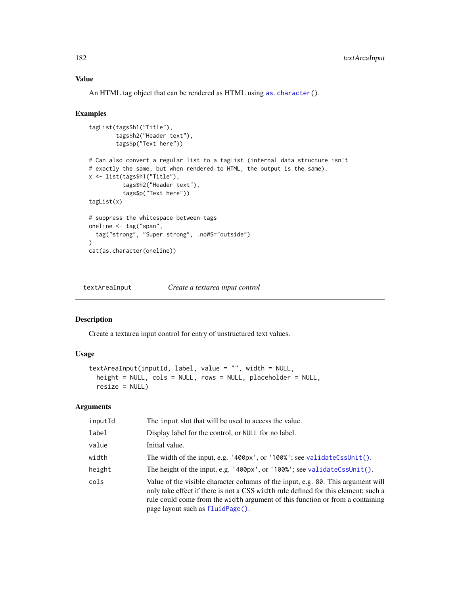# Value

An HTML tag object that can be rendered as HTML using [as.character\(](#page-0-0)).

#### Examples

```
tagList(tags$h1("Title"),
        tags$h2("Header text"),
        tags$p("Text here"))
# Can also convert a regular list to a tagList (internal data structure isn't
# exactly the same, but when rendered to HTML, the output is the same).
x <- list(tags$h1("Title"),
          tags$h2("Header text"),
          tags$p("Text here"))
tagList(x)
# suppress the whitespace between tags
oneline <- tag("span",
  tag("strong", "Super strong", .noWS="outside")
)
cat(as.character(oneline))
```
<span id="page-181-0"></span>textAreaInput *Create a textarea input control*

## Description

Create a textarea input control for entry of unstructured text values.

## Usage

```
textAreaInput(inputId, label, value = "", width = NULL,
 height = NULL, cols = NULL, rows = NULL, placeholder = NULL,
  resize = NULL)
```

| inputId | The input slot that will be used to access the value.                                                                                                                                                                                                                                       |
|---------|---------------------------------------------------------------------------------------------------------------------------------------------------------------------------------------------------------------------------------------------------------------------------------------------|
| label   | Display label for the control, or NULL for no label.                                                                                                                                                                                                                                        |
| value   | Initial value.                                                                                                                                                                                                                                                                              |
| width   | The width of the input, e.g. $'400px'$ , or $'100%$ ; see validateCssUnit().                                                                                                                                                                                                                |
| height  | The height of the input, e.g. '400px', or '100%'; see validateCssUnit().                                                                                                                                                                                                                    |
| cols    | Value of the visible character columns of the input, e.g. 80. This argument will<br>only take effect if there is not a CSS width rule defined for this element; such a<br>rule could come from the width argument of this function or from a containing<br>page layout such as fluidPage(). |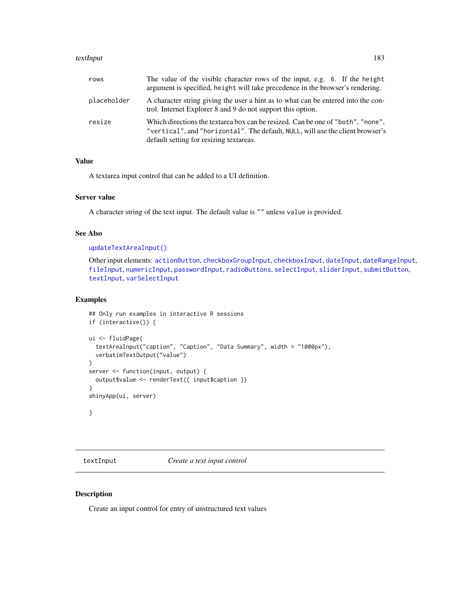#### textInput 183

| rows        | The value of the visible character rows of the input, e.g. 6. If the height<br>argument is specified, height will take precedence in the browser's rendering.                                                |  |
|-------------|--------------------------------------------------------------------------------------------------------------------------------------------------------------------------------------------------------------|--|
| placeholder | A character string giving the user a hint as to what can be entered into the con-<br>trol. Internet Explorer 8 and 9 do not support this option.                                                             |  |
| resize      | Which directions the textarea box can be resized. Can be one of "both", "none",<br>"vertical", and "horizontal". The default, NULL, will use the client browser's<br>default setting for resizing textareas. |  |

# Value

A textarea input control that can be added to a UI definition.

# Server value

A character string of the text input. The default value is "" unless value is provided.

# See Also

```
updateTextAreaInput()
```
Other input elements: [actionButton](#page-7-0), [checkboxGroupInput](#page-17-0), [checkboxInput](#page-19-0), [dateInput](#page-24-0), [dateRangeInput](#page-27-0), [fileInput](#page-45-0), [numericInput](#page-88-0), [passwordInput](#page-103-0), [radioButtons](#page-112-0), [selectInput](#page-154-0), [sliderInput](#page-170-0), [submitButton](#page-175-0), [textInput](#page-182-0), [varSelectInput](#page-208-0)

#### Examples

```
## Only run examples in interactive R sessions
if (interactive()) {
ui <- fluidPage(
 textAreaInput("caption", "Caption", "Data Summary", width = "1000px"),
 verbatimTextOutput("value")
\lambdaserver <- function(input, output) {
 output$value <- renderText({ input$caption })
}
shinyApp(ui, server)
}
```
<span id="page-182-0"></span>textInput *Create a text input control*

### Description

Create an input control for entry of unstructured text values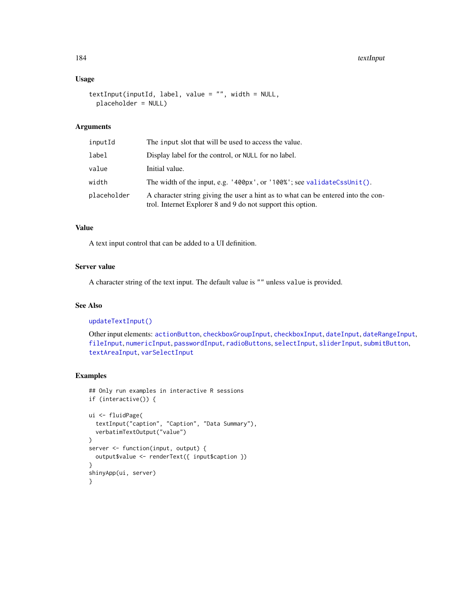# Usage

```
textInput(inputId, label, value = "", width = NULL,
 placeholder = NULL)
```
## Arguments

| inputId     | The input slot that will be used to access the value.                                                                                            |
|-------------|--------------------------------------------------------------------------------------------------------------------------------------------------|
| label       | Display label for the control, or NULL for no label.                                                                                             |
| value       | Initial value.                                                                                                                                   |
| width       | The width of the input, e.g. $'400px'$ , or $'100%$ ; see validateCssUnit().                                                                     |
| placeholder | A character string giving the user a hint as to what can be entered into the con-<br>trol. Internet Explorer 8 and 9 do not support this option. |

# Value

A text input control that can be added to a UI definition.

# Server value

A character string of the text input. The default value is "" unless value is provided.

# See Also

#### [updateTextInput\(\)](#page-204-0)

Other input elements: [actionButton](#page-7-0), [checkboxGroupInput](#page-17-0), [checkboxInput](#page-19-0), [dateInput](#page-24-0), [dateRangeInput](#page-27-0), [fileInput](#page-45-0), [numericInput](#page-88-0), [passwordInput](#page-103-0), [radioButtons](#page-112-0), [selectInput](#page-154-0), [sliderInput](#page-170-0), [submitButton](#page-175-0), [textAreaInput](#page-181-0), [varSelectInput](#page-208-0)

```
## Only run examples in interactive R sessions
if (interactive()) {
ui <- fluidPage(
  textInput("caption", "Caption", "Data Summary"),
  verbatimTextOutput("value")
)
server <- function(input, output) {
  output$value <- renderText({ input$caption })
}
shinyApp(ui, server)
}
```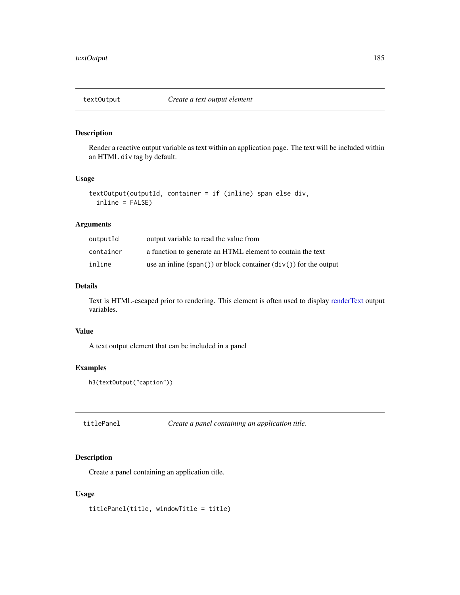# Description

Render a reactive output variable as text within an application page. The text will be included within an HTML div tag by default.

#### Usage

```
textOutput(outputId, container = if (inline) span else div,
  inline = FALSE)
```
# Arguments

| outputId  | output variable to read the value from                           |  |  |
|-----------|------------------------------------------------------------------|--|--|
| container | a function to generate an HTML element to contain the text       |  |  |
| inline    | use an inline (span()) or block container $div()$ for the output |  |  |

# Details

Text is HTML-escaped prior to rendering. This element is often used to display [renderText](#page-141-0) output variables.

# Value

A text output element that can be included in a panel

# Examples

```
h3(textOutput("caption"))
```
titlePanel *Create a panel containing an application title.*

## Description

Create a panel containing an application title.

### Usage

titlePanel(title, windowTitle = title)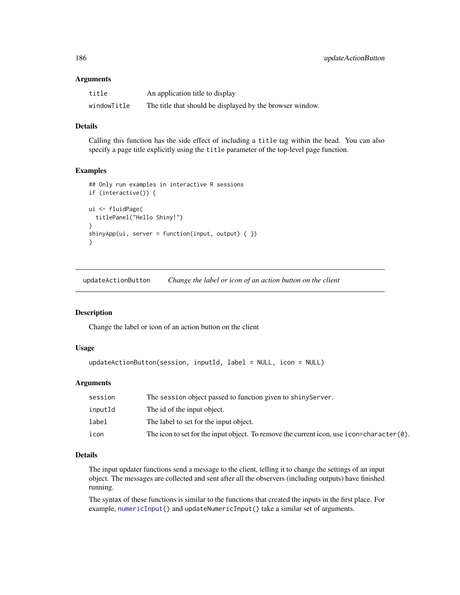#### **Arguments**

| title       | An application title to display                           |
|-------------|-----------------------------------------------------------|
| windowTitle | The title that should be displayed by the browser window. |

## Details

Calling this function has the side effect of including a title tag within the head. You can also specify a page title explicitly using the title parameter of the top-level page function.

#### Examples

```
## Only run examples in interactive R sessions
if (interactive()) {
ui <- fluidPage(
 titlePanel("Hello Shiny!")
)
\text{shinyApp}(ui, server = function(input, output) { })}
```
updateActionButton *Change the label or icon of an action button on the client*

## Description

Change the label or icon of an action button on the client

## Usage

```
updateActionButton(session, inputId, label = NULL, icon = NULL)
```
## Arguments

| session | The session object passed to function given to shiny Server.                                  |
|---------|-----------------------------------------------------------------------------------------------|
| inputId | The id of the input object.                                                                   |
| label   | The label to set for the input object.                                                        |
| icon    | The icon to set for the input object. To remove the current icon, use i con=character $(0)$ . |

# Details

The input updater functions send a message to the client, telling it to change the settings of an input object. The messages are collected and sent after all the observers (including outputs) have finished running.

The syntax of these functions is similar to the functions that created the inputs in the first place. For example, [numericInput\(](#page-88-0)) and updateNumericInput() take a similar set of arguments.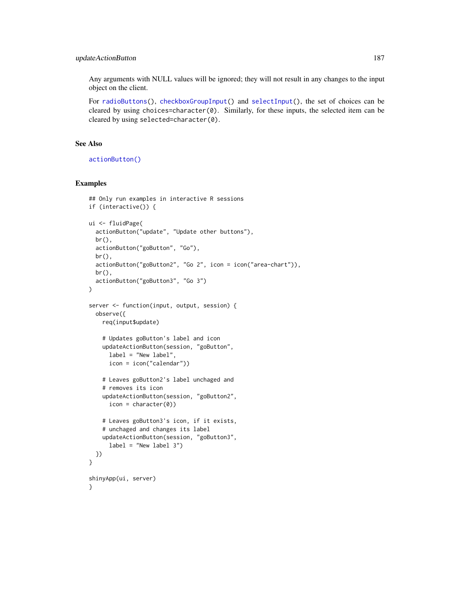# updateActionButton 187

Any arguments with NULL values will be ignored; they will not result in any changes to the input object on the client.

For [radioButtons\(](#page-112-0)), [checkboxGroupInput\(](#page-17-0)) and [selectInput\(](#page-154-0)), the set of choices can be cleared by using choices=character(0). Similarly, for these inputs, the selected item can be cleared by using selected=character(0).

# See Also

[actionButton\(\)](#page-7-0)

```
## Only run examples in interactive R sessions
if (interactive()) {
ui <- fluidPage(
  actionButton("update", "Update other buttons"),
  br(),
  actionButton("goButton", "Go"),
  br(),
  actionButton("goButton2", "Go 2", icon = icon("area-chart")),
  br(),
  actionButton("goButton3", "Go 3")
)
server <- function(input, output, session) {
  observe({
   req(input$update)
    # Updates goButton's label and icon
    updateActionButton(session, "goButton",
     label = "New label",
     icon = icon("calendar"))
    # Leaves goButton2's label unchaged and
    # removes its icon
    updateActionButton(session, "goButton2",
      icon = character(0))
    # Leaves goButton3's icon, if it exists,
    # unchaged and changes its label
    updateActionButton(session, "goButton3",
      label = "New label 3")
 })
}
shinyApp(ui, server)
}
```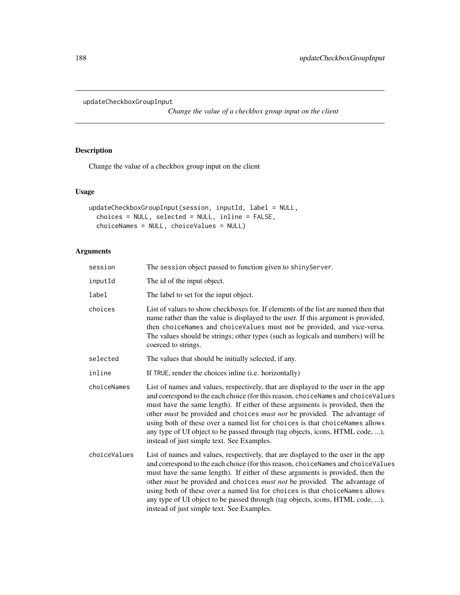updateCheckboxGroupInput

*Change the value of a checkbox group input on the client*

# Description

Change the value of a checkbox group input on the client

# Usage

```
updateCheckboxGroupInput(session, inputId, label = NULL,
 choices = NULL, selected = NULL, inline = FALSE,
  choiceNames = NULL, choiceValues = NULL)
```

| session      | The session object passed to function given to shinyServer.                                                                                                                                                                                                                                                                                                                                                                                                                                                                                                       |
|--------------|-------------------------------------------------------------------------------------------------------------------------------------------------------------------------------------------------------------------------------------------------------------------------------------------------------------------------------------------------------------------------------------------------------------------------------------------------------------------------------------------------------------------------------------------------------------------|
| inputId      | The id of the input object.                                                                                                                                                                                                                                                                                                                                                                                                                                                                                                                                       |
| label        | The label to set for the input object.                                                                                                                                                                                                                                                                                                                                                                                                                                                                                                                            |
| choices      | List of values to show checkboxes for. If elements of the list are named then that<br>name rather than the value is displayed to the user. If this argument is provided,<br>then choiceNames and choiceValues must not be provided, and vice-versa.<br>The values should be strings; other types (such as logicals and numbers) will be<br>coerced to strings.                                                                                                                                                                                                    |
| selected     | The values that should be initially selected, if any.                                                                                                                                                                                                                                                                                                                                                                                                                                                                                                             |
| inline       | If TRUE, render the choices inline (i.e. horizontally)                                                                                                                                                                                                                                                                                                                                                                                                                                                                                                            |
| choiceNames  | List of names and values, respectively, that are displayed to the user in the app<br>and correspond to the each choice (for this reason, choiceNames and choiceValues<br>must have the same length). If either of these arguments is provided, then the<br>other <i>must</i> be provided and choices <i>must not</i> be provided. The advantage of<br>using both of these over a named list for choices is that choiceNames allows<br>any type of UI object to be passed through (tag objects, icons, HTML code, ),<br>instead of just simple text. See Examples. |
| choiceValues | List of names and values, respectively, that are displayed to the user in the app<br>and correspond to the each choice (for this reason, choiceNames and choiceValues<br>must have the same length). If either of these arguments is provided, then the<br>other must be provided and choices must not be provided. The advantage of<br>using both of these over a named list for choices is that choiceNames allows<br>any type of UI object to be passed through (tag objects, icons, HTML code, ),<br>instead of just simple text. See Examples.               |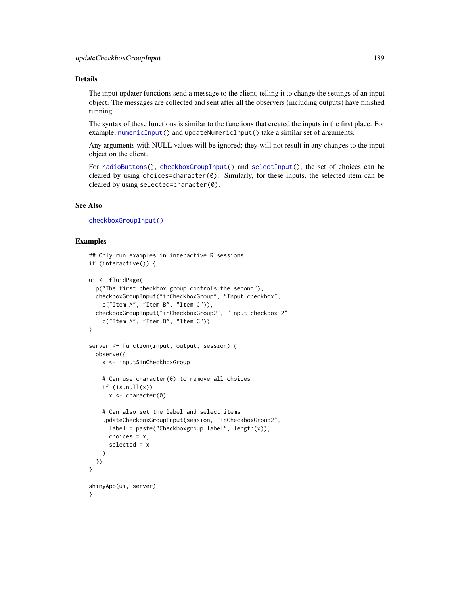## Details

The input updater functions send a message to the client, telling it to change the settings of an input object. The messages are collected and sent after all the observers (including outputs) have finished running.

The syntax of these functions is similar to the functions that created the inputs in the first place. For example, [numericInput\(](#page-88-0)) and updateNumericInput() take a similar set of arguments.

Any arguments with NULL values will be ignored; they will not result in any changes to the input object on the client.

For [radioButtons\(](#page-112-0)), [checkboxGroupInput\(](#page-17-0)) and [selectInput\(](#page-154-0)), the set of choices can be cleared by using choices=character(0). Similarly, for these inputs, the selected item can be cleared by using selected=character(0).

## See Also

[checkboxGroupInput\(\)](#page-17-0)

```
## Only run examples in interactive R sessions
if (interactive()) {
ui <- fluidPage(
 p("The first checkbox group controls the second"),
 checkboxGroupInput("inCheckboxGroup", "Input checkbox",
    c("Item A", "Item B", "Item C")),
 checkboxGroupInput("inCheckboxGroup2", "Input checkbox 2",
    c("Item A", "Item B", "Item C"))
)
server <- function(input, output, session) {
 observe({
   x <- input$inCheckboxGroup
    # Can use character(0) to remove all choices
    if (is.null(x))x \leftarrow character(0)
    # Can also set the label and select items
   updateCheckboxGroupInput(session, "inCheckboxGroup2",
      label = paste("Checkboxgroup label", length(x)),
      choices = x,
      selected = x
   )
 })
}
shinyApp(ui, server)
}
```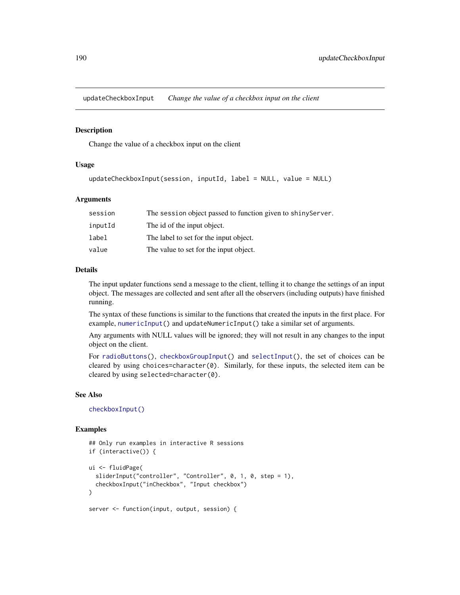updateCheckboxInput *Change the value of a checkbox input on the client*

## Description

Change the value of a checkbox input on the client

## Usage

```
updateCheckboxInput(session, inputId, label = NULL, value = NULL)
```
#### Arguments

| session | The session object passed to function given to shiny Server. |
|---------|--------------------------------------------------------------|
| inputId | The id of the input object.                                  |
| label   | The label to set for the input object.                       |
| value   | The value to set for the input object.                       |

## Details

The input updater functions send a message to the client, telling it to change the settings of an input object. The messages are collected and sent after all the observers (including outputs) have finished running.

The syntax of these functions is similar to the functions that created the inputs in the first place. For example, [numericInput\(](#page-88-0)) and updateNumericInput() take a similar set of arguments.

Any arguments with NULL values will be ignored; they will not result in any changes to the input object on the client.

For [radioButtons\(](#page-112-0)), [checkboxGroupInput\(](#page-17-0)) and [selectInput\(](#page-154-0)), the set of choices can be cleared by using choices=character(0). Similarly, for these inputs, the selected item can be cleared by using selected=character(0).

## See Also

[checkboxInput\(\)](#page-19-0)

```
## Only run examples in interactive R sessions
if (interactive()) {
ui <- fluidPage(
 sliderInput("controller", "Controller", 0, 1, 0, step = 1),
 checkboxInput("inCheckbox", "Input checkbox")
)
server <- function(input, output, session) {
```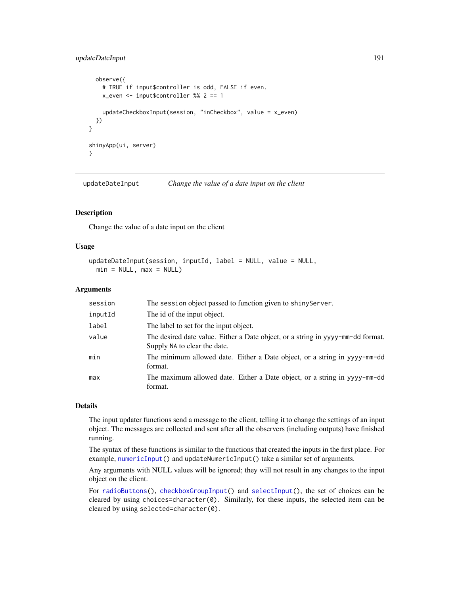# updateDateInput 191

```
observe({
    # TRUE if input$controller is odd, FALSE if even.
   x_even <- input$controller %% 2 == 1
   updateCheckboxInput(session, "inCheckbox", value = x_even)
 })
}
shinyApp(ui, server)
}
```
updateDateInput *Change the value of a date input on the client*

## Description

Change the value of a date input on the client

#### Usage

```
updateDateInput(session, inputId, label = NULL, value = NULL,
 min = NULL, max = NULL
```
## Arguments

| session | The session object passed to function given to shiny Server.                                                    |  |  |
|---------|-----------------------------------------------------------------------------------------------------------------|--|--|
| inputId | The id of the input object.                                                                                     |  |  |
| label   | The label to set for the input object.                                                                          |  |  |
| value   | The desired date value. Either a Date object, or a string in yyyy-mm-dd format.<br>Supply NA to clear the date. |  |  |
| min     | The minimum allowed date. Either a Date object, or a string in yyyy-mm-dd<br>format.                            |  |  |
| max     | The maximum allowed date. Either a Date object, or a string in yyyy-mm-dd<br>format.                            |  |  |

#### Details

The input updater functions send a message to the client, telling it to change the settings of an input object. The messages are collected and sent after all the observers (including outputs) have finished running.

The syntax of these functions is similar to the functions that created the inputs in the first place. For example, [numericInput\(](#page-88-0)) and updateNumericInput() take a similar set of arguments.

Any arguments with NULL values will be ignored; they will not result in any changes to the input object on the client.

For [radioButtons\(](#page-112-0)), [checkboxGroupInput\(](#page-17-0)) and [selectInput\(](#page-154-0)), the set of choices can be cleared by using choices=character $(0)$ . Similarly, for these inputs, the selected item can be cleared by using selected=character(0).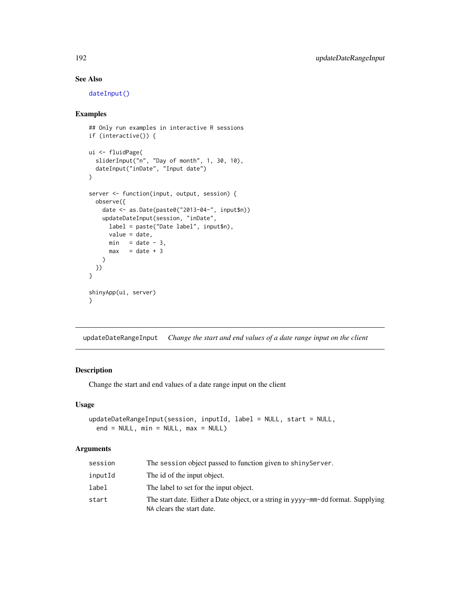# See Also

[dateInput\(\)](#page-24-0)

# Examples

```
## Only run examples in interactive R sessions
if (interactive()) {
ui <- fluidPage(
  sliderInput("n", "Day of month", 1, 30, 10),
  dateInput("inDate", "Input date")
\lambdaserver <- function(input, output, session) {
  observe({
   date <- as.Date(paste0("2013-04-", input$n))
   updateDateInput(session, "inDate",
     label = paste("Date label", input$n),
     value = date,
     min = date - 3,max = date + 3)
 })
}
shinyApp(ui, server)
}
```
updateDateRangeInput *Change the start and end values of a date range input on the client*

# Description

Change the start and end values of a date range input on the client

# Usage

```
updateDateRangeInput(session, inputId, label = NULL, start = NULL,
 end = NULL, min = NULL, max = NULL)
```

| session | The session object passed to function given to shiny Server.                                                   |
|---------|----------------------------------------------------------------------------------------------------------------|
| inputId | The id of the input object.                                                                                    |
| label   | The label to set for the input object.                                                                         |
| start   | The start date. Either a Date object, or a string in yyyy-mm-dd format. Supplying<br>NA clears the start date. |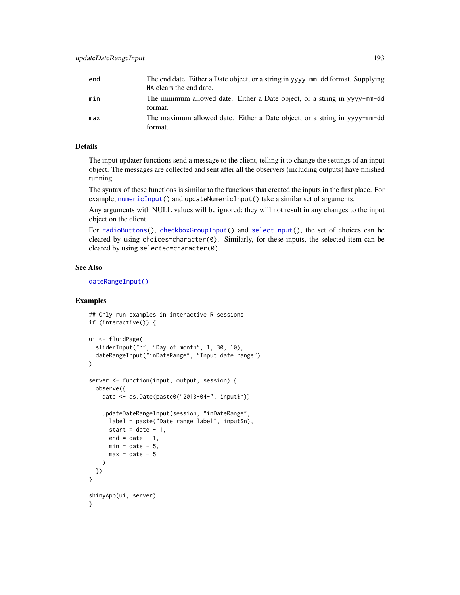| end | The end date. Either a Date object, or a string in yyyy-mm-dd format. Supplying<br>NA clears the end date. |  |
|-----|------------------------------------------------------------------------------------------------------------|--|
| min | The minimum allowed date. Either a Date object, or a string in yyyy-mm-dd<br>format.                       |  |
| max | The maximum allowed date. Either a Date object, or a string in yyvy-mm-dd<br>format.                       |  |

## Details

The input updater functions send a message to the client, telling it to change the settings of an input object. The messages are collected and sent after all the observers (including outputs) have finished running.

The syntax of these functions is similar to the functions that created the inputs in the first place. For example, [numericInput\(](#page-88-0)) and updateNumericInput() take a similar set of arguments.

Any arguments with NULL values will be ignored; they will not result in any changes to the input object on the client.

For [radioButtons\(](#page-112-0)), [checkboxGroupInput\(](#page-17-0)) and [selectInput\(](#page-154-0)), the set of choices can be cleared by using choices=character(0). Similarly, for these inputs, the selected item can be cleared by using selected=character(0).

#### See Also

[dateRangeInput\(\)](#page-27-0)

```
## Only run examples in interactive R sessions
if (interactive()) {
ui <- fluidPage(
 sliderInput("n", "Day of month", 1, 30, 10),
 dateRangeInput("inDateRange", "Input date range")
)
server <- function(input, output, session) {
 observe({
   date <- as.Date(paste0("2013-04-", input$n))
   updateDateRangeInput(session, "inDateRange",
     label = paste("Date range label", input$n),
     start = date -1,
     end = date + 1,min = date - 5,
     max = date + 5)
 })
}
shinyApp(ui, server)
}
```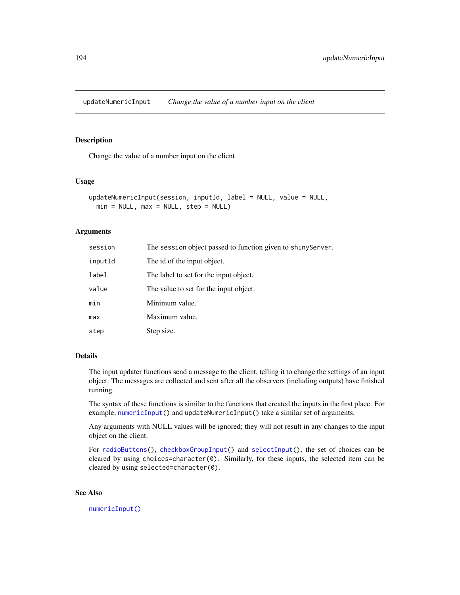updateNumericInput *Change the value of a number input on the client*

## Description

Change the value of a number input on the client

## Usage

```
updateNumericInput(session, inputId, label = NULL, value = NULL,
 min = NULL, max = NULL, step = NULL)
```
#### Arguments

| session | The session object passed to function given to shinyServer. |
|---------|-------------------------------------------------------------|
| inputId | The id of the input object.                                 |
| label   | The label to set for the input object.                      |
| value   | The value to set for the input object.                      |
| min     | Minimum value.                                              |
| max     | Maximum value.                                              |
| step    | Step size.                                                  |

# Details

The input updater functions send a message to the client, telling it to change the settings of an input object. The messages are collected and sent after all the observers (including outputs) have finished running.

The syntax of these functions is similar to the functions that created the inputs in the first place. For example, [numericInput\(](#page-88-0)) and updateNumericInput() take a similar set of arguments.

Any arguments with NULL values will be ignored; they will not result in any changes to the input object on the client.

For [radioButtons\(](#page-112-0)), [checkboxGroupInput\(](#page-17-0)) and [selectInput\(](#page-154-0)), the set of choices can be cleared by using choices=character(0). Similarly, for these inputs, the selected item can be cleared by using selected=character(0).

# See Also

[numericInput\(\)](#page-88-0)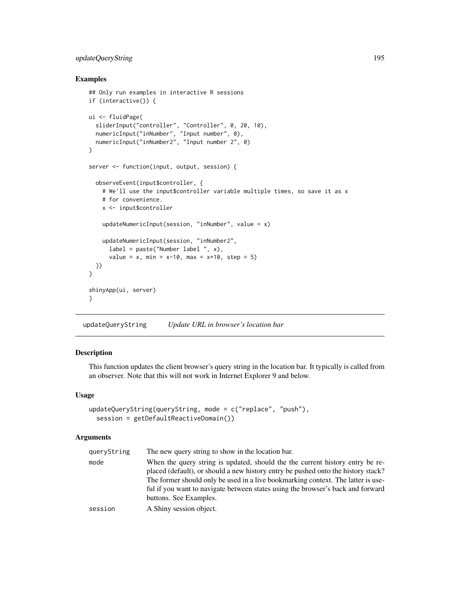# updateQueryString 195

## Examples

```
## Only run examples in interactive R sessions
if (interactive()) {
ui <- fluidPage(
  sliderInput("controller", "Controller", 0, 20, 10),
  numericInput("inNumber", "Input number", 0),
  numericInput("inNumber2", "Input number 2", 0)
\lambdaserver <- function(input, output, session) {
  observeEvent(input$controller, {
   # We'll use the input$controller variable multiple times, so save it as x
    # for convenience.
   x <- input$controller
    updateNumericInput(session, "inNumber", value = x)
    updateNumericInput(session, "inNumber2",
      label = paste("Number label ", x),
      value = x, min = x-10, max = x+10, step = 5)
 })
}
shinyApp(ui, server)
}
```
updateQueryString *Update URL in browser's location bar*

## Description

This function updates the client browser's query string in the location bar. It typically is called from an observer. Note that this will not work in Internet Explorer 9 and below.

## Usage

```
updateQueryString(queryString, mode = c("replace", "push"),
  session = getDefaultReactiveDomain())
```

| queryString | The new query string to show in the location bar.                                 |
|-------------|-----------------------------------------------------------------------------------|
| mode        | When the query string is updated, should the the current history entry be re-     |
|             | placed (default), or should a new history entry be pushed onto the history stack? |
|             | The former should only be used in a live bookmarking context. The latter is use-  |
|             | ful if you want to navigate between states using the browser's back and forward   |
|             | buttons. See Examples.                                                            |
| session     | A Shiny session object.                                                           |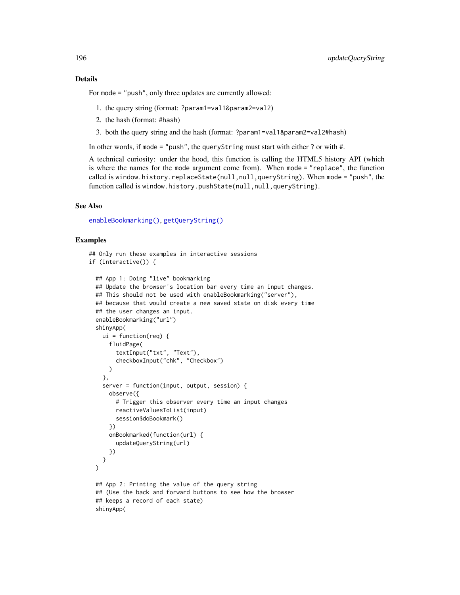## Details

For mode = "push", only three updates are currently allowed:

- 1. the query string (format: ?param1=val1&param2=val2)
- 2. the hash (format: #hash)
- 3. both the query string and the hash (format: ?param1=val1&param2=val2#hash)

In other words, if mode = "push", the queryString must start with either ? or with #.

A technical curiosity: under the hood, this function is calling the HTML5 history API (which is where the names for the mode argument come from). When mode = "replace", the function called is window.history.replaceState(null,null,queryString). When mode = "push", the function called is window.history.pushState(null,null,queryString).

#### See Also

[enableBookmarking\(\)](#page-38-0), [getQueryString\(\)](#page-56-0)

```
## Only run these examples in interactive sessions
if (interactive()) {
 ## App 1: Doing "live" bookmarking
 ## Update the browser's location bar every time an input changes.
 ## This should not be used with enableBookmarking("server"),
 ## because that would create a new saved state on disk every time
 ## the user changes an input.
 enableBookmarking("url")
 shinyApp(
   ui = function(req) {
     fluidPage(
       textInput("txt", "Text"),
       checkboxInput("chk", "Checkbox")
     )
   },
   server = function(input, output, session) {
     observe({
       # Trigger this observer every time an input changes
       reactiveValuesToList(input)
       session$doBookmark()
     })
     onBookmarked(function(url) {
       updateQueryString(url)
     })
   }
 )
 ## App 2: Printing the value of the query string
 ## (Use the back and forward buttons to see how the browser
 ## keeps a record of each state)
 shinyApp(
```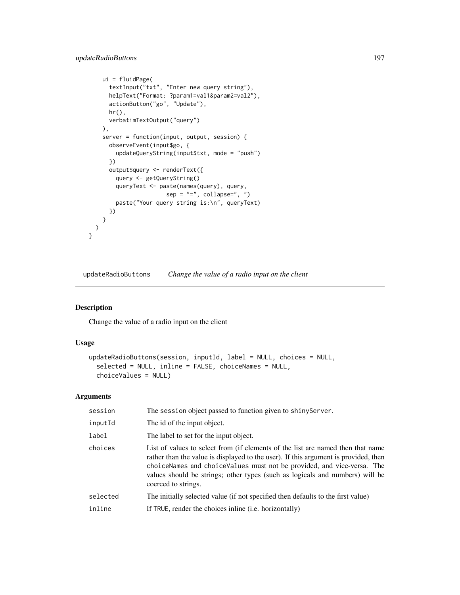```
ui = fluidPage(
    textInput("txt", "Enter new query string"),
    helpText("Format: ?param1=val1&param2=val2"),
    actionButton("go", "Update"),
    hr(),
    verbatimTextOutput("query")
  ),
  server = function(input, output, session) {
    observeEvent(input$go, {
      updateQueryString(input$txt, mode = "push")
    })
    output$query <- renderText({
      query <- getQueryString()
      queryText <- paste(names(query), query,
                     sep = "='', collapse='', '')paste("Your query string is:\n", queryText)
    })
  }
)
```
updateRadioButtons *Change the value of a radio input on the client*

## Description

}

Change the value of a radio input on the client

#### Usage

```
updateRadioButtons(session, inputId, label = NULL, choices = NULL,
  selected = NULL, inline = FALSE, choiceNames = NULL,
  choiceValues = NULL)
```

| session  | The session object passed to function given to shinyServer.                                                                                                                                                                                                                                                                                             |
|----------|---------------------------------------------------------------------------------------------------------------------------------------------------------------------------------------------------------------------------------------------------------------------------------------------------------------------------------------------------------|
| inputId  | The id of the input object.                                                                                                                                                                                                                                                                                                                             |
| label    | The label to set for the input object.                                                                                                                                                                                                                                                                                                                  |
| choices  | List of values to select from (if elements of the list are named then that name<br>rather than the value is displayed to the user). If this argument is provided, then<br>choiceNames and choiceValues must not be provided, and vice-versa. The<br>values should be strings; other types (such as logicals and numbers) will be<br>coerced to strings. |
| selected | The initially selected value (if not specified then defaults to the first value)                                                                                                                                                                                                                                                                        |
| inline   | If TRUE, render the choices in line ( <i>i.e.</i> horizontally)                                                                                                                                                                                                                                                                                         |
|          |                                                                                                                                                                                                                                                                                                                                                         |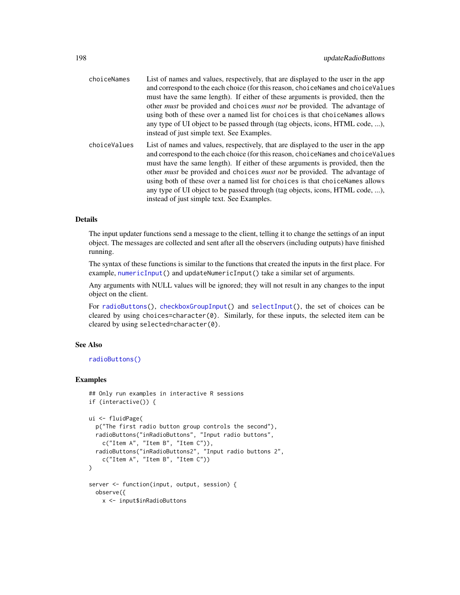| choiceNames  | List of names and values, respectively, that are displayed to the user in the app<br>and correspond to the each choice (for this reason, choiceNames and choiceValues<br>must have the same length). If either of these arguments is provided, then the<br>other <i>must</i> be provided and choices <i>must not</i> be provided. The advantage of<br>using both of these over a named list for choices is that choiceNames allows<br>any type of UI object to be passed through (tag objects, icons, HTML code, ),<br>instead of just simple text. See Examples. |
|--------------|-------------------------------------------------------------------------------------------------------------------------------------------------------------------------------------------------------------------------------------------------------------------------------------------------------------------------------------------------------------------------------------------------------------------------------------------------------------------------------------------------------------------------------------------------------------------|
| choiceValues | List of names and values, respectively, that are displayed to the user in the app<br>and correspond to the each choice (for this reason, choiceNames and choiceValues<br>must have the same length). If either of these arguments is provided, then the<br>other <i>must</i> be provided and choices <i>must not</i> be provided. The advantage of<br>using both of these over a named list for choices is that choiceNames allows<br>any type of UI object to be passed through (tag objects, icons, HTML code, ),<br>instead of just simple text. See Examples. |

# Details

The input updater functions send a message to the client, telling it to change the settings of an input object. The messages are collected and sent after all the observers (including outputs) have finished running.

The syntax of these functions is similar to the functions that created the inputs in the first place. For example, [numericInput\(](#page-88-0)) and updateNumericInput() take a similar set of arguments.

Any arguments with NULL values will be ignored; they will not result in any changes to the input object on the client.

For [radioButtons\(](#page-112-0)), [checkboxGroupInput\(](#page-17-0)) and [selectInput\(](#page-154-0)), the set of choices can be cleared by using choices=character(0). Similarly, for these inputs, the selected item can be cleared by using selected=character(0).

## See Also

[radioButtons\(\)](#page-112-0)

```
## Only run examples in interactive R sessions
if (interactive()) {
ui <- fluidPage(
 p("The first radio button group controls the second"),
 radioButtons("inRadioButtons", "Input radio buttons",
   c("Item A", "Item B", "Item C")),
 radioButtons("inRadioButtons2", "Input radio buttons 2",
   c("Item A", "Item B", "Item C"))
)
server <- function(input, output, session) {
 observe({
   x <- input$inRadioButtons
```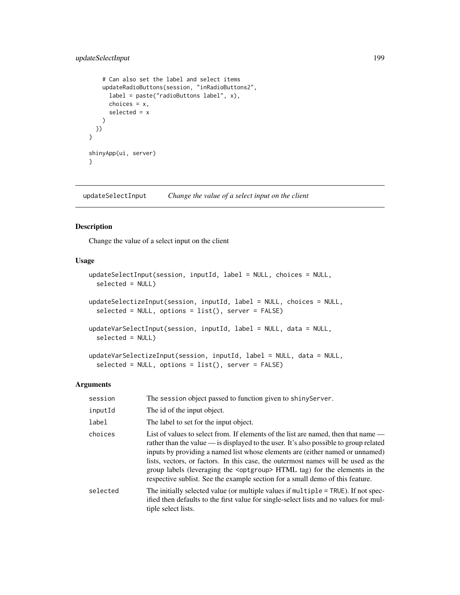# updateSelectInput 199

```
# Can also set the label and select items
   updateRadioButtons(session, "inRadioButtons2",
     label = paste("radioButtons label", x),
     choices = x,
     selected = x
   )
 })
}
shinyApp(ui, server)
}
```
<span id="page-198-0"></span>updateSelectInput *Change the value of a select input on the client*

# Description

Change the value of a select input on the client

# Usage

```
updateSelectInput(session, inputId, label = NULL, choices = NULL,
  selected = NULL)
updateSelectizeInput(session, inputId, label = NULL, choices = NULL,
  selected = NULL, options = list(), server = FALSE)
updateVarSelectInput(session, inputId, label = NULL, data = NULL,
  selected = NULL)
updateVarSelectizeInput(session, inputId, label = NULL, data = NULL,
  selected = NULL, options = list(), server = FALSE)
```

| session  | The session object passed to function given to shiny Server.                                                                                                                                                                                                                                                                                                                                                                                                                                                                |
|----------|-----------------------------------------------------------------------------------------------------------------------------------------------------------------------------------------------------------------------------------------------------------------------------------------------------------------------------------------------------------------------------------------------------------------------------------------------------------------------------------------------------------------------------|
| inputId  | The id of the input object.                                                                                                                                                                                                                                                                                                                                                                                                                                                                                                 |
| label    | The label to set for the input object.                                                                                                                                                                                                                                                                                                                                                                                                                                                                                      |
| choices  | List of values to select from. If elements of the list are named, then that name —<br>rather than the value — is displayed to the user. It's also possible to group related<br>inputs by providing a named list whose elements are (either named or unnamed)<br>lists, vectors, or factors. In this case, the outermost names will be used as the<br>group labels (leveraging the <optgroup> HTML tag) for the elements in the<br/>respective sublist. See the example section for a small demo of this feature.</optgroup> |
| selected | The initially selected value (or multiple values if multiple = TRUE). If not spec-<br>ified then defaults to the first value for single-select lists and no values for mul-<br>tiple select lists.                                                                                                                                                                                                                                                                                                                          |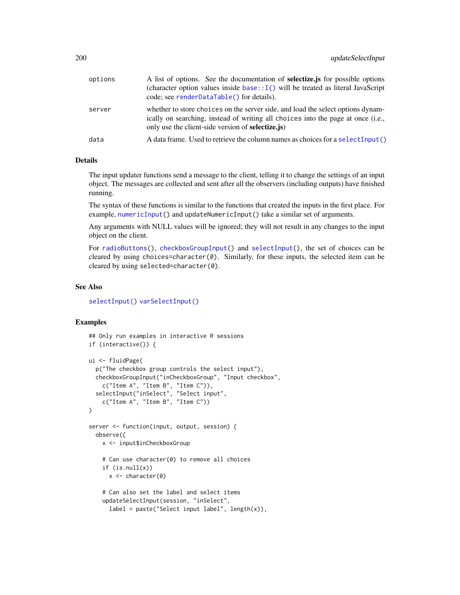| options | A list of options. See the documentation of <b>selectize</b> is for possible options<br>(character option values inside $base::I()$ will be treated as literal JavaScript<br>code; see renderDataTable() for details).           |
|---------|----------------------------------------------------------------------------------------------------------------------------------------------------------------------------------------------------------------------------------|
| server  | whether to store choices on the server side, and load the select options dynam-<br>ically on searching, instead of writing all choices into the page at once (i.e.,<br>only use the client-side version of <b>selectize</b> . is |
| data    | A data frame. Used to retrieve the column names as choices for a select Input ()                                                                                                                                                 |

#### Details

The input updater functions send a message to the client, telling it to change the settings of an input object. The messages are collected and sent after all the observers (including outputs) have finished running.

The syntax of these functions is similar to the functions that created the inputs in the first place. For example, [numericInput\(](#page-88-0)) and updateNumericInput() take a similar set of arguments.

Any arguments with NULL values will be ignored; they will not result in any changes to the input object on the client.

For [radioButtons\(](#page-112-0)), [checkboxGroupInput\(](#page-17-0)) and [selectInput\(](#page-154-0)), the set of choices can be cleared by using choices=character $(0)$ . Similarly, for these inputs, the selected item can be cleared by using selected=character(0).

#### See Also

[selectInput\(\)](#page-154-0) [varSelectInput\(\)](#page-208-0)

```
## Only run examples in interactive R sessions
if (interactive()) {
ui <- fluidPage(
 p("The checkbox group controls the select input"),
 checkboxGroupInput("inCheckboxGroup", "Input checkbox",
    c("Item A", "Item B", "Item C")),
 selectInput("inSelect", "Select input",
    c("Item A", "Item B", "Item C"))
)
server <- function(input, output, session) {
 observe({
   x <- input$inCheckboxGroup
    # Can use character(0) to remove all choices
    if (is.null(x))
     x <- character(0)
    # Can also set the label and select items
   updateSelectInput(session, "inSelect",
     label = paste("Select input label", length(x)),
```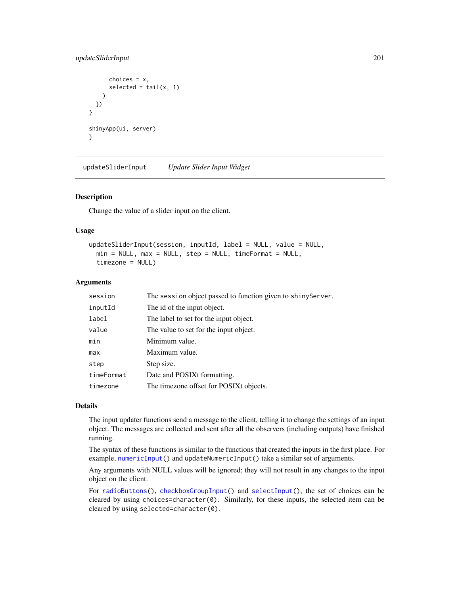# updateSliderInput 201

```
choices = x,
      selected = tail(x, 1))
 })
}
shinyApp(ui, server)
}
```
updateSliderInput *Update Slider Input Widget*

## Description

Change the value of a slider input on the client.

## Usage

```
updateSliderInput(session, inputId, label = NULL, value = NULL,
 min = NULL, max = NULL, step = NULL, timeFormat = NULL,
 timezone = NULL)
```
## Arguments

| session    | The session object passed to function given to shiny Server. |  |
|------------|--------------------------------------------------------------|--|
| inputId    | The id of the input object.                                  |  |
| label      | The label to set for the input object.                       |  |
| value      | The value to set for the input object.                       |  |
| min        | Minimum value.                                               |  |
| max        | Maximum value.                                               |  |
| step       | Step size.                                                   |  |
| timeFormat | Date and POSIXt formatting.                                  |  |
| timezone   | The timezone offset for POSIXt objects.                      |  |
|            |                                                              |  |

#### Details

The input updater functions send a message to the client, telling it to change the settings of an input object. The messages are collected and sent after all the observers (including outputs) have finished running.

The syntax of these functions is similar to the functions that created the inputs in the first place. For example, [numericInput\(](#page-88-0)) and updateNumericInput() take a similar set of arguments.

Any arguments with NULL values will be ignored; they will not result in any changes to the input object on the client.

For [radioButtons\(](#page-112-0)), [checkboxGroupInput\(](#page-17-0)) and [selectInput\(](#page-154-0)), the set of choices can be cleared by using choices=character $(0)$ . Similarly, for these inputs, the selected item can be cleared by using selected=character(0).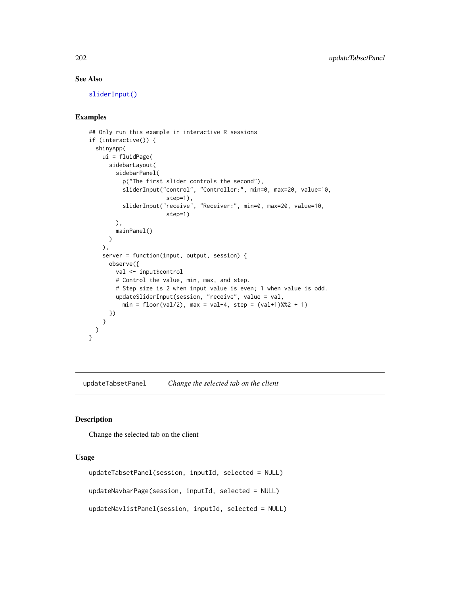# See Also

[sliderInput\(\)](#page-170-0)

## Examples

```
## Only run this example in interactive R sessions
if (interactive()) {
 shinyApp(
   ui = fluidPage(
     sidebarLayout(
        sidebarPanel(
          p("The first slider controls the second"),
          sliderInput("control", "Controller:", min=0, max=20, value=10,
                       step=1),
          sliderInput("receive", "Receiver:", min=0, max=20, value=10,
                       step=1)
        ),
       mainPanel()
     )
   ),
    server = function(input, output, session) {
     observe({
        val <- input$control
        # Control the value, min, max, and step.
        # Step size is 2 when input value is even; 1 when value is odd.
        updateSliderInput(session, "receive", value = val,
          min = floor(val/2), max = val+4, step = (val+1) %%2 + 1)
     })
   }
 )
}
```
updateTabsetPanel *Change the selected tab on the client*

#### Description

Change the selected tab on the client

## Usage

```
updateTabsetPanel(session, inputId, selected = NULL)
updateNavbarPage(session, inputId, selected = NULL)
updateNavlistPanel(session, inputId, selected = NULL)
```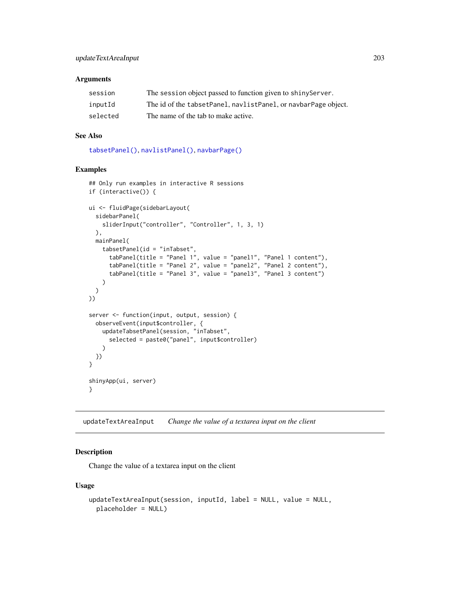#### **Arguments**

| session  | The session object passed to function given to shiny Server.   |
|----------|----------------------------------------------------------------|
| inputId  | The id of the tabsetPanel, navlistPanel, or navbarPage object. |
| selected | The name of the tab to make active.                            |

# See Also

[tabsetPanel\(\)](#page-179-0), [navlistPanel\(\)](#page-84-0), [navbarPage\(\)](#page-82-0)

# Examples

```
## Only run examples in interactive R sessions
if (interactive()) {
ui <- fluidPage(sidebarLayout(
  sidebarPanel(
   sliderInput("controller", "Controller", 1, 3, 1)
  ),
  mainPanel(
    tabsetPanel(id = "inTabset",
      tabPanel(title = "Panel 1", value = "panel1", "Panel 1 content"),
      tabPanel(title = "Panel 2", value = "panel2", "Panel 2 content"),
      tabPanel(title = "Panel 3", value = "panel3", "Panel 3 content")
   )
 )
))
server <- function(input, output, session) {
  observeEvent(input$controller, {
   updateTabsetPanel(session, "inTabset",
      selected = paste0("panel", input$controller)
   \lambda})
}
shinyApp(ui, server)
}
```
<span id="page-202-0"></span>updateTextAreaInput *Change the value of a textarea input on the client*

## Description

Change the value of a textarea input on the client

#### Usage

```
updateTextAreaInput(session, inputId, label = NULL, value = NULL,
 placeholder = NULL)
```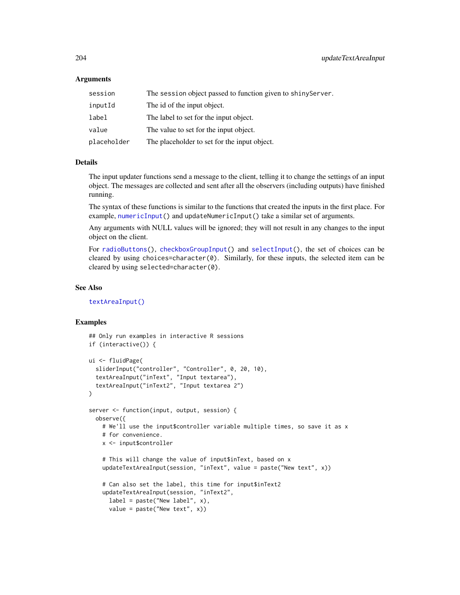## **Arguments**

| session     | The session object passed to function given to shiny Server. |
|-------------|--------------------------------------------------------------|
| inputId     | The id of the input object.                                  |
| label       | The label to set for the input object.                       |
| value       | The value to set for the input object.                       |
| placeholder | The placeholder to set for the input object.                 |

#### Details

The input updater functions send a message to the client, telling it to change the settings of an input object. The messages are collected and sent after all the observers (including outputs) have finished running.

The syntax of these functions is similar to the functions that created the inputs in the first place. For example, [numericInput\(](#page-88-0)) and updateNumericInput() take a similar set of arguments.

Any arguments with NULL values will be ignored; they will not result in any changes to the input object on the client.

For [radioButtons\(](#page-112-0)), [checkboxGroupInput\(](#page-17-0)) and [selectInput\(](#page-154-0)), the set of choices can be cleared by using choices=character $(0)$ . Similarly, for these inputs, the selected item can be cleared by using selected=character(0).

## See Also

[textAreaInput\(\)](#page-181-0)

```
## Only run examples in interactive R sessions
if (interactive()) {
ui <- fluidPage(
  sliderInput("controller", "Controller", 0, 20, 10),
  textAreaInput("inText", "Input textarea"),
  textAreaInput("inText2", "Input textarea 2")
)
server <- function(input, output, session) {
  observe({
    # We'll use the input$controller variable multiple times, so save it as x
    # for convenience.
   x <- input$controller
    # This will change the value of input$inText, based on x
    updateTextAreaInput(session, "inText", value = paste("New text", x))
    # Can also set the label, this time for input$inText2
    updateTextAreaInput(session, "inText2",
      label = packet('New label'', x),
      value = paste("New text", x))
```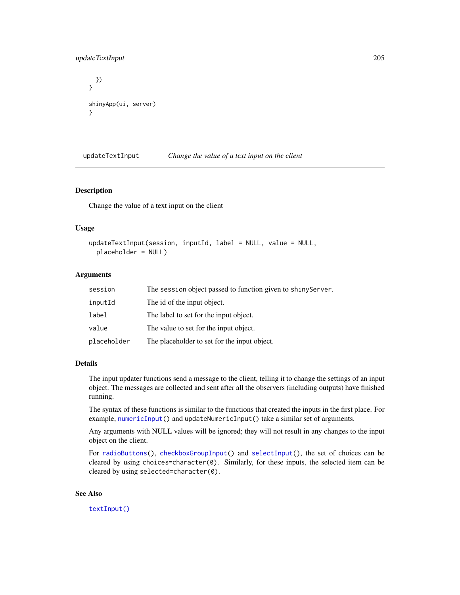# updateTextInput 205

```
})
}
shinyApp(ui, server)
}
```
<span id="page-204-0"></span>updateTextInput *Change the value of a text input on the client*

# Description

Change the value of a text input on the client

#### Usage

```
updateTextInput(session, inputId, label = NULL, value = NULL,
 placeholder = NULL)
```
## Arguments

| session     | The session object passed to function given to shinyServer. |
|-------------|-------------------------------------------------------------|
| inputId     | The id of the input object.                                 |
| label       | The label to set for the input object.                      |
| value       | The value to set for the input object.                      |
| placeholder | The placeholder to set for the input object.                |

## Details

The input updater functions send a message to the client, telling it to change the settings of an input object. The messages are collected and sent after all the observers (including outputs) have finished running.

The syntax of these functions is similar to the functions that created the inputs in the first place. For example, [numericInput\(](#page-88-0)) and updateNumericInput() take a similar set of arguments.

Any arguments with NULL values will be ignored; they will not result in any changes to the input object on the client.

For [radioButtons\(](#page-112-0)), [checkboxGroupInput\(](#page-17-0)) and [selectInput\(](#page-154-0)), the set of choices can be cleared by using choices=character(0). Similarly, for these inputs, the selected item can be cleared by using selected=character(0).

### See Also

[textInput\(\)](#page-182-0)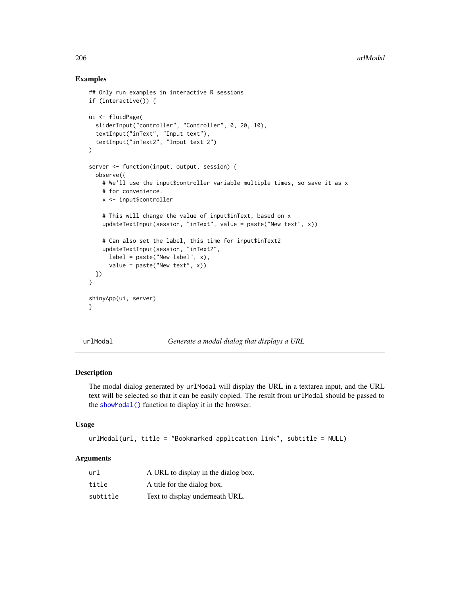## Examples

```
## Only run examples in interactive R sessions
if (interactive()) {
ui <- fluidPage(
  sliderInput("controller", "Controller", 0, 20, 10),
  textInput("inText", "Input text"),
  textInput("inText2", "Input text 2")
\lambdaserver <- function(input, output, session) {
  observe({
   # We'll use the input$controller variable multiple times, so save it as x
   # for convenience.
   x <- input$controller
    # This will change the value of input$inText, based on x
    updateTextInput(session, "inText", value = paste("New text", x))
    # Can also set the label, this time for input$inText2
   updateTextInput(session, "inText2",
      label = packet("New label", x),value = \text{past}("New text", x))
 })
}
shinyApp(ui, server)
}
```
urlModal *Generate a modal dialog that displays a URL*

#### Description

The modal dialog generated by urlModal will display the URL in a textarea input, and the URL text will be selected so that it can be easily copied. The result from urlModal should be passed to the [showModal\(\)](#page-163-0) function to display it in the browser.

#### Usage

```
urlModal(url, title = "Bookmarked application link", subtitle = NULL)
```

| url      | A URL to display in the dialog box. |
|----------|-------------------------------------|
| title    | A title for the dialog box.         |
| subtitle | Text to display underneath URL.     |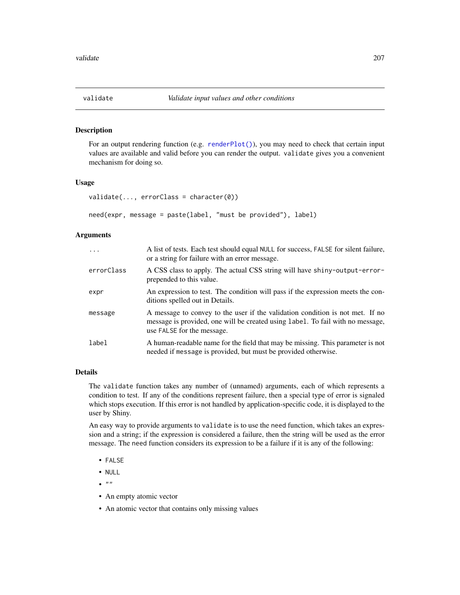## Description

For an output rendering function (e.g. [renderPlot\(\)](#page-136-0)), you may need to check that certain input values are available and valid before you can render the output. validate gives you a convenient mechanism for doing so.

#### Usage

```
validate(..., errorClass = character(0))
```

```
need(expr, message = paste(label, "must be provided"), label)
```
## Arguments

| $\ddots$ . | A list of tests. Each test should equal NULL for success, FALSE for silent failure,<br>or a string for failure with an error message.                                                         |
|------------|-----------------------------------------------------------------------------------------------------------------------------------------------------------------------------------------------|
| errorClass | A CSS class to apply. The actual CSS string will have shiny-output-error-<br>prepended to this value.                                                                                         |
| expr       | An expression to test. The condition will pass if the expression meets the con-<br>ditions spelled out in Details.                                                                            |
| message    | A message to convey to the user if the validation condition is not met. If no<br>message is provided, one will be created using label. To fail with no message,<br>use FALSE for the message. |
| label      | A human-readable name for the field that may be missing. This parameter is not<br>needed if message is provided, but must be provided otherwise.                                              |

# Details

The validate function takes any number of (unnamed) arguments, each of which represents a condition to test. If any of the conditions represent failure, then a special type of error is signaled which stops execution. If this error is not handled by application-specific code, it is displayed to the user by Shiny.

An easy way to provide arguments to validate is to use the need function, which takes an expression and a string; if the expression is considered a failure, then the string will be used as the error message. The need function considers its expression to be a failure if it is any of the following:

- FALSE
- NULL
- $\bullet$  ""
- An empty atomic vector
- An atomic vector that contains only missing values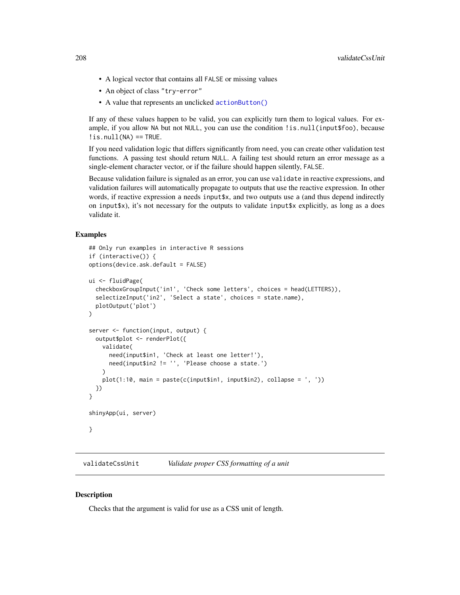- A logical vector that contains all FALSE or missing values
- An object of class "try-error"
- A value that represents an unclicked [actionButton\(\)](#page-7-0)

If any of these values happen to be valid, you can explicitly turn them to logical values. For example, if you allow NA but not NULL, you can use the condition !is.null(input\$foo), because  $\exists$ is.null(NA) == TRUE.

If you need validation logic that differs significantly from need, you can create other validation test functions. A passing test should return NULL. A failing test should return an error message as a single-element character vector, or if the failure should happen silently, FALSE.

Because validation failure is signaled as an error, you can use validate in reactive expressions, and validation failures will automatically propagate to outputs that use the reactive expression. In other words, if reactive expression a needs input\$x, and two outputs use a (and thus depend indirectly on input  $\phi$ ), it's not necessary for the outputs to validate input  $\phi$  explicitly, as long as a does validate it.

# Examples

```
## Only run examples in interactive R sessions
if (interactive()) {
options(device.ask.default = FALSE)
ui <- fluidPage(
 checkboxGroupInput('in1', 'Check some letters', choices = head(LETTERS)),
 selectizeInput('in2', 'Select a state', choices = state.name),
 plotOutput('plot')
)
server <- function(input, output) {
 output$plot <- renderPlot({
   validate(
      need(input$in1, 'Check at least one letter!'),
      need(input$in2 != '', 'Please choose a state.')
   \lambdaplot(1:10, main = paste(c(inputsin1, inputsin2), collapse = ', '))})
}
shinyApp(ui, server)
}
```
<span id="page-207-0"></span>validateCssUnit *Validate proper CSS formatting of a unit*

## **Description**

Checks that the argument is valid for use as a CSS unit of length.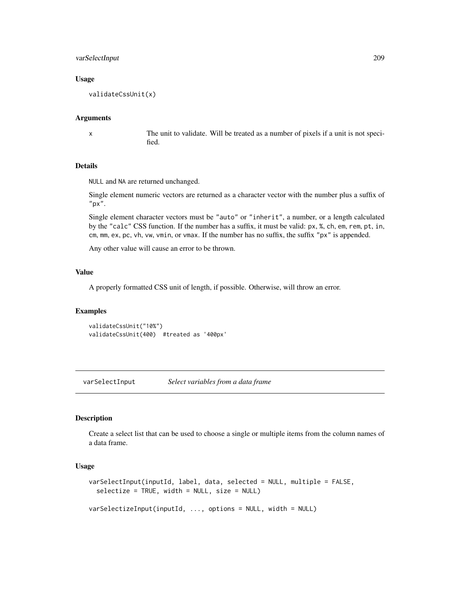# varSelectInput 209

## Usage

validateCssUnit(x)

#### Arguments

x The unit to validate. Will be treated as a number of pixels if a unit is not specified.

# Details

NULL and NA are returned unchanged.

Single element numeric vectors are returned as a character vector with the number plus a suffix of "px".

Single element character vectors must be "auto" or "inherit", a number, or a length calculated by the "calc" CSS function. If the number has a suffix, it must be valid: px, %, ch, em, rem, pt, in, cm, mm, ex, pc, vh, vw, vmin, or vmax. If the number has no suffix, the suffix "px" is appended.

Any other value will cause an error to be thrown.

## Value

A properly formatted CSS unit of length, if possible. Otherwise, will throw an error.

#### Examples

validateCssUnit("10%") validateCssUnit(400) #treated as '400px'

<span id="page-208-0"></span>varSelectInput *Select variables from a data frame*

## Description

Create a select list that can be used to choose a single or multiple items from the column names of a data frame.

# Usage

```
varSelectInput(inputId, label, data, selected = NULL, multiple = FALSE,
  selectize = TRUE, width = NULL, size = NULL)
```
varSelectizeInput(inputId, ..., options = NULL, width = NULL)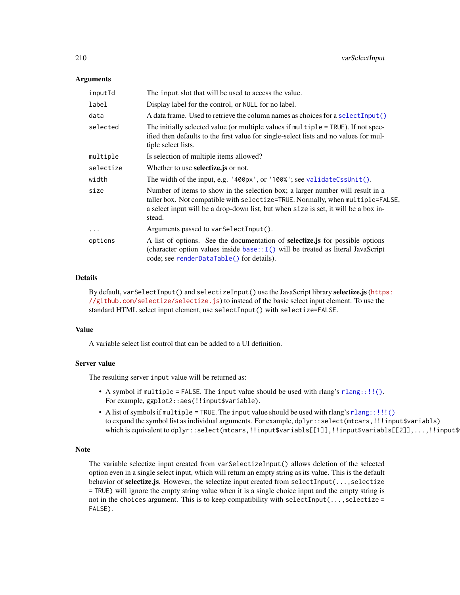## **Arguments**

| inputId    | The input slot that will be used to access the value.                                                                                                                                                                                                             |
|------------|-------------------------------------------------------------------------------------------------------------------------------------------------------------------------------------------------------------------------------------------------------------------|
| label      | Display label for the control, or NULL for no label.                                                                                                                                                                                                              |
| data       | A data frame. Used to retrieve the column names as choices for a select Input ()                                                                                                                                                                                  |
| selected   | The initially selected value (or multiple values if multiple = TRUE). If not spec-<br>ified then defaults to the first value for single-select lists and no values for mul-<br>tiple select lists.                                                                |
| multiple   | Is selection of multiple items allowed?                                                                                                                                                                                                                           |
| selectize  | Whether to use <b>selectize</b> , js or not.                                                                                                                                                                                                                      |
| width      | The width of the input, e.g. '400px', or '100%'; see validateCssUnit().                                                                                                                                                                                           |
| size       | Number of items to show in the selection box; a larger number will result in a<br>taller box. Not compatible with selectize=TRUE. Normally, when multiple=FALSE,<br>a select input will be a drop-down list, but when size is set, it will be a box in-<br>stead. |
| $\ddots$ . | Arguments passed to var SelectInput().                                                                                                                                                                                                                            |
| options    | A list of options. See the documentation of <b>selectize</b> , is for possible options<br>(character option values inside $base::I()$ will be treated as literal JavaScript<br>code; see renderDataTable() for details).                                          |

# Details

By default, varSelectInput() and selectizeInput() use the JavaScript library selectize.js ([http](https://github.com/selectize/selectize.js)s: [//github.com/selectize/selectize.js](https://github.com/selectize/selectize.js)) to instead of the basic select input element. To use the standard HTML select input element, use selectInput() with selectize=FALSE.

#### Value

A variable select list control that can be added to a UI definition.

## Server value

The resulting server input value will be returned as:

- A symbol if multiple = FALSE. The input value should be used with rlang's  $rlang::!!()$ . For example, ggplot2::aes(!!input\$variable).
- A list of symbols if multiple = TRUE. The input value should be used with rlang's [rlang::!!!\(\)](#page-0-0) to expand the symbol list as individual arguments. For example, dplyr::select(mtcars,!!!input\$variabls) which is equivalent to dplyr::select(mtcars,!!input\$variabls[[1]],!!input\$variabls[[2]],...,!!input\$

## Note

The variable selectize input created from varSelectizeInput() allows deletion of the selected option even in a single select input, which will return an empty string as its value. This is the default behavior of selectize.js. However, the selectize input created from selectInput(..., selectize = TRUE) will ignore the empty string value when it is a single choice input and the empty string is not in the choices argument. This is to keep compatibility with selectInput(...,selectize = FALSE).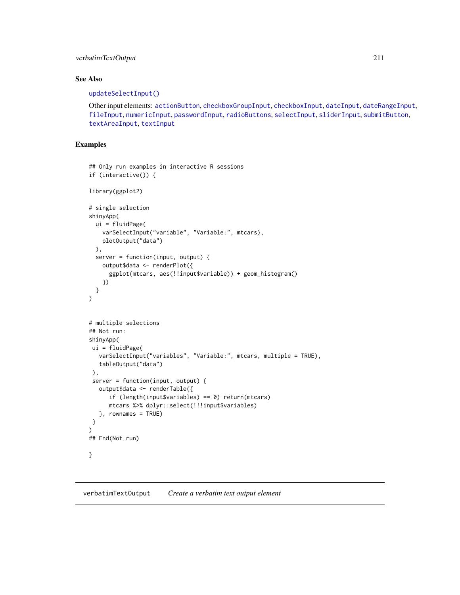# verbatimTextOutput 211

# See Also

## [updateSelectInput\(\)](#page-198-0)

Other input elements: [actionButton](#page-7-0), [checkboxGroupInput](#page-17-0), [checkboxInput](#page-19-0), [dateInput](#page-24-0), [dateRangeInput](#page-27-0), [fileInput](#page-45-0), [numericInput](#page-88-0), [passwordInput](#page-103-0), [radioButtons](#page-112-0), [selectInput](#page-154-0), [sliderInput](#page-170-0), [submitButton](#page-175-0), [textAreaInput](#page-181-0), [textInput](#page-182-0)

# Examples

```
## Only run examples in interactive R sessions
if (interactive()) {
library(ggplot2)
# single selection
shinyApp(
  ui = fluidPage(
    varSelectInput("variable", "Variable:", mtcars),
    plotOutput("data")
  ),
  server = function(input, output) {
    output$data <- renderPlot({
      ggplot(mtcars, aes(!!input$variable)) + geom_histogram()
    })
  }
\mathcal{L}# multiple selections
## Not run:
shinyApp(
 ui = fluidPage(
   varSelectInput("variables", "Variable:", mtcars, multiple = TRUE),
   tableOutput("data")
 ),
 server = function(input, output) {
   output$data <- renderTable({
      if (length(input$variables) == 0) return(mtcars)
      mtcars %>% dplyr::select(!!!input$variables)
   }, rownames = TRUE)
}
\mathcal{L}## End(Not run)
}
```
verbatimTextOutput *Create a verbatim text output element*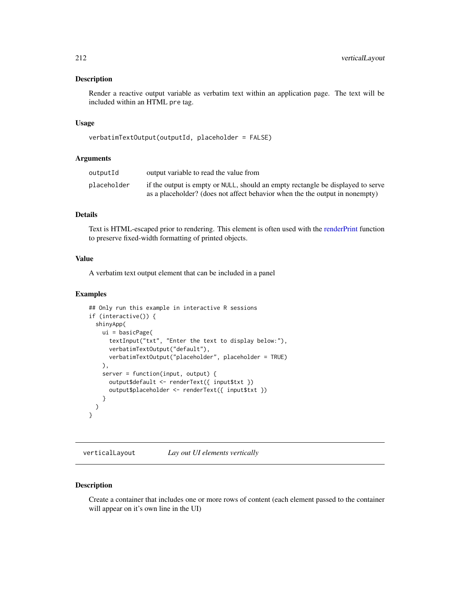# Description

Render a reactive output variable as verbatim text within an application page. The text will be included within an HTML pre tag.

# Usage

```
verbatimTextOutput(outputId, placeholder = FALSE)
```
#### Arguments

| outputId    | output variable to read the value from                                          |
|-------------|---------------------------------------------------------------------------------|
| placeholder | if the output is empty or NULL, should an empty rectangle be displayed to serve |
|             | as a placeholder? (does not affect behavior when the the output in nonempty)    |

# Details

Text is HTML-escaped prior to rendering. This element is often used with the [renderPrint](#page-138-0) function to preserve fixed-width formatting of printed objects.

## Value

A verbatim text output element that can be included in a panel

# Examples

```
## Only run this example in interactive R sessions
if (interactive()) {
 shinyApp(
   ui = basicPage(
     textInput("txt", "Enter the text to display below:"),
     verbatimTextOutput("default"),
     verbatimTextOutput("placeholder", placeholder = TRUE)
   ),
   server = function(input, output) {
     output$default <- renderText({ input$txt })
     output$placeholder <- renderText({ input$txt })
   }
 )
}
```
verticalLayout *Lay out UI elements vertically*

## Description

Create a container that includes one or more rows of content (each element passed to the container will appear on it's own line in the UI)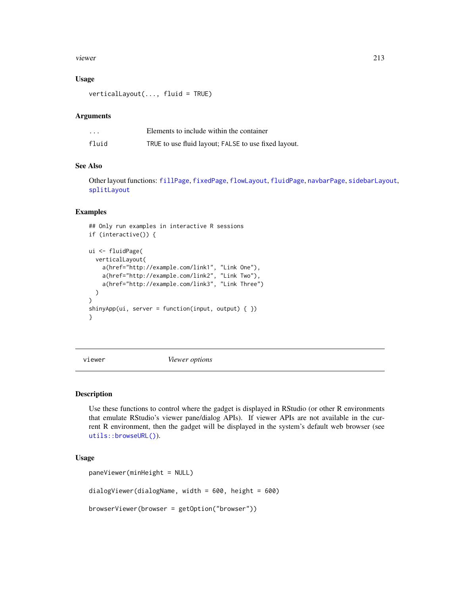#### viewer 213

## Usage

verticalLayout(..., fluid = TRUE)

#### Arguments

| $\cdot$ | Elements to include within the container             |
|---------|------------------------------------------------------|
| fluid   | TRUE to use fluid layout; FALSE to use fixed layout. |

# See Also

Other layout functions: [fillPage](#page-47-0), [fixedPage](#page-50-0), [flowLayout](#page-51-0), [fluidPage](#page-52-0), [navbarPage](#page-82-0), [sidebarLayout](#page-167-0), [splitLayout](#page-173-0)

#### Examples

```
## Only run examples in interactive R sessions
if (interactive()) {
ui <- fluidPage(
  verticalLayout(
    a(href="http://example.com/link1", "Link One"),
    a(href="http://example.com/link2", "Link Two"),
    a(href="http://example.com/link3", "Link Three")
  \lambda)
shinyApp(ui, server = function(input, output) { })
}
```
viewer *Viewer options*

## Description

Use these functions to control where the gadget is displayed in RStudio (or other R environments that emulate RStudio's viewer pane/dialog APIs). If viewer APIs are not available in the current R environment, then the gadget will be displayed in the system's default web browser (see [utils::browseURL\(\)](#page-0-0)).

## Usage

```
paneViewer(minHeight = NULL)
dialogViewer(dialogName, width = 600, height = 600)
browserViewer(browser = getOption("browser"))
```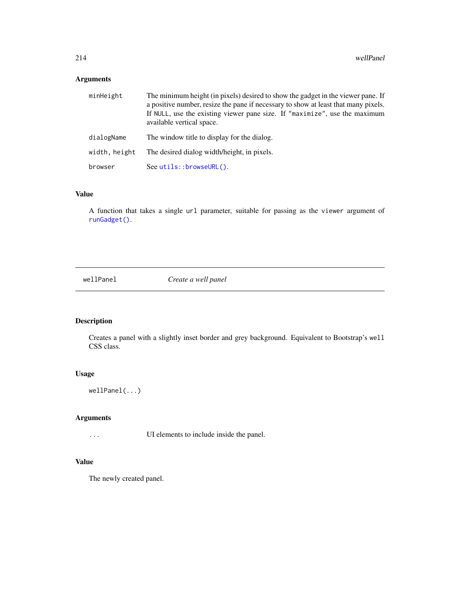# Arguments

| minHeight     | The minimum height (in pixels) desired to show the gadget in the viewer pane. If<br>a positive number, resize the pane if necessary to show at least that many pixels.<br>If NULL, use the existing viewer pane size. If "maximize", use the maximum<br>available vertical space. |
|---------------|-----------------------------------------------------------------------------------------------------------------------------------------------------------------------------------------------------------------------------------------------------------------------------------|
| dialogName    | The window title to display for the dialog.                                                                                                                                                                                                                                       |
| width, height | The desired dialog width/height, in pixels.                                                                                                                                                                                                                                       |
| browser       | $See utils::brows \text{eURL}().$                                                                                                                                                                                                                                                 |

# Value

A function that takes a single url parameter, suitable for passing as the viewer argument of [runGadget\(\)](#page-150-0).

wellPanel *Create a well panel*

# Description

Creates a panel with a slightly inset border and grey background. Equivalent to Bootstrap's well CSS class.

## Usage

wellPanel(...)

# Arguments

... UI elements to include inside the panel.

# Value

The newly created panel.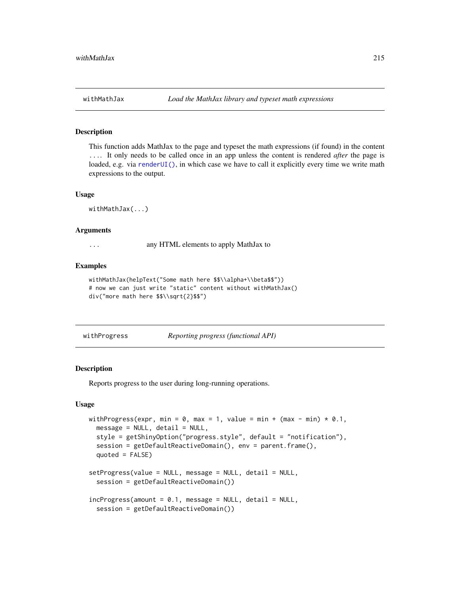# Description

This function adds MathJax to the page and typeset the math expressions (if found) in the content .... It only needs to be called once in an app unless the content is rendered *after* the page is loaded, e.g. via [renderUI\(\)](#page-143-0), in which case we have to call it explicitly every time we write math expressions to the output.

#### Usage

withMathJax(...)

## Arguments

... any HTML elements to apply MathJax to

## Examples

```
withMathJax(helpText("Some math here $$\\alpha+\\beta$$"))
# now we can just write "static" content without withMathJax()
div("more math here $$\\sqrt{2}$$")
```
withProgress *Reporting progress (functional API)*

#### Description

Reports progress to the user during long-running operations.

## Usage

```
withProgress(expr, min = 0, max = 1, value = min + (max - min) * 0.1,
  message = NULL, detail = NULL,style = getShinyOption("progress.style", default = "notification"),
  session = getDefaultReactiveDomain(), env = parent.frame(),
  quoted = FALSE)setProgress(value = NULL, message = NULL, detail = NULL,
  session = getDefaultReactiveDomain())
incProgress(amount = 0.1, message = NULL, detail = NULL,session = getDefaultReactiveDomain())
```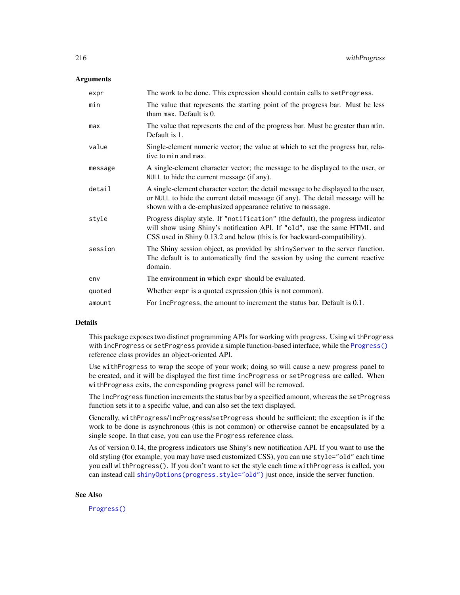## **Arguments**

| expr    | The work to be done. This expression should contain calls to set Progress.                                                                                                                                                               |
|---------|------------------------------------------------------------------------------------------------------------------------------------------------------------------------------------------------------------------------------------------|
| min     | The value that represents the starting point of the progress bar. Must be less<br>tham max. Default is 0.                                                                                                                                |
| max     | The value that represents the end of the progress bar. Must be greater than min.<br>Default is 1.                                                                                                                                        |
| value   | Single-element numeric vector; the value at which to set the progress bar, rela-<br>tive to min and max.                                                                                                                                 |
| message | A single-element character vector; the message to be displayed to the user, or<br>NULL to hide the current message (if any).                                                                                                             |
| detail  | A single-element character vector; the detail message to be displayed to the user,<br>or NULL to hide the current detail message (if any). The detail message will be<br>shown with a de-emphasized appearance relative to message.      |
| style   | Progress display style. If "notification" (the default), the progress indicator<br>will show using Shiny's notification API. If "old", use the same HTML and<br>CSS used in Shiny 0.13.2 and below (this is for backward-compatibility). |
| session | The Shiny session object, as provided by shiny Server to the server function.<br>The default is to automatically find the session by using the current reactive<br>domain.                                                               |
| env     | The environment in which expr should be evaluated.                                                                                                                                                                                       |
| quoted  | Whether expr is a quoted expression (this is not common).                                                                                                                                                                                |
| amount  | For incProgress, the amount to increment the status bar. Default is 0.1.                                                                                                                                                                 |

# Details

This package exposes two distinct programming APIs for working with progress. Using withProgress with incProgress or setProgress provide a simple function-based interface, while the [Progress\(\)](#page-110-0) reference class provides an object-oriented API.

Use withProgress to wrap the scope of your work; doing so will cause a new progress panel to be created, and it will be displayed the first time incProgress or setProgress are called. When withProgress exits, the corresponding progress panel will be removed.

The incProgress function increments the status bar by a specified amount, whereas the setProgress function sets it to a specific value, and can also set the text displayed.

Generally, withProgress/incProgress/setProgress should be sufficient; the exception is if the work to be done is asynchronous (this is not common) or otherwise cannot be encapsulated by a single scope. In that case, you can use the Progress reference class.

As of version 0.14, the progress indicators use Shiny's new notification API. If you want to use the old styling (for example, you may have used customized CSS), you can use style="old" each time you call withProgress(). If you don't want to set the style each time withProgress is called, you can instead call [shinyOptions\(progress.style="old"\)](#page-57-0) just once, inside the server function.

## See Also

[Progress\(\)](#page-110-0)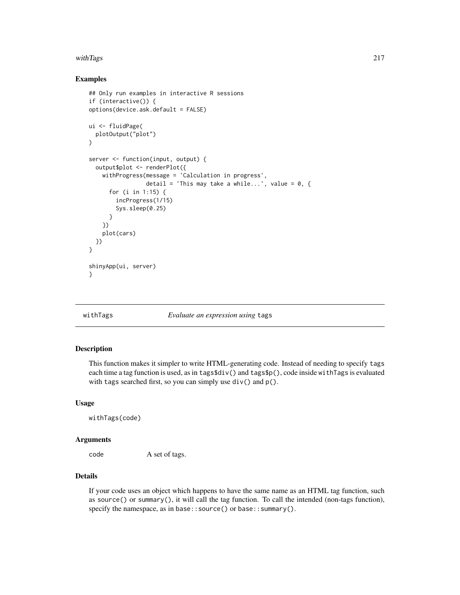# <span id="page-216-0"></span>with Tags 217

# Examples

```
## Only run examples in interactive R sessions
if (interactive()) {
options(device.ask.default = FALSE)
ui <- fluidPage(
  plotOutput("plot")
)
server <- function(input, output) {
  output$plot <- renderPlot({
   withProgress(message = 'Calculation in progress',
                 detail = 'This may take a while...', value = 0, \{for (i in 1:15) {
        incProgress(1/15)
        Sys.sleep(0.25)
      }
    })
    plot(cars)
  })
}
shinyApp(ui, server)
}
```
# withTags *Evaluate an expression using* tags

# Description

This function makes it simpler to write HTML-generating code. Instead of needing to specify tags each time a tag function is used, as in tags\$div() and tags\$p(), code inside withTags is evaluated with tags searched first, so you can simply use  $div()$  and  $p()$ .

# Usage

withTags(code)

# Arguments

code A set of tags.

# Details

If your code uses an object which happens to have the same name as an HTML tag function, such as source() or summary(), it will call the tag function. To call the intended (non-tags function), specify the namespace, as in base:: source() or base:: summary().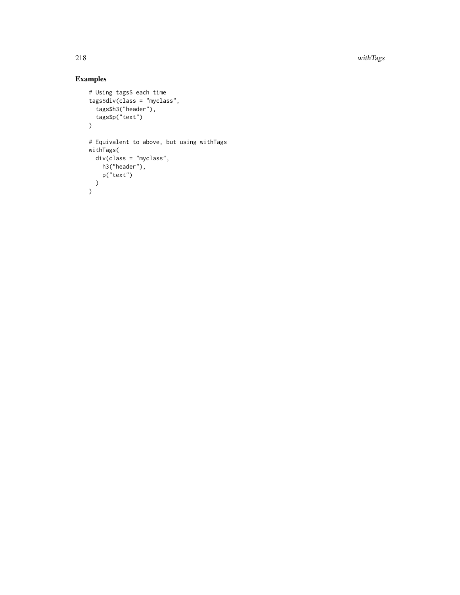218 with Tags and the contract of the contract of the contract of the contract of the contract of the contract of the contract of the contract of the contract of the contract of the contract of the contract of the contract

# Examples

```
# Using tags$ each time
tags$div(class = "myclass",
  tags$h3("header"),
  tags$p("text")
\lambda# Equivalent to above, but using withTags
withTags(
 div(class = "myclass",
   h3("header"),
    p("text")
  )
)
```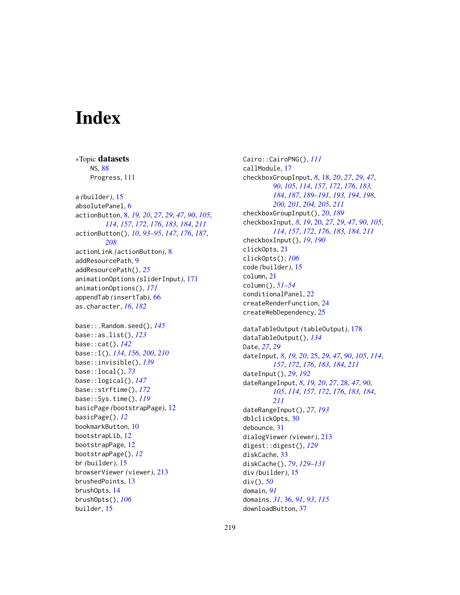# **Index**

∗Topic datasets NS, [88](#page-87-0) Progress, [111](#page-110-0) a *(*builder*)*, [15](#page-14-0) absolutePanel, [6](#page-5-0) actionButton, [8,](#page-7-0) *[19,](#page-18-0) [20](#page-19-0)*, *[27](#page-26-0)*, *[29](#page-28-0)*, *[47](#page-46-0)*, *[90](#page-89-0)*, *[105](#page-104-0)*, *[114](#page-113-0)*, *[157](#page-156-0)*, *[172](#page-171-0)*, *[176](#page-175-0)*, *[183,](#page-182-0) [184](#page-183-0)*, *[211](#page-210-0)* actionButton(), *[10](#page-9-0)*, *[93–](#page-92-0)[95](#page-94-0)*, *[147](#page-146-0)*, *[176](#page-175-0)*, *[187](#page-186-0)*, *[208](#page-207-0)* actionLink *(*actionButton*)*, [8](#page-7-0) addResourcePath, [9](#page-8-0) addResourcePath(), *[25](#page-24-0)* animationOptions *(*sliderInput*)*, [171](#page-170-0) animationOptions(), *[171](#page-170-0)* appendTab *(*insertTab*)*, [66](#page-65-0) as.character, *[16](#page-15-0)*, *[182](#page-181-0)* base::.Random.seed(), *[145](#page-144-0)* base::as.list(), *[123](#page-122-0)* base::cat(), *[142](#page-141-0)* base::I(), *[134](#page-133-0)*, *[156](#page-155-0)*, *[200](#page-199-0)*, *[210](#page-209-0)* base::invisible(), *[139](#page-138-0)* base::local(), *[73](#page-72-0)* base::logical(), *[147](#page-146-0)* base::strftime(), *[172](#page-171-0)* base::Sys.time(), *[119](#page-118-0)* basicPage *(*bootstrapPage*)*, [12](#page-11-0) basicPage(), *[12](#page-11-0)* bookmarkButton, [10](#page-9-0) bootstrapLib, [12](#page-11-0) bootstrapPage, [12](#page-11-0) bootstrapPage(), *[12](#page-11-0)* br *(*builder*)*, [15](#page-14-0) browserViewer *(*viewer*)*, [213](#page-212-0) brushedPoints, [13](#page-12-0) brushOpts, [14](#page-13-0) brushOpts(), *[106](#page-105-0)* builder, [15](#page-14-0)

Cairo::CairoPNG(), *[111](#page-110-0)* callModule, [17](#page-16-0) checkboxGroupInput, *[8](#page-7-0)*, [18,](#page-17-0) *[20](#page-19-0)*, *[27](#page-26-0)*, *[29](#page-28-0)*, *[47](#page-46-0)*, *[90](#page-89-0)*, *[105](#page-104-0)*, *[114](#page-113-0)*, *[157](#page-156-0)*, *[172](#page-171-0)*, *[176](#page-175-0)*, *[183,](#page-182-0) [184](#page-183-0)*, *[187](#page-186-0)*, *[189](#page-188-0)[–191](#page-190-0)*, *[193,](#page-192-0) [194](#page-193-0)*, *[198](#page-197-0)*, *[200,](#page-199-0) [201](#page-200-0)*, *[204,](#page-203-0) [205](#page-204-0)*, *[211](#page-210-0)* checkboxGroupInput(), *[20](#page-19-0)*, *[189](#page-188-0)* checkboxInput, *[8](#page-7-0)*, *[19](#page-18-0)*, [20,](#page-19-0) *[27](#page-26-0)*, *[29](#page-28-0)*, *[47](#page-46-0)*, *[90](#page-89-0)*, *[105](#page-104-0)*, *[114](#page-113-0)*, *[157](#page-156-0)*, *[172](#page-171-0)*, *[176](#page-175-0)*, *[183,](#page-182-0) [184](#page-183-0)*, *[211](#page-210-0)* checkboxInput(), *[19](#page-18-0)*, *[190](#page-189-0)* clickOpts, [21](#page-20-0) clickOpts(), *[106](#page-105-0)* code *(*builder*)*, [15](#page-14-0) column, [21](#page-20-0) column(), *[51](#page-50-0)[–54](#page-53-0)* conditionalPanel, [22](#page-21-0) createRenderFunction, [24](#page-23-0) createWebDependency, [25](#page-24-0) dataTableOutput *(*tableOutput*)*, [178](#page-177-0) dataTableOutput(), *[134](#page-133-0)* Date, *[27](#page-26-0)*, *[29](#page-28-0)* dateInput, *[8](#page-7-0)*, *[19,](#page-18-0) [20](#page-19-0)*, [25,](#page-24-0) *[29](#page-28-0)*, *[47](#page-46-0)*, *[90](#page-89-0)*, *[105](#page-104-0)*, *[114](#page-113-0)*, *[157](#page-156-0)*, *[172](#page-171-0)*, *[176](#page-175-0)*, *[183,](#page-182-0) [184](#page-183-0)*, *[211](#page-210-0)* dateInput(), *[29](#page-28-0)*, *[192](#page-191-0)* dateRangeInput, *[8](#page-7-0)*, *[19,](#page-18-0) [20](#page-19-0)*, *[27](#page-26-0)*, [28,](#page-27-0) *[47](#page-46-0)*, *[90](#page-89-0)*, *[105](#page-104-0)*, *[114](#page-113-0)*, *[157](#page-156-0)*, *[172](#page-171-0)*, *[176](#page-175-0)*, *[183,](#page-182-0) [184](#page-183-0)*, *[211](#page-210-0)* dateRangeInput(), *[27](#page-26-0)*, *[193](#page-192-0)* dblclickOpts, [30](#page-29-0) debounce, [31](#page-30-0) dialogViewer *(*viewer*)*, [213](#page-212-0) digest::digest(), *[129](#page-128-0)* diskCache, [33](#page-32-0) diskCache(), *[79](#page-78-0)*, *[129](#page-128-0)[–131](#page-130-0)* div *(*builder*)*, [15](#page-14-0) div(), *[50](#page-49-0)* domain, *[91](#page-90-0)* domains, *[31](#page-30-0)*, [36,](#page-35-0) *[91](#page-90-0)*, *[93](#page-92-0)*, *[115](#page-114-0)* downloadButton, [37](#page-36-0)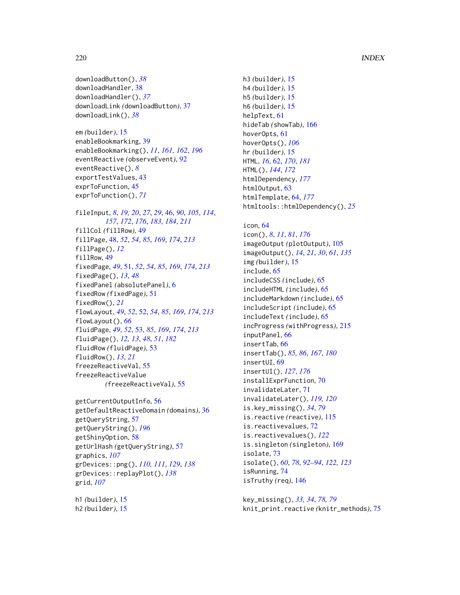```
downloadButton(), 38
downloadHandler, 38
downloadHandler(), 37
downloadLink (downloadButton), 37
downloadLink(), 38
```

```
em (builder), 15
enableBookmarking, 39
enableBookmarking(), 11, 161, 162, 196
eventReactive (observeEvent), 92
eventReactive(), 8
exportTestValues, 43
exprToFunction, 45
exprToFunction(), 71
```

```
fileInput, 8, 19, 20, 27, 29, 46, 90, 105, 114,
         157, 172, 176, 183, 184, 211
fillCol (fillRow), 49
fillPage, 48, 52, 54, 85, 169, 174, 213
fillPage(), 12
fillRow, 49
fixedPage, 49, 51, 52, 54, 85, 169, 174, 213
fixedPage(), 13, 48
fixedPanel (absolutePanel), 6
fixedRow (fixedPage), 51
fixedRow(), 21
flowLayout, 49, 52, 52, 54, 85, 169, 174, 213
flowLayout(), 66
fluidPage, 49, 52, 53, 85, 169, 174, 213
fluidPage(), 12, 13, 48, 51, 182
fluidRow (fluidPage), 53
fluidRow(), 13, 21
freezeReactiveVal, 55
freezeReactiveValue
         (freezeReactiveVal), 55
```

```
getCurrentOutputInfo, 56
getDefaultReactiveDomain (domains), 36
getQueryString, 57
getQueryString(), 196
getShinyOption, 58
getUrlHash (getQueryString), 57
graphics, 107
grDevices::png(), 110, 111, 129, 138
grDevices::replayPlot(), 138
grid, 107
```
h1 *(*builder*)*, [15](#page-14-0) h2 *(*builder*)*, [15](#page-14-0) h3 *(*builder*)*, [15](#page-14-0) h4 *(*builder*)*, [15](#page-14-0) h5 *(*builder*)*, [15](#page-14-0) h6 *(*builder*)*, [15](#page-14-0) helpText, [61](#page-60-0) hideTab *(*showTab*)*, [166](#page-165-0) hoverOpts, [61](#page-60-0) hoverOpts(), *[106](#page-105-0)* hr *(*builder*)*, [15](#page-14-0) HTML, *[16](#page-15-0)*, [62,](#page-61-0) *[170](#page-169-0)*, *[181](#page-180-0)* HTML(), *[144](#page-143-0)*, *[172](#page-171-0)* htmlDependency, *[177](#page-176-0)* htmlOutput, [63](#page-62-0) htmlTemplate, [64,](#page-63-0) *[177](#page-176-0)* htmltools::htmlDependency(), *[25](#page-24-0)*

```
icon, 64
```
icon(), *[8](#page-7-0)*, *[11](#page-10-0)*, *[81](#page-80-0)*, *[176](#page-175-0)* imageOutput *(*plotOutput*)*, [105](#page-104-0) imageOutput(), *[14](#page-13-0)*, *[21](#page-20-0)*, *[30](#page-29-0)*, *[61](#page-60-0)*, *[135](#page-134-0)* img *(*builder*)*, [15](#page-14-0) include, [65](#page-64-0) includeCSS *(*include*)*, [65](#page-64-0) includeHTML *(*include*)*, [65](#page-64-0) includeMarkdown *(*include*)*, [65](#page-64-0) includeScript *(*include*)*, [65](#page-64-0) includeText *(*include*)*, [65](#page-64-0) incProgress *(*withProgress*)*, [215](#page-214-0) inputPanel, [66](#page-65-0) insertTab, [66](#page-65-0) insertTab(), *[85,](#page-84-0) [86](#page-85-0)*, *[167](#page-166-0)*, *[180](#page-179-0)* insertUI, [69](#page-68-0) insertUI(), *[127](#page-126-0)*, *[176](#page-175-0)* installExprFunction, [70](#page-69-0) invalidateLater, [71](#page-70-0) invalidateLater(), *[119,](#page-118-0) [120](#page-119-0)* is.key\_missing(), *[34](#page-33-0)*, *[79](#page-78-0)* is.reactive *(*reactive*)*, [115](#page-114-0) is.reactivevalues, [72](#page-71-0) is.reactivevalues(), *[122](#page-121-0)* is.singleton *(*singleton*)*, [169](#page-168-0) isolate, [73](#page-72-0) isolate(), *[60](#page-59-0)*, *[78](#page-77-0)*, *[92](#page-91-0)[–94](#page-93-0)*, *[122,](#page-121-0) [123](#page-122-0)* isRunning, [74](#page-73-0) isTruthy *(*req*)*, [146](#page-145-0)

key\_missing(), *[33,](#page-32-0) [34](#page-33-0)*, *[78,](#page-77-0) [79](#page-78-0)* knit\_print.reactive *(*knitr\_methods*)*, [75](#page-74-0)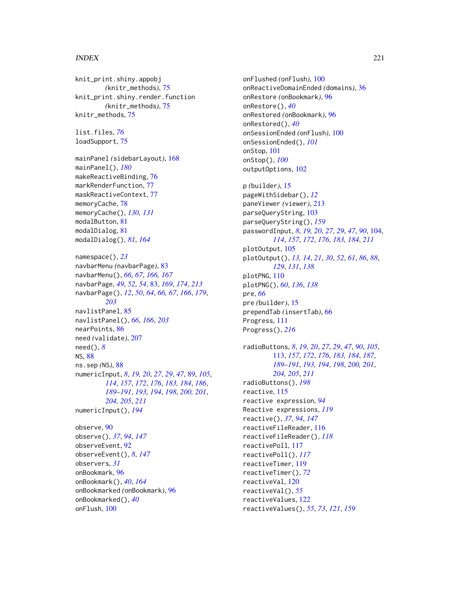# INDEX  $221$

knit\_print.shiny.appobj *(*knitr\_methods*)*, [75](#page-74-0) knit\_print.shiny.render.function *(*knitr\_methods*)*, [75](#page-74-0) knitr\_methods, [75](#page-74-0)

list.files, *[76](#page-75-0)* loadSupport, [75](#page-74-0)

```
mainPanel (sidebarLayout), 168
mainPanel(), 180
makeReactiveBinding, 76
markRenderFunction, 77
maskReactiveContext, 77
memoryCache, 78
memoryCache(), 130, 131
modalButton, 81
modalDialog, 81
modalDialog(), 81, 164
```
namespace(), *[23](#page-22-0)* navbarMenu *(*navbarPage*)*, [83](#page-82-0) navbarMenu(), *[66,](#page-65-0) [67](#page-66-0)*, *[166,](#page-165-0) [167](#page-166-0)* navbarPage, *[49](#page-48-0)*, *[52](#page-51-0)*, *[54](#page-53-0)*, [83,](#page-82-0) *[169](#page-168-0)*, *[174](#page-173-0)*, *[213](#page-212-0)* navbarPage(), *[12](#page-11-0)*, *[50](#page-49-0)*, *[64](#page-63-0)*, *[66,](#page-65-0) [67](#page-66-0)*, *[166](#page-165-0)*, *[179](#page-178-0)*, *[203](#page-202-0)* navlistPanel, [85](#page-84-0) navlistPanel(), *[66](#page-65-0)*, *[166](#page-165-0)*, *[203](#page-202-0)* nearPoints, [86](#page-85-0) need *(*validate*)*, [207](#page-206-0) need(), *[8](#page-7-0)* NS, [88](#page-87-0) ns.sep *(*NS*)*, [88](#page-87-0) numericInput, *[8](#page-7-0)*, *[19,](#page-18-0) [20](#page-19-0)*, *[27](#page-26-0)*, *[29](#page-28-0)*, *[47](#page-46-0)*, [89,](#page-88-0) *[105](#page-104-0)*, *[114](#page-113-0)*, *[157](#page-156-0)*, *[172](#page-171-0)*, *[176](#page-175-0)*, *[183,](#page-182-0) [184](#page-183-0)*, *[186](#page-185-0)*, *[189](#page-188-0)[–191](#page-190-0)*, *[193,](#page-192-0) [194](#page-193-0)*, *[198](#page-197-0)*, *[200,](#page-199-0) [201](#page-200-0)*, *[204,](#page-203-0) [205](#page-204-0)*, *[211](#page-210-0)* numericInput(), *[194](#page-193-0)* observe, [90](#page-89-0)

observe(), *[37](#page-36-0)*, *[94](#page-93-0)*, *[147](#page-146-0)* observeEvent, [92](#page-91-0) observeEvent(), *[8](#page-7-0)*, *[147](#page-146-0)* observers, *[31](#page-30-0)* onBookmark, [96](#page-95-0) onBookmark(), *[40](#page-39-0)*, *[164](#page-163-0)* onBookmarked *(*onBookmark*)*, [96](#page-95-0) onBookmarked(), *[40](#page-39-0)* onFlush, [100](#page-99-0)

onFlushed *(*onFlush*)*, [100](#page-99-0) onReactiveDomainEnded *(*domains*)*, [36](#page-35-0) onRestore *(*onBookmark*)*, [96](#page-95-0) onRestore(), *[40](#page-39-0)* onRestored *(*onBookmark*)*, [96](#page-95-0) onRestored(), *[40](#page-39-0)* onSessionEnded *(*onFlush*)*, [100](#page-99-0) onSessionEnded(), *[101](#page-100-0)* onStop, [101](#page-100-0) onStop(), *[100](#page-99-0)* outputOptions, [102](#page-101-0) p *(*builder*)*, [15](#page-14-0) pageWithSidebar(), *[12](#page-11-0)* paneViewer *(*viewer*)*, [213](#page-212-0) parseQueryString, [103](#page-102-0) parseQueryString(), *[159](#page-158-0)* passwordInput, *[8](#page-7-0)*, *[19,](#page-18-0) [20](#page-19-0)*, *[27](#page-26-0)*, *[29](#page-28-0)*, *[47](#page-46-0)*, *[90](#page-89-0)*, [104,](#page-103-0) *[114](#page-113-0)*, *[157](#page-156-0)*, *[172](#page-171-0)*, *[176](#page-175-0)*, *[183,](#page-182-0) [184](#page-183-0)*, *[211](#page-210-0)* plotOutput, [105](#page-104-0) plotOutput(), *[13,](#page-12-0) [14](#page-13-0)*, *[21](#page-20-0)*, *[30](#page-29-0)*, *[52](#page-51-0)*, *[61](#page-60-0)*, *[86](#page-85-0)*, *[88](#page-87-0)*, *[129](#page-128-0)*, *[131](#page-130-0)*, *[138](#page-137-0)* plotPNG, [110](#page-109-0) plotPNG(), *[60](#page-59-0)*, *[136](#page-135-0)*, *[138](#page-137-0)* pre, *[66](#page-65-0)* pre *(*builder*)*, [15](#page-14-0) prependTab *(*insertTab*)*, [66](#page-65-0) Progress, [111](#page-110-0) Progress(), *[216](#page-215-0)* radioButtons, *[8](#page-7-0)*, *[19,](#page-18-0) [20](#page-19-0)*, *[27](#page-26-0)*, *[29](#page-28-0)*, *[47](#page-46-0)*, *[90](#page-89-0)*, *[105](#page-104-0)*, [113,](#page-112-0) *[157](#page-156-0)*, *[172](#page-171-0)*, *[176](#page-175-0)*, *[183,](#page-182-0) [184](#page-183-0)*, *[187](#page-186-0)*, *[189](#page-188-0)[–191](#page-190-0)*, *[193,](#page-192-0) [194](#page-193-0)*, *[198](#page-197-0)*, *[200,](#page-199-0) [201](#page-200-0)*, *[204,](#page-203-0) [205](#page-204-0)*, *[211](#page-210-0)* radioButtons(), *[198](#page-197-0)* reactive, [115](#page-114-0) reactive expression, *[94](#page-93-0)* Reactive expressions, *[119](#page-118-0)* reactive(), *[37](#page-36-0)*, *[94](#page-93-0)*, *[147](#page-146-0)* reactiveFileReader, [116](#page-115-0) reactiveFileReader(), *[118](#page-117-0)* reactivePoll, [117](#page-116-0) reactivePoll(), *[117](#page-116-0)* reactiveTimer, [119](#page-118-0) reactiveTimer(), *[72](#page-71-0)* reactiveVal, [120](#page-119-0) reactiveVal(), *[55](#page-54-0)* reactiveValues, [122](#page-121-0) reactiveValues(), *[55](#page-54-0)*, *[73](#page-72-0)*, *[121](#page-120-0)*, *[159](#page-158-0)*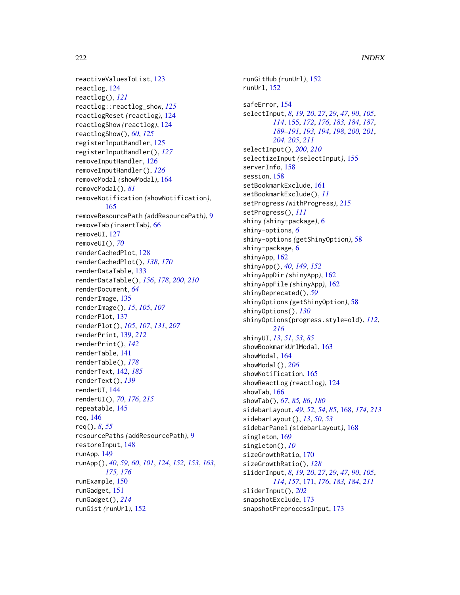```
reactiveValuesToList, 123
reactlog, 124
reactlog(), 121
reactlog::reactlog_show, 125
reactlogReset (reactlog), 124
reactlogShow (reactlog), 124
reactlogShow(), 60, 125
registerInputHandler, 125
registerInputHandler(), 127
removeInputHandler, 126
removeInputHandler(), 126
removeModal (showModal), 164
removeModal(), 81
removeNotification (showNotification),
        165
removeResourcePath (addResourcePath), 9
removeTab (insertTab), 66
removeUI, 127
removeUI(), 70
renderCachedPlot, 128
renderCachedPlot(), 138, 170
renderDataTable, 133
renderDataTable(), 156, 178, 200, 210
renderDocument, 64
renderImage, 135
renderImage(), 15, 105, 107
renderPlot, 137
renderPlot(), 105, 107, 131, 207
renderPrint, 139, 212
renderPrint(), 142
renderTable, 141
renderTable(), 178
renderText, 142, 185
renderText(), 139
renderUI, 144
renderUI(), 70, 176, 215
repeatable, 145
req, 146
req(), 8, 55
resourcePaths (addResourcePath), 9
restoreInput, 148
runApp, 149
runApp(), 40, 59, 60, 101, 124, 152, 153, 163,
        175, 176
runExample, 150
runGadget, 151
runGadget(), 214
runGist (runUrl), 152
```
runGitHub *(*runUrl*)*, [152](#page-151-0) runUrl, [152](#page-151-0) safeError, [154](#page-153-0) selectInput, *[8](#page-7-0)*, *[19,](#page-18-0) [20](#page-19-0)*, *[27](#page-26-0)*, *[29](#page-28-0)*, *[47](#page-46-0)*, *[90](#page-89-0)*, *[105](#page-104-0)*, *[114](#page-113-0)*, [155,](#page-154-0) *[172](#page-171-0)*, *[176](#page-175-0)*, *[183,](#page-182-0) [184](#page-183-0)*, *[187](#page-186-0)*, *[189](#page-188-0)[–191](#page-190-0)*, *[193,](#page-192-0) [194](#page-193-0)*, *[198](#page-197-0)*, *[200,](#page-199-0) [201](#page-200-0)*, *[204,](#page-203-0) [205](#page-204-0)*, *[211](#page-210-0)* selectInput(), *[200](#page-199-0)*, *[210](#page-209-0)* selectizeInput *(*selectInput*)*, [155](#page-154-0) serverInfo, [158](#page-157-0) session, [158](#page-157-0) setBookmarkExclude, [161](#page-160-0) setBookmarkExclude(), *[11](#page-10-0)* setProgress *(*withProgress*)*, [215](#page-214-0) setProgress(), *[111](#page-110-0)* shiny *(*shiny-package*)*, [6](#page-5-0) shiny-options, *[6](#page-5-0)* shiny-options *(*getShinyOption*)*, [58](#page-57-0) shiny-package, [6](#page-5-0) shinyApp, [162](#page-161-0) shinyApp(), *[40](#page-39-0)*, *[149](#page-148-0)*, *[152](#page-151-0)* shinyAppDir *(*shinyApp*)*, [162](#page-161-0) shinyAppFile *(*shinyApp*)*, [162](#page-161-0) shinyDeprecated(), *[59](#page-58-0)* shinyOptions *(*getShinyOption*)*, [58](#page-57-0) shinyOptions(), *[130](#page-129-0)* shinyOptions(progress.style=old), *[112](#page-111-0)*, *[216](#page-215-0)* shinyUI, *[13](#page-12-0)*, *[51](#page-50-0)*, *[53](#page-52-0)*, *[85](#page-84-0)* showBookmarkUrlModal, [163](#page-162-0) showModal, [164](#page-163-0) showModal(), *[206](#page-205-0)* showNotification, [165](#page-164-0) showReactLog *(*reactlog*)*, [124](#page-123-0) showTab, [166](#page-165-0) showTab(), *[67](#page-66-0)*, *[85,](#page-84-0) [86](#page-85-0)*, *[180](#page-179-0)* sidebarLayout, *[49](#page-48-0)*, *[52](#page-51-0)*, *[54](#page-53-0)*, *[85](#page-84-0)*, [168,](#page-167-0) *[174](#page-173-0)*, *[213](#page-212-0)* sidebarLayout(), *[13](#page-12-0)*, *[50](#page-49-0)*, *[53](#page-52-0)* sidebarPanel *(*sidebarLayout*)*, [168](#page-167-0) singleton, [169](#page-168-0) singleton(), *[10](#page-9-0)* sizeGrowthRatio, [170](#page-169-0) sizeGrowthRatio(), *[128](#page-127-0)* sliderInput, *[8](#page-7-0)*, *[19,](#page-18-0) [20](#page-19-0)*, *[27](#page-26-0)*, *[29](#page-28-0)*, *[47](#page-46-0)*, *[90](#page-89-0)*, *[105](#page-104-0)*, *[114](#page-113-0)*, *[157](#page-156-0)*, [171,](#page-170-0) *[176](#page-175-0)*, *[183,](#page-182-0) [184](#page-183-0)*, *[211](#page-210-0)* sliderInput(), *[202](#page-201-0)* snapshotExclude, [173](#page-172-0) snapshotPreprocessInput, [173](#page-172-0)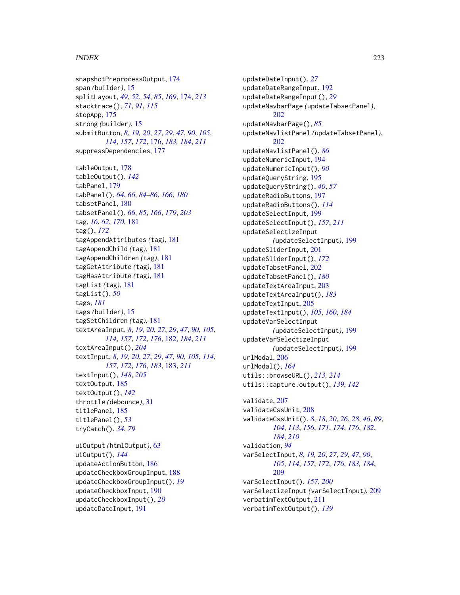# $I$ NDEX 223

snapshotPreprocessOutput, [174](#page-173-0) span *(*builder*)*, [15](#page-14-0) splitLayout, *[49](#page-48-0)*, *[52](#page-51-0)*, *[54](#page-53-0)*, *[85](#page-84-0)*, *[169](#page-168-0)*, [174,](#page-173-0) *[213](#page-212-0)* stacktrace(), *[71](#page-70-0)*, *[91](#page-90-0)*, *[115](#page-114-0)* stopApp, [175](#page-174-0) strong *(*builder*)*, [15](#page-14-0) submitButton, *[8](#page-7-0)*, *[19,](#page-18-0) [20](#page-19-0)*, *[27](#page-26-0)*, *[29](#page-28-0)*, *[47](#page-46-0)*, *[90](#page-89-0)*, *[105](#page-104-0)*, *[114](#page-113-0)*, *[157](#page-156-0)*, *[172](#page-171-0)*, [176,](#page-175-0) *[183,](#page-182-0) [184](#page-183-0)*, *[211](#page-210-0)* suppressDependencies, [177](#page-176-0) tableOutput, [178](#page-177-0) tableOutput(), *[142](#page-141-0)* tabPanel, [179](#page-178-0) tabPanel(), *[64](#page-63-0)*, *[66](#page-65-0)*, *[84–](#page-83-0)[86](#page-85-0)*, *[166](#page-165-0)*, *[180](#page-179-0)* tabsetPanel, [180](#page-179-0) tabsetPanel(), *[66](#page-65-0)*, *[85](#page-84-0)*, *[166](#page-165-0)*, *[179](#page-178-0)*, *[203](#page-202-0)* tag, *[16](#page-15-0)*, *[62](#page-61-0)*, *[170](#page-169-0)*, [181](#page-180-0) tag(), *[172](#page-171-0)* tagAppendAttributes *(*tag*)*, [181](#page-180-0) tagAppendChild *(*tag*)*, [181](#page-180-0) tagAppendChildren *(*tag*)*, [181](#page-180-0) tagGetAttribute *(*tag*)*, [181](#page-180-0) tagHasAttribute *(*tag*)*, [181](#page-180-0) tagList *(*tag*)*, [181](#page-180-0) tagList(), *[50](#page-49-0)* tags, *[181](#page-180-0)* tags *(*builder*)*, [15](#page-14-0) tagSetChildren *(*tag*)*, [181](#page-180-0) textAreaInput, *[8](#page-7-0)*, *[19,](#page-18-0) [20](#page-19-0)*, *[27](#page-26-0)*, *[29](#page-28-0)*, *[47](#page-46-0)*, *[90](#page-89-0)*, *[105](#page-104-0)*, *[114](#page-113-0)*, *[157](#page-156-0)*, *[172](#page-171-0)*, *[176](#page-175-0)*, [182,](#page-181-0) *[184](#page-183-0)*, *[211](#page-210-0)* textAreaInput(), *[204](#page-203-0)* textInput, *[8](#page-7-0)*, *[19,](#page-18-0) [20](#page-19-0)*, *[27](#page-26-0)*, *[29](#page-28-0)*, *[47](#page-46-0)*, *[90](#page-89-0)*, *[105](#page-104-0)*, *[114](#page-113-0)*, *[157](#page-156-0)*, *[172](#page-171-0)*, *[176](#page-175-0)*, *[183](#page-182-0)*, [183,](#page-182-0) *[211](#page-210-0)* textInput(), *[148](#page-147-0)*, *[205](#page-204-0)* textOutput, [185](#page-184-0) textOutput(), *[142](#page-141-0)* throttle *(*debounce*)*, [31](#page-30-0) titlePanel, [185](#page-184-0) titlePanel(), *[53](#page-52-0)* tryCatch(), *[34](#page-33-0)*, *[79](#page-78-0)*

uiOutput *(*htmlOutput*)*, [63](#page-62-0) uiOutput(), *[144](#page-143-0)* updateActionButton, [186](#page-185-0) updateCheckboxGroupInput, [188](#page-187-0) updateCheckboxGroupInput(), *[19](#page-18-0)* updateCheckboxInput, [190](#page-189-0) updateCheckboxInput(), *[20](#page-19-0)* updateDateInput, [191](#page-190-0)

updateDateInput(), *[27](#page-26-0)* updateDateRangeInput, [192](#page-191-0) updateDateRangeInput(), *[29](#page-28-0)* updateNavbarPage *(*updateTabsetPanel*)*, [202](#page-201-0) updateNavbarPage(), *[85](#page-84-0)* updateNavlistPanel *(*updateTabsetPanel*)*, [202](#page-201-0) updateNavlistPanel(), *[86](#page-85-0)* updateNumericInput, [194](#page-193-0) updateNumericInput(), *[90](#page-89-0)* updateQueryString, [195](#page-194-0) updateQueryString(), *[40](#page-39-0)*, *[57](#page-56-0)* updateRadioButtons, [197](#page-196-0) updateRadioButtons(), *[114](#page-113-0)* updateSelectInput, [199](#page-198-0) updateSelectInput(), *[157](#page-156-0)*, *[211](#page-210-0)* updateSelectizeInput *(*updateSelectInput*)*, [199](#page-198-0) updateSliderInput, [201](#page-200-0) updateSliderInput(), *[172](#page-171-0)* updateTabsetPanel, [202](#page-201-0) updateTabsetPanel(), *[180](#page-179-0)* updateTextAreaInput, [203](#page-202-0) updateTextAreaInput(), *[183](#page-182-0)* updateTextInput, [205](#page-204-0) updateTextInput(), *[105](#page-104-0)*, *[160](#page-159-0)*, *[184](#page-183-0)* updateVarSelectInput *(*updateSelectInput*)*, [199](#page-198-0) updateVarSelectizeInput *(*updateSelectInput*)*, [199](#page-198-0) urlModal, [206](#page-205-0) urlModal(), *[164](#page-163-0)* utils::browseURL(), *[213,](#page-212-0) [214](#page-213-0)* utils::capture.output(), *[139](#page-138-0)*, *[142](#page-141-0)* validate, [207](#page-206-0) validateCssUnit, [208](#page-207-0) validateCssUnit(), *[8](#page-7-0)*, *[18](#page-17-0)*, *[20](#page-19-0)*, *[26](#page-25-0)*, *[28](#page-27-0)*, *[46](#page-45-0)*, *[89](#page-88-0)*, *[104](#page-103-0)*, *[113](#page-112-0)*, *[156](#page-155-0)*, *[171](#page-170-0)*, *[174](#page-173-0)*, *[176](#page-175-0)*, *[182](#page-181-0)*, *[184](#page-183-0)*, *[210](#page-209-0)* validation, *[94](#page-93-0)* varSelectInput, *[8](#page-7-0)*, *[19,](#page-18-0) [20](#page-19-0)*, *[27](#page-26-0)*, *[29](#page-28-0)*, *[47](#page-46-0)*, *[90](#page-89-0)*, *[105](#page-104-0)*, *[114](#page-113-0)*, *[157](#page-156-0)*, *[172](#page-171-0)*, *[176](#page-175-0)*, *[183,](#page-182-0) [184](#page-183-0)*, [209](#page-208-0) varSelectInput(), *[157](#page-156-0)*, *[200](#page-199-0)* varSelectizeInput *(*varSelectInput*)*, [209](#page-208-0) verbatimTextOutput, [211](#page-210-0) verbatimTextOutput(), *[139](#page-138-0)*